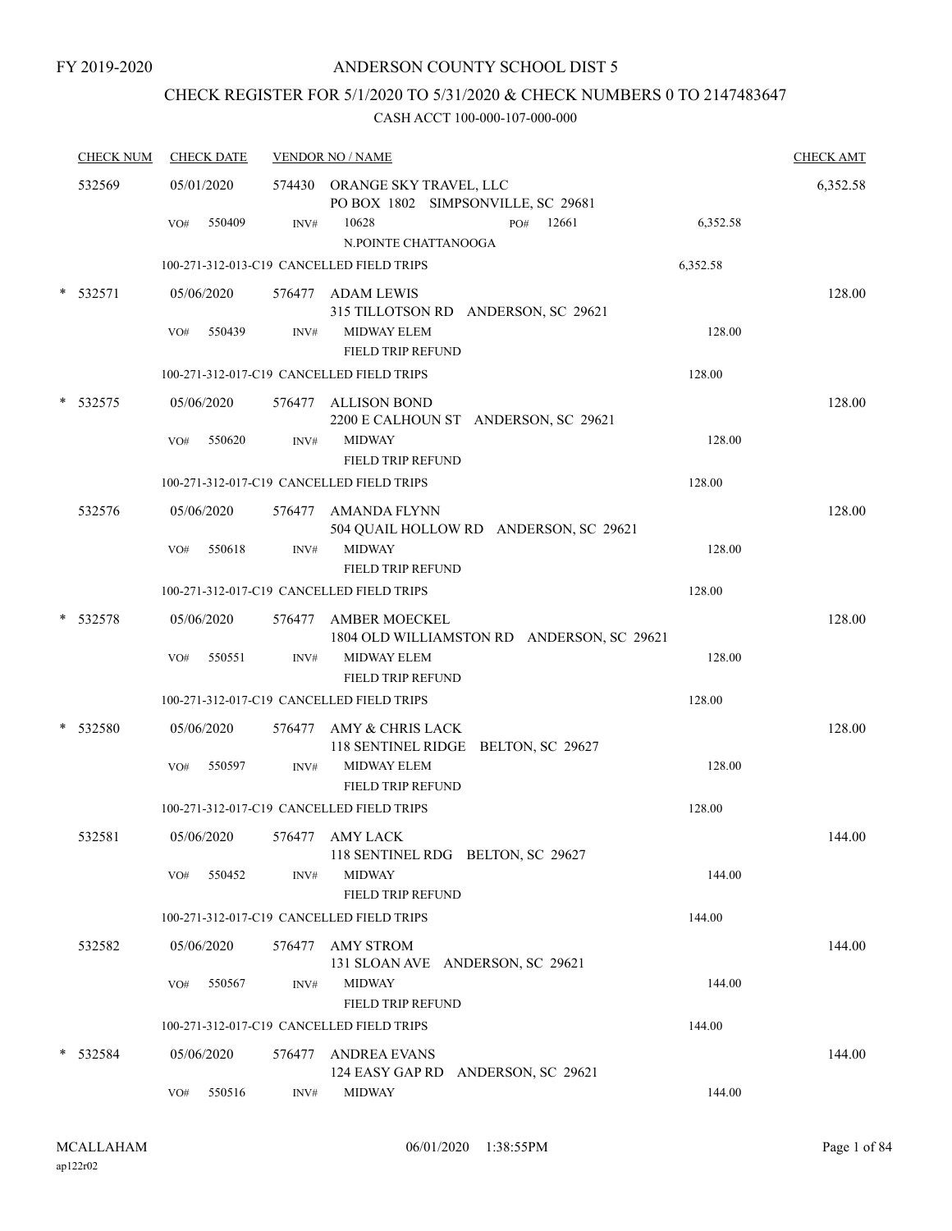# CHECK REGISTER FOR 5/1/2020 TO 5/31/2020 & CHECK NUMBERS 0 TO 2147483647

|        | <b>CHECK NUM</b> |     | <b>CHECK DATE</b> |        | <b>VENDOR NO / NAME</b>                                             | <b>CHECK AMT</b> |
|--------|------------------|-----|-------------------|--------|---------------------------------------------------------------------|------------------|
|        | 532569           |     | 05/01/2020        |        | 574430 ORANGE SKY TRAVEL, LLC<br>PO BOX 1802 SIMPSONVILLE, SC 29681 | 6,352.58         |
|        |                  | VO# | 550409            | INV#   | 10628<br>12661<br>6,352.58<br>PO#<br>N.POINTE CHATTANOOGA           |                  |
|        |                  |     |                   |        | 100-271-312-013-C19 CANCELLED FIELD TRIPS<br>6,352.58               |                  |
|        | $*$ 532571       |     | 05/06/2020        |        | 576477 ADAM LEWIS<br>315 TILLOTSON RD ANDERSON, SC 29621            | 128.00           |
|        |                  | VO# | 550439            | INV#   | <b>MIDWAY ELEM</b><br>128.00<br><b>FIELD TRIP REFUND</b>            |                  |
|        |                  |     |                   |        | 100-271-312-017-C19 CANCELLED FIELD TRIPS<br>128.00                 |                  |
|        | 532575           |     | 05/06/2020        |        | 576477 ALLISON BOND<br>2200 E CALHOUN ST ANDERSON, SC 29621         | 128.00           |
|        |                  | VO# | 550620            | INV#   | <b>MIDWAY</b><br>128.00<br><b>FIELD TRIP REFUND</b>                 |                  |
|        |                  |     |                   |        | 100-271-312-017-C19 CANCELLED FIELD TRIPS<br>128.00                 |                  |
|        | 532576           |     | 05/06/2020        |        | 576477 AMANDA FLYNN<br>504 QUAIL HOLLOW RD ANDERSON, SC 29621       | 128.00           |
|        |                  | VO# | 550618            | INV#   | <b>MIDWAY</b><br>128.00<br><b>FIELD TRIP REFUND</b>                 |                  |
|        |                  |     |                   |        | 100-271-312-017-C19 CANCELLED FIELD TRIPS<br>128.00                 |                  |
| $\ast$ | 532578           |     | 05/06/2020        |        | 576477 AMBER MOECKEL<br>1804 OLD WILLIAMSTON RD ANDERSON, SC 29621  | 128.00           |
|        |                  | VO# | 550551            | INV#   | MIDWAY ELEM<br>128.00<br><b>FIELD TRIP REFUND</b>                   |                  |
|        |                  |     |                   |        | 100-271-312-017-C19 CANCELLED FIELD TRIPS<br>128.00                 |                  |
|        | 532580           |     | 05/06/2020        |        | 576477 AMY & CHRIS LACK<br>118 SENTINEL RIDGE BELTON, SC 29627      | 128.00           |
|        |                  | VO# | 550597            | INV#   | MIDWAY ELEM<br>128.00<br><b>FIELD TRIP REFUND</b>                   |                  |
|        |                  |     |                   |        | 100-271-312-017-C19 CANCELLED FIELD TRIPS<br>128.00                 |                  |
|        | 532581           |     | 05/06/2020        |        | 576477 AMY LACK<br>118 SENTINEL RDG BELTON, SC 29627                | 144.00           |
|        |                  | VO# | 550452            | INV#   | <b>MIDWAY</b><br>144.00<br>FIELD TRIP REFUND                        |                  |
|        |                  |     |                   |        | 100-271-312-017-C19 CANCELLED FIELD TRIPS<br>144.00                 |                  |
|        | 532582           |     | 05/06/2020        | 576477 | AMY STROM<br>131 SLOAN AVE ANDERSON, SC 29621                       | 144.00           |
|        |                  | VO# | 550567            | INV#   | <b>MIDWAY</b><br>144.00<br>FIELD TRIP REFUND                        |                  |
|        |                  |     |                   |        | 100-271-312-017-C19 CANCELLED FIELD TRIPS<br>144.00                 |                  |
| *      | 532584           |     | 05/06/2020        | 576477 | ANDREA EVANS<br>124 EASY GAP RD ANDERSON, SC 29621                  | 144.00           |
|        |                  | VO# | 550516            | INV#   | <b>MIDWAY</b><br>144.00                                             |                  |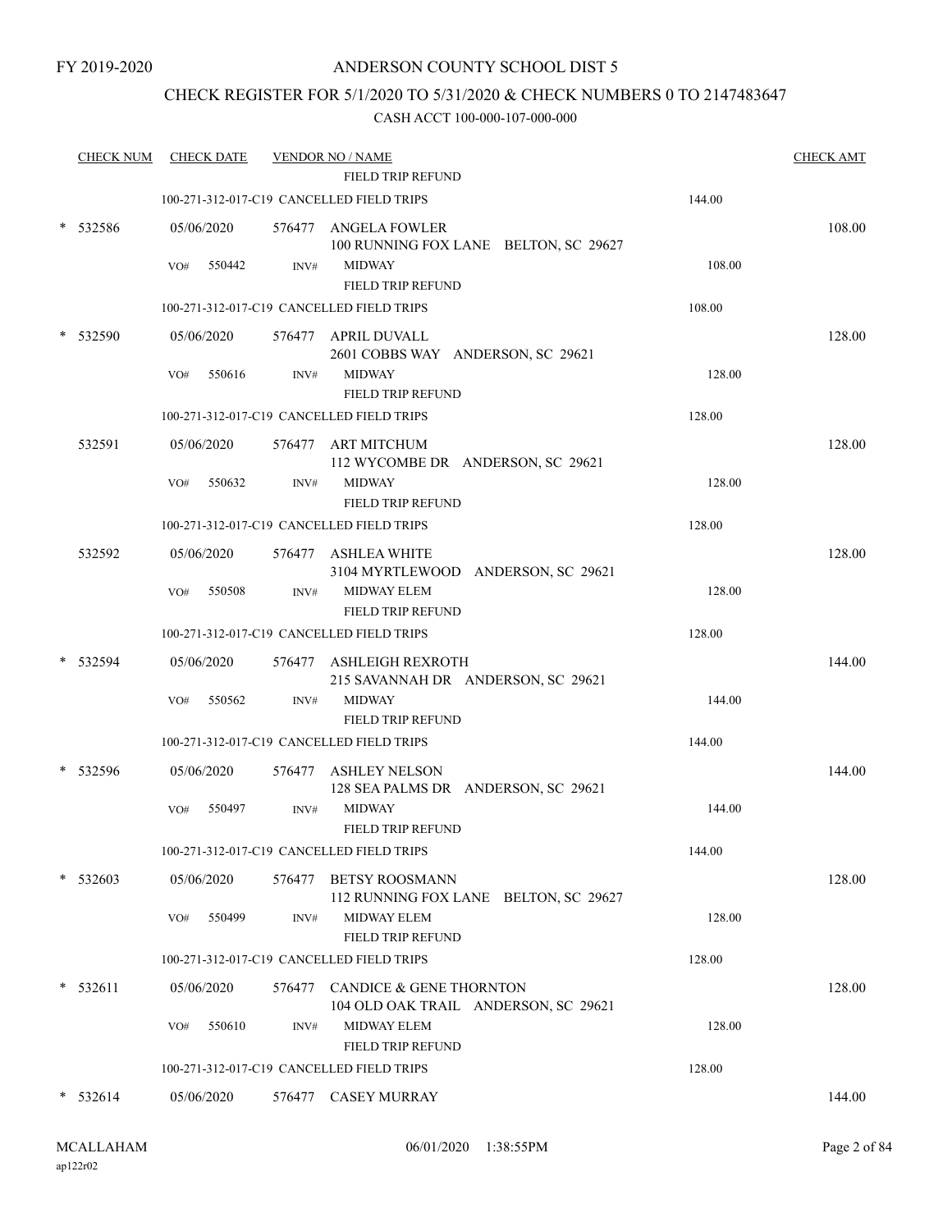## CHECK REGISTER FOR 5/1/2020 TO 5/31/2020 & CHECK NUMBERS 0 TO 2147483647

|   | <b>CHECK NUM</b> | <b>CHECK DATE</b> |        | <b>VENDOR NO / NAME</b>                                                |        | <b>CHECK AMT</b> |
|---|------------------|-------------------|--------|------------------------------------------------------------------------|--------|------------------|
|   |                  |                   |        | <b>FIELD TRIP REFUND</b>                                               |        |                  |
|   |                  |                   |        | 100-271-312-017-C19 CANCELLED FIELD TRIPS                              | 144.00 |                  |
|   | $*$ 532586       | 05/06/2020        |        | 576477 ANGELA FOWLER<br>100 RUNNING FOX LANE BELTON, SC 29627          |        | 108.00           |
|   |                  | 550442<br>VO#     | INV#   | <b>MIDWAY</b><br>FIELD TRIP REFUND                                     | 108.00 |                  |
|   |                  |                   |        | 100-271-312-017-C19 CANCELLED FIELD TRIPS                              | 108.00 |                  |
| * | 532590           | 05/06/2020        |        | 576477 APRIL DUVALL<br>2601 COBBS WAY ANDERSON, SC 29621               |        | 128.00           |
|   |                  | 550616<br>VO#     | INV#   | <b>MIDWAY</b><br>FIELD TRIP REFUND                                     | 128.00 |                  |
|   |                  |                   |        | 100-271-312-017-C19 CANCELLED FIELD TRIPS                              | 128.00 |                  |
|   | 532591           | 05/06/2020        |        | 576477 ART MITCHUM<br>112 WYCOMBE DR ANDERSON, SC 29621                |        | 128.00           |
|   |                  | VO#<br>550632     | INV#   | <b>MIDWAY</b><br>FIELD TRIP REFUND                                     | 128.00 |                  |
|   |                  |                   |        | 100-271-312-017-C19 CANCELLED FIELD TRIPS                              | 128.00 |                  |
|   | 532592           | 05/06/2020        |        | 576477 ASHLEA WHITE<br>3104 MYRTLEWOOD ANDERSON, SC 29621              |        | 128.00           |
|   |                  | 550508<br>VO#     | INV#   | <b>MIDWAY ELEM</b><br><b>FIELD TRIP REFUND</b>                         | 128.00 |                  |
|   |                  |                   |        | 100-271-312-017-C19 CANCELLED FIELD TRIPS                              | 128.00 |                  |
|   | 532594           | 05/06/2020        |        | 576477 ASHLEIGH REXROTH<br>215 SAVANNAH DR ANDERSON, SC 29621          |        | 144.00           |
|   |                  | 550562<br>VO#     | INV#   | <b>MIDWAY</b><br>FIELD TRIP REFUND                                     | 144.00 |                  |
|   |                  |                   |        | 100-271-312-017-C19 CANCELLED FIELD TRIPS                              | 144.00 |                  |
|   | 532596           | 05/06/2020        |        | 576477 ASHLEY NELSON<br>128 SEA PALMS DR ANDERSON, SC 29621            |        | 144.00           |
|   |                  | 550497<br>VO#     | INV#   | <b>MIDWAY</b><br>FIELD TRIP REFUND                                     | 144.00 |                  |
|   |                  |                   |        | 100-271-312-017-C19 CANCELLED FIELD TRIPS                              | 144.00 |                  |
|   | $*$ 532603       | 05/06/2020        | 576477 | <b>BETSY ROOSMANN</b><br>112 RUNNING FOX LANE BELTON, SC 29627         |        | 128.00           |
|   |                  | VO#<br>550499     | INV#   | MIDWAY ELEM<br>FIELD TRIP REFUND                                       | 128.00 |                  |
|   |                  |                   |        | 100-271-312-017-C19 CANCELLED FIELD TRIPS                              | 128.00 |                  |
| * | 532611           | 05/06/2020        |        | 576477 CANDICE & GENE THORNTON<br>104 OLD OAK TRAIL ANDERSON, SC 29621 |        | 128.00           |
|   |                  | VO#<br>550610     | INV#   | <b>MIDWAY ELEM</b><br>FIELD TRIP REFUND                                | 128.00 |                  |
|   |                  |                   |        | 100-271-312-017-C19 CANCELLED FIELD TRIPS                              | 128.00 |                  |
|   | $*$ 532614       | 05/06/2020        |        | 576477 CASEY MURRAY                                                    |        | 144.00           |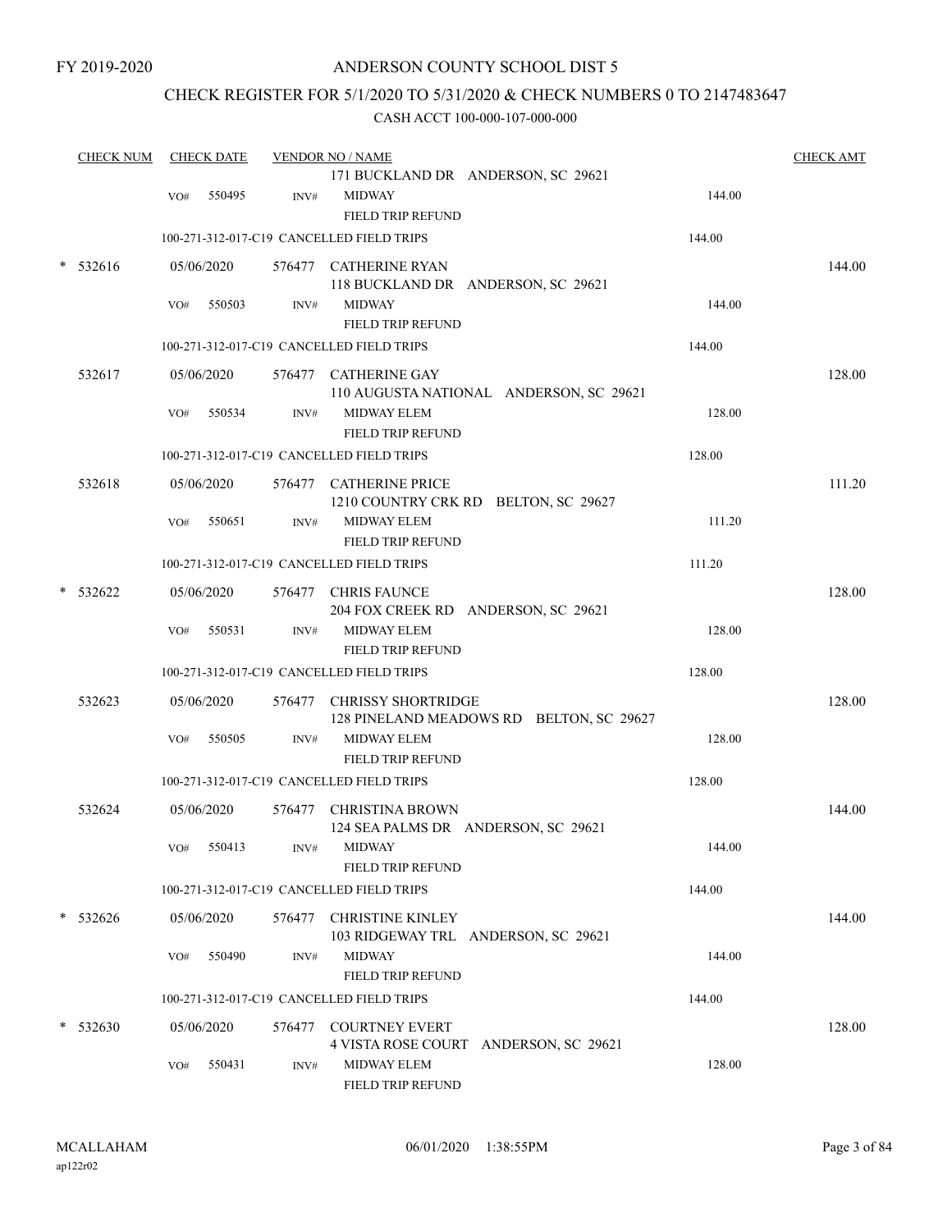## CHECK REGISTER FOR 5/1/2020 TO 5/31/2020 & CHECK NUMBERS 0 TO 2147483647

|   | <b>CHECK NUM</b> |     | <b>CHECK DATE</b> |        | <b>VENDOR NO / NAME</b>                                               |        | <b>CHECK AMT</b> |
|---|------------------|-----|-------------------|--------|-----------------------------------------------------------------------|--------|------------------|
|   |                  |     |                   |        | 171 BUCKLAND DR ANDERSON, SC 29621                                    |        |                  |
|   |                  | VO# | 550495            | INV#   | <b>MIDWAY</b>                                                         | 144.00 |                  |
|   |                  |     |                   |        | <b>FIELD TRIP REFUND</b><br>100-271-312-017-C19 CANCELLED FIELD TRIPS | 144.00 |                  |
|   |                  |     |                   |        |                                                                       |        |                  |
| * | 532616           |     | 05/06/2020        |        | 576477 CATHERINE RYAN<br>118 BUCKLAND DR ANDERSON, SC 29621           |        | 144.00           |
|   |                  | VO# | 550503            | INV#   | <b>MIDWAY</b>                                                         | 144.00 |                  |
|   |                  |     |                   |        | FIELD TRIP REFUND                                                     |        |                  |
|   |                  |     |                   |        | 100-271-312-017-C19 CANCELLED FIELD TRIPS                             | 144.00 |                  |
|   | 532617           |     | 05/06/2020        |        | 576477 CATHERINE GAY<br>110 AUGUSTA NATIONAL ANDERSON, SC 29621       |        | 128.00           |
|   |                  | VO# | 550534            | INV#   | <b>MIDWAY ELEM</b><br>FIELD TRIP REFUND                               | 128.00 |                  |
|   |                  |     |                   |        | 100-271-312-017-C19 CANCELLED FIELD TRIPS                             | 128.00 |                  |
|   | 532618           |     | 05/06/2020        |        | 576477 CATHERINE PRICE<br>1210 COUNTRY CRK RD BELTON, SC 29627        |        | 111.20           |
|   |                  | VO# | 550651            | INV#   | MIDWAY ELEM<br>FIELD TRIP REFUND                                      | 111.20 |                  |
|   |                  |     |                   |        | 100-271-312-017-C19 CANCELLED FIELD TRIPS                             | 111.20 |                  |
|   | 532622           |     | 05/06/2020        |        | 576477 CHRIS FAUNCE<br>204 FOX CREEK RD ANDERSON, SC 29621            |        | 128.00           |
|   |                  | VO# | 550531            | INV#   | <b>MIDWAY ELEM</b><br>FIELD TRIP REFUND                               | 128.00 |                  |
|   |                  |     |                   |        | 100-271-312-017-C19 CANCELLED FIELD TRIPS                             | 128.00 |                  |
|   | 532623           |     | 05/06/2020        |        | 576477 CHRISSY SHORTRIDGE<br>128 PINELAND MEADOWS RD BELTON, SC 29627 |        | 128.00           |
|   |                  | VO# | 550505            | INV#   | <b>MIDWAY ELEM</b>                                                    | 128.00 |                  |
|   |                  |     |                   |        | FIELD TRIP REFUND                                                     |        |                  |
|   |                  |     |                   |        | 100-271-312-017-C19 CANCELLED FIELD TRIPS                             | 128.00 |                  |
|   | 532624           |     | 05/06/2020        |        | 576477 CHRISTINA BROWN<br>124 SEA PALMS DR ANDERSON, SC 29621         |        | 144.00           |
|   |                  |     | VO# 550413        |        | INV# MIDWAY<br>FIELD TRIP REFUND                                      | 144.00 |                  |
|   |                  |     |                   |        | 100-271-312-017-C19 CANCELLED FIELD TRIPS                             | 144.00 |                  |
|   | $* 532626$       |     | 05/06/2020        | 576477 | <b>CHRISTINE KINLEY</b><br>103 RIDGEWAY TRL ANDERSON, SC 29621        |        | 144.00           |
|   |                  | VO# | 550490            | INV#   | <b>MIDWAY</b><br>FIELD TRIP REFUND                                    | 144.00 |                  |
|   |                  |     |                   |        | 100-271-312-017-C19 CANCELLED FIELD TRIPS                             | 144.00 |                  |
| * | 532630           |     | 05/06/2020        | 576477 | <b>COURTNEY EVERT</b><br>4 VISTA ROSE COURT ANDERSON, SC 29621        |        | 128.00           |
|   |                  | VO# | 550431            | INV#   | MIDWAY ELEM<br>FIELD TRIP REFUND                                      | 128.00 |                  |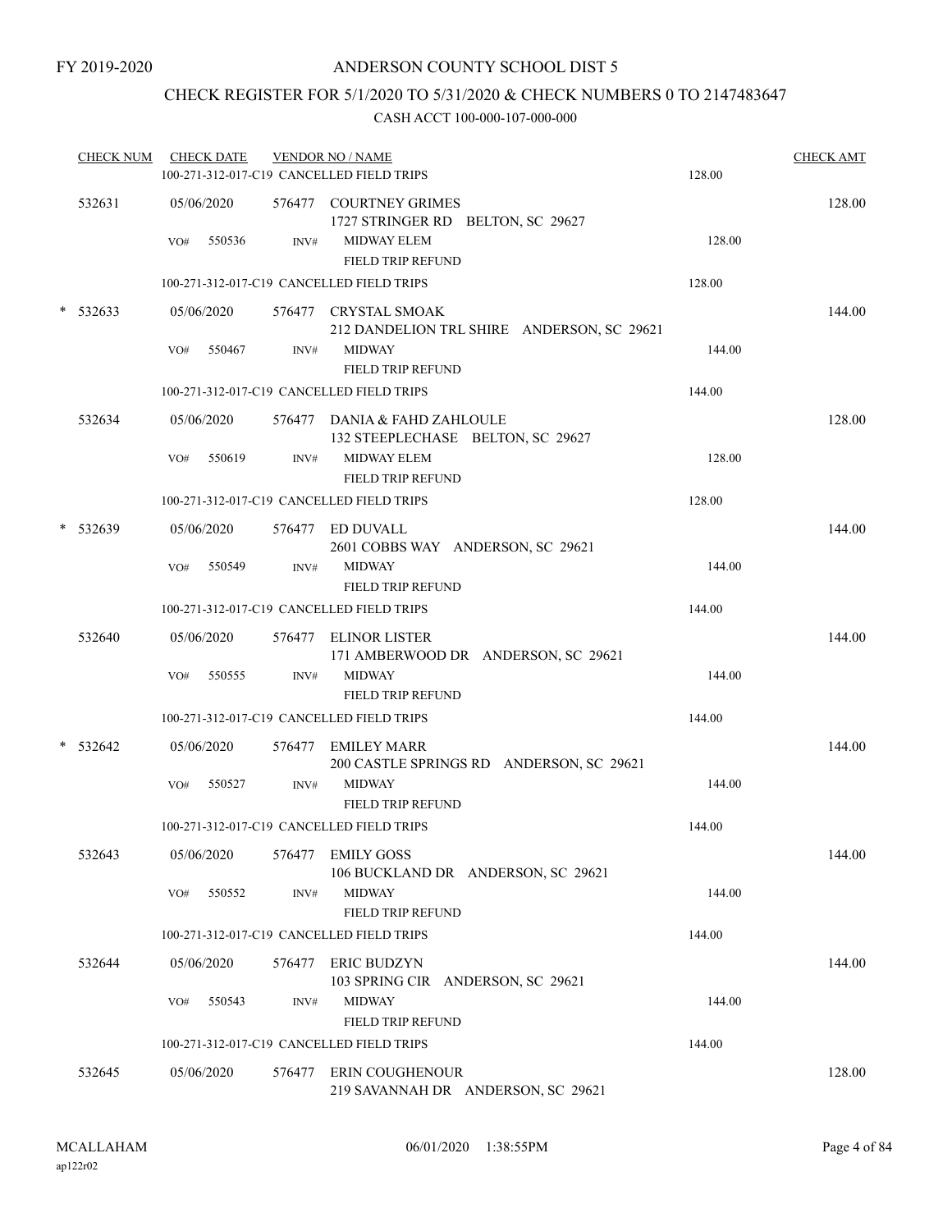## CHECK REGISTER FOR 5/1/2020 TO 5/31/2020 & CHECK NUMBERS 0 TO 2147483647

|        | CHECK NUM  |     | <b>CHECK DATE</b>    |                | <b>VENDOR NO / NAME</b><br>100-271-312-017-C19 CANCELLED FIELD TRIPS            |                                            | 128.00 | <b>CHECK AMT</b> |
|--------|------------|-----|----------------------|----------------|---------------------------------------------------------------------------------|--------------------------------------------|--------|------------------|
|        | 532631     |     | 05/06/2020           |                | 576477 COURTNEY GRIMES<br>1727 STRINGER RD BELTON, SC 29627                     |                                            |        | 128.00           |
|        |            | VO# | 550536               | INV#           | <b>MIDWAY ELEM</b><br>FIELD TRIP REFUND                                         |                                            | 128.00 |                  |
|        |            |     |                      |                | 100-271-312-017-C19 CANCELLED FIELD TRIPS                                       |                                            | 128.00 |                  |
|        | $*$ 532633 |     | 05/06/2020           |                | 576477 CRYSTAL SMOAK                                                            | 212 DANDELION TRL SHIRE ANDERSON, SC 29621 |        | 144.00           |
|        |            | VO# | 550467               | INV#           | <b>MIDWAY</b><br>FIELD TRIP REFUND                                              |                                            | 144.00 |                  |
|        |            |     |                      |                | 100-271-312-017-C19 CANCELLED FIELD TRIPS                                       |                                            | 144.00 |                  |
|        | 532634     |     | 05/06/2020           |                | 576477 DANIA & FAHD ZAHLOULE<br>132 STEEPLECHASE BELTON, SC 29627               |                                            |        | 128.00           |
|        |            | VO# | 550619               | INV#           | <b>MIDWAY ELEM</b><br>FIELD TRIP REFUND                                         |                                            | 128.00 |                  |
|        |            |     |                      |                | 100-271-312-017-C19 CANCELLED FIELD TRIPS                                       |                                            | 128.00 |                  |
|        | * 532639   |     | 05/06/2020           |                | 576477 ED DUVALL<br>2601 COBBS WAY ANDERSON, SC 29621                           |                                            |        | 144.00           |
|        |            | VO# | 550549               | INV#           | <b>MIDWAY</b><br>FIELD TRIP REFUND                                              |                                            | 144.00 |                  |
|        |            |     |                      |                | 100-271-312-017-C19 CANCELLED FIELD TRIPS                                       |                                            | 144.00 |                  |
|        | 532640     |     | 05/06/2020           |                | 576477 ELINOR LISTER                                                            | 171 AMBERWOOD DR ANDERSON, SC 29621        |        | 144.00           |
|        |            | VO# | 550555               | INV#           | <b>MIDWAY</b><br>FIELD TRIP REFUND                                              |                                            | 144.00 |                  |
|        |            |     |                      |                | 100-271-312-017-C19 CANCELLED FIELD TRIPS                                       |                                            | 144.00 |                  |
| $\ast$ | 532642     |     | 05/06/2020           |                | 576477 EMILEY MARR                                                              | 200 CASTLE SPRINGS RD ANDERSON, SC 29621   |        | 144.00           |
|        |            | VO# | 550527               | INV#           | <b>MIDWAY</b><br>FIELD TRIP REFUND<br>100-271-312-017-C19 CANCELLED FIELD TRIPS |                                            | 144.00 |                  |
|        |            |     |                      |                |                                                                                 |                                            | 144.00 |                  |
|        | 532643     | VO# | 05/06/2020<br>550552 | INV#           | 576477 EMILY GOSS<br><b>MIDWAY</b>                                              | 106 BUCKLAND DR ANDERSON, SC 29621         | 144.00 | 144.00           |
|        |            |     |                      |                | <b>FIELD TRIP REFUND</b><br>100-271-312-017-C19 CANCELLED FIELD TRIPS           |                                            | 144.00 |                  |
|        |            |     |                      |                |                                                                                 |                                            |        |                  |
|        | 532644     | VO# | 05/06/2020<br>550543 | 576477<br>INV# | <b>ERIC BUDZYN</b><br>103 SPRING CIR ANDERSON, SC 29621<br><b>MIDWAY</b>        |                                            | 144.00 | 144.00           |
|        |            |     |                      |                | FIELD TRIP REFUND                                                               |                                            |        |                  |
|        |            |     |                      |                | 100-271-312-017-C19 CANCELLED FIELD TRIPS                                       |                                            | 144.00 |                  |
|        | 532645     |     | 05/06/2020           | 576477         | ERIN COUGHENOUR                                                                 | 219 SAVANNAH DR ANDERSON, SC 29621         |        | 128.00           |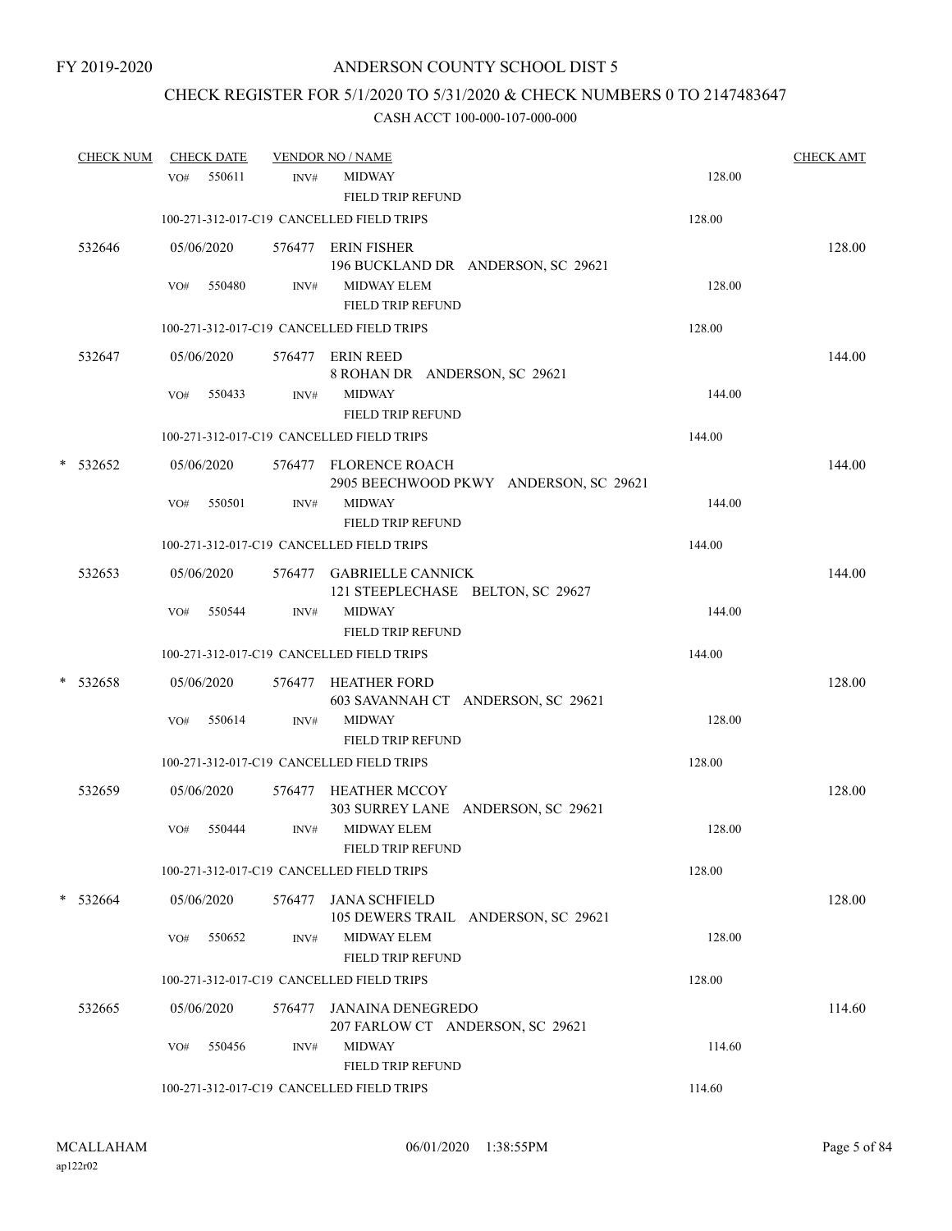# CHECK REGISTER FOR 5/1/2020 TO 5/31/2020 & CHECK NUMBERS 0 TO 2147483647

|   | <b>CHECK NUM</b> |     | <b>CHECK DATE</b> |        | <b>VENDOR NO / NAME</b>                                         |        | <b>CHECK AMT</b> |
|---|------------------|-----|-------------------|--------|-----------------------------------------------------------------|--------|------------------|
|   |                  | VO# | 550611            | INV#   | <b>MIDWAY</b><br><b>FIELD TRIP REFUND</b>                       | 128.00 |                  |
|   |                  |     |                   |        | 100-271-312-017-C19 CANCELLED FIELD TRIPS                       | 128.00 |                  |
|   | 532646           |     | 05/06/2020        |        | 576477 ERIN FISHER<br>196 BUCKLAND DR ANDERSON, SC 29621        |        | 128.00           |
|   |                  | VO# | 550480            | INV#   | MIDWAY ELEM<br><b>FIELD TRIP REFUND</b>                         | 128.00 |                  |
|   |                  |     |                   |        | 100-271-312-017-C19 CANCELLED FIELD TRIPS                       | 128.00 |                  |
|   | 532647           |     | 05/06/2020        |        | 576477 ERIN REED<br>8 ROHAN DR ANDERSON, SC 29621               |        | 144.00           |
|   |                  | VO# | 550433            | INV#   | <b>MIDWAY</b><br><b>FIELD TRIP REFUND</b>                       | 144.00 |                  |
|   |                  |     |                   |        | 100-271-312-017-C19 CANCELLED FIELD TRIPS                       | 144.00 |                  |
| * | 532652           |     | 05/06/2020        |        | 576477 FLORENCE ROACH<br>2905 BEECHWOOD PKWY ANDERSON, SC 29621 |        | 144.00           |
|   |                  | VO# | 550501            | INV#   | <b>MIDWAY</b><br><b>FIELD TRIP REFUND</b>                       | 144.00 |                  |
|   |                  |     |                   |        | 100-271-312-017-C19 CANCELLED FIELD TRIPS                       | 144.00 |                  |
|   | 532653           |     | 05/06/2020        |        | 576477 GABRIELLE CANNICK<br>121 STEEPLECHASE BELTON, SC 29627   |        | 144.00           |
|   |                  | VO# | 550544            | INV#   | <b>MIDWAY</b><br>FIELD TRIP REFUND                              | 144.00 |                  |
|   |                  |     |                   |        | 100-271-312-017-C19 CANCELLED FIELD TRIPS                       | 144.00 |                  |
|   | $* 532658$       |     | 05/06/2020        |        | 576477 HEATHER FORD<br>603 SAVANNAH CT ANDERSON, SC 29621       |        | 128.00           |
|   |                  | VO# | 550614            | INV#   | <b>MIDWAY</b><br>FIELD TRIP REFUND                              | 128.00 |                  |
|   |                  |     |                   |        | 100-271-312-017-C19 CANCELLED FIELD TRIPS                       | 128.00 |                  |
|   | 532659           |     | 05/06/2020        |        | 576477 HEATHER MCCOY<br>303 SURREY LANE ANDERSON, SC 29621      |        | 128.00           |
|   |                  | VO# | 550444            | INV#   | <b>MIDWAY ELEM</b><br>FIELD TRIP REFUND                         | 128.00 |                  |
|   |                  |     |                   |        | 100-271-312-017-C19 CANCELLED FIELD TRIPS                       | 128.00 |                  |
|   | $*$ 532664       |     | 05/06/2020        | 576477 | <b>JANA SCHFIELD</b><br>105 DEWERS TRAIL ANDERSON, SC 29621     |        | 128.00           |
|   |                  | VO# | 550652            | INV#   | <b>MIDWAY ELEM</b><br><b>FIELD TRIP REFUND</b>                  | 128.00 |                  |
|   |                  |     |                   |        | 100-271-312-017-C19 CANCELLED FIELD TRIPS                       | 128.00 |                  |
|   | 532665           |     | 05/06/2020        | 576477 | JANAINA DENEGREDO<br>207 FARLOW CT ANDERSON, SC 29621           |        | 114.60           |
|   |                  | VO# | 550456            | INV#   | <b>MIDWAY</b><br>FIELD TRIP REFUND                              | 114.60 |                  |
|   |                  |     |                   |        | 100-271-312-017-C19 CANCELLED FIELD TRIPS                       | 114.60 |                  |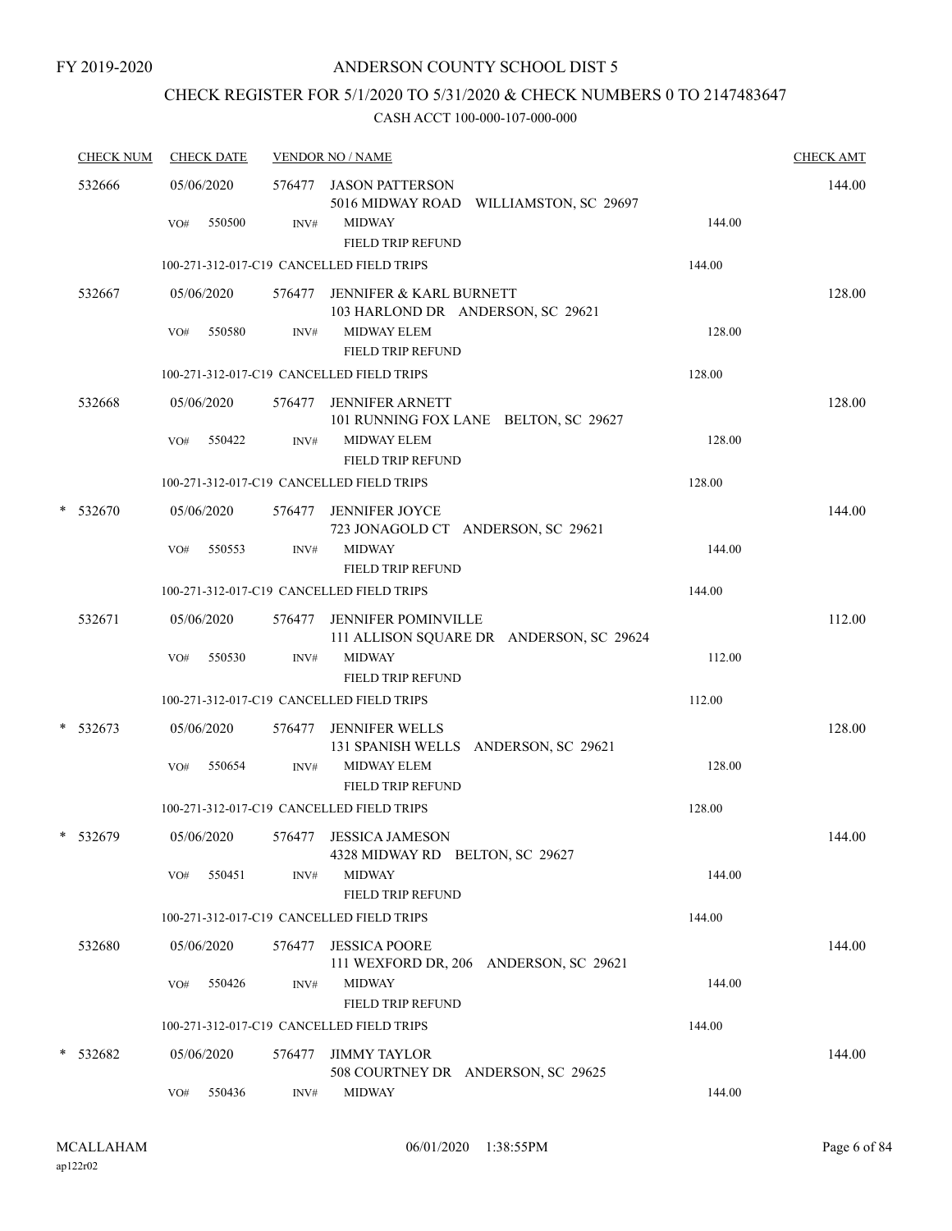## CHECK REGISTER FOR 5/1/2020 TO 5/31/2020 & CHECK NUMBERS 0 TO 2147483647

| <b>CHECK NUM</b> | <b>CHECK DATE</b>           |        | <b>VENDOR NO / NAME</b>                                                                                       |        | <b>CHECK AMT</b> |
|------------------|-----------------------------|--------|---------------------------------------------------------------------------------------------------------------|--------|------------------|
| 532666           | 05/06/2020<br>550500<br>VO# | INV#   | 576477 JASON PATTERSON<br>5016 MIDWAY ROAD WILLIAMSTON, SC 29697<br><b>MIDWAY</b><br><b>FIELD TRIP REFUND</b> | 144.00 | 144.00           |
|                  |                             |        | 100-271-312-017-C19 CANCELLED FIELD TRIPS                                                                     | 144.00 |                  |
| 532667           | 05/06/2020                  | 576477 | JENNIFER & KARL BURNETT<br>103 HARLOND DR ANDERSON, SC 29621                                                  |        | 128.00           |
|                  | 550580<br>VO#               | INV#   | <b>MIDWAY ELEM</b><br>FIELD TRIP REFUND                                                                       | 128.00 |                  |
|                  |                             |        | 100-271-312-017-C19 CANCELLED FIELD TRIPS                                                                     | 128.00 |                  |
| 532668           | 05/06/2020                  | 576477 | <b>JENNIFER ARNETT</b><br>101 RUNNING FOX LANE BELTON, SC 29627                                               |        | 128.00           |
|                  | VO#<br>550422               | INV#   | <b>MIDWAY ELEM</b><br>FIELD TRIP REFUND                                                                       | 128.00 |                  |
|                  |                             |        | 100-271-312-017-C19 CANCELLED FIELD TRIPS                                                                     | 128.00 |                  |
| $*$ 532670       | 05/06/2020                  |        | 576477 JENNIFER JOYCE<br>723 JONAGOLD CT ANDERSON, SC 29621                                                   |        | 144.00           |
|                  | 550553<br>VO#               | INV#   | <b>MIDWAY</b><br>FIELD TRIP REFUND                                                                            | 144.00 |                  |
|                  |                             |        | 100-271-312-017-C19 CANCELLED FIELD TRIPS                                                                     | 144.00 |                  |
| 532671           | 05/06/2020                  | 576477 | <b>JENNIFER POMINVILLE</b><br>111 ALLISON SQUARE DR ANDERSON, SC 29624                                        |        | 112.00           |
|                  | VO#<br>550530               | INV#   | <b>MIDWAY</b><br>FIELD TRIP REFUND                                                                            | 112.00 |                  |
|                  |                             |        | 100-271-312-017-C19 CANCELLED FIELD TRIPS                                                                     | 112.00 |                  |
| $*$ 532673       | 05/06/2020                  |        | 576477 JENNIFER WELLS<br>131 SPANISH WELLS ANDERSON, SC 29621                                                 |        | 128.00           |
|                  | 550654<br>VO#               | INV#   | <b>MIDWAY ELEM</b><br>FIELD TRIP REFUND                                                                       | 128.00 |                  |
|                  |                             |        | 100-271-312-017-C19 CANCELLED FIELD TRIPS                                                                     | 128.00 |                  |
| * 532679         | 05/06/2020                  | 576477 | <b>JESSICA JAMESON</b><br>4328 MIDWAY RD BELTON, SC 29627                                                     |        | 144.00           |
|                  | 550451<br>VO#               | INV#   | <b>MIDWAY</b><br>FIELD TRIP REFUND                                                                            | 144.00 |                  |
|                  |                             |        | 100-271-312-017-C19 CANCELLED FIELD TRIPS                                                                     | 144.00 |                  |
| 532680           | 05/06/2020                  | 576477 | <b>JESSICA POORE</b><br>111 WEXFORD DR, 206 ANDERSON, SC 29621                                                |        | 144.00           |
|                  | 550426<br>VO#               | INV#   | <b>MIDWAY</b><br><b>FIELD TRIP REFUND</b>                                                                     | 144.00 |                  |
|                  |                             |        | 100-271-312-017-C19 CANCELLED FIELD TRIPS                                                                     | 144.00 |                  |
| * 532682         | 05/06/2020                  | 576477 | <b>JIMMY TAYLOR</b><br>508 COURTNEY DR ANDERSON, SC 29625                                                     |        | 144.00           |
|                  | 550436<br>VO#               | INV#   | <b>MIDWAY</b>                                                                                                 | 144.00 |                  |
|                  |                             |        |                                                                                                               |        |                  |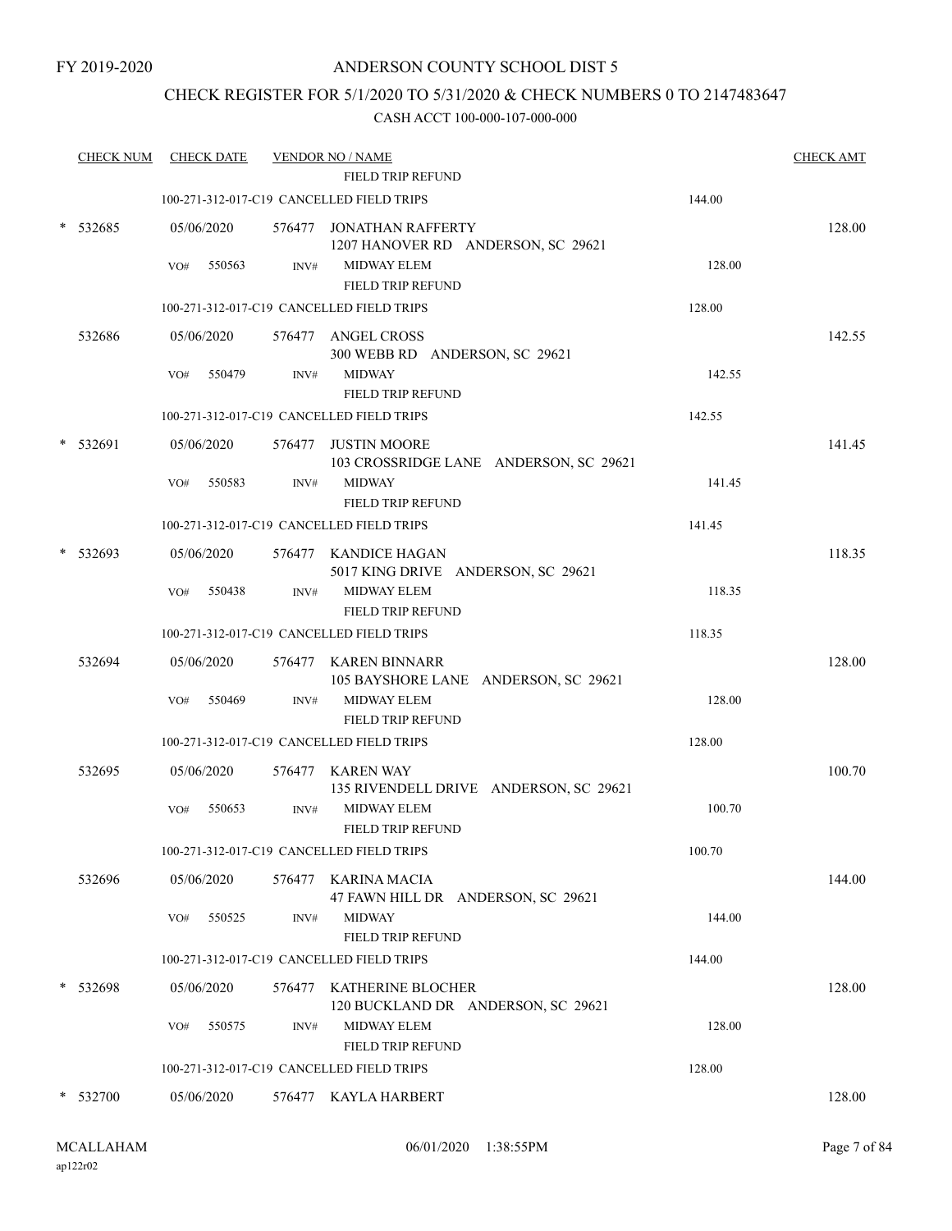## CHECK REGISTER FOR 5/1/2020 TO 5/31/2020 & CHECK NUMBERS 0 TO 2147483647

| <b>CHECK NUM</b> |     | <b>CHECK DATE</b> |      | <b>VENDOR NO / NAME</b>                                        |        | <b>CHECK AMT</b> |
|------------------|-----|-------------------|------|----------------------------------------------------------------|--------|------------------|
|                  |     |                   |      | FIELD TRIP REFUND                                              |        |                  |
|                  |     |                   |      | 100-271-312-017-C19 CANCELLED FIELD TRIPS                      | 144.00 |                  |
| 532685           |     | 05/06/2020        |      | 576477 JONATHAN RAFFERTY<br>1207 HANOVER RD ANDERSON, SC 29621 |        | 128.00           |
|                  | VO# | 550563            | INV# | <b>MIDWAY ELEM</b><br>FIELD TRIP REFUND                        | 128.00 |                  |
|                  |     |                   |      | 100-271-312-017-C19 CANCELLED FIELD TRIPS                      | 128.00 |                  |
| 532686           |     | 05/06/2020        |      | 576477 ANGEL CROSS<br>300 WEBB RD ANDERSON, SC 29621           |        | 142.55           |
|                  | VO# | 550479            | INV# | <b>MIDWAY</b><br>FIELD TRIP REFUND                             | 142.55 |                  |
|                  |     |                   |      | 100-271-312-017-C19 CANCELLED FIELD TRIPS                      | 142.55 |                  |
| 532691           |     | 05/06/2020        |      | 576477 JUSTIN MOORE<br>103 CROSSRIDGE LANE ANDERSON, SC 29621  |        | 141.45           |
|                  | VO# | 550583            | INV# | <b>MIDWAY</b><br>FIELD TRIP REFUND                             | 141.45 |                  |
|                  |     |                   |      | 100-271-312-017-C19 CANCELLED FIELD TRIPS                      | 141.45 |                  |
| 532693           |     | 05/06/2020        |      | 576477 KANDICE HAGAN<br>5017 KING DRIVE ANDERSON, SC 29621     |        | 118.35           |
|                  | VO# | 550438            | INV# | <b>MIDWAY ELEM</b><br>FIELD TRIP REFUND                        | 118.35 |                  |
|                  |     |                   |      | 100-271-312-017-C19 CANCELLED FIELD TRIPS                      | 118.35 |                  |
| 532694           |     | 05/06/2020        |      | 576477 KAREN BINNARR<br>105 BAYSHORE LANE ANDERSON, SC 29621   |        | 128.00           |
|                  | VO# | 550469            | INV# | <b>MIDWAY ELEM</b><br>FIELD TRIP REFUND                        | 128.00 |                  |
|                  |     |                   |      | 100-271-312-017-C19 CANCELLED FIELD TRIPS                      | 128.00 |                  |
| 532695           |     | 05/06/2020        |      | 576477 KAREN WAY<br>135 RIVENDELL DRIVE ANDERSON, SC 29621     |        | 100.70           |
|                  | VO# | 550653            | INV# | <b>MIDWAY ELEM</b><br>FIELD TRIP REFUND                        | 100.70 |                  |
|                  |     |                   |      | 100-271-312-017-C19 CANCELLED FIELD TRIPS                      | 100.70 |                  |
| 532696           |     | 05/06/2020        |      | 576477 KARINA MACIA<br>47 FAWN HILL DR ANDERSON, SC 29621      |        | 144.00           |
|                  | VO# | 550525            | INV# | <b>MIDWAY</b><br>FIELD TRIP REFUND                             | 144.00 |                  |
|                  |     |                   |      | 100-271-312-017-C19 CANCELLED FIELD TRIPS                      | 144.00 |                  |
| 532698           |     | 05/06/2020        |      | 576477 KATHERINE BLOCHER<br>120 BUCKLAND DR ANDERSON, SC 29621 |        | 128.00           |
|                  | VO# | 550575            | INV# | <b>MIDWAY ELEM</b><br>FIELD TRIP REFUND                        | 128.00 |                  |
|                  |     |                   |      | 100-271-312-017-C19 CANCELLED FIELD TRIPS                      | 128.00 |                  |
| 532700           |     | 05/06/2020        |      | 576477 KAYLA HARBERT                                           |        | 128.00           |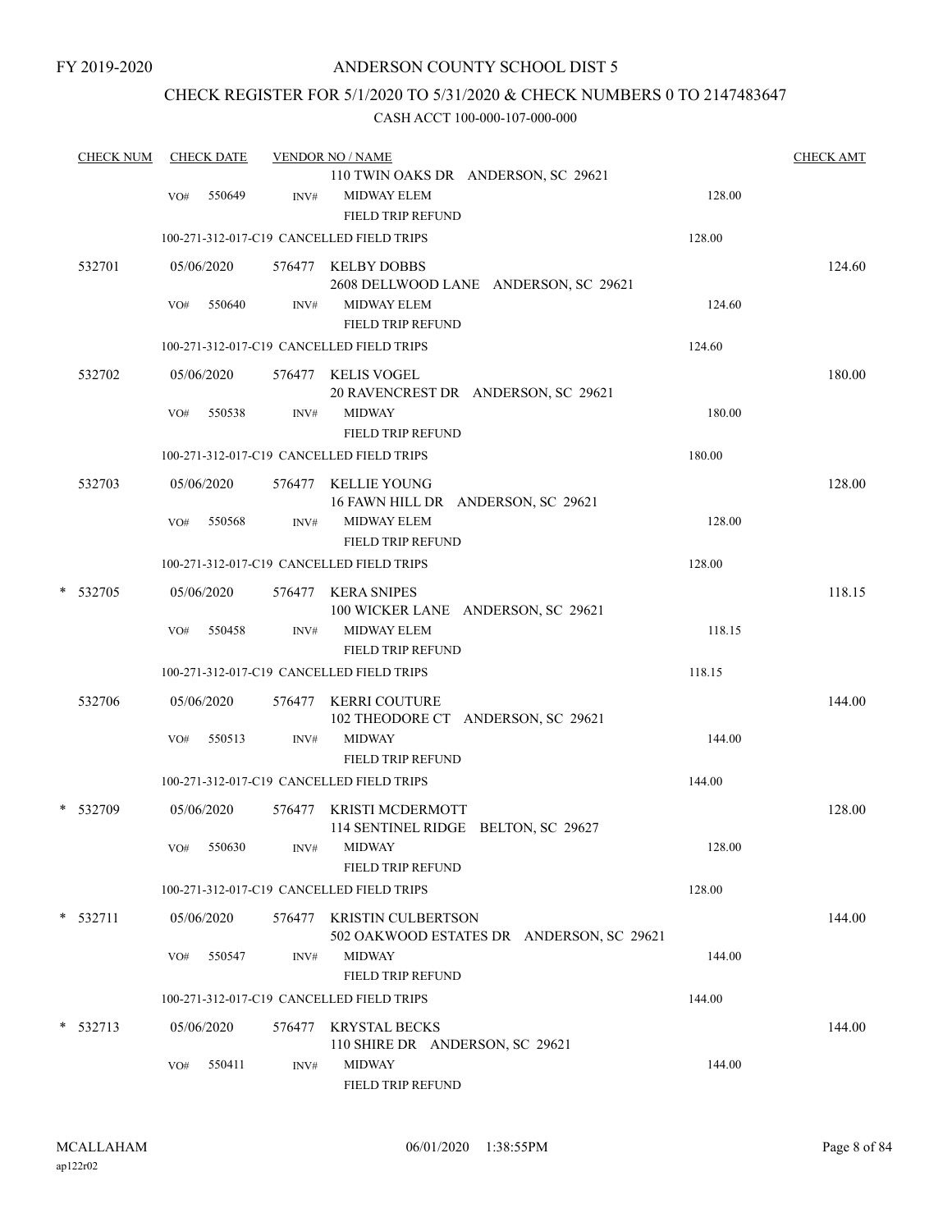## CHECK REGISTER FOR 5/1/2020 TO 5/31/2020 & CHECK NUMBERS 0 TO 2147483647

| <b>CHECK NUM</b> |     | <b>CHECK DATE</b> |        | <b>VENDOR NO / NAME</b>                                                |        | <b>CHECK AMT</b> |
|------------------|-----|-------------------|--------|------------------------------------------------------------------------|--------|------------------|
|                  | VO# | 550649            | INV#   | 110 TWIN OAKS DR ANDERSON, SC 29621<br><b>MIDWAY ELEM</b>              | 128.00 |                  |
|                  |     |                   |        | <b>FIELD TRIP REFUND</b><br>100-271-312-017-C19 CANCELLED FIELD TRIPS  | 128.00 |                  |
| 532701           |     | 05/06/2020        |        | 576477 KELBY DOBBS                                                     |        | 124.60           |
|                  | VO# | 550640            | INV#   | 2608 DELLWOOD LANE ANDERSON, SC 29621<br><b>MIDWAY ELEM</b>            | 124.60 |                  |
|                  |     |                   |        | FIELD TRIP REFUND<br>100-271-312-017-C19 CANCELLED FIELD TRIPS         | 124.60 |                  |
| 532702           |     | 05/06/2020        |        | 576477 KELIS VOGEL<br>20 RAVENCREST DR ANDERSON, SC 29621              |        | 180.00           |
|                  | VO# | 550538            | INV#   | <b>MIDWAY</b><br>FIELD TRIP REFUND                                     | 180.00 |                  |
|                  |     |                   |        | 100-271-312-017-C19 CANCELLED FIELD TRIPS                              | 180.00 |                  |
| 532703           |     | 05/06/2020        |        | 576477 KELLIE YOUNG<br>16 FAWN HILL DR ANDERSON, SC 29621              |        | 128.00           |
|                  | VO# | 550568            | INV#   | <b>MIDWAY ELEM</b><br>FIELD TRIP REFUND                                | 128.00 |                  |
|                  |     |                   |        | 100-271-312-017-C19 CANCELLED FIELD TRIPS                              | 128.00 |                  |
| * 532705         |     | 05/06/2020        |        | 576477 KERA SNIPES<br>100 WICKER LANE ANDERSON, SC 29621               |        | 118.15           |
|                  | VO# | 550458            | INV#   | <b>MIDWAY ELEM</b><br>FIELD TRIP REFUND                                | 118.15 |                  |
|                  |     |                   |        | 100-271-312-017-C19 CANCELLED FIELD TRIPS                              | 118.15 |                  |
| 532706           |     | 05/06/2020        |        | 576477 KERRI COUTURE<br>102 THEODORE CT ANDERSON, SC 29621             |        | 144.00           |
|                  | VO# | 550513            | INV#   | <b>MIDWAY</b><br>FIELD TRIP REFUND                                     | 144.00 |                  |
|                  |     |                   |        | 100-271-312-017-C19 CANCELLED FIELD TRIPS                              | 144.00 |                  |
| * 532709         |     | 05/06/2020        |        | 576477 KRISTI MCDERMOTT<br>114 SENTINEL RIDGE BELTON, SC 29627         |        | 128.00           |
|                  |     | VO# 550630        |        | INV# MIDWAY<br><b>FIELD TRIP REFUND</b>                                | 128.00 |                  |
|                  |     |                   |        | 100-271-312-017-C19 CANCELLED FIELD TRIPS                              | 128.00 |                  |
| $*$ 532711       |     | 05/06/2020        |        | 576477 KRISTIN CULBERTSON<br>502 OAKWOOD ESTATES DR ANDERSON, SC 29621 |        | 144.00           |
|                  | VO# | 550547            | INV#   | <b>MIDWAY</b><br><b>FIELD TRIP REFUND</b>                              | 144.00 |                  |
|                  |     |                   |        | 100-271-312-017-C19 CANCELLED FIELD TRIPS                              | 144.00 |                  |
| $*$ 532713       |     | 05/06/2020        | 576477 | <b>KRYSTAL BECKS</b><br>110 SHIRE DR ANDERSON, SC 29621                |        | 144.00           |
|                  | VO# | 550411            | INV#   | <b>MIDWAY</b><br>FIELD TRIP REFUND                                     | 144.00 |                  |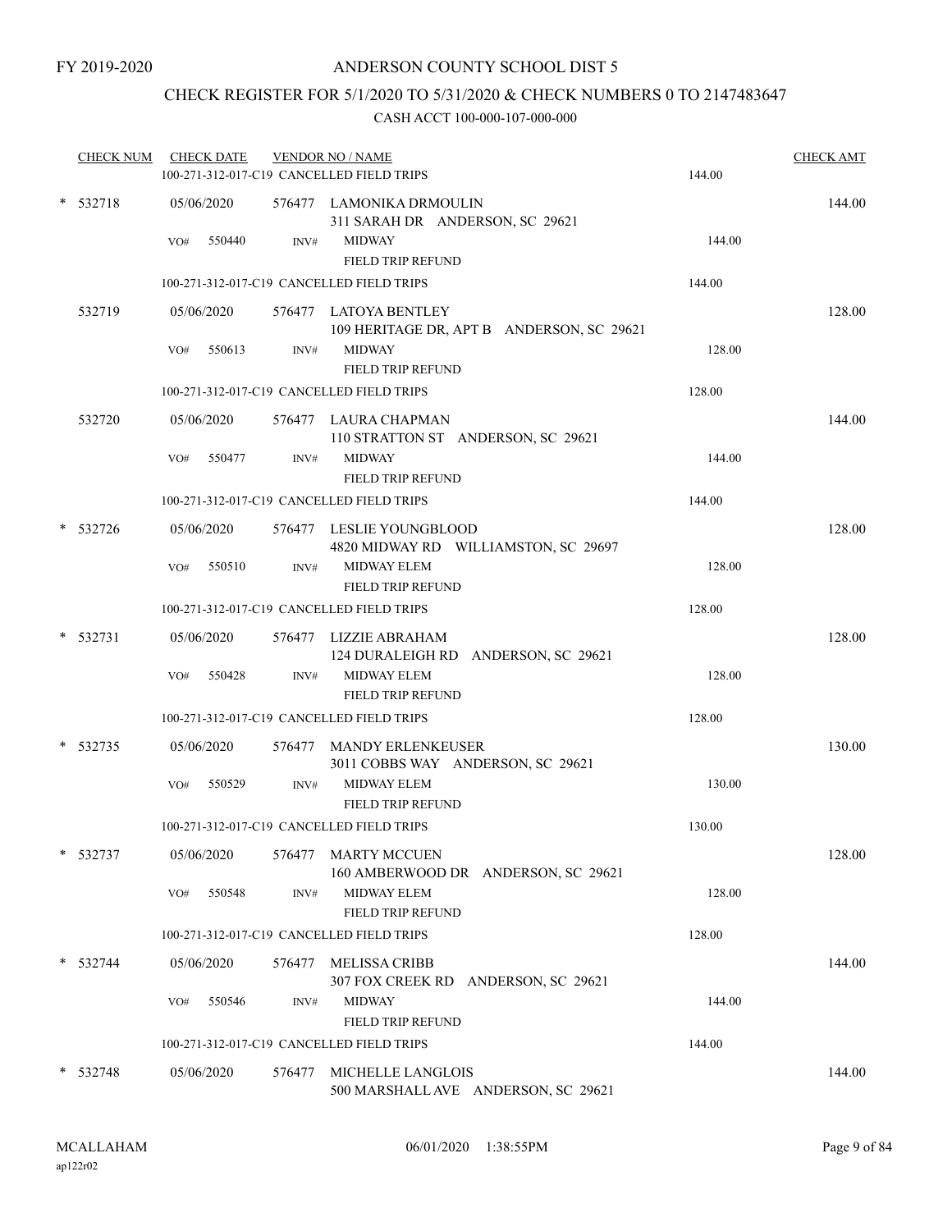## CHECK REGISTER FOR 5/1/2020 TO 5/31/2020 & CHECK NUMBERS 0 TO 2147483647

| <b>CHECK NUM</b> |     | <b>CHECK DATE</b>    |        | <b>VENDOR NO / NAME</b><br>100-271-312-017-C19 CANCELLED FIELD TRIPS                                     | 144.00 | <b>CHECK AMT</b> |
|------------------|-----|----------------------|--------|----------------------------------------------------------------------------------------------------------|--------|------------------|
| * 532718         | VO# | 05/06/2020<br>550440 | INV#   | 576477 LAMONIKA DRMOULIN<br>311 SARAH DR ANDERSON, SC 29621<br><b>MIDWAY</b><br><b>FIELD TRIP REFUND</b> | 144.00 | 144.00           |
|                  |     |                      |        | 100-271-312-017-C19 CANCELLED FIELD TRIPS                                                                | 144.00 |                  |
| 532719           |     | 05/06/2020           |        | 576477 LATOYA BENTLEY<br>109 HERITAGE DR, APT B ANDERSON, SC 29621                                       |        | 128.00           |
|                  | VO# | 550613               | INV#   | <b>MIDWAY</b><br>FIELD TRIP REFUND                                                                       | 128.00 |                  |
|                  |     |                      |        | 100-271-312-017-C19 CANCELLED FIELD TRIPS                                                                | 128.00 |                  |
| 532720           |     | 05/06/2020           |        | 576477 LAURA CHAPMAN<br>110 STRATTON ST ANDERSON, SC 29621                                               |        | 144.00           |
|                  | VO# | 550477               | INV#   | <b>MIDWAY</b><br>FIELD TRIP REFUND                                                                       | 144.00 |                  |
|                  |     |                      |        | 100-271-312-017-C19 CANCELLED FIELD TRIPS                                                                | 144.00 |                  |
| 532726           |     | 05/06/2020           |        | 576477 LESLIE YOUNGBLOOD<br>4820 MIDWAY RD WILLIAMSTON, SC 29697                                         |        | 128.00           |
|                  | VO# | 550510               | INV#   | <b>MIDWAY ELEM</b><br><b>FIELD TRIP REFUND</b>                                                           | 128.00 |                  |
|                  |     |                      |        | 100-271-312-017-C19 CANCELLED FIELD TRIPS                                                                | 128.00 |                  |
| 532731           |     | 05/06/2020<br>550428 |        | 576477 LIZZIE ABRAHAM<br>124 DURALEIGH RD ANDERSON, SC 29621<br><b>MIDWAY ELEM</b>                       | 128.00 | 128.00           |
|                  | VO# |                      | INV#   | <b>FIELD TRIP REFUND</b>                                                                                 |        |                  |
|                  |     |                      |        | 100-271-312-017-C19 CANCELLED FIELD TRIPS                                                                | 128.00 |                  |
| 532735           |     | 05/06/2020           |        | 576477 MANDY ERLENKEUSER<br>3011 COBBS WAY ANDERSON, SC 29621                                            |        | 130.00           |
|                  | VO# | 550529               | INV#   | <b>MIDWAY ELEM</b><br><b>FIELD TRIP REFUND</b>                                                           | 130.00 |                  |
|                  |     |                      |        | 100-271-312-017-C19 CANCELLED FIELD TRIPS                                                                | 130.00 |                  |
| $* 532737$       |     | 05/06/2020           |        | 576477 MARTY MCCUEN<br>160 AMBERWOOD DR ANDERSON, SC 29621                                               |        | 128.00           |
|                  | VO# | 550548               | INV#   | <b>MIDWAY ELEM</b><br>FIELD TRIP REFUND                                                                  | 128.00 |                  |
|                  |     |                      |        | 100-271-312-017-C19 CANCELLED FIELD TRIPS                                                                | 128.00 |                  |
| $* 532744$       |     | 05/06/2020           | 576477 | MELISSA CRIBB<br>307 FOX CREEK RD ANDERSON, SC 29621                                                     |        | 144.00           |
|                  | VO# | 550546               | INV#   | <b>MIDWAY</b><br><b>FIELD TRIP REFUND</b>                                                                | 144.00 |                  |
|                  |     |                      |        | 100-271-312-017-C19 CANCELLED FIELD TRIPS                                                                | 144.00 |                  |
| $*$ 532748       |     | 05/06/2020           | 576477 | MICHELLE LANGLOIS<br>500 MARSHALL AVE ANDERSON, SC 29621                                                 |        | 144.00           |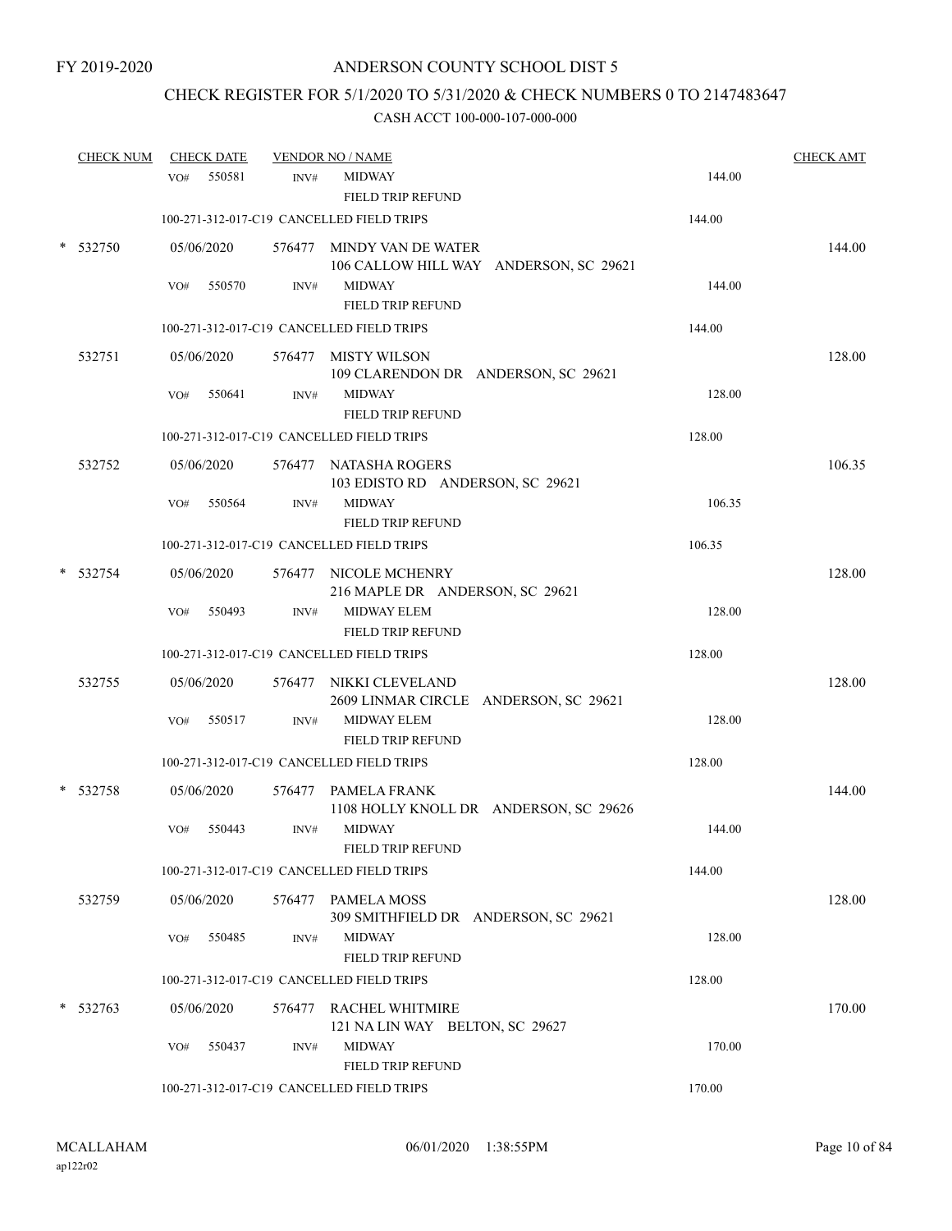## CHECK REGISTER FOR 5/1/2020 TO 5/31/2020 & CHECK NUMBERS 0 TO 2147483647

|        | <b>CHECK NUM</b> |     | <b>CHECK DATE</b> |        | <b>VENDOR NO / NAME</b>                                             |        | <b>CHECK AMT</b> |
|--------|------------------|-----|-------------------|--------|---------------------------------------------------------------------|--------|------------------|
|        |                  | VO# | 550581            | INV#   | <b>MIDWAY</b><br>FIELD TRIP REFUND                                  | 144.00 |                  |
|        |                  |     |                   |        | 100-271-312-017-C19 CANCELLED FIELD TRIPS                           | 144.00 |                  |
| $\ast$ | 532750           |     | 05/06/2020        |        | 576477 MINDY VAN DE WATER<br>106 CALLOW HILL WAY ANDERSON, SC 29621 |        | 144.00           |
|        |                  | VO# | 550570            | INV#   | <b>MIDWAY</b><br><b>FIELD TRIP REFUND</b>                           | 144.00 |                  |
|        |                  |     |                   |        | 100-271-312-017-C19 CANCELLED FIELD TRIPS                           | 144.00 |                  |
|        | 532751           |     | 05/06/2020        |        | 576477 MISTY WILSON<br>109 CLARENDON DR ANDERSON, SC 29621          |        | 128.00           |
|        |                  | VO# | 550641            | INV#   | <b>MIDWAY</b><br><b>FIELD TRIP REFUND</b>                           | 128.00 |                  |
|        |                  |     |                   |        | 100-271-312-017-C19 CANCELLED FIELD TRIPS                           | 128.00 |                  |
|        | 532752           |     | 05/06/2020        |        | 576477 NATASHA ROGERS<br>103 EDISTO RD ANDERSON, SC 29621           |        | 106.35           |
|        |                  | VO# | 550564            | INV#   | <b>MIDWAY</b><br><b>FIELD TRIP REFUND</b>                           | 106.35 |                  |
|        |                  |     |                   |        | 100-271-312-017-C19 CANCELLED FIELD TRIPS                           | 106.35 |                  |
|        | 532754           |     | 05/06/2020        |        | 576477 NICOLE MCHENRY<br>216 MAPLE DR ANDERSON, SC 29621            |        | 128.00           |
|        |                  | VO# | 550493            | INV#   | <b>MIDWAY ELEM</b><br><b>FIELD TRIP REFUND</b>                      | 128.00 |                  |
|        |                  |     |                   |        | 100-271-312-017-C19 CANCELLED FIELD TRIPS                           | 128.00 |                  |
|        | 532755           |     | 05/06/2020        |        | 576477 NIKKI CLEVELAND<br>2609 LINMAR CIRCLE ANDERSON, SC 29621     |        | 128.00           |
|        |                  | VO# | 550517            | INV#   | <b>MIDWAY ELEM</b><br><b>FIELD TRIP REFUND</b>                      | 128.00 |                  |
|        |                  |     |                   |        | 100-271-312-017-C19 CANCELLED FIELD TRIPS                           | 128.00 |                  |
|        | 532758           |     | 05/06/2020        |        | 576477 PAMELA FRANK<br>1108 HOLLY KNOLL DR ANDERSON, SC 29626       |        | 144.00           |
|        |                  | VO# | 550443            | INV#   | <b>MIDWAY</b><br>FIELD TRIP REFUND                                  | 144.00 |                  |
|        |                  |     |                   |        | 100-271-312-017-C19 CANCELLED FIELD TRIPS                           | 144.00 |                  |
|        | 532759           |     | 05/06/2020        | 576477 | PAMELA MOSS<br>309 SMITHFIELD DR ANDERSON, SC 29621                 |        | 128.00           |
|        |                  | VO# | 550485            | INV#   | <b>MIDWAY</b><br>FIELD TRIP REFUND                                  | 128.00 |                  |
|        |                  |     |                   |        | 100-271-312-017-C19 CANCELLED FIELD TRIPS                           | 128.00 |                  |
|        | 532763           |     | 05/06/2020        |        | 576477 RACHEL WHITMIRE<br>121 NA LIN WAY BELTON, SC 29627           |        | 170.00           |
|        |                  | VO# | 550437            | INV#   | <b>MIDWAY</b><br><b>FIELD TRIP REFUND</b>                           | 170.00 |                  |
|        |                  |     |                   |        | 100-271-312-017-C19 CANCELLED FIELD TRIPS                           | 170.00 |                  |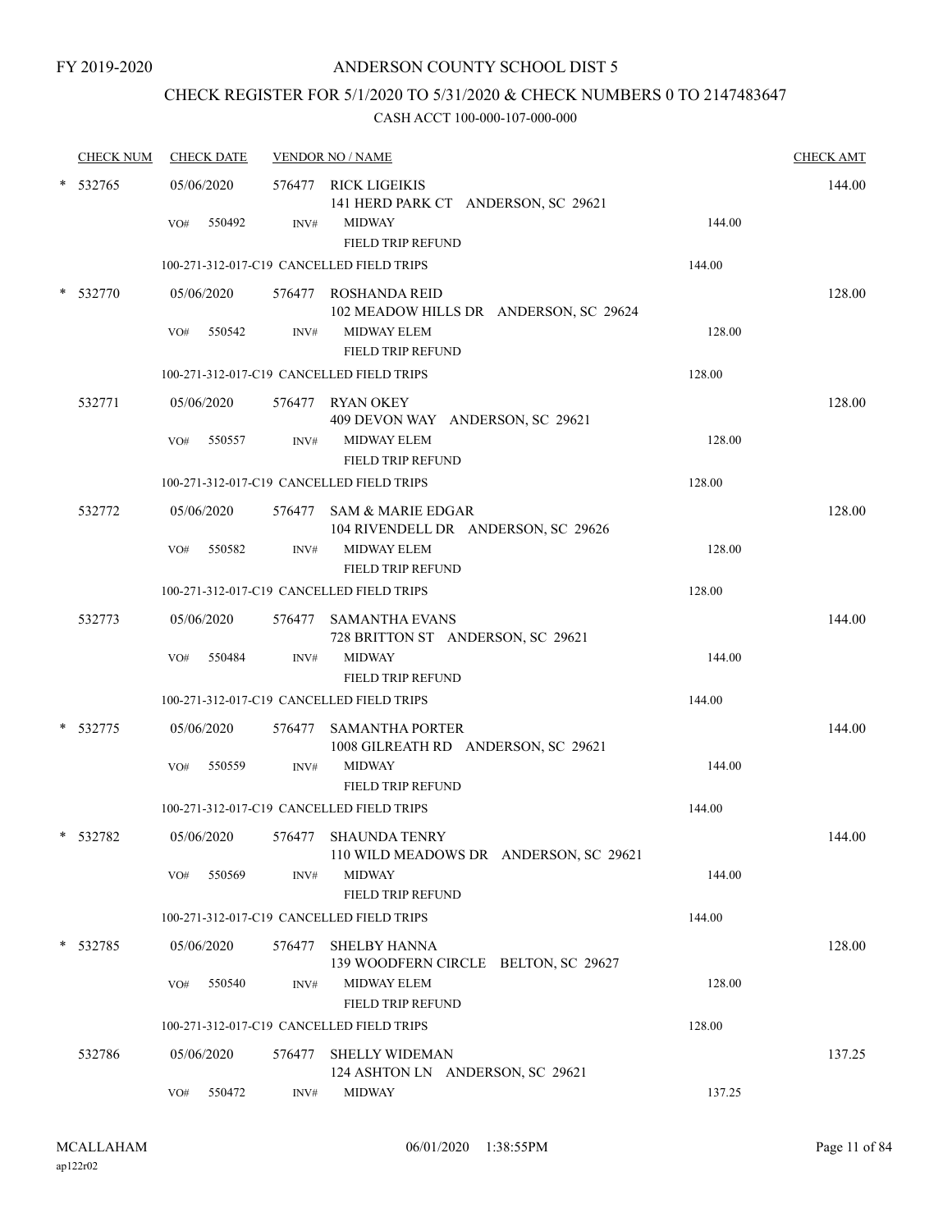## CHECK REGISTER FOR 5/1/2020 TO 5/31/2020 & CHECK NUMBERS 0 TO 2147483647

| <b>CHECK NUM</b> | <b>CHECK DATE</b> |        | <b>VENDOR NO / NAME</b>                                         |        | <b>CHECK AMT</b> |
|------------------|-------------------|--------|-----------------------------------------------------------------|--------|------------------|
| 532765           | 05/06/2020        |        | 576477 RICK LIGEIKIS<br>141 HERD PARK CT ANDERSON, SC 29621     |        | 144.00           |
|                  | 550492<br>VO#     | INV#   | <b>MIDWAY</b><br><b>FIELD TRIP REFUND</b>                       | 144.00 |                  |
|                  |                   |        | 100-271-312-017-C19 CANCELLED FIELD TRIPS                       | 144.00 |                  |
| 532770           | 05/06/2020        |        | 576477 ROSHANDA REID<br>102 MEADOW HILLS DR ANDERSON, SC 29624  |        | 128.00           |
|                  | 550542<br>VO#     | INV#   | <b>MIDWAY ELEM</b><br><b>FIELD TRIP REFUND</b>                  | 128.00 |                  |
|                  |                   |        | 100-271-312-017-C19 CANCELLED FIELD TRIPS                       | 128.00 |                  |
| 532771           | 05/06/2020        |        | 576477 RYAN OKEY<br>409 DEVON WAY ANDERSON, SC 29621            |        | 128.00           |
|                  | VO#<br>550557     | INV#   | <b>MIDWAY ELEM</b><br><b>FIELD TRIP REFUND</b>                  | 128.00 |                  |
|                  |                   |        | 100-271-312-017-C19 CANCELLED FIELD TRIPS                       | 128.00 |                  |
| 532772           | 05/06/2020        |        | 576477 SAM & MARIE EDGAR<br>104 RIVENDELL DR ANDERSON, SC 29626 |        | 128.00           |
|                  | 550582<br>VO#     | INV#   | MIDWAY ELEM<br><b>FIELD TRIP REFUND</b>                         | 128.00 |                  |
|                  |                   |        | 100-271-312-017-C19 CANCELLED FIELD TRIPS                       | 128.00 |                  |
| 532773           | 05/06/2020        |        | 576477 SAMANTHA EVANS<br>728 BRITTON ST ANDERSON, SC 29621      |        | 144.00           |
|                  | 550484<br>VO#     | INV#   | <b>MIDWAY</b><br><b>FIELD TRIP REFUND</b>                       | 144.00 |                  |
|                  |                   |        | 100-271-312-017-C19 CANCELLED FIELD TRIPS                       | 144.00 |                  |
| 532775           | 05/06/2020        |        | 576477 SAMANTHA PORTER<br>1008 GILREATH RD ANDERSON, SC 29621   |        | 144.00           |
|                  | 550559<br>VO#     | INV#   | <b>MIDWAY</b><br><b>FIELD TRIP REFUND</b>                       | 144.00 |                  |
|                  |                   |        | 100-271-312-017-C19 CANCELLED FIELD TRIPS                       | 144.00 |                  |
| 532782           | 05/06/2020        |        | 576477 SHAUNDA TENRY<br>110 WILD MEADOWS DR ANDERSON, SC 29621  |        | 144.00           |
|                  | 550569<br>VO#     | INV#   | <b>MIDWAY</b><br>FIELD TRIP REFUND                              | 144.00 |                  |
|                  |                   |        | 100-271-312-017-C19 CANCELLED FIELD TRIPS                       | 144.00 |                  |
| $*$ 532785       | 05/06/2020        | 576477 | <b>SHELBY HANNA</b><br>139 WOODFERN CIRCLE BELTON, SC 29627     |        | 128.00           |
|                  | VO#<br>550540     | INV#   | MIDWAY ELEM<br>FIELD TRIP REFUND                                | 128.00 |                  |
|                  |                   |        | 100-271-312-017-C19 CANCELLED FIELD TRIPS                       | 128.00 |                  |
| 532786           | 05/06/2020        | 576477 | <b>SHELLY WIDEMAN</b><br>124 ASHTON LN ANDERSON, SC 29621       |        | 137.25           |
|                  | 550472<br>VO#     | INV#   | <b>MIDWAY</b>                                                   | 137.25 |                  |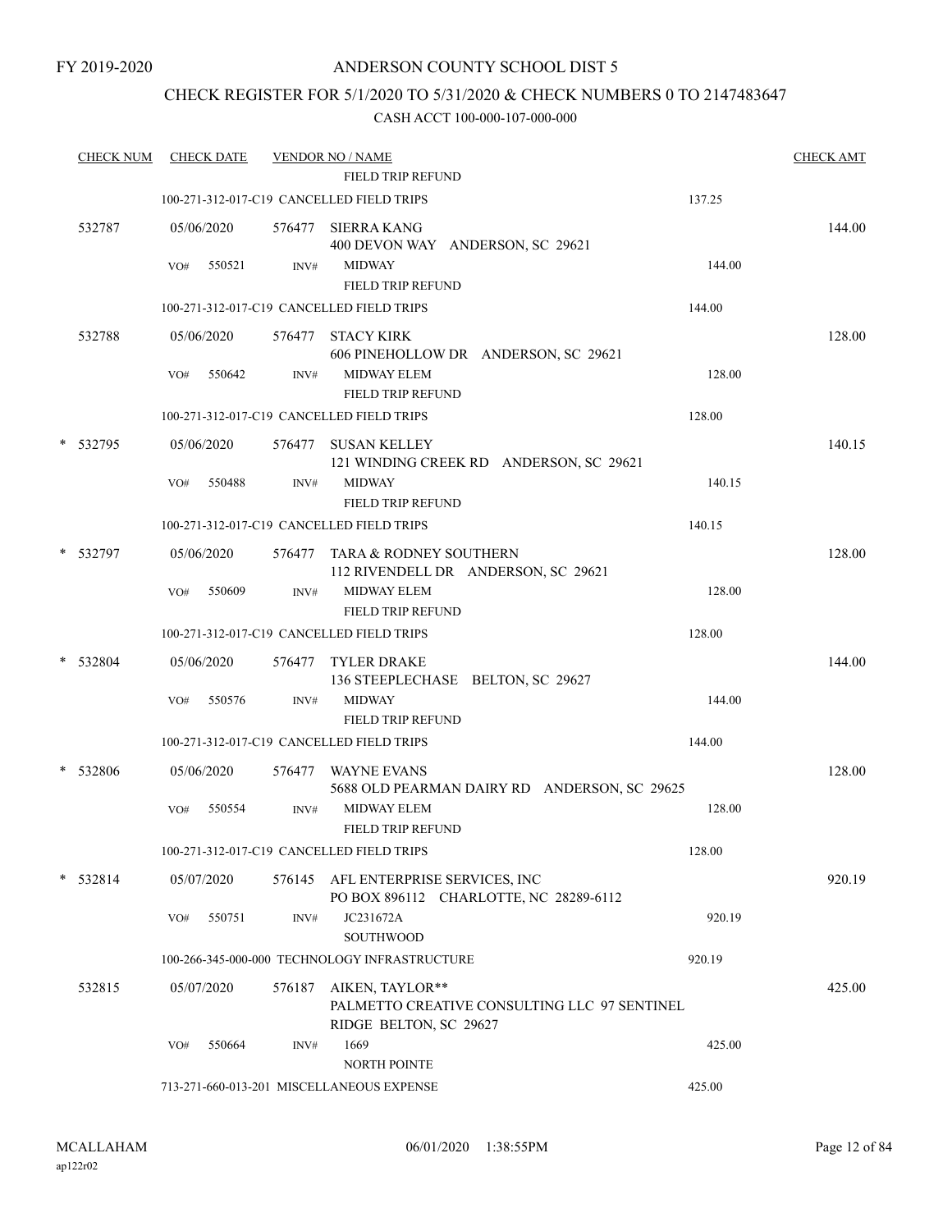## CHECK REGISTER FOR 5/1/2020 TO 5/31/2020 & CHECK NUMBERS 0 TO 2147483647

| <b>CHECK NUM</b> |     | <b>CHECK DATE</b> |        | <b>VENDOR NO / NAME</b><br><b>FIELD TRIP REFUND</b>                   |                                                | <b>CHECK AMT</b> |
|------------------|-----|-------------------|--------|-----------------------------------------------------------------------|------------------------------------------------|------------------|
|                  |     |                   |        | 100-271-312-017-C19 CANCELLED FIELD TRIPS                             | 137.25                                         |                  |
| 532787           |     | 05/06/2020        | 576477 | SIERRA KANG<br>400 DEVON WAY ANDERSON, SC 29621                       |                                                | 144.00           |
|                  | VO# | 550521            | INV#   | <b>MIDWAY</b><br><b>FIELD TRIP REFUND</b>                             | 144.00                                         |                  |
|                  |     |                   |        | 100-271-312-017-C19 CANCELLED FIELD TRIPS                             | 144.00                                         |                  |
| 532788           |     | 05/06/2020        |        | 576477 STACY KIRK                                                     |                                                | 128.00           |
|                  | VO# | 550642            | INV#   | <b>MIDWAY ELEM</b>                                                    | 606 PINEHOLLOW DR ANDERSON, SC 29621<br>128.00 |                  |
|                  |     |                   |        | <b>FIELD TRIP REFUND</b><br>100-271-312-017-C19 CANCELLED FIELD TRIPS | 128.00                                         |                  |
|                  |     |                   |        |                                                                       |                                                |                  |
| * 532795         |     | 05/06/2020        |        | 576477 SUSAN KELLEY                                                   | 121 WINDING CREEK RD ANDERSON, SC 29621        | 140.15           |
|                  | VO# | 550488            | INV#   | <b>MIDWAY</b>                                                         | 140.15                                         |                  |
|                  |     |                   |        | <b>FIELD TRIP REFUND</b>                                              |                                                |                  |
|                  |     |                   |        | 100-271-312-017-C19 CANCELLED FIELD TRIPS                             | 140.15                                         |                  |
| * 532797         |     | 05/06/2020        |        | 576477 TARA & RODNEY SOUTHERN                                         | 112 RIVENDELL DR ANDERSON, SC 29621            | 128.00           |
|                  | VO# | 550609            | INV#   | <b>MIDWAY ELEM</b><br>FIELD TRIP REFUND                               | 128.00                                         |                  |
|                  |     |                   |        | 100-271-312-017-C19 CANCELLED FIELD TRIPS                             | 128.00                                         |                  |
| * 532804         |     | 05/06/2020        | 576477 | <b>TYLER DRAKE</b><br>136 STEEPLECHASE BELTON, SC 29627               |                                                | 144.00           |
|                  | VO# | 550576            | INV#   | <b>MIDWAY</b><br><b>FIELD TRIP REFUND</b>                             | 144.00                                         |                  |
|                  |     |                   |        | 100-271-312-017-C19 CANCELLED FIELD TRIPS                             | 144.00                                         |                  |
| * 532806         |     | 05/06/2020        |        | 576477 WAYNE EVANS                                                    | 5688 OLD PEARMAN DAIRY RD ANDERSON, SC 29625   | 128.00           |
|                  | VO# | 550554            | INV#   | <b>MIDWAY ELEM</b><br>FIELD TRIP REFUND                               | 128.00                                         |                  |
|                  |     |                   |        | 100-271-312-017-C19 CANCELLED FIELD TRIPS                             | 128.00                                         |                  |
| $*$ 532814       |     | 05/07/2020        |        | 576145 AFL ENTERPRISE SERVICES, INC                                   | PO BOX 896112 CHARLOTTE, NC 28289-6112         | 920.19           |
|                  | VO# | 550751            | INV#   | JC231672A<br><b>SOUTHWOOD</b>                                         | 920.19                                         |                  |
|                  |     |                   |        | 100-266-345-000-000 TECHNOLOGY INFRASTRUCTURE                         | 920.19                                         |                  |
| 532815           |     | 05/07/2020        | 576187 | AIKEN, TAYLOR**<br>RIDGE BELTON, SC 29627                             | PALMETTO CREATIVE CONSULTING LLC 97 SENTINEL   | 425.00           |
|                  | VO# | 550664            | INV#   | 1669<br>NORTH POINTE                                                  | 425.00                                         |                  |
|                  |     |                   |        | 713-271-660-013-201 MISCELLANEOUS EXPENSE                             | 425.00                                         |                  |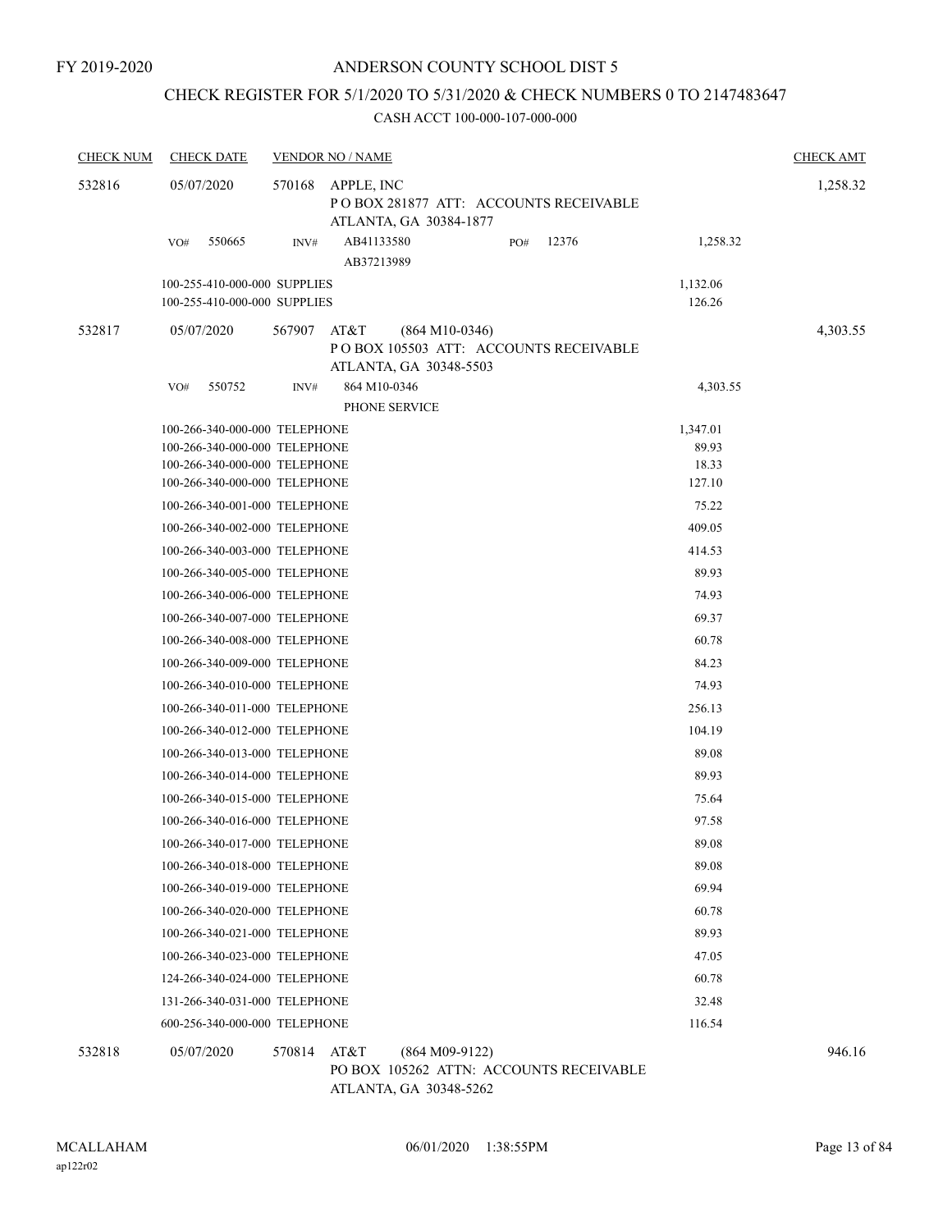## CHECK REGISTER FOR 5/1/2020 TO 5/31/2020 & CHECK NUMBERS 0 TO 2147483647

### CASH ACCT 100-000-107-000-000

| <b>CHECK NUM</b> | <b>CHECK DATE</b>                                                                                                                                                                                                                                                                                                                                                                                                                                                                                                                                                                                                                                                                                                                                                                   | <b>VENDOR NO / NAME</b> |                          |                                                                                     |     |       |                                                                                                                                                                                                                  | <b>CHECK AMT</b> |
|------------------|-------------------------------------------------------------------------------------------------------------------------------------------------------------------------------------------------------------------------------------------------------------------------------------------------------------------------------------------------------------------------------------------------------------------------------------------------------------------------------------------------------------------------------------------------------------------------------------------------------------------------------------------------------------------------------------------------------------------------------------------------------------------------------------|-------------------------|--------------------------|-------------------------------------------------------------------------------------|-----|-------|------------------------------------------------------------------------------------------------------------------------------------------------------------------------------------------------------------------|------------------|
| 532816           | 05/07/2020                                                                                                                                                                                                                                                                                                                                                                                                                                                                                                                                                                                                                                                                                                                                                                          | 570168                  | APPLE, INC               | PO BOX 281877 ATT: ACCOUNTS RECEIVABLE                                              |     |       |                                                                                                                                                                                                                  | 1,258.32         |
|                  | 550665<br>VO#                                                                                                                                                                                                                                                                                                                                                                                                                                                                                                                                                                                                                                                                                                                                                                       | INV#                    | AB41133580<br>AB37213989 | ATLANTA, GA 30384-1877                                                              | PO# | 12376 | 1,258.32                                                                                                                                                                                                         |                  |
|                  | 100-255-410-000-000 SUPPLIES<br>100-255-410-000-000 SUPPLIES                                                                                                                                                                                                                                                                                                                                                                                                                                                                                                                                                                                                                                                                                                                        |                         |                          |                                                                                     |     |       | 1,132.06<br>126.26                                                                                                                                                                                               |                  |
| 532817           | 05/07/2020                                                                                                                                                                                                                                                                                                                                                                                                                                                                                                                                                                                                                                                                                                                                                                          | 567907                  | AT&T                     | $(864 M10-0346)$<br>POBOX 105503 ATT: ACCOUNTS RECEIVABLE<br>ATLANTA, GA 30348-5503 |     |       |                                                                                                                                                                                                                  | 4,303.55         |
|                  | 550752<br>VO#                                                                                                                                                                                                                                                                                                                                                                                                                                                                                                                                                                                                                                                                                                                                                                       | INV#                    | 864 M10-0346             | PHONE SERVICE                                                                       |     |       | 4,303.55                                                                                                                                                                                                         |                  |
|                  | 100-266-340-000-000 TELEPHONE<br>100-266-340-000-000 TELEPHONE<br>100-266-340-000-000 TELEPHONE<br>100-266-340-001-000 TELEPHONE<br>100-266-340-002-000 TELEPHONE<br>100-266-340-003-000 TELEPHONE<br>100-266-340-005-000 TELEPHONE<br>100-266-340-006-000 TELEPHONE<br>100-266-340-007-000 TELEPHONE<br>100-266-340-008-000 TELEPHONE<br>100-266-340-009-000 TELEPHONE<br>100-266-340-010-000 TELEPHONE<br>100-266-340-011-000 TELEPHONE<br>100-266-340-012-000 TELEPHONE<br>100-266-340-013-000 TELEPHONE<br>100-266-340-014-000 TELEPHONE<br>100-266-340-015-000 TELEPHONE<br>100-266-340-016-000 TELEPHONE<br>100-266-340-017-000 TELEPHONE<br>100-266-340-018-000 TELEPHONE<br>100-266-340-019-000 TELEPHONE<br>100-266-340-020-000 TELEPHONE<br>100-266-340-021-000 TELEPHONE |                         |                          |                                                                                     |     |       | 89.93<br>18.33<br>127.10<br>75.22<br>409.05<br>414.53<br>89.93<br>74.93<br>69.37<br>60.78<br>84.23<br>74.93<br>256.13<br>104.19<br>89.08<br>89.93<br>75.64<br>97.58<br>89.08<br>89.08<br>69.94<br>60.78<br>89.93 |                  |
|                  | 100-266-340-023-000 TELEPHONE<br>124-266-340-024-000 TELEPHONE<br>131-266-340-031-000 TELEPHONE                                                                                                                                                                                                                                                                                                                                                                                                                                                                                                                                                                                                                                                                                     |                         |                          |                                                                                     |     |       | 47.05<br>60.78<br>32.48                                                                                                                                                                                          |                  |
|                  | 600-256-340-000-000 TELEPHONE                                                                                                                                                                                                                                                                                                                                                                                                                                                                                                                                                                                                                                                                                                                                                       |                         |                          |                                                                                     |     |       | 116.54                                                                                                                                                                                                           |                  |
| 532818           | 05/07/2020                                                                                                                                                                                                                                                                                                                                                                                                                                                                                                                                                                                                                                                                                                                                                                          | 570814 AT&T             |                          | $(864 M09-9122)$<br>PO BOX 105262 ATTN: ACCOUNTS RECEIVABLE                         |     |       |                                                                                                                                                                                                                  | 946.16           |

ATLANTA, GA 30348-5262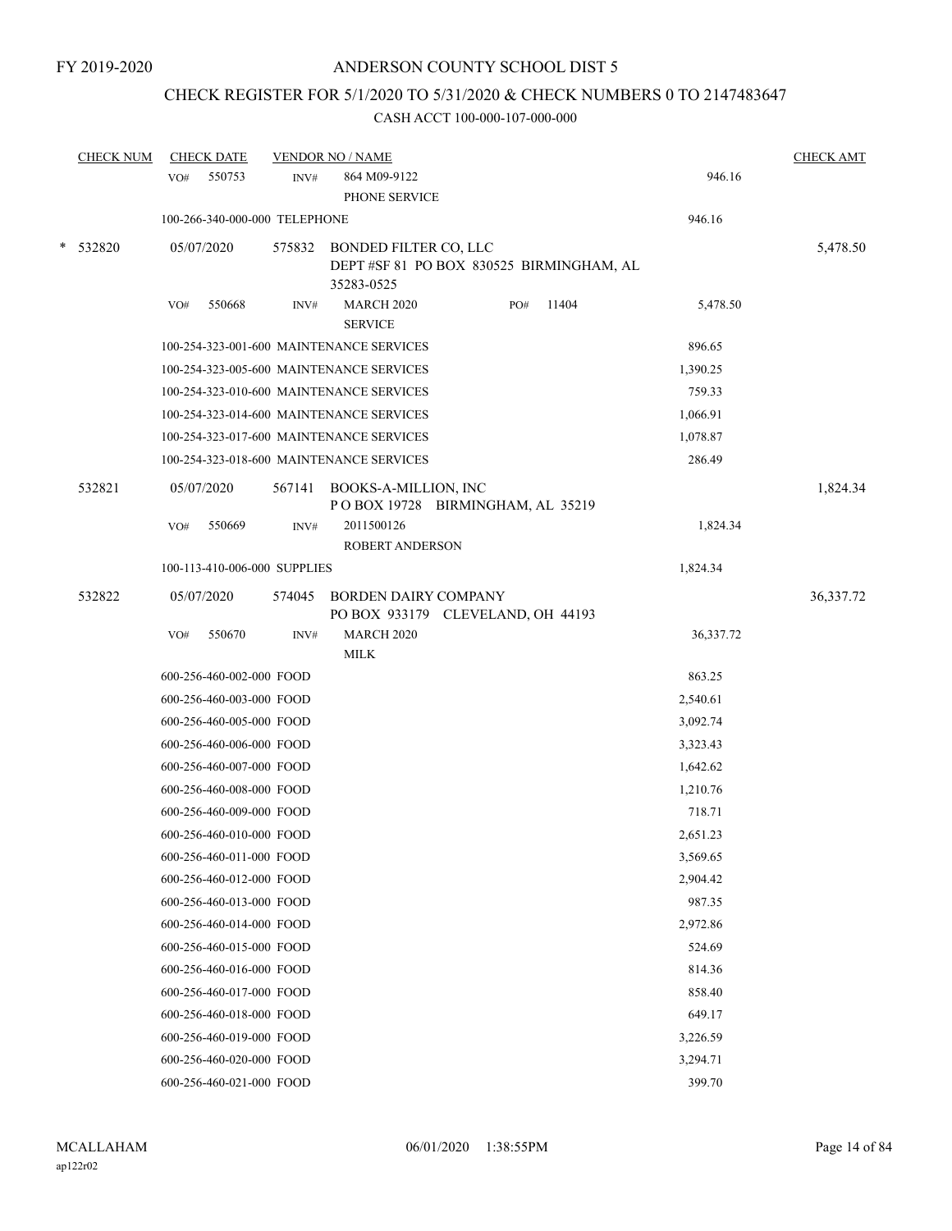## CHECK REGISTER FOR 5/1/2020 TO 5/31/2020 & CHECK NUMBERS 0 TO 2147483647

|   | <b>CHECK NUM</b> | <b>CHECK DATE</b>             |        | <b>VENDOR NO / NAME</b>                                                                |     |       |           | <b>CHECK AMT</b> |
|---|------------------|-------------------------------|--------|----------------------------------------------------------------------------------------|-----|-------|-----------|------------------|
|   |                  | 550753<br>VO#                 | INV#   | 864 M09-9122<br>PHONE SERVICE                                                          |     |       | 946.16    |                  |
|   |                  | 100-266-340-000-000 TELEPHONE |        |                                                                                        |     |       | 946.16    |                  |
| * | 532820           | 05/07/2020                    | 575832 | <b>BONDED FILTER CO, LLC</b><br>DEPT #SF 81 PO BOX 830525 BIRMINGHAM, AL<br>35283-0525 |     |       |           | 5,478.50         |
|   |                  | 550668<br>VO#                 | INV#   | <b>MARCH 2020</b><br><b>SERVICE</b>                                                    | PO# | 11404 | 5,478.50  |                  |
|   |                  |                               |        | 100-254-323-001-600 MAINTENANCE SERVICES                                               |     |       | 896.65    |                  |
|   |                  |                               |        | 100-254-323-005-600 MAINTENANCE SERVICES                                               |     |       | 1,390.25  |                  |
|   |                  |                               |        | 100-254-323-010-600 MAINTENANCE SERVICES                                               |     |       | 759.33    |                  |
|   |                  |                               |        | 100-254-323-014-600 MAINTENANCE SERVICES                                               |     |       | 1,066.91  |                  |
|   |                  |                               |        | 100-254-323-017-600 MAINTENANCE SERVICES                                               |     |       | 1,078.87  |                  |
|   |                  |                               |        | 100-254-323-018-600 MAINTENANCE SERVICES                                               |     |       | 286.49    |                  |
|   | 532821           | 05/07/2020                    | 567141 | BOOKS-A-MILLION, INC<br>POBOX 19728 BIRMINGHAM, AL 35219                               |     |       |           | 1,824.34         |
|   |                  | 550669<br>VO#                 | INV#   | 2011500126<br><b>ROBERT ANDERSON</b>                                                   |     |       | 1,824.34  |                  |
|   |                  | 100-113-410-006-000 SUPPLIES  |        |                                                                                        |     |       | 1,824.34  |                  |
|   | 532822           | 05/07/2020                    | 574045 | <b>BORDEN DAIRY COMPANY</b><br>PO BOX 933179 CLEVELAND, OH 44193                       |     |       |           | 36,337.72        |
|   |                  | 550670<br>VO#                 | INV#   | <b>MARCH 2020</b><br><b>MILK</b>                                                       |     |       | 36,337.72 |                  |
|   |                  | 600-256-460-002-000 FOOD      |        |                                                                                        |     |       | 863.25    |                  |
|   |                  | 600-256-460-003-000 FOOD      |        |                                                                                        |     |       | 2,540.61  |                  |
|   |                  | 600-256-460-005-000 FOOD      |        |                                                                                        |     |       | 3,092.74  |                  |
|   |                  | 600-256-460-006-000 FOOD      |        |                                                                                        |     |       | 3,323.43  |                  |
|   |                  | 600-256-460-007-000 FOOD      |        |                                                                                        |     |       | 1,642.62  |                  |
|   |                  | 600-256-460-008-000 FOOD      |        |                                                                                        |     |       | 1,210.76  |                  |
|   |                  | 600-256-460-009-000 FOOD      |        |                                                                                        |     |       | 718.71    |                  |
|   |                  | 600-256-460-010-000 FOOD      |        |                                                                                        |     |       | 2,651.23  |                  |
|   |                  | 600-256-460-011-000 FOOD      |        |                                                                                        |     |       | 3,569.65  |                  |
|   |                  | 600-256-460-012-000 FOOD      |        |                                                                                        |     |       | 2,904.42  |                  |
|   |                  | 600-256-460-013-000 FOOD      |        |                                                                                        |     |       | 987.35    |                  |
|   |                  | 600-256-460-014-000 FOOD      |        |                                                                                        |     |       | 2,972.86  |                  |
|   |                  | 600-256-460-015-000 FOOD      |        |                                                                                        |     |       | 524.69    |                  |
|   |                  | 600-256-460-016-000 FOOD      |        |                                                                                        |     |       | 814.36    |                  |
|   |                  | 600-256-460-017-000 FOOD      |        |                                                                                        |     |       | 858.40    |                  |
|   |                  | 600-256-460-018-000 FOOD      |        |                                                                                        |     |       | 649.17    |                  |
|   |                  | 600-256-460-019-000 FOOD      |        |                                                                                        |     |       | 3,226.59  |                  |
|   |                  | 600-256-460-020-000 FOOD      |        |                                                                                        |     |       | 3,294.71  |                  |
|   |                  | 600-256-460-021-000 FOOD      |        |                                                                                        |     |       | 399.70    |                  |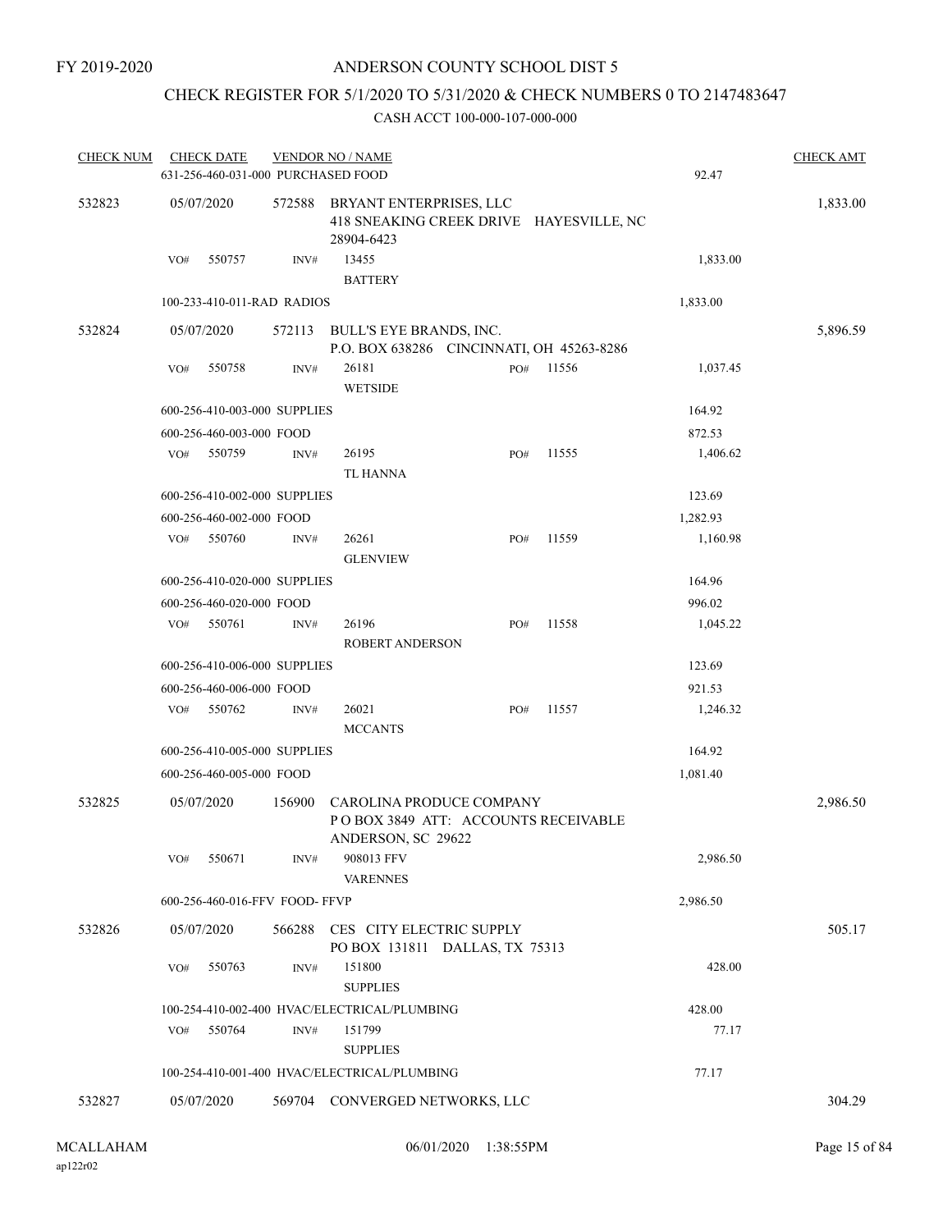## CHECK REGISTER FOR 5/1/2020 TO 5/31/2020 & CHECK NUMBERS 0 TO 2147483647

| <b>CHECK NUM</b> | <b>CHECK DATE</b><br>631-256-460-031-000 PURCHASED FOOD |                | <b>VENDOR NO / NAME</b>                                                               |     |       | 92.47    | <b>CHECK AMT</b> |
|------------------|---------------------------------------------------------|----------------|---------------------------------------------------------------------------------------|-----|-------|----------|------------------|
| 532823           | 05/07/2020                                              | 572588         | BRYANT ENTERPRISES, LLC<br>418 SNEAKING CREEK DRIVE HAYESVILLE, NC<br>28904-6423      |     |       |          | 1,833.00         |
|                  | 550757<br>VO#                                           | INV#           | 13455<br><b>BATTERY</b>                                                               |     |       | 1,833.00 |                  |
|                  | 100-233-410-011-RAD RADIOS                              |                |                                                                                       |     |       | 1,833.00 |                  |
| 532824           | 05/07/2020                                              | 572113         | BULL'S EYE BRANDS, INC.<br>P.O. BOX 638286 CINCINNATI, OH 45263-8286                  |     |       |          | 5,896.59         |
|                  | 550758<br>VO#                                           | INV#           | 26181<br><b>WETSIDE</b>                                                               | PO# | 11556 | 1,037.45 |                  |
|                  | 600-256-410-003-000 SUPPLIES                            |                |                                                                                       |     |       | 164.92   |                  |
|                  | 600-256-460-003-000 FOOD                                |                |                                                                                       |     |       | 872.53   |                  |
|                  | 550759<br>VO#                                           | INV#           | 26195<br><b>TL HANNA</b>                                                              | PO# | 11555 | 1,406.62 |                  |
|                  | 600-256-410-002-000 SUPPLIES                            |                |                                                                                       |     |       | 123.69   |                  |
|                  | 600-256-460-002-000 FOOD                                |                |                                                                                       |     |       | 1,282.93 |                  |
|                  | 550760<br>VO#                                           | INV#           | 26261<br><b>GLENVIEW</b>                                                              | PO# | 11559 | 1,160.98 |                  |
|                  | 600-256-410-020-000 SUPPLIES                            |                |                                                                                       |     |       | 164.96   |                  |
|                  | 600-256-460-020-000 FOOD                                |                |                                                                                       |     |       | 996.02   |                  |
|                  | 550761<br>VO#                                           | $\text{INV}\#$ | 26196<br><b>ROBERT ANDERSON</b>                                                       | PO# | 11558 | 1,045.22 |                  |
|                  | 600-256-410-006-000 SUPPLIES                            |                |                                                                                       |     |       | 123.69   |                  |
|                  | 600-256-460-006-000 FOOD                                |                |                                                                                       |     |       | 921.53   |                  |
|                  | 550762<br>VO#                                           | INV#           | 26021<br><b>MCCANTS</b>                                                               | PO# | 11557 | 1,246.32 |                  |
|                  | 600-256-410-005-000 SUPPLIES                            |                |                                                                                       |     |       | 164.92   |                  |
|                  | 600-256-460-005-000 FOOD                                |                |                                                                                       |     |       | 1,081.40 |                  |
| 532825           | 05/07/2020                                              | 156900         | CAROLINA PRODUCE COMPANY<br>POBOX 3849 ATT: ACCOUNTS RECEIVABLE<br>ANDERSON, SC 29622 |     |       |          | 2,986.50         |
|                  | 550671<br>VO#                                           | INV#           | 908013 FFV<br><b>VARENNES</b>                                                         |     |       | 2,986.50 |                  |
|                  | 600-256-460-016-FFV FOOD-FFVP                           |                |                                                                                       |     |       | 2,986.50 |                  |
| 532826           | 05/07/2020                                              | 566288         | CES CITY ELECTRIC SUPPLY<br>PO BOX 131811 DALLAS, TX 75313                            |     |       |          | 505.17           |
|                  | 550763<br>VO#                                           | INV#           | 151800<br><b>SUPPLIES</b>                                                             |     |       | 428.00   |                  |
|                  |                                                         |                | 100-254-410-002-400 HVAC/ELECTRICAL/PLUMBING                                          |     |       | 428.00   |                  |
|                  | 550764<br>VO#                                           | INV#           | 151799<br><b>SUPPLIES</b>                                                             |     |       | 77.17    |                  |
|                  |                                                         |                | 100-254-410-001-400 HVAC/ELECTRICAL/PLUMBING                                          |     |       | 77.17    |                  |
| 532827           | 05/07/2020                                              |                | 569704 CONVERGED NETWORKS, LLC                                                        |     |       |          | 304.29           |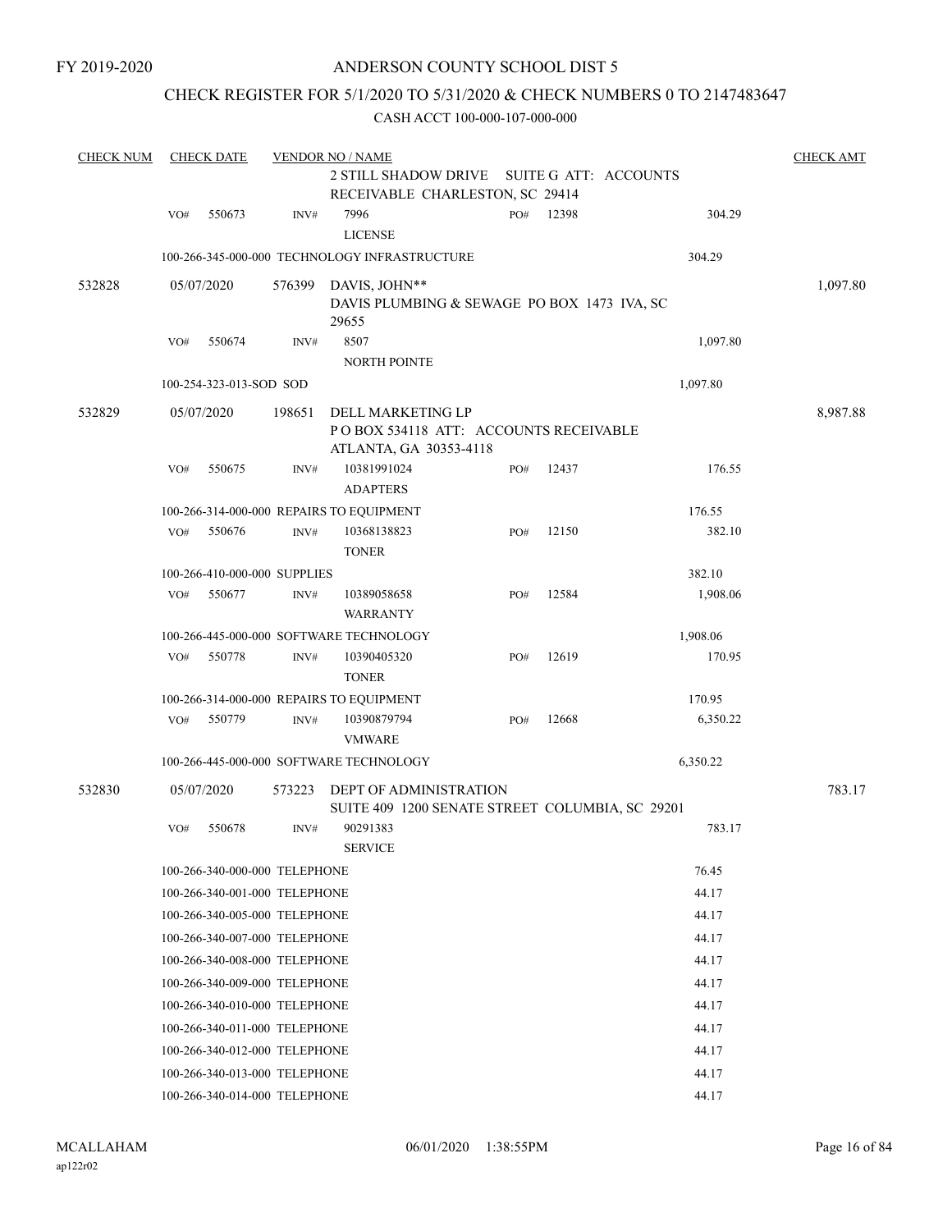FY 2019-2020

## ANDERSON COUNTY SCHOOL DIST 5

## CHECK REGISTER FOR 5/1/2020 TO 5/31/2020 & CHECK NUMBERS 0 TO 2147483647

| <b>CHECK NUM</b> |     | <b>CHECK DATE</b>       |                               | <b>VENDOR NO / NAME</b>                                         |     |       |                       | <b>CHECK AMT</b> |
|------------------|-----|-------------------------|-------------------------------|-----------------------------------------------------------------|-----|-------|-----------------------|------------------|
|                  |     |                         |                               | <b>2 STILL SHADOW DRIVE</b>                                     |     |       | SUITE G ATT: ACCOUNTS |                  |
|                  |     |                         |                               | RECEIVABLE CHARLESTON, SC 29414                                 |     |       |                       |                  |
|                  | VO# | 550673                  | INV#                          | 7996                                                            | PO# | 12398 | 304.29                |                  |
|                  |     |                         |                               | <b>LICENSE</b><br>100-266-345-000-000 TECHNOLOGY INFRASTRUCTURE |     |       | 304.29                |                  |
|                  |     |                         |                               |                                                                 |     |       |                       |                  |
| 532828           |     | 05/07/2020              | 576399                        | DAVIS, JOHN**                                                   |     |       |                       | 1,097.80         |
|                  |     |                         |                               | DAVIS PLUMBING & SEWAGE PO BOX 1473 IVA, SC<br>29655            |     |       |                       |                  |
|                  | VO# | 550674                  | INV#                          | 8507                                                            |     |       | 1,097.80              |                  |
|                  |     |                         |                               | NORTH POINTE                                                    |     |       |                       |                  |
|                  |     | 100-254-323-013-SOD SOD |                               |                                                                 |     |       | 1,097.80              |                  |
| 532829           |     | 05/07/2020              | 198651                        | DELL MARKETING LP                                               |     |       |                       | 8,987.88         |
|                  |     |                         |                               | PO BOX 534118 ATT: ACCOUNTS RECEIVABLE                          |     |       |                       |                  |
|                  |     |                         |                               | ATLANTA, GA 30353-4118                                          |     |       |                       |                  |
|                  | VO# | 550675                  | INV#                          | 10381991024                                                     | PO# | 12437 | 176.55                |                  |
|                  |     |                         |                               | <b>ADAPTERS</b>                                                 |     |       |                       |                  |
|                  |     |                         |                               | 100-266-314-000-000 REPAIRS TO EQUIPMENT                        |     |       | 176.55                |                  |
|                  | VO# | 550676                  | INV#                          | 10368138823                                                     | PO# | 12150 | 382.10                |                  |
|                  |     |                         |                               | <b>TONER</b>                                                    |     |       |                       |                  |
|                  |     |                         | 100-266-410-000-000 SUPPLIES  |                                                                 |     |       | 382.10                |                  |
|                  | VO# | 550677                  | INV#                          | 10389058658<br><b>WARRANTY</b>                                  | PO# | 12584 | 1,908.06              |                  |
|                  |     |                         |                               | 100-266-445-000-000 SOFTWARE TECHNOLOGY                         |     |       | 1,908.06              |                  |
|                  | VO# | 550778                  | INV#                          | 10390405320<br><b>TONER</b>                                     | PO# | 12619 | 170.95                |                  |
|                  |     |                         |                               | 100-266-314-000-000 REPAIRS TO EQUIPMENT                        |     |       | 170.95                |                  |
|                  | VO# | 550779                  | INV#                          | 10390879794<br><b>VMWARE</b>                                    | PO# | 12668 | 6,350.22              |                  |
|                  |     |                         |                               | 100-266-445-000-000 SOFTWARE TECHNOLOGY                         |     |       | 6,350.22              |                  |
| 532830           |     | 05/07/2020              | 573223                        | DEPT OF ADMINISTRATION                                          |     |       |                       | 783.17           |
|                  |     |                         |                               | SUITE 409 1200 SENATE STREET COLUMBIA, SC 29201                 |     |       |                       |                  |
|                  | VO# | 550678                  | INV#                          | 90291383                                                        |     |       | 783.17                |                  |
|                  |     |                         |                               | <b>SERVICE</b>                                                  |     |       |                       |                  |
|                  |     |                         | 100-266-340-000-000 TELEPHONE |                                                                 |     |       | 76.45                 |                  |
|                  |     |                         | 100-266-340-001-000 TELEPHONE |                                                                 |     |       | 44.17                 |                  |
|                  |     |                         | 100-266-340-005-000 TELEPHONE |                                                                 |     |       | 44.17                 |                  |
|                  |     |                         | 100-266-340-007-000 TELEPHONE |                                                                 |     |       | 44.17                 |                  |
|                  |     |                         | 100-266-340-008-000 TELEPHONE |                                                                 |     |       | 44.17                 |                  |
|                  |     |                         | 100-266-340-009-000 TELEPHONE |                                                                 |     |       | 44.17                 |                  |
|                  |     |                         | 100-266-340-010-000 TELEPHONE |                                                                 |     |       | 44.17                 |                  |
|                  |     |                         | 100-266-340-011-000 TELEPHONE |                                                                 |     |       | 44.17                 |                  |
|                  |     |                         | 100-266-340-012-000 TELEPHONE |                                                                 |     |       | 44.17                 |                  |
|                  |     |                         | 100-266-340-013-000 TELEPHONE |                                                                 |     |       | 44.17                 |                  |
|                  |     |                         | 100-266-340-014-000 TELEPHONE |                                                                 |     |       | 44.17                 |                  |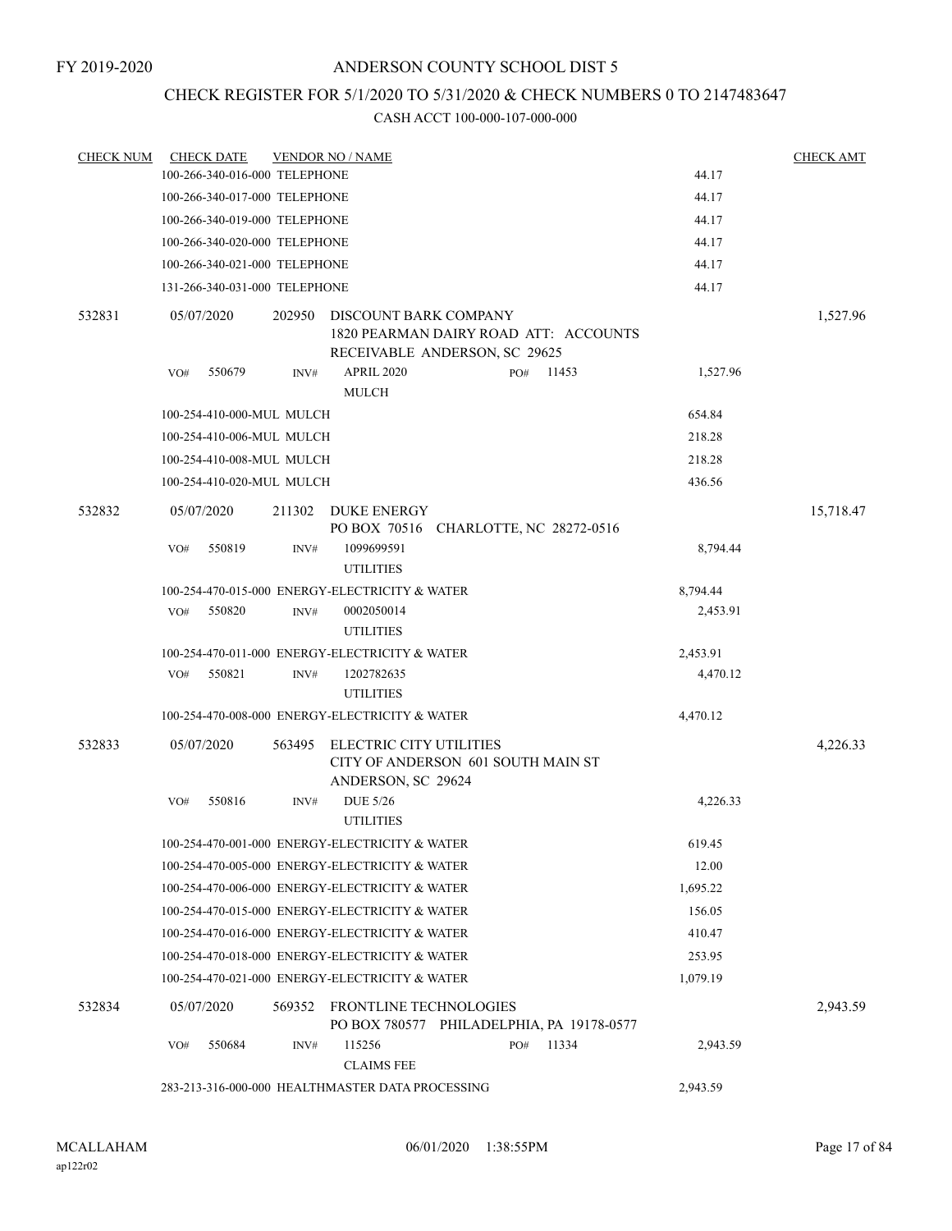## CHECK REGISTER FOR 5/1/2020 TO 5/31/2020 & CHECK NUMBERS 0 TO 2147483647

| <b>CHECK NUM</b> | <b>CHECK DATE</b> |                               | <b>VENDOR NO / NAME</b>                          |                                                                        |       |          | <b>CHECK AMT</b> |
|------------------|-------------------|-------------------------------|--------------------------------------------------|------------------------------------------------------------------------|-------|----------|------------------|
|                  |                   | 100-266-340-016-000 TELEPHONE |                                                  |                                                                        |       | 44.17    |                  |
|                  |                   | 100-266-340-017-000 TELEPHONE |                                                  |                                                                        |       | 44.17    |                  |
|                  |                   | 100-266-340-019-000 TELEPHONE |                                                  |                                                                        |       | 44.17    |                  |
|                  |                   | 100-266-340-020-000 TELEPHONE |                                                  |                                                                        |       | 44.17    |                  |
|                  |                   | 100-266-340-021-000 TELEPHONE |                                                  |                                                                        |       | 44.17    |                  |
|                  |                   | 131-266-340-031-000 TELEPHONE |                                                  |                                                                        |       | 44.17    |                  |
| 532831           | 05/07/2020        | 202950                        | DISCOUNT BARK COMPANY                            | 1820 PEARMAN DAIRY ROAD ATT: ACCOUNTS<br>RECEIVABLE ANDERSON, SC 29625 |       |          | 1,527.96         |
|                  | 550679<br>VO#     | INV#                          | <b>APRIL 2020</b><br><b>MULCH</b>                | PO#                                                                    | 11453 | 1,527.96 |                  |
|                  |                   | 100-254-410-000-MUL MULCH     |                                                  |                                                                        |       | 654.84   |                  |
|                  |                   | 100-254-410-006-MUL MULCH     |                                                  |                                                                        |       | 218.28   |                  |
|                  |                   | 100-254-410-008-MUL MULCH     |                                                  |                                                                        |       | 218.28   |                  |
|                  |                   | 100-254-410-020-MUL MULCH     |                                                  |                                                                        |       | 436.56   |                  |
| 532832           | 05/07/2020        | 211302                        | DUKE ENERGY                                      | PO BOX 70516 CHARLOTTE, NC 28272-0516                                  |       |          | 15,718.47        |
|                  | 550819<br>VO#     | INV#                          | 1099699591<br><b>UTILITIES</b>                   |                                                                        |       | 8,794.44 |                  |
|                  |                   |                               | 100-254-470-015-000 ENERGY-ELECTRICITY & WATER   |                                                                        |       | 8,794.44 |                  |
|                  | VO#<br>550820     | INV#                          | 0002050014<br><b>UTILITIES</b>                   |                                                                        |       | 2,453.91 |                  |
|                  |                   |                               | 100-254-470-011-000 ENERGY-ELECTRICITY & WATER   |                                                                        |       | 2,453.91 |                  |
|                  | 550821<br>VO#     | INV#                          | 1202782635<br><b>UTILITIES</b>                   |                                                                        |       | 4,470.12 |                  |
|                  |                   |                               | 100-254-470-008-000 ENERGY-ELECTRICITY & WATER   |                                                                        |       | 4,470.12 |                  |
| 532833           | 05/07/2020        | 563495                        | ELECTRIC CITY UTILITIES<br>ANDERSON, SC 29624    | CITY OF ANDERSON 601 SOUTH MAIN ST                                     |       |          | 4,226.33         |
|                  | 550816<br>VO#     | INV#                          | <b>DUE 5/26</b><br><b>UTILITIES</b>              |                                                                        |       | 4,226.33 |                  |
|                  |                   |                               | 100-254-470-001-000 ENERGY-ELECTRICITY & WATER   |                                                                        |       | 619.45   |                  |
|                  |                   |                               | 100-254-470-005-000 ENERGY-ELECTRICITY & WATER   |                                                                        |       | 12.00    |                  |
|                  |                   |                               | 100-254-470-006-000 ENERGY-ELECTRICITY & WATER   |                                                                        |       | 1,695.22 |                  |
|                  |                   |                               | 100-254-470-015-000 ENERGY-ELECTRICITY & WATER   |                                                                        |       | 156.05   |                  |
|                  |                   |                               | 100-254-470-016-000 ENERGY-ELECTRICITY & WATER   |                                                                        |       | 410.47   |                  |
|                  |                   |                               | 100-254-470-018-000 ENERGY-ELECTRICITY & WATER   |                                                                        |       | 253.95   |                  |
|                  |                   |                               | 100-254-470-021-000 ENERGY-ELECTRICITY & WATER   |                                                                        |       | 1,079.19 |                  |
| 532834           | 05/07/2020        |                               | 569352 FRONTLINE TECHNOLOGIES                    | PO BOX 780577 PHILADELPHIA, PA 19178-0577                              |       |          | 2,943.59         |
|                  | 550684<br>VO#     | INV#                          | 115256<br><b>CLAIMS FEE</b>                      | PO#                                                                    | 11334 | 2,943.59 |                  |
|                  |                   |                               | 283-213-316-000-000 HEALTHMASTER DATA PROCESSING |                                                                        |       | 2,943.59 |                  |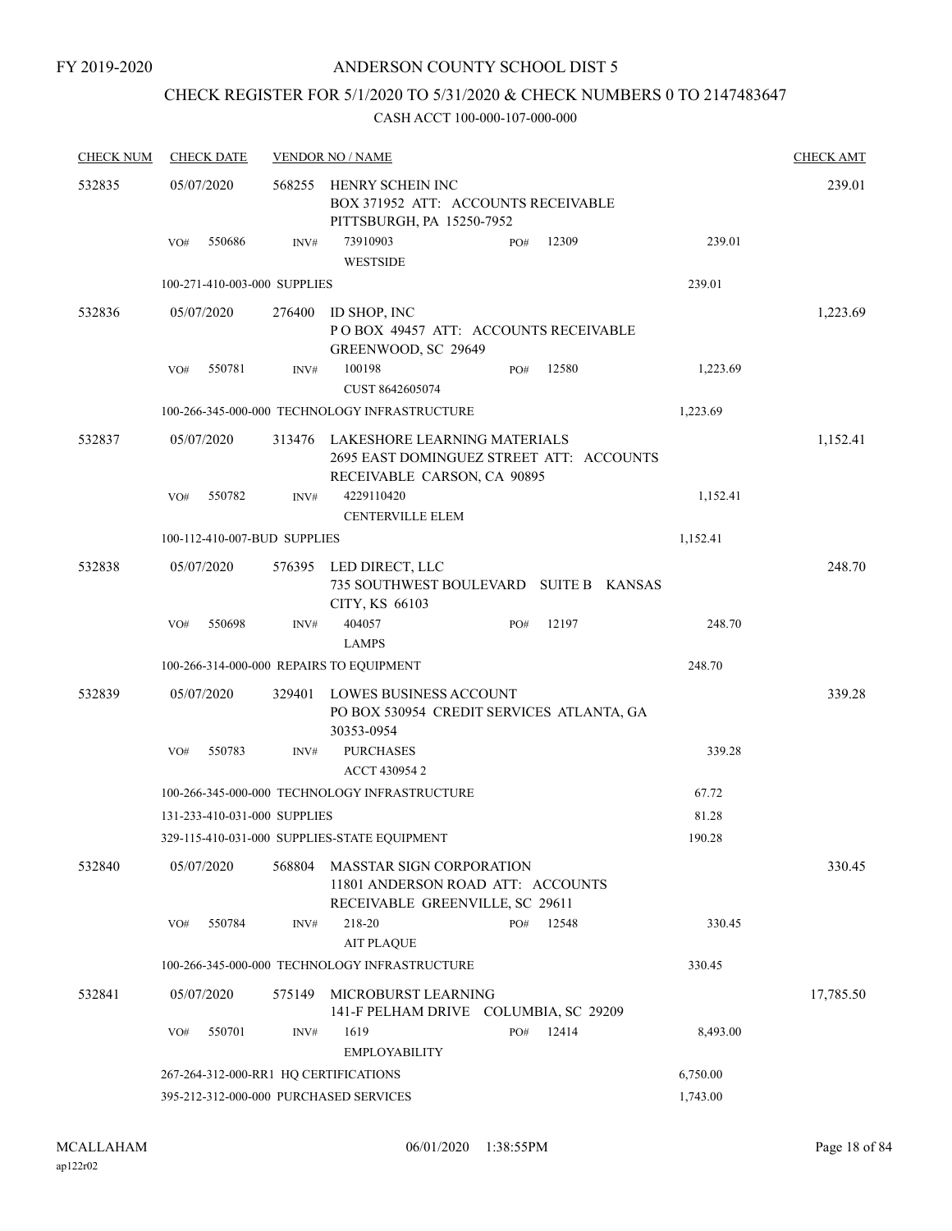FY 2019-2020

## ANDERSON COUNTY SCHOOL DIST 5

## CHECK REGISTER FOR 5/1/2020 TO 5/31/2020 & CHECK NUMBERS 0 TO 2147483647

| <b>CHECK NUM</b> | <b>CHECK DATE</b> |                                       | <b>VENDOR NO / NAME</b>                                                                                 |     |       |          | <b>CHECK AMT</b> |
|------------------|-------------------|---------------------------------------|---------------------------------------------------------------------------------------------------------|-----|-------|----------|------------------|
| 532835           | 05/07/2020        | 568255                                | HENRY SCHEIN INC<br>BOX 371952 ATT: ACCOUNTS RECEIVABLE                                                 |     |       |          | 239.01           |
|                  | 550686<br>VO#     | INV#                                  | PITTSBURGH, PA 15250-7952<br>73910903<br><b>WESTSIDE</b>                                                | PO# | 12309 | 239.01   |                  |
|                  |                   | 100-271-410-003-000 SUPPLIES          |                                                                                                         |     |       | 239.01   |                  |
| 532836           | 05/07/2020        | 276400                                | ID SHOP, INC<br>POBOX 49457 ATT: ACCOUNTS RECEIVABLE<br>GREENWOOD, SC 29649                             |     |       |          | 1,223.69         |
|                  | 550781<br>VO#     | INV#                                  | 100198                                                                                                  | PO# | 12580 | 1,223.69 |                  |
|                  |                   |                                       | CUST 8642605074                                                                                         |     |       |          |                  |
|                  |                   |                                       | 100-266-345-000-000 TECHNOLOGY INFRASTRUCTURE                                                           |     |       | 1,223.69 |                  |
| 532837           | 05/07/2020        | 313476                                | LAKESHORE LEARNING MATERIALS<br>2695 EAST DOMINGUEZ STREET ATT: ACCOUNTS<br>RECEIVABLE CARSON, CA 90895 |     |       |          | 1,152.41         |
|                  | VO#<br>550782     | INV#                                  | 4229110420<br><b>CENTERVILLE ELEM</b>                                                                   |     |       | 1,152.41 |                  |
|                  |                   | 100-112-410-007-BUD SUPPLIES          |                                                                                                         |     |       | 1,152.41 |                  |
| 532838           | 05/07/2020        | 576395                                | LED DIRECT, LLC<br>735 SOUTHWEST BOULEVARD SUITE B KANSAS<br>CITY, KS 66103                             |     |       |          | 248.70           |
|                  | 550698<br>VO#     | INV#                                  | 404057<br><b>LAMPS</b>                                                                                  | PO# | 12197 | 248.70   |                  |
|                  |                   |                                       | 100-266-314-000-000 REPAIRS TO EQUIPMENT                                                                |     |       | 248.70   |                  |
| 532839           | 05/07/2020        | 329401                                | LOWES BUSINESS ACCOUNT<br>PO BOX 530954 CREDIT SERVICES ATLANTA, GA<br>30353-0954                       |     |       |          | 339.28           |
|                  | 550783<br>VO#     | INV#                                  | <b>PURCHASES</b><br>ACCT 430954 2                                                                       |     |       | 339.28   |                  |
|                  |                   |                                       | 100-266-345-000-000 TECHNOLOGY INFRASTRUCTURE                                                           |     |       | 67.72    |                  |
|                  |                   | 131-233-410-031-000 SUPPLIES          |                                                                                                         |     |       | 81.28    |                  |
|                  |                   |                                       | 329-115-410-031-000 SUPPLIES-STATE EQUIPMENT                                                            |     |       | 190.28   |                  |
| 532840           | 05/07/2020        | 568804                                | <b>MASSTAR SIGN CORPORATION</b><br>11801 ANDERSON ROAD ATT: ACCOUNTS<br>RECEIVABLE GREENVILLE, SC 29611 |     |       |          | 330.45           |
|                  | 550784<br>VO#     | INV#                                  | 218-20<br><b>AIT PLAQUE</b>                                                                             | PO# | 12548 | 330.45   |                  |
|                  |                   |                                       | 100-266-345-000-000 TECHNOLOGY INFRASTRUCTURE                                                           |     |       | 330.45   |                  |
| 532841           | 05/07/2020        | 575149                                | MICROBURST LEARNING<br>141-F PELHAM DRIVE COLUMBIA, SC 29209                                            |     |       |          | 17,785.50        |
|                  | 550701<br>VO#     | INV#                                  | 1619<br><b>EMPLOYABILITY</b>                                                                            | PO# | 12414 | 8,493.00 |                  |
|                  |                   | 267-264-312-000-RR1 HQ CERTIFICATIONS |                                                                                                         |     |       | 6,750.00 |                  |
|                  |                   |                                       | 395-212-312-000-000 PURCHASED SERVICES                                                                  |     |       | 1,743.00 |                  |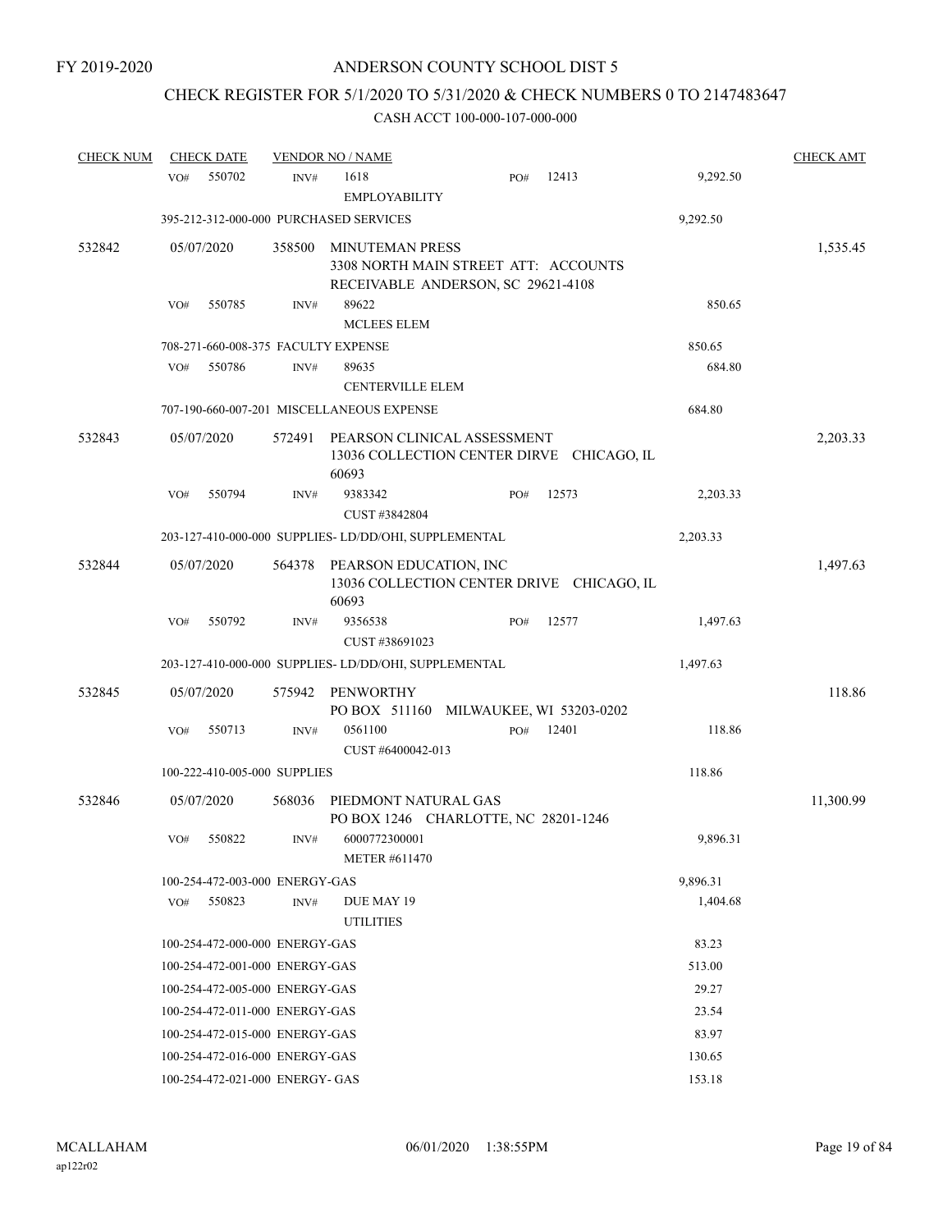# CHECK REGISTER FOR 5/1/2020 TO 5/31/2020 & CHECK NUMBERS 0 TO 2147483647

| <b>CHECK NUM</b> | <b>CHECK DATE</b>                      |        | <b>VENDOR NO / NAME</b>                                                                              |     |       |          | <b>CHECK AMT</b> |
|------------------|----------------------------------------|--------|------------------------------------------------------------------------------------------------------|-----|-------|----------|------------------|
|                  | 550702<br>VO#                          | INV#   | 1618<br><b>EMPLOYABILITY</b>                                                                         | PO# | 12413 | 9,292.50 |                  |
|                  | 395-212-312-000-000 PURCHASED SERVICES |        |                                                                                                      |     |       | 9,292.50 |                  |
| 532842           | 05/07/2020                             | 358500 | <b>MINUTEMAN PRESS</b><br>3308 NORTH MAIN STREET ATT: ACCOUNTS<br>RECEIVABLE ANDERSON, SC 29621-4108 |     |       |          | 1,535.45         |
|                  | 550785<br>VO#                          | INV#   | 89622                                                                                                |     |       | 850.65   |                  |
|                  |                                        |        | <b>MCLEES ELEM</b>                                                                                   |     |       |          |                  |
|                  | 708-271-660-008-375 FACULTY EXPENSE    |        |                                                                                                      |     |       | 850.65   |                  |
|                  | 550786<br>VO#                          | INV#   | 89635<br><b>CENTERVILLE ELEM</b>                                                                     |     |       | 684.80   |                  |
|                  |                                        |        | 707-190-660-007-201 MISCELLANEOUS EXPENSE                                                            |     |       | 684.80   |                  |
| 532843           | 05/07/2020                             | 572491 | PEARSON CLINICAL ASSESSMENT<br>13036 COLLECTION CENTER DIRVE CHICAGO, IL<br>60693                    |     |       |          | 2,203.33         |
|                  | 550794<br>VO#                          | INV#   | 9383342<br>CUST #3842804                                                                             | PO# | 12573 | 2,203.33 |                  |
|                  |                                        |        | 203-127-410-000-000 SUPPLIES-LD/DD/OHI, SUPPLEMENTAL                                                 |     |       | 2,203.33 |                  |
| 532844           | 05/07/2020                             | 564378 | PEARSON EDUCATION, INC<br>13036 COLLECTION CENTER DRIVE CHICAGO, IL<br>60693                         |     |       |          | 1,497.63         |
|                  | 550792<br>VO#                          | INV#   | 9356538<br>CUST #38691023                                                                            | PO# | 12577 | 1,497.63 |                  |
|                  |                                        |        | 203-127-410-000-000 SUPPLIES-LD/DD/OHI, SUPPLEMENTAL                                                 |     |       | 1,497.63 |                  |
| 532845           | 05/07/2020                             | 575942 | <b>PENWORTHY</b><br>PO BOX 511160 MILWAUKEE, WI 53203-0202                                           |     |       |          | 118.86           |
|                  | 550713<br>VO#                          | INV#   | 0561100<br>CUST #6400042-013                                                                         | PO# | 12401 | 118.86   |                  |
|                  | 100-222-410-005-000 SUPPLIES           |        |                                                                                                      |     |       | 118.86   |                  |
| 532846           | 05/07/2020                             | 568036 | PIEDMONT NATURAL GAS<br>PO BOX 1246 CHARLOTTE, NC 28201-1246                                         |     |       |          | 11,300.99        |
|                  | 550822<br>VO#                          | INV#   | 6000772300001<br><b>METER #611470</b>                                                                |     |       | 9,896.31 |                  |
|                  | 100-254-472-003-000 ENERGY-GAS         |        |                                                                                                      |     |       | 9,896.31 |                  |
|                  | 550823<br>VO#                          | INV#   | DUE MAY 19<br><b>UTILITIES</b>                                                                       |     |       | 1,404.68 |                  |
|                  | 100-254-472-000-000 ENERGY-GAS         |        |                                                                                                      |     |       | 83.23    |                  |
|                  | 100-254-472-001-000 ENERGY-GAS         |        |                                                                                                      |     |       | 513.00   |                  |
|                  | 100-254-472-005-000 ENERGY-GAS         |        |                                                                                                      |     |       | 29.27    |                  |
|                  | 100-254-472-011-000 ENERGY-GAS         |        |                                                                                                      |     |       | 23.54    |                  |
|                  | 100-254-472-015-000 ENERGY-GAS         |        |                                                                                                      |     |       | 83.97    |                  |
|                  | 100-254-472-016-000 ENERGY-GAS         |        |                                                                                                      |     |       | 130.65   |                  |
|                  | 100-254-472-021-000 ENERGY- GAS        |        |                                                                                                      |     |       | 153.18   |                  |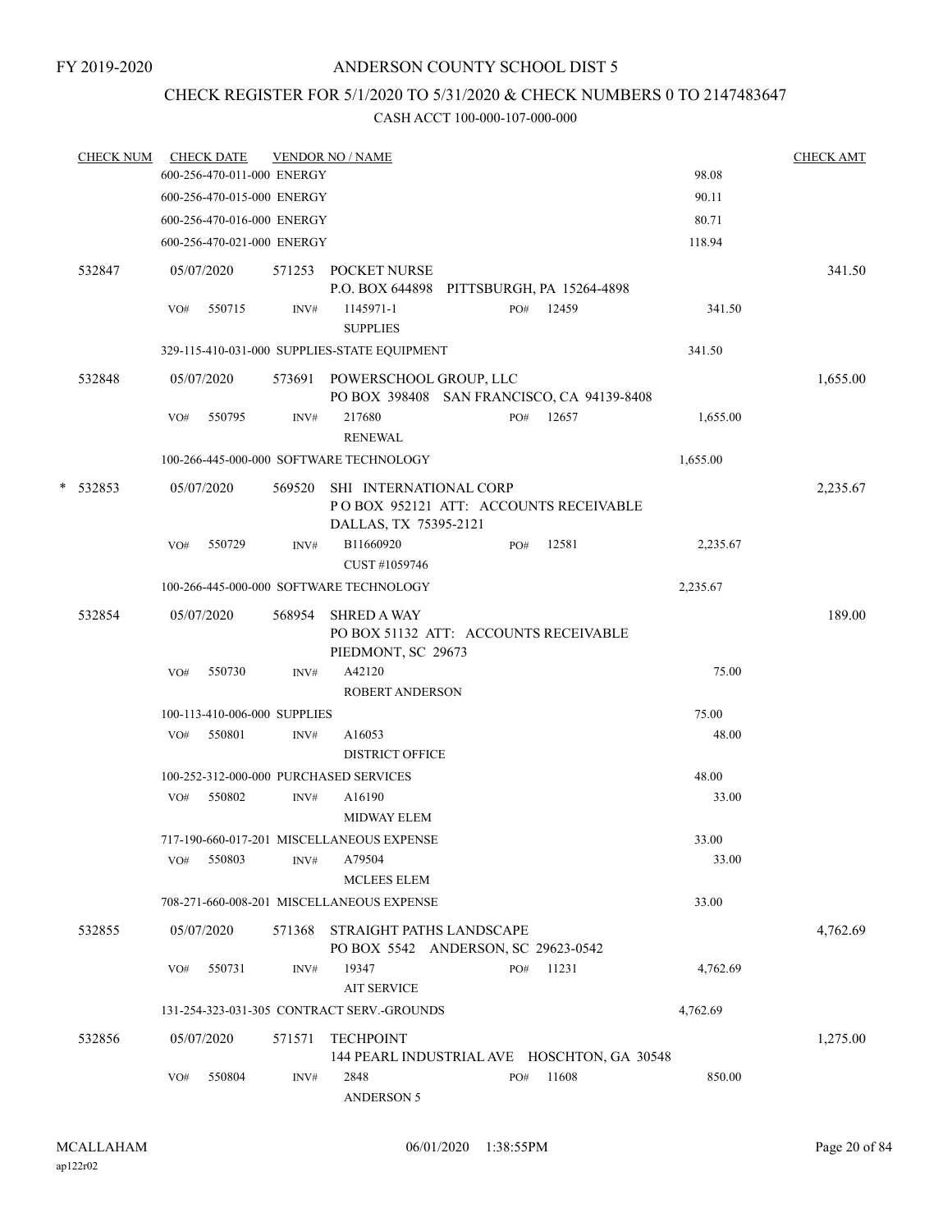## CHECK REGISTER FOR 5/1/2020 TO 5/31/2020 & CHECK NUMBERS 0 TO 2147483647

|   | <b>CHECK NUM</b> |     | <b>CHECK DATE</b><br>600-256-470-011-000 ENERGY |        | <b>VENDOR NO / NAME</b>                                                                  |     |       | 98.08    | <b>CHECK AMT</b> |
|---|------------------|-----|-------------------------------------------------|--------|------------------------------------------------------------------------------------------|-----|-------|----------|------------------|
|   |                  |     | 600-256-470-015-000 ENERGY                      |        |                                                                                          |     |       | 90.11    |                  |
|   |                  |     |                                                 |        |                                                                                          |     |       |          |                  |
|   |                  |     | 600-256-470-016-000 ENERGY                      |        |                                                                                          |     |       | 80.71    |                  |
|   |                  |     | 600-256-470-021-000 ENERGY                      |        |                                                                                          |     |       | 118.94   |                  |
|   | 532847           |     | 05/07/2020                                      | 571253 | POCKET NURSE<br>P.O. BOX 644898 PITTSBURGH, PA 15264-4898                                |     |       |          | 341.50           |
|   |                  | VO# | 550715                                          | INV#   | 1145971-1<br><b>SUPPLIES</b>                                                             | PO# | 12459 | 341.50   |                  |
|   |                  |     |                                                 |        | 329-115-410-031-000 SUPPLIES-STATE EQUIPMENT                                             |     |       | 341.50   |                  |
|   |                  |     |                                                 |        |                                                                                          |     |       |          |                  |
|   | 532848           |     | 05/07/2020                                      |        | 573691 POWERSCHOOL GROUP, LLC<br>PO BOX 398408 SAN FRANCISCO, CA 94139-8408              |     |       |          | 1,655.00         |
|   |                  | VO# | 550795                                          | INV#   | 217680<br><b>RENEWAL</b>                                                                 | PO# | 12657 | 1,655.00 |                  |
|   |                  |     |                                                 |        | 100-266-445-000-000 SOFTWARE TECHNOLOGY                                                  |     |       | 1,655.00 |                  |
|   |                  |     |                                                 |        |                                                                                          |     |       |          |                  |
| * | 532853           |     | 05/07/2020                                      | 569520 | SHI INTERNATIONAL CORP<br>POBOX 952121 ATT: ACCOUNTS RECEIVABLE<br>DALLAS, TX 75395-2121 |     |       |          | 2,235.67         |
|   |                  | VO# | 550729                                          | INV#   | B11660920<br>CUST #1059746                                                               | PO# | 12581 | 2,235.67 |                  |
|   |                  |     |                                                 |        | 100-266-445-000-000 SOFTWARE TECHNOLOGY                                                  |     |       | 2,235.67 |                  |
|   | 532854           |     | 05/07/2020                                      | 568954 | <b>SHRED A WAY</b>                                                                       |     |       |          | 189.00           |
|   |                  |     |                                                 |        | PO BOX 51132 ATT: ACCOUNTS RECEIVABLE<br>PIEDMONT, SC 29673                              |     |       |          |                  |
|   |                  | VO# | 550730                                          | INV#   | A42120<br><b>ROBERT ANDERSON</b>                                                         |     |       | 75.00    |                  |
|   |                  |     | 100-113-410-006-000 SUPPLIES                    |        |                                                                                          |     |       | 75.00    |                  |
|   |                  | VO# | 550801                                          | INV#   | A16053                                                                                   |     |       | 48.00    |                  |
|   |                  |     |                                                 |        | DISTRICT OFFICE                                                                          |     |       |          |                  |
|   |                  |     |                                                 |        | 100-252-312-000-000 PURCHASED SERVICES                                                   |     |       | 48.00    |                  |
|   |                  | VO# | 550802                                          | INV#   | A16190<br><b>MIDWAY ELEM</b>                                                             |     |       | 33.00    |                  |
|   |                  |     |                                                 |        | 717-190-660-017-201 MISCELLANEOUS EXPENSE                                                |     |       | 33.00    |                  |
|   |                  | VO# | 550803                                          | INV#   | A79504<br><b>MCLEES ELEM</b>                                                             |     |       | 33.00    |                  |
|   |                  |     |                                                 |        | 708-271-660-008-201 MISCELLANEOUS EXPENSE                                                |     |       | 33.00    |                  |
|   | 532855           |     | 05/07/2020                                      | 571368 | STRAIGHT PATHS LANDSCAPE                                                                 |     |       |          | 4,762.69         |
|   |                  |     |                                                 |        | PO BOX 5542 ANDERSON, SC 29623-0542                                                      |     |       |          |                  |
|   |                  | VO# | 550731                                          | INV#   | 19347<br><b>AIT SERVICE</b>                                                              | PO# | 11231 | 4,762.69 |                  |
|   |                  |     |                                                 |        | 131-254-323-031-305 CONTRACT SERV.-GROUNDS                                               |     |       | 4,762.69 |                  |
|   | 532856           |     | 05/07/2020                                      | 571571 | <b>TECHPOINT</b><br>144 PEARL INDUSTRIAL AVE HOSCHTON, GA 30548                          |     |       |          | 1,275.00         |
|   |                  | VO# | 550804                                          | INV#   | 2848<br><b>ANDERSON 5</b>                                                                | PO# | 11608 | 850.00   |                  |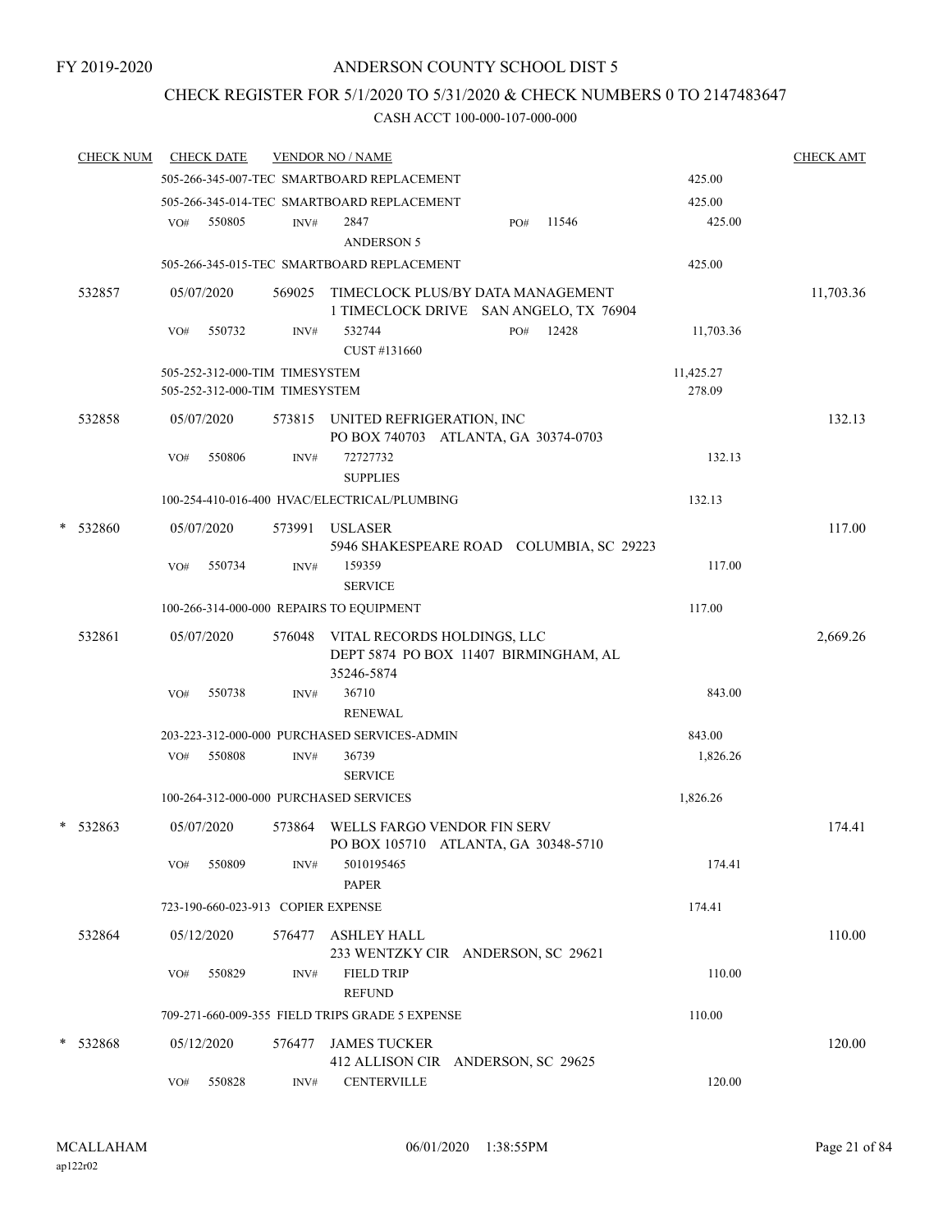## CHECK REGISTER FOR 5/1/2020 TO 5/31/2020 & CHECK NUMBERS 0 TO 2147483647

|   | <b>CHECK NUM</b> | <b>CHECK DATE</b> |                                    |        | <b>VENDOR NO / NAME</b>                                                     |     |       |           | <b>CHECK AMT</b> |
|---|------------------|-------------------|------------------------------------|--------|-----------------------------------------------------------------------------|-----|-------|-----------|------------------|
|   |                  |                   |                                    |        | 505-266-345-007-TEC SMARTBOARD REPLACEMENT                                  |     |       | 425.00    |                  |
|   |                  |                   |                                    |        | 505-266-345-014-TEC SMARTBOARD REPLACEMENT                                  |     |       | 425.00    |                  |
|   |                  | VO#               | 550805                             | INV#   | 2847                                                                        | PO# | 11546 | 425.00    |                  |
|   |                  |                   |                                    |        | <b>ANDERSON 5</b>                                                           |     |       |           |                  |
|   |                  |                   |                                    |        | 505-266-345-015-TEC SMARTBOARD REPLACEMENT                                  |     |       | 425.00    |                  |
|   | 532857           | 05/07/2020        |                                    | 569025 | TIMECLOCK PLUS/BY DATA MANAGEMENT<br>1 TIMECLOCK DRIVE SAN ANGELO, TX 76904 |     |       |           | 11,703.36        |
|   |                  | VO#               | 550732                             | INV#   | 532744<br>CUST #131660                                                      | PO# | 12428 | 11,703.36 |                  |
|   |                  |                   | 505-252-312-000-TIM TIMESYSTEM     |        |                                                                             |     |       | 11,425.27 |                  |
|   |                  |                   | 505-252-312-000-TIM TIMESYSTEM     |        |                                                                             |     |       | 278.09    |                  |
|   | 532858           | 05/07/2020        |                                    | 573815 | UNITED REFRIGERATION, INC<br>PO BOX 740703 ATLANTA, GA 30374-0703           |     |       |           | 132.13           |
|   |                  | VO#               | 550806                             | INV#   | 72727732<br><b>SUPPLIES</b>                                                 |     |       | 132.13    |                  |
|   |                  |                   |                                    |        | 100-254-410-016-400 HVAC/ELECTRICAL/PLUMBING                                |     |       | 132.13    |                  |
| * | 532860           | 05/07/2020        |                                    | 573991 | <b>USLASER</b><br>5946 SHAKESPEARE ROAD COLUMBIA, SC 29223                  |     |       |           | 117.00           |
|   |                  | VO#               | 550734                             | INV#   | 159359<br><b>SERVICE</b>                                                    |     |       | 117.00    |                  |
|   |                  |                   |                                    |        | 100-266-314-000-000 REPAIRS TO EQUIPMENT                                    |     |       | 117.00    |                  |
|   | 532861           | 05/07/2020        |                                    | 576048 | VITAL RECORDS HOLDINGS, LLC<br>DEPT 5874 PO BOX 11407 BIRMINGHAM, AL        |     |       |           | 2,669.26         |
|   |                  |                   |                                    |        | 35246-5874                                                                  |     |       |           |                  |
|   |                  | VO#               | 550738                             | INV#   | 36710<br><b>RENEWAL</b>                                                     |     |       | 843.00    |                  |
|   |                  |                   |                                    |        | 203-223-312-000-000 PURCHASED SERVICES-ADMIN                                |     |       | 843.00    |                  |
|   |                  | VO#               | 550808                             | INV#   | 36739<br><b>SERVICE</b>                                                     |     |       | 1,826.26  |                  |
|   |                  |                   |                                    |        | 100-264-312-000-000 PURCHASED SERVICES                                      |     |       | 1,826.26  |                  |
|   | * 532863         | 05/07/2020        |                                    | 573864 | WELLS FARGO VENDOR FIN SERV<br>PO BOX 105710 ATLANTA, GA 30348-5710         |     |       |           | 174.41           |
|   |                  | VO#               | 550809                             | INV#   | 5010195465<br><b>PAPER</b>                                                  |     |       | 174.41    |                  |
|   |                  |                   | 723-190-660-023-913 COPIER EXPENSE |        |                                                                             |     |       | 174.41    |                  |
|   | 532864           | 05/12/2020        |                                    | 576477 | ASHLEY HALL<br>233 WENTZKY CIR ANDERSON, SC 29621                           |     |       |           | 110.00           |
|   |                  | VO#               | 550829                             | INV#   | <b>FIELD TRIP</b><br><b>REFUND</b>                                          |     |       | 110.00    |                  |
|   |                  |                   |                                    |        | 709-271-660-009-355 FIELD TRIPS GRADE 5 EXPENSE                             |     |       | 110.00    |                  |
|   |                  |                   |                                    |        |                                                                             |     |       |           |                  |
|   | * 532868         | 05/12/2020        |                                    | 576477 | <b>JAMES TUCKER</b><br>412 ALLISON CIR ANDERSON, SC 29625                   |     |       |           | 120.00           |
|   |                  | VO#               | 550828                             | INV#   | <b>CENTERVILLE</b>                                                          |     |       | 120.00    |                  |
|   |                  |                   |                                    |        |                                                                             |     |       |           |                  |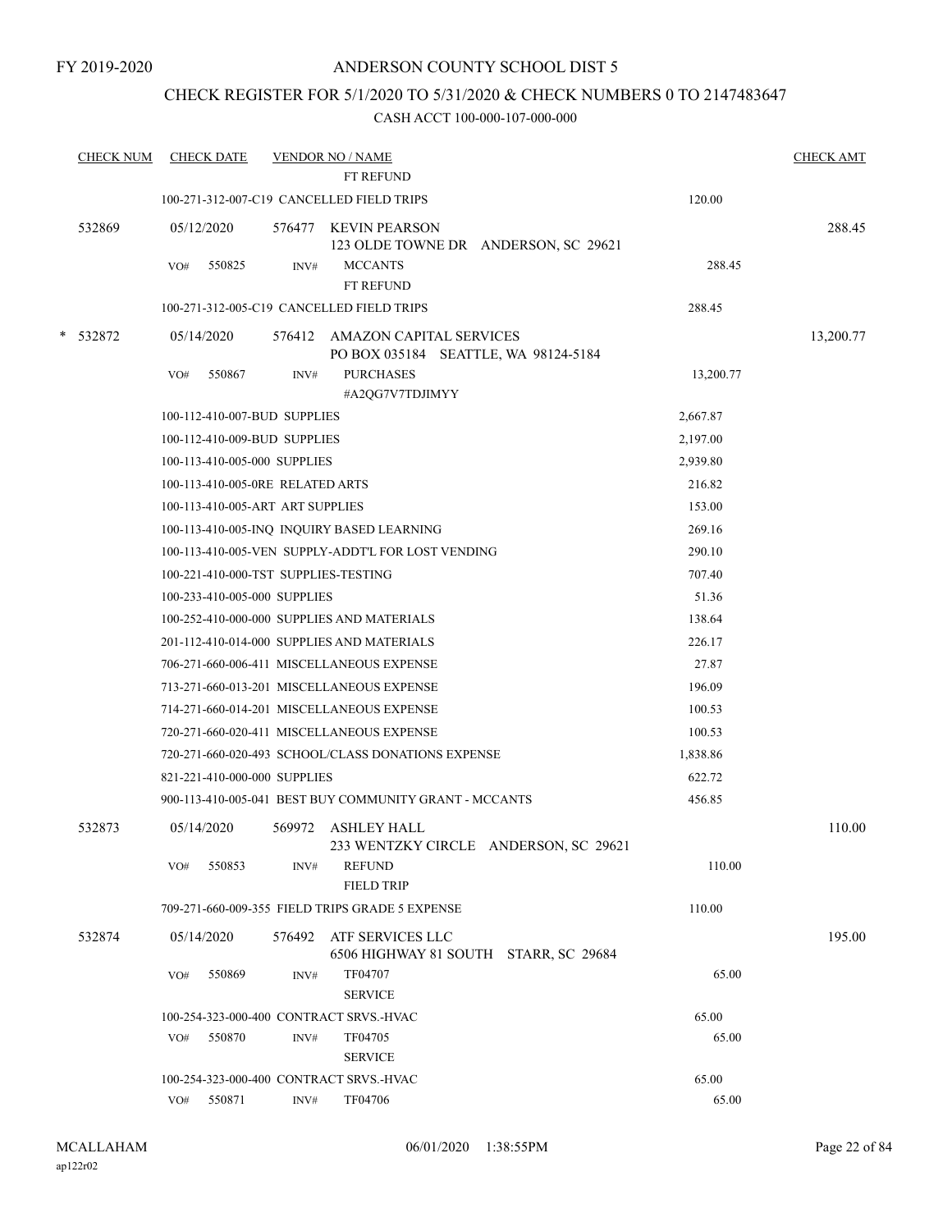## CHECK REGISTER FOR 5/1/2020 TO 5/31/2020 & CHECK NUMBERS 0 TO 2147483647

|   | <b>CHECK NUM</b> | <b>CHECK DATE</b> |                                         | <b>VENDOR NO / NAME</b><br>FT REFUND                                   |           | <b>CHECK AMT</b> |
|---|------------------|-------------------|-----------------------------------------|------------------------------------------------------------------------|-----------|------------------|
|   |                  |                   |                                         | 100-271-312-007-C19 CANCELLED FIELD TRIPS                              | 120.00    |                  |
|   |                  |                   |                                         |                                                                        |           |                  |
|   | 532869           | 05/12/2020        | 576477                                  | <b>KEVIN PEARSON</b>                                                   |           | 288.45           |
|   |                  | VO#               | 550825<br>INV#                          | 123 OLDE TOWNE DR ANDERSON, SC 29621<br><b>MCCANTS</b>                 | 288.45    |                  |
|   |                  |                   |                                         | FT REFUND                                                              |           |                  |
|   |                  |                   |                                         | 100-271-312-005-C19 CANCELLED FIELD TRIPS                              | 288.45    |                  |
| * | 532872           | 05/14/2020        | 576412                                  | <b>AMAZON CAPITAL SERVICES</b><br>PO BOX 035184 SEATTLE, WA 98124-5184 |           | 13,200.77        |
|   |                  | VO#               | 550867<br>INV#                          | <b>PURCHASES</b><br>#A2QG7V7TDJIMYY                                    | 13,200.77 |                  |
|   |                  |                   | 100-112-410-007-BUD SUPPLIES            |                                                                        | 2,667.87  |                  |
|   |                  |                   | 100-112-410-009-BUD SUPPLIES            |                                                                        | 2,197.00  |                  |
|   |                  |                   | 100-113-410-005-000 SUPPLIES            |                                                                        | 2,939.80  |                  |
|   |                  |                   | 100-113-410-005-0RE RELATED ARTS        |                                                                        | 216.82    |                  |
|   |                  |                   | 100-113-410-005-ART ART SUPPLIES        |                                                                        | 153.00    |                  |
|   |                  |                   |                                         | 100-113-410-005-INQ INQUIRY BASED LEARNING                             | 269.16    |                  |
|   |                  |                   |                                         | 100-113-410-005-VEN SUPPLY-ADDT'L FOR LOST VENDING                     | 290.10    |                  |
|   |                  |                   | 100-221-410-000-TST SUPPLIES-TESTING    |                                                                        | 707.40    |                  |
|   |                  |                   | 100-233-410-005-000 SUPPLIES            |                                                                        | 51.36     |                  |
|   |                  |                   |                                         | 100-252-410-000-000 SUPPLIES AND MATERIALS                             | 138.64    |                  |
|   |                  |                   |                                         | 201-112-410-014-000 SUPPLIES AND MATERIALS                             | 226.17    |                  |
|   |                  |                   |                                         | 706-271-660-006-411 MISCELLANEOUS EXPENSE                              | 27.87     |                  |
|   |                  |                   |                                         | 713-271-660-013-201 MISCELLANEOUS EXPENSE                              | 196.09    |                  |
|   |                  |                   |                                         | 714-271-660-014-201 MISCELLANEOUS EXPENSE                              | 100.53    |                  |
|   |                  |                   |                                         | 720-271-660-020-411 MISCELLANEOUS EXPENSE                              | 100.53    |                  |
|   |                  |                   |                                         | 720-271-660-020-493 SCHOOL/CLASS DONATIONS EXPENSE                     | 1,838.86  |                  |
|   |                  |                   | 821-221-410-000-000 SUPPLIES            |                                                                        | 622.72    |                  |
|   |                  |                   |                                         | 900-113-410-005-041 BEST BUY COMMUNITY GRANT - MCCANTS                 | 456.85    |                  |
|   | 532873           | 05/14/2020        | 569972                                  | ASHLEY HALL<br>233 WENTZKY CIRCLE ANDERSON, SC 29621                   |           | 110.00           |
|   |                  | VO#               | 550853<br>INV#                          | <b>REFUND</b><br><b>FIELD TRIP</b>                                     | 110.00    |                  |
|   |                  |                   |                                         | 709-271-660-009-355 FIELD TRIPS GRADE 5 EXPENSE                        | 110.00    |                  |
|   | 532874           | 05/14/2020        | 576492                                  | ATF SERVICES LLC<br>6506 HIGHWAY 81 SOUTH STARR, SC 29684              |           | 195.00           |
|   |                  | VO#               | 550869<br>INV#                          | TF04707<br><b>SERVICE</b>                                              | 65.00     |                  |
|   |                  |                   | 100-254-323-000-400 CONTRACT SRVS.-HVAC |                                                                        | 65.00     |                  |
|   |                  | VO#               | 550870<br>INV#                          | TF04705<br><b>SERVICE</b>                                              | 65.00     |                  |
|   |                  |                   | 100-254-323-000-400 CONTRACT SRVS.-HVAC |                                                                        | 65.00     |                  |
|   |                  | VO#               | 550871<br>INV#                          | TF04706                                                                | 65.00     |                  |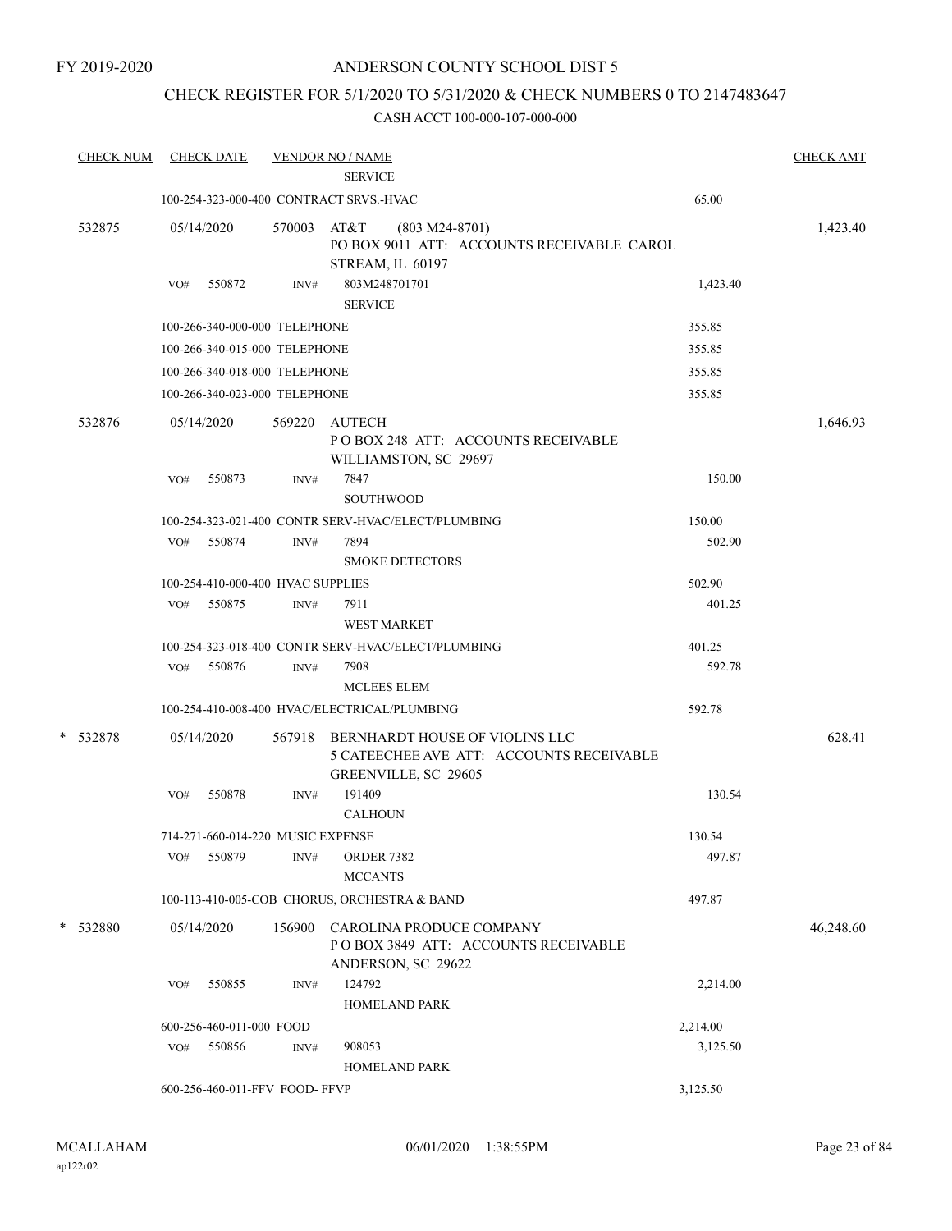FY 2019-2020

## ANDERSON COUNTY SCHOOL DIST 5

## CHECK REGISTER FOR 5/1/2020 TO 5/31/2020 & CHECK NUMBERS 0 TO 2147483647

| <b>CHECK NUM</b> | <b>CHECK DATE</b>                       |        | <b>VENDOR NO / NAME</b>                                                                            |          | <b>CHECK AMT</b> |
|------------------|-----------------------------------------|--------|----------------------------------------------------------------------------------------------------|----------|------------------|
|                  |                                         |        | <b>SERVICE</b>                                                                                     |          |                  |
|                  | 100-254-323-000-400 CONTRACT SRVS.-HVAC |        |                                                                                                    | 65.00    |                  |
| 532875           | 05/14/2020                              | 570003 | AT&T<br>$(803 M24-8701)$<br>PO BOX 9011 ATT: ACCOUNTS RECEIVABLE CAROL<br>STREAM, IL 60197         |          | 1,423.40         |
|                  | 550872<br>VO#                           | INV#   | 803M248701701<br><b>SERVICE</b>                                                                    | 1,423.40 |                  |
|                  | 100-266-340-000-000 TELEPHONE           |        |                                                                                                    | 355.85   |                  |
|                  | 100-266-340-015-000 TELEPHONE           |        |                                                                                                    | 355.85   |                  |
|                  | 100-266-340-018-000 TELEPHONE           |        |                                                                                                    | 355.85   |                  |
|                  | 100-266-340-023-000 TELEPHONE           |        |                                                                                                    | 355.85   |                  |
| 532876           | 05/14/2020                              | 569220 | AUTECH<br>PO BOX 248 ATT: ACCOUNTS RECEIVABLE<br>WILLIAMSTON, SC 29697                             |          | 1,646.93         |
|                  | 550873<br>VO#                           | INV#   | 7847<br>SOUTHWOOD                                                                                  | 150.00   |                  |
|                  |                                         |        | 100-254-323-021-400 CONTR SERV-HVAC/ELECT/PLUMBING                                                 | 150.00   |                  |
|                  | 550874<br>VO#                           | INV#   | 7894<br><b>SMOKE DETECTORS</b>                                                                     | 502.90   |                  |
|                  | 100-254-410-000-400 HVAC SUPPLIES       |        |                                                                                                    | 502.90   |                  |
|                  | VO# 550875                              | INV#   | 7911<br><b>WEST MARKET</b>                                                                         | 401.25   |                  |
|                  |                                         |        | 100-254-323-018-400 CONTR SERV-HVAC/ELECT/PLUMBING                                                 | 401.25   |                  |
|                  | 550876<br>VO#                           | INV#   | 7908<br><b>MCLEES ELEM</b>                                                                         | 592.78   |                  |
|                  |                                         |        | 100-254-410-008-400 HVAC/ELECTRICAL/PLUMBING                                                       | 592.78   |                  |
| * 532878         | 05/14/2020                              | 567918 | BERNHARDT HOUSE OF VIOLINS LLC<br>5 CATEECHEE AVE ATT: ACCOUNTS RECEIVABLE<br>GREENVILLE, SC 29605 |          | 628.41           |
|                  | 550878<br>VO#                           | INV#   | 191409<br><b>CALHOUN</b>                                                                           | 130.54   |                  |
|                  | 714-271-660-014-220 MUSIC EXPENSE       |        |                                                                                                    | 130.54   |                  |
|                  | 550879<br>VO#                           | INV#   | <b>ORDER 7382</b><br><b>MCCANTS</b>                                                                | 497.87   |                  |
|                  |                                         |        | 100-113-410-005-COB CHORUS, ORCHESTRA & BAND                                                       | 497.87   |                  |
| * 532880         | 05/14/2020                              | 156900 | CAROLINA PRODUCE COMPANY<br>POBOX 3849 ATT: ACCOUNTS RECEIVABLE<br>ANDERSON, SC 29622              |          | 46,248.60        |
|                  | VO#<br>550855                           | INV#   | 124792<br><b>HOMELAND PARK</b>                                                                     | 2,214.00 |                  |
|                  | 600-256-460-011-000 FOOD                |        |                                                                                                    | 2,214.00 |                  |
|                  | 550856<br>VO#                           | INV#   | 908053<br><b>HOMELAND PARK</b>                                                                     | 3,125.50 |                  |
|                  | 600-256-460-011-FFV FOOD- FFVP          |        |                                                                                                    | 3,125.50 |                  |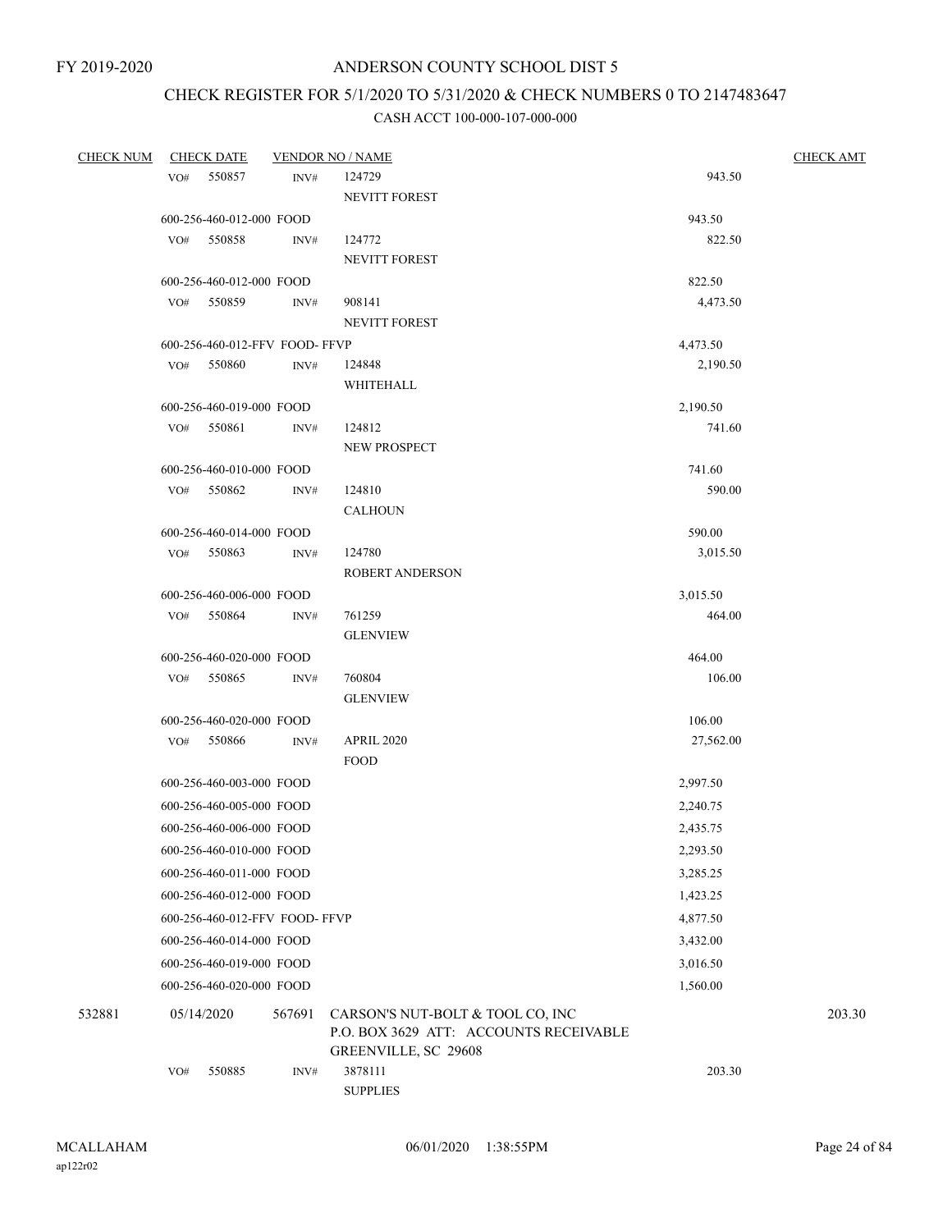## CHECK REGISTER FOR 5/1/2020 TO 5/31/2020 & CHECK NUMBERS 0 TO 2147483647

| <b>CHECK NUM</b> | <b>CHECK DATE</b>        |                                | <b>VENDOR NO / NAME</b>                | <b>CHECK AMT</b> |        |  |
|------------------|--------------------------|--------------------------------|----------------------------------------|------------------|--------|--|
|                  | 550857<br>VO#            | INV#                           | 124729                                 | 943.50           |        |  |
|                  |                          |                                | NEVITT FOREST                          |                  |        |  |
|                  | 600-256-460-012-000 FOOD |                                |                                        | 943.50           |        |  |
|                  | 550858<br>VO#            | INV#                           | 124772                                 | 822.50           |        |  |
|                  |                          |                                | NEVITT FOREST                          |                  |        |  |
|                  | 600-256-460-012-000 FOOD |                                |                                        | 822.50           |        |  |
|                  | 550859<br>VO#            | INV#                           | 908141                                 | 4,473.50         |        |  |
|                  |                          |                                | <b>NEVITT FOREST</b>                   |                  |        |  |
|                  |                          | 600-256-460-012-FFV FOOD- FFVP |                                        | 4,473.50         |        |  |
|                  | 550860<br>VO#            | INV#                           | 124848                                 | 2,190.50         |        |  |
|                  |                          |                                | WHITEHALL                              |                  |        |  |
|                  | 600-256-460-019-000 FOOD |                                |                                        | 2,190.50         |        |  |
|                  | VO# 550861               | INV#                           | 124812                                 | 741.60           |        |  |
|                  |                          |                                | NEW PROSPECT                           |                  |        |  |
|                  | 600-256-460-010-000 FOOD |                                |                                        | 741.60           |        |  |
|                  | VO# 550862               | INV#                           | 124810                                 | 590.00           |        |  |
|                  |                          |                                | <b>CALHOUN</b>                         |                  |        |  |
|                  | 600-256-460-014-000 FOOD |                                |                                        | 590.00           |        |  |
|                  | 550863<br>VO#            | INV#                           | 124780                                 | 3,015.50         |        |  |
|                  |                          |                                | <b>ROBERT ANDERSON</b>                 |                  |        |  |
|                  | 600-256-460-006-000 FOOD |                                |                                        | 3,015.50         |        |  |
|                  | 550864<br>VO#            | INV#                           | 761259                                 | 464.00           |        |  |
|                  |                          |                                | <b>GLENVIEW</b>                        |                  |        |  |
|                  | 600-256-460-020-000 FOOD |                                |                                        | 464.00           |        |  |
|                  | VO# 550865               | INV#                           | 760804                                 | 106.00           |        |  |
|                  |                          |                                | <b>GLENVIEW</b>                        |                  |        |  |
|                  | 600-256-460-020-000 FOOD |                                |                                        | 106.00           |        |  |
|                  | 550866<br>VO#            | INV#                           | <b>APRIL 2020</b>                      | 27,562.00        |        |  |
|                  |                          |                                | <b>FOOD</b>                            |                  |        |  |
|                  | 600-256-460-003-000 FOOD |                                |                                        | 2,997.50         |        |  |
|                  | 600-256-460-005-000 FOOD |                                |                                        | 2,240.75         |        |  |
|                  | 600-256-460-006-000 FOOD |                                |                                        | 2,435.75         |        |  |
|                  | 600-256-460-010-000 FOOD |                                |                                        | 2,293.50         |        |  |
|                  | 600-256-460-011-000 FOOD |                                |                                        | 3,285.25         |        |  |
|                  | 600-256-460-012-000 FOOD |                                |                                        | 1,423.25         |        |  |
|                  |                          | 600-256-460-012-FFV FOOD- FFVP |                                        |                  |        |  |
|                  |                          |                                |                                        | 4,877.50         |        |  |
|                  | 600-256-460-014-000 FOOD |                                |                                        | 3,432.00         |        |  |
|                  | 600-256-460-019-000 FOOD |                                |                                        | 3,016.50         |        |  |
|                  | 600-256-460-020-000 FOOD |                                |                                        | 1,560.00         |        |  |
| 532881           | 05/14/2020               | 567691                         | CARSON'S NUT-BOLT & TOOL CO, INC       |                  | 203.30 |  |
|                  |                          |                                | P.O. BOX 3629 ATT: ACCOUNTS RECEIVABLE |                  |        |  |
|                  |                          |                                | GREENVILLE, SC 29608                   |                  |        |  |
|                  | VO#<br>550885            | INV#                           | 3878111                                | 203.30           |        |  |
|                  |                          |                                | <b>SUPPLIES</b>                        |                  |        |  |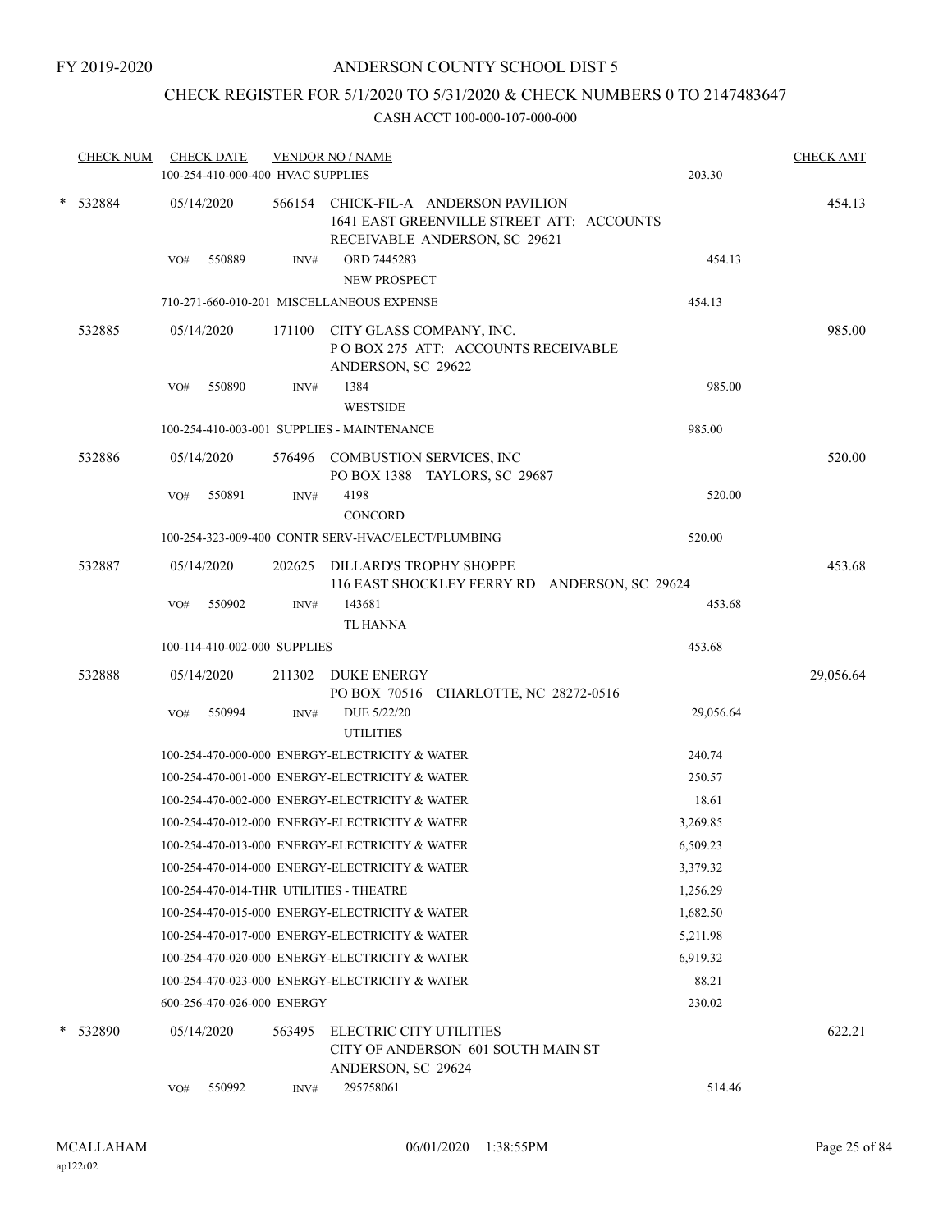## CHECK REGISTER FOR 5/1/2020 TO 5/31/2020 & CHECK NUMBERS 0 TO 2147483647

|          | <b>CHECK NUM</b> |     | <b>CHECK DATE</b><br>100-254-410-000-400 HVAC SUPPLIES |        | <b>VENDOR NO / NAME</b>                                                                                            | 203.30    | <b>CHECK AMT</b> |
|----------|------------------|-----|--------------------------------------------------------|--------|--------------------------------------------------------------------------------------------------------------------|-----------|------------------|
| * 532884 |                  |     | 05/14/2020                                             |        | 566154 CHICK-FIL-A ANDERSON PAVILION<br>1641 EAST GREENVILLE STREET ATT: ACCOUNTS<br>RECEIVABLE ANDERSON, SC 29621 |           | 454.13           |
|          |                  | VO# | 550889                                                 | INV#   | ORD 7445283<br><b>NEW PROSPECT</b>                                                                                 | 454.13    |                  |
|          |                  |     |                                                        |        | 710-271-660-010-201 MISCELLANEOUS EXPENSE                                                                          | 454.13    |                  |
|          | 532885           |     | 05/14/2020                                             | 171100 | CITY GLASS COMPANY, INC.<br>POBOX 275 ATT: ACCOUNTS RECEIVABLE<br>ANDERSON, SC 29622                               |           | 985.00           |
|          |                  | VO# | 550890                                                 | INV#   | 1384<br><b>WESTSIDE</b>                                                                                            | 985.00    |                  |
|          |                  |     |                                                        |        | 100-254-410-003-001 SUPPLIES - MAINTENANCE                                                                         | 985.00    |                  |
|          | 532886           |     | 05/14/2020                                             |        | 576496 COMBUSTION SERVICES, INC<br>PO BOX 1388 TAYLORS, SC 29687                                                   |           | 520.00           |
|          |                  | VO# | 550891                                                 | INV#   | 4198<br><b>CONCORD</b>                                                                                             | 520.00    |                  |
|          |                  |     |                                                        |        | 100-254-323-009-400 CONTR SERV-HVAC/ELECT/PLUMBING                                                                 | 520.00    |                  |
|          | 532887           |     | 05/14/2020                                             | 202625 | DILLARD'S TROPHY SHOPPE<br>116 EAST SHOCKLEY FERRY RD ANDERSON, SC 29624                                           |           | 453.68           |
|          |                  | VO# | 550902                                                 | INV#   | 143681<br><b>TL HANNA</b>                                                                                          | 453.68    |                  |
|          |                  |     | 100-114-410-002-000 SUPPLIES                           |        |                                                                                                                    | 453.68    |                  |
|          | 532888           |     | 05/14/2020                                             |        | 211302 DUKE ENERGY<br>PO BOX 70516 CHARLOTTE, NC 28272-0516                                                        |           | 29,056.64        |
|          |                  | VO# | 550994                                                 | INV#   | DUE 5/22/20<br><b>UTILITIES</b>                                                                                    | 29,056.64 |                  |
|          |                  |     |                                                        |        | 100-254-470-000-000 ENERGY-ELECTRICITY & WATER                                                                     | 240.74    |                  |
|          |                  |     |                                                        |        | 100-254-470-001-000 ENERGY-ELECTRICITY & WATER                                                                     | 250.57    |                  |
|          |                  |     |                                                        |        | 100-254-470-002-000 ENERGY-ELECTRICITY & WATER                                                                     | 18.61     |                  |
|          |                  |     |                                                        |        | 100-254-470-012-000 ENERGY-ELECTRICITY & WATER                                                                     | 3,269.85  |                  |
|          |                  |     |                                                        |        | 100-254-470-013-000 ENERGY-ELECTRICITY & WATER                                                                     | 6,509.23  |                  |
|          |                  |     |                                                        |        | 100-254-470-014-000 ENERGY-ELECTRICITY & WATER                                                                     | 3,379.32  |                  |
|          |                  |     |                                                        |        | 100-254-470-014-THR UTILITIES - THEATRE                                                                            | 1,256.29  |                  |
|          |                  |     |                                                        |        | 100-254-470-015-000 ENERGY-ELECTRICITY & WATER                                                                     | 1,682.50  |                  |
|          |                  |     |                                                        |        | 100-254-470-017-000 ENERGY-ELECTRICITY & WATER                                                                     | 5,211.98  |                  |
|          |                  |     |                                                        |        | 100-254-470-020-000 ENERGY-ELECTRICITY & WATER                                                                     | 6,919.32  |                  |
|          |                  |     |                                                        |        | 100-254-470-023-000 ENERGY-ELECTRICITY & WATER                                                                     | 88.21     |                  |
|          |                  |     | 600-256-470-026-000 ENERGY                             |        |                                                                                                                    | 230.02    |                  |
|          | * 532890         |     | 05/14/2020                                             | 563495 | ELECTRIC CITY UTILITIES<br>CITY OF ANDERSON 601 SOUTH MAIN ST<br>ANDERSON, SC 29624                                |           | 622.21           |
|          |                  | VO# | 550992                                                 | INV#   | 295758061                                                                                                          | 514.46    |                  |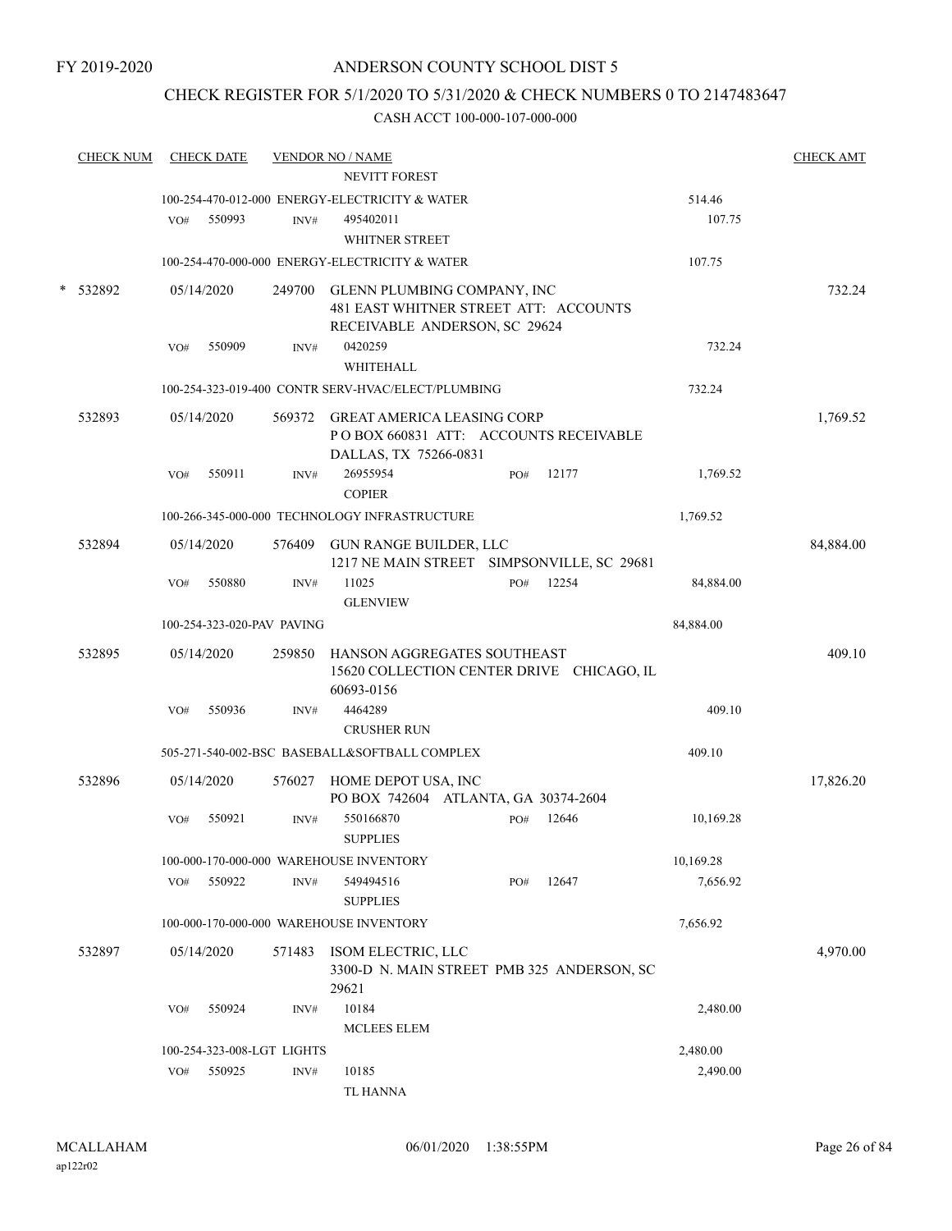## CHECK REGISTER FOR 5/1/2020 TO 5/31/2020 & CHECK NUMBERS 0 TO 2147483647

| <b>CHECK NUM</b> |     | <b>CHECK DATE</b>          |        | <b>VENDOR NO / NAME</b><br><b>NEVITT FOREST</b>                                                              |     |       |                  | <b>CHECK AMT</b> |
|------------------|-----|----------------------------|--------|--------------------------------------------------------------------------------------------------------------|-----|-------|------------------|------------------|
|                  | VO# | 550993                     | INV#   | 100-254-470-012-000 ENERGY-ELECTRICITY & WATER<br>495402011<br>WHITNER STREET                                |     |       | 514.46<br>107.75 |                  |
|                  |     |                            |        | 100-254-470-000-000 ENERGY-ELECTRICITY & WATER                                                               |     |       | 107.75           |                  |
| 532892           |     | 05/14/2020                 |        | 249700 GLENN PLUMBING COMPANY, INC<br>481 EAST WHITNER STREET ATT: ACCOUNTS<br>RECEIVABLE ANDERSON, SC 29624 |     |       |                  | 732.24           |
|                  | VO# | 550909                     | INV#   | 0420259<br><b>WHITEHALL</b>                                                                                  |     |       | 732.24           |                  |
|                  |     |                            |        | 100-254-323-019-400 CONTR SERV-HVAC/ELECT/PLUMBING                                                           |     |       | 732.24           |                  |
| 532893           |     | 05/14/2020                 |        | 569372 GREAT AMERICA LEASING CORP<br>POBOX 660831 ATT: ACCOUNTS RECEIVABLE<br>DALLAS, TX 75266-0831          |     |       |                  | 1,769.52         |
|                  | VO# | 550911                     | INV#   | 26955954<br><b>COPIER</b>                                                                                    | PO# | 12177 | 1,769.52         |                  |
|                  |     |                            |        | 100-266-345-000-000 TECHNOLOGY INFRASTRUCTURE                                                                |     |       | 1,769.52         |                  |
| 532894           |     | 05/14/2020                 |        | 576409 GUN RANGE BUILDER, LLC<br>1217 NE MAIN STREET SIMPSONVILLE, SC 29681                                  |     |       |                  | 84,884.00        |
|                  | VO# | 550880                     | INV#   | 11025<br><b>GLENVIEW</b>                                                                                     | PO# | 12254 | 84,884.00        |                  |
|                  |     | 100-254-323-020-PAV PAVING |        |                                                                                                              |     |       | 84,884.00        |                  |
| 532895           |     | 05/14/2020                 | 259850 | HANSON AGGREGATES SOUTHEAST<br>15620 COLLECTION CENTER DRIVE CHICAGO, IL<br>60693-0156                       |     |       |                  | 409.10           |
|                  | VO# | 550936                     | INV#   | 4464289<br><b>CRUSHER RUN</b>                                                                                |     |       | 409.10           |                  |
|                  |     |                            |        | 505-271-540-002-BSC BASEBALL&SOFTBALL COMPLEX                                                                |     |       | 409.10           |                  |
| 532896           |     | 05/14/2020                 |        | 576027 HOME DEPOT USA, INC<br>PO BOX 742604 ATLANTA, GA 30374-2604                                           |     |       |                  | 17,826.20        |
|                  | VO# | 550921                     | INV#   | 550166870<br><b>SUPPLIES</b>                                                                                 | PO# | 12646 | 10,169.28        |                  |
|                  |     |                            |        | 100-000-170-000-000 WAREHOUSE INVENTORY                                                                      |     |       | 10,169.28        |                  |
|                  | VO# | 550922                     | INV#   | 549494516<br><b>SUPPLIES</b>                                                                                 | PO# | 12647 | 7,656.92         |                  |
|                  |     |                            |        | 100-000-170-000-000 WAREHOUSE INVENTORY                                                                      |     |       | 7,656.92         |                  |
| 532897           |     | 05/14/2020                 | 571483 | ISOM ELECTRIC, LLC<br>3300-D N. MAIN STREET PMB 325 ANDERSON, SC<br>29621                                    |     |       |                  | 4,970.00         |
|                  | VO# | 550924                     | INV#   | 10184<br><b>MCLEES ELEM</b>                                                                                  |     |       | 2,480.00         |                  |
|                  |     | 100-254-323-008-LGT LIGHTS |        |                                                                                                              |     |       | 2,480.00         |                  |
|                  | VO# | 550925                     | INV#   | 10185<br><b>TL HANNA</b>                                                                                     |     |       | 2,490.00         |                  |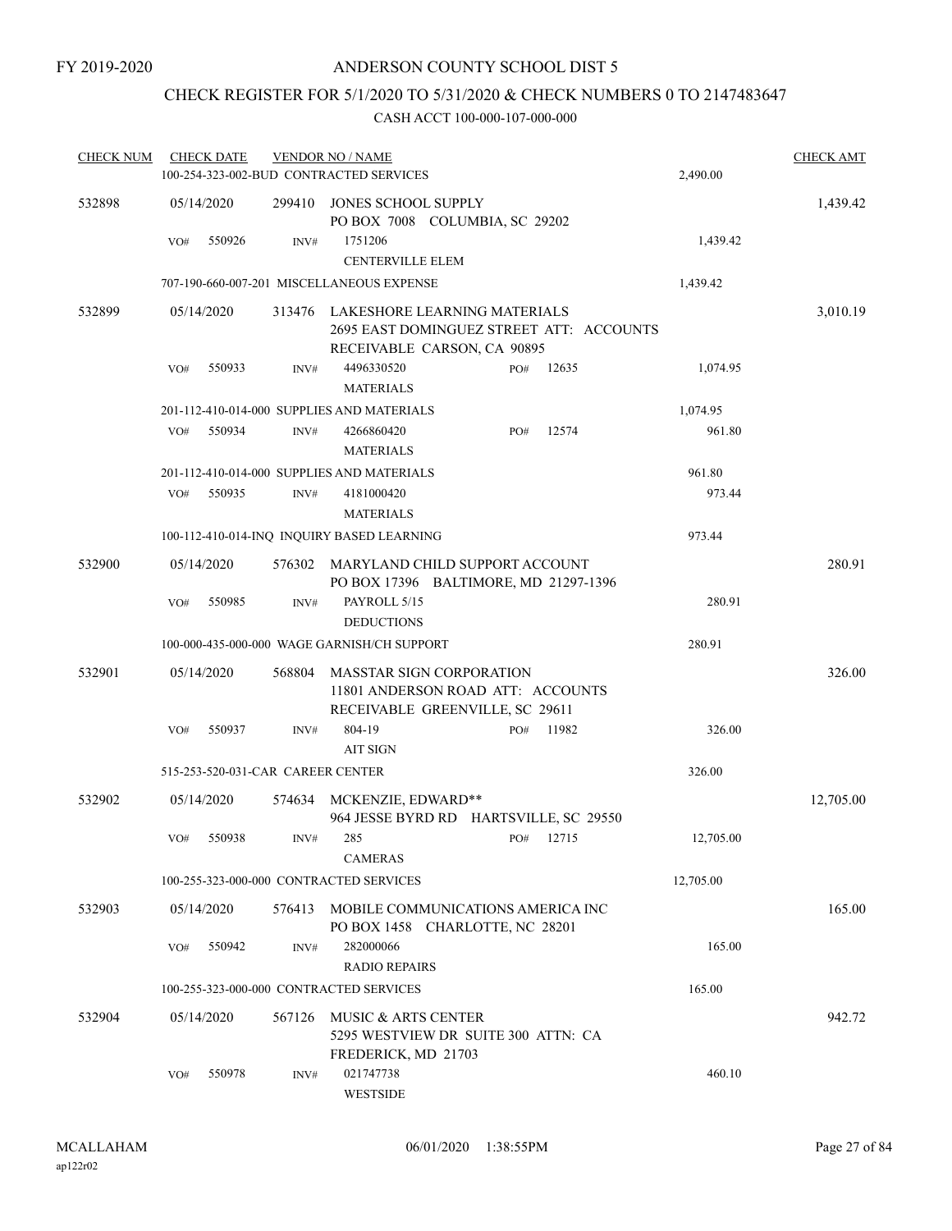## CHECK REGISTER FOR 5/1/2020 TO 5/31/2020 & CHECK NUMBERS 0 TO 2147483647

| <b>CHECK NUM</b> |     | <b>CHECK DATE</b>                 |        | <b>VENDOR NO / NAME</b>                                                                                 |     |       |           | <b>CHECK AMT</b> |
|------------------|-----|-----------------------------------|--------|---------------------------------------------------------------------------------------------------------|-----|-------|-----------|------------------|
|                  |     |                                   |        | 100-254-323-002-BUD CONTRACTED SERVICES                                                                 |     |       | 2,490.00  |                  |
| 532898           |     | 05/14/2020                        | 299410 | JONES SCHOOL SUPPLY<br>PO BOX 7008 COLUMBIA, SC 29202                                                   |     |       |           | 1,439.42         |
|                  | VO# | 550926                            | INV#   | 1751206                                                                                                 |     |       | 1,439.42  |                  |
|                  |     |                                   |        | <b>CENTERVILLE ELEM</b>                                                                                 |     |       |           |                  |
|                  |     |                                   |        | 707-190-660-007-201 MISCELLANEOUS EXPENSE                                                               |     |       | 1,439.42  |                  |
| 532899           |     | 05/14/2020                        | 313476 | LAKESHORE LEARNING MATERIALS<br>2695 EAST DOMINGUEZ STREET ATT: ACCOUNTS<br>RECEIVABLE CARSON, CA 90895 |     |       |           | 3,010.19         |
|                  | VO# | 550933                            | INV#   | 4496330520                                                                                              | PO# | 12635 | 1,074.95  |                  |
|                  |     |                                   |        | <b>MATERIALS</b>                                                                                        |     |       |           |                  |
|                  |     |                                   |        | 201-112-410-014-000 SUPPLIES AND MATERIALS                                                              |     |       | 1,074.95  |                  |
|                  | VO# | 550934                            | INV#   | 4266860420<br><b>MATERIALS</b>                                                                          | PO# | 12574 | 961.80    |                  |
|                  |     |                                   |        | 201-112-410-014-000 SUPPLIES AND MATERIALS                                                              |     |       | 961.80    |                  |
|                  | VO# | 550935                            | INV#   | 4181000420                                                                                              |     |       | 973.44    |                  |
|                  |     |                                   |        | <b>MATERIALS</b>                                                                                        |     |       |           |                  |
|                  |     |                                   |        | 100-112-410-014-INQ INQUIRY BASED LEARNING                                                              |     |       | 973.44    |                  |
| 532900           |     | 05/14/2020                        | 576302 | MARYLAND CHILD SUPPORT ACCOUNT<br>PO BOX 17396 BALTIMORE, MD 21297-1396                                 |     |       |           | 280.91           |
|                  | VO# | 550985                            | INV#   | PAYROLL 5/15<br><b>DEDUCTIONS</b>                                                                       |     |       | 280.91    |                  |
|                  |     |                                   |        | 100-000-435-000-000 WAGE GARNISH/CH SUPPORT                                                             |     |       | 280.91    |                  |
| 532901           |     | 05/14/2020                        | 568804 | <b>MASSTAR SIGN CORPORATION</b><br>11801 ANDERSON ROAD ATT: ACCOUNTS<br>RECEIVABLE GREENVILLE, SC 29611 |     |       |           | 326.00           |
|                  | VO# | 550937                            | INV#   | 804-19<br><b>AIT SIGN</b>                                                                               | PO# | 11982 | 326.00    |                  |
|                  |     | 515-253-520-031-CAR CAREER CENTER |        |                                                                                                         |     |       | 326.00    |                  |
| 532902           |     | 05/14/2020                        | 574634 | MCKENZIE, EDWARD**<br>964 JESSE BYRD RD HARTSVILLE, SC 29550                                            |     |       |           | 12,705.00        |
|                  | VO# | 550938                            | INV#   | 285<br><b>CAMERAS</b>                                                                                   | PO# | 12715 | 12,705.00 |                  |
|                  |     |                                   |        | 100-255-323-000-000 CONTRACTED SERVICES                                                                 |     |       | 12,705.00 |                  |
| 532903           |     | 05/14/2020                        | 576413 | MOBILE COMMUNICATIONS AMERICA INC                                                                       |     |       |           | 165.00           |
|                  | VO# | 550942                            | INV#   | PO BOX 1458 CHARLOTTE, NC 28201<br>282000066<br><b>RADIO REPAIRS</b>                                    |     |       | 165.00    |                  |
|                  |     |                                   |        | 100-255-323-000-000 CONTRACTED SERVICES                                                                 |     |       | 165.00    |                  |
| 532904           |     | 05/14/2020                        | 567126 | MUSIC & ARTS CENTER                                                                                     |     |       |           | 942.72           |
|                  |     |                                   |        | 5295 WESTVIEW DR SUITE 300 ATTN: CA<br>FREDERICK, MD 21703                                              |     |       |           |                  |
|                  | VO# | 550978                            | INV#   | 021747738<br><b>WESTSIDE</b>                                                                            |     |       | 460.10    |                  |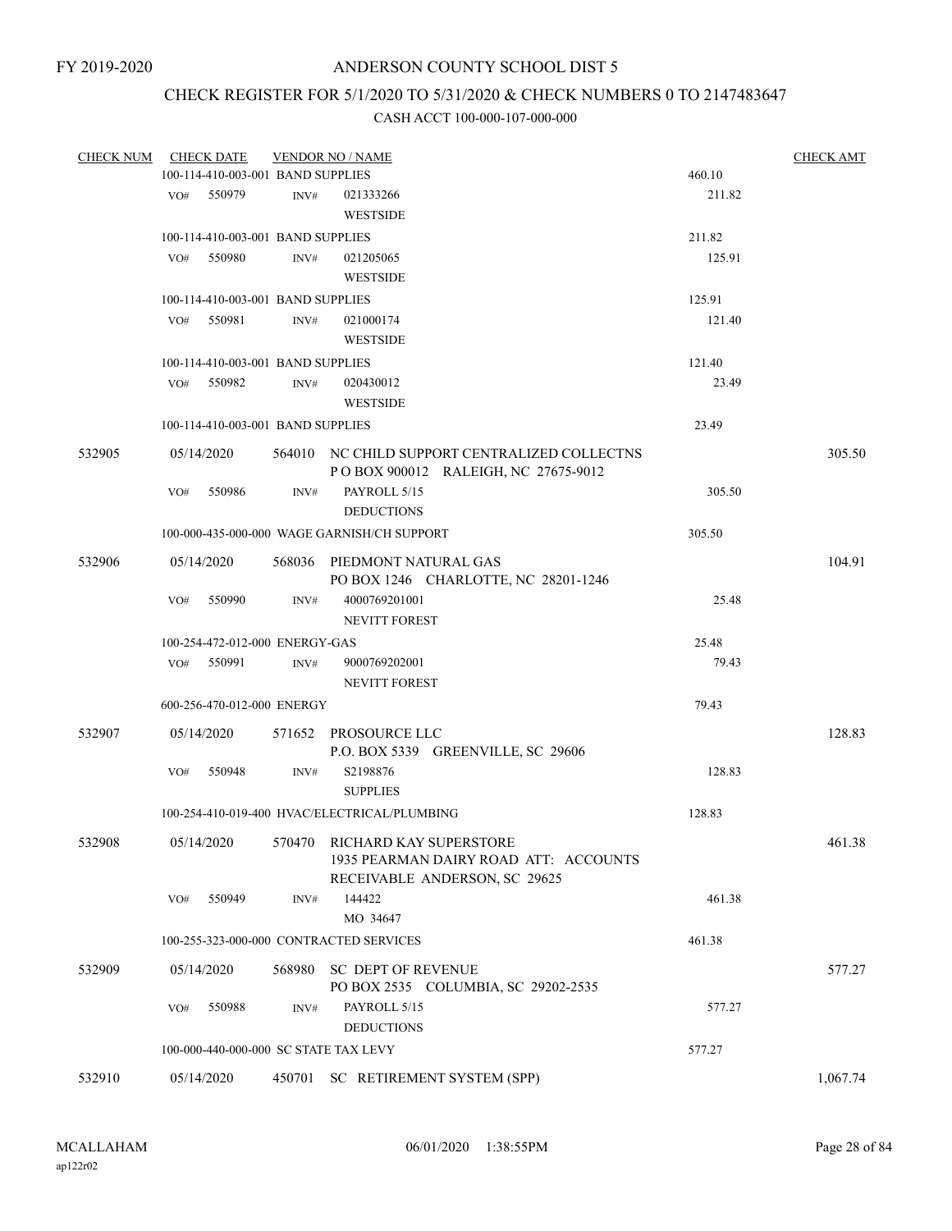## CHECK REGISTER FOR 5/1/2020 TO 5/31/2020 & CHECK NUMBERS 0 TO 2147483647

| <b>CHECK NUM</b> |            | <b>CHECK DATE</b>                 |        | <b>VENDOR NO / NAME</b>                       |        |          |  |  |  |
|------------------|------------|-----------------------------------|--------|-----------------------------------------------|--------|----------|--|--|--|
|                  |            | 100-114-410-003-001 BAND SUPPLIES |        |                                               | 460.10 |          |  |  |  |
|                  | VO#        | 550979                            | INV#   | 021333266<br><b>WESTSIDE</b>                  | 211.82 |          |  |  |  |
|                  |            | 100-114-410-003-001 BAND SUPPLIES |        |                                               | 211.82 |          |  |  |  |
|                  | VO#        | 550980                            | INV#   | 021205065                                     | 125.91 |          |  |  |  |
|                  |            |                                   |        | <b>WESTSIDE</b>                               |        |          |  |  |  |
|                  |            | 100-114-410-003-001 BAND SUPPLIES |        |                                               | 125.91 |          |  |  |  |
|                  | VO#        | 550981                            | INV#   | 021000174                                     | 121.40 |          |  |  |  |
|                  |            |                                   |        | <b>WESTSIDE</b>                               |        |          |  |  |  |
|                  |            | 100-114-410-003-001 BAND SUPPLIES |        |                                               | 121.40 |          |  |  |  |
|                  | VO#        | 550982                            | INV#   | 020430012                                     | 23.49  |          |  |  |  |
|                  |            |                                   |        | <b>WESTSIDE</b>                               |        |          |  |  |  |
|                  |            | 100-114-410-003-001 BAND SUPPLIES |        |                                               | 23.49  |          |  |  |  |
| 532905           |            | 05/14/2020                        |        | 564010 NC CHILD SUPPORT CENTRALIZED COLLECTNS |        | 305.50   |  |  |  |
|                  |            |                                   |        | POBOX 900012 RALEIGH, NC 27675-9012           |        |          |  |  |  |
|                  | VO#        | 550986                            | INV#   | PAYROLL 5/15                                  | 305.50 |          |  |  |  |
|                  |            |                                   |        | <b>DEDUCTIONS</b>                             |        |          |  |  |  |
|                  |            |                                   |        | 100-000-435-000-000 WAGE GARNISH/CH SUPPORT   | 305.50 |          |  |  |  |
| 532906           |            | 05/14/2020                        |        | 568036 PIEDMONT NATURAL GAS                   |        | 104.91   |  |  |  |
|                  |            |                                   |        | PO BOX 1246 CHARLOTTE, NC 28201-1246          |        |          |  |  |  |
|                  | VO#        | 550990                            | INV#   | 4000769201001                                 | 25.48  |          |  |  |  |
|                  |            |                                   |        | NEVITT FOREST                                 |        |          |  |  |  |
|                  |            | 100-254-472-012-000 ENERGY-GAS    |        |                                               | 25.48  |          |  |  |  |
|                  | VO#        | 550991                            | INV#   | 9000769202001                                 | 79.43  |          |  |  |  |
|                  |            |                                   |        | <b>NEVITT FOREST</b>                          |        |          |  |  |  |
|                  |            | 600-256-470-012-000 ENERGY        |        |                                               | 79.43  |          |  |  |  |
| 532907           | 05/14/2020 |                                   |        | 571652 PROSOURCE LLC                          |        | 128.83   |  |  |  |
|                  |            |                                   |        | P.O. BOX 5339 GREENVILLE, SC 29606            |        |          |  |  |  |
|                  | VO#        | 550948                            | INV#   | S2198876                                      | 128.83 |          |  |  |  |
|                  |            |                                   |        | <b>SUPPLIES</b>                               |        |          |  |  |  |
|                  |            |                                   |        | 100-254-410-019-400 HVAC/ELECTRICAL/PLUMBING  | 128.83 |          |  |  |  |
| 532908           | 05/14/2020 |                                   |        | 570470 RICHARD KAY SUPERSTORE                 |        | 461.38   |  |  |  |
|                  |            |                                   |        | 1935 PEARMAN DAIRY ROAD ATT: ACCOUNTS         |        |          |  |  |  |
|                  |            |                                   |        | RECEIVABLE ANDERSON, SC 29625                 |        |          |  |  |  |
|                  | VO#        | 550949                            | INV#   | 144422                                        | 461.38 |          |  |  |  |
|                  |            |                                   |        | MO 34647                                      |        |          |  |  |  |
|                  |            |                                   |        | 100-255-323-000-000 CONTRACTED SERVICES       | 461.38 |          |  |  |  |
| 532909           | 05/14/2020 |                                   | 568980 | <b>SC DEPT OF REVENUE</b>                     |        | 577.27   |  |  |  |
|                  |            |                                   |        | PO BOX 2535 COLUMBIA, SC 29202-2535           |        |          |  |  |  |
|                  | VO#        | 550988                            | INV#   | PAYROLL 5/15                                  | 577.27 |          |  |  |  |
|                  |            |                                   |        | <b>DEDUCTIONS</b>                             |        |          |  |  |  |
|                  |            |                                   |        | 100-000-440-000-000 SC STATE TAX LEVY         | 577.27 |          |  |  |  |
| 532910           | 05/14/2020 |                                   | 450701 | SC RETIREMENT SYSTEM (SPP)                    |        | 1,067.74 |  |  |  |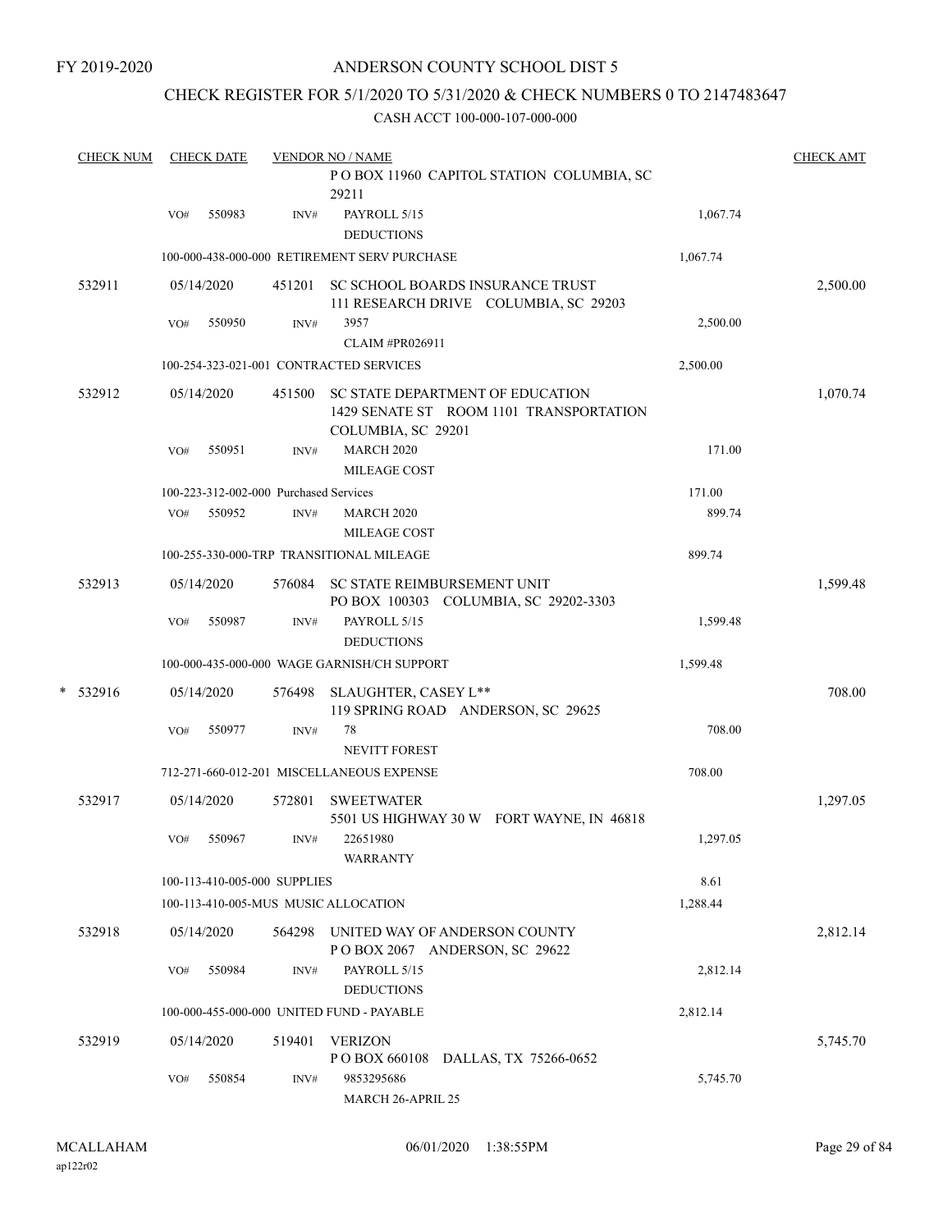FY 2019-2020

## ANDERSON COUNTY SCHOOL DIST 5

## CHECK REGISTER FOR 5/1/2020 TO 5/31/2020 & CHECK NUMBERS 0 TO 2147483647

|   | <b>CHECK NUM</b> |     | <b>CHECK DATE</b> |                                        | <b>VENDOR NO / NAME</b>                                                                           |          | <b>CHECK AMT</b> |
|---|------------------|-----|-------------------|----------------------------------------|---------------------------------------------------------------------------------------------------|----------|------------------|
|   |                  |     |                   |                                        | POBOX 11960 CAPITOL STATION COLUMBIA, SC<br>29211                                                 |          |                  |
|   |                  | VO# | 550983            | INV#                                   | PAYROLL 5/15<br><b>DEDUCTIONS</b>                                                                 | 1,067.74 |                  |
|   |                  |     |                   |                                        | 100-000-438-000-000 RETIREMENT SERV PURCHASE                                                      | 1,067.74 |                  |
|   | 532911           |     | 05/14/2020        | 451201                                 | SC SCHOOL BOARDS INSURANCE TRUST<br>111 RESEARCH DRIVE COLUMBIA, SC 29203                         |          | 2,500.00         |
|   |                  | VO# | 550950            | INV#                                   | 3957<br>CLAIM #PR026911                                                                           | 2,500.00 |                  |
|   |                  |     |                   |                                        | 100-254-323-021-001 CONTRACTED SERVICES                                                           | 2,500.00 |                  |
|   | 532912           |     | 05/14/2020        | 451500                                 | SC STATE DEPARTMENT OF EDUCATION<br>1429 SENATE ST ROOM 1101 TRANSPORTATION<br>COLUMBIA, SC 29201 |          | 1,070.74         |
|   |                  | VO# | 550951            | INV#                                   | <b>MARCH 2020</b><br><b>MILEAGE COST</b>                                                          | 171.00   |                  |
|   |                  |     |                   | 100-223-312-002-000 Purchased Services |                                                                                                   | 171.00   |                  |
|   |                  | VO# | 550952            | INV#                                   | <b>MARCH 2020</b><br><b>MILEAGE COST</b>                                                          | 899.74   |                  |
|   |                  |     |                   |                                        | 100-255-330-000-TRP TRANSITIONAL MILEAGE                                                          | 899.74   |                  |
|   | 532913           |     | 05/14/2020        | 576084                                 | SC STATE REIMBURSEMENT UNIT<br>PO BOX 100303 COLUMBIA, SC 29202-3303                              |          | 1,599.48         |
|   |                  | VO# | 550987            | INV#                                   | PAYROLL 5/15<br><b>DEDUCTIONS</b>                                                                 | 1,599.48 |                  |
|   |                  |     |                   |                                        | 100-000-435-000-000 WAGE GARNISH/CH SUPPORT                                                       | 1,599.48 |                  |
| * | 532916           |     | 05/14/2020        | 576498                                 | SLAUGHTER, CASEY L**<br>119 SPRING ROAD ANDERSON, SC 29625                                        |          | 708.00           |
|   |                  | VO# | 550977            | INV#                                   | 78<br>NEVITT FOREST                                                                               | 708.00   |                  |
|   |                  |     |                   |                                        | 712-271-660-012-201 MISCELLANEOUS EXPENSE                                                         | 708.00   |                  |
|   | 532917           |     | 05/14/2020        | 572801                                 | <b>SWEETWATER</b><br>5501 US HIGHWAY 30 W FORT WAYNE, IN 46818                                    |          | 1,297.05         |
|   |                  | VO# | 550967            | INV#                                   | 22651980<br><b>WARRANTY</b>                                                                       | 1,297.05 |                  |
|   |                  |     |                   | 100-113-410-005-000 SUPPLIES           |                                                                                                   | 8.61     |                  |
|   |                  |     |                   |                                        | 100-113-410-005-MUS MUSIC ALLOCATION                                                              | 1,288.44 |                  |
|   | 532918           |     | 05/14/2020        | 564298                                 | UNITED WAY OF ANDERSON COUNTY<br>POBOX 2067 ANDERSON, SC 29622                                    |          | 2,812.14         |
|   |                  | VO# | 550984            | INV#                                   | PAYROLL 5/15<br><b>DEDUCTIONS</b>                                                                 | 2,812.14 |                  |
|   |                  |     |                   |                                        | 100-000-455-000-000 UNITED FUND - PAYABLE                                                         | 2,812.14 |                  |
|   | 532919           |     | 05/14/2020        | 519401                                 | <b>VERIZON</b><br>P O BOX 660108 DALLAS, TX 75266-0652                                            |          | 5,745.70         |
|   |                  | VO# | 550854            | INV#                                   | 9853295686<br>MARCH 26-APRIL 25                                                                   | 5,745.70 |                  |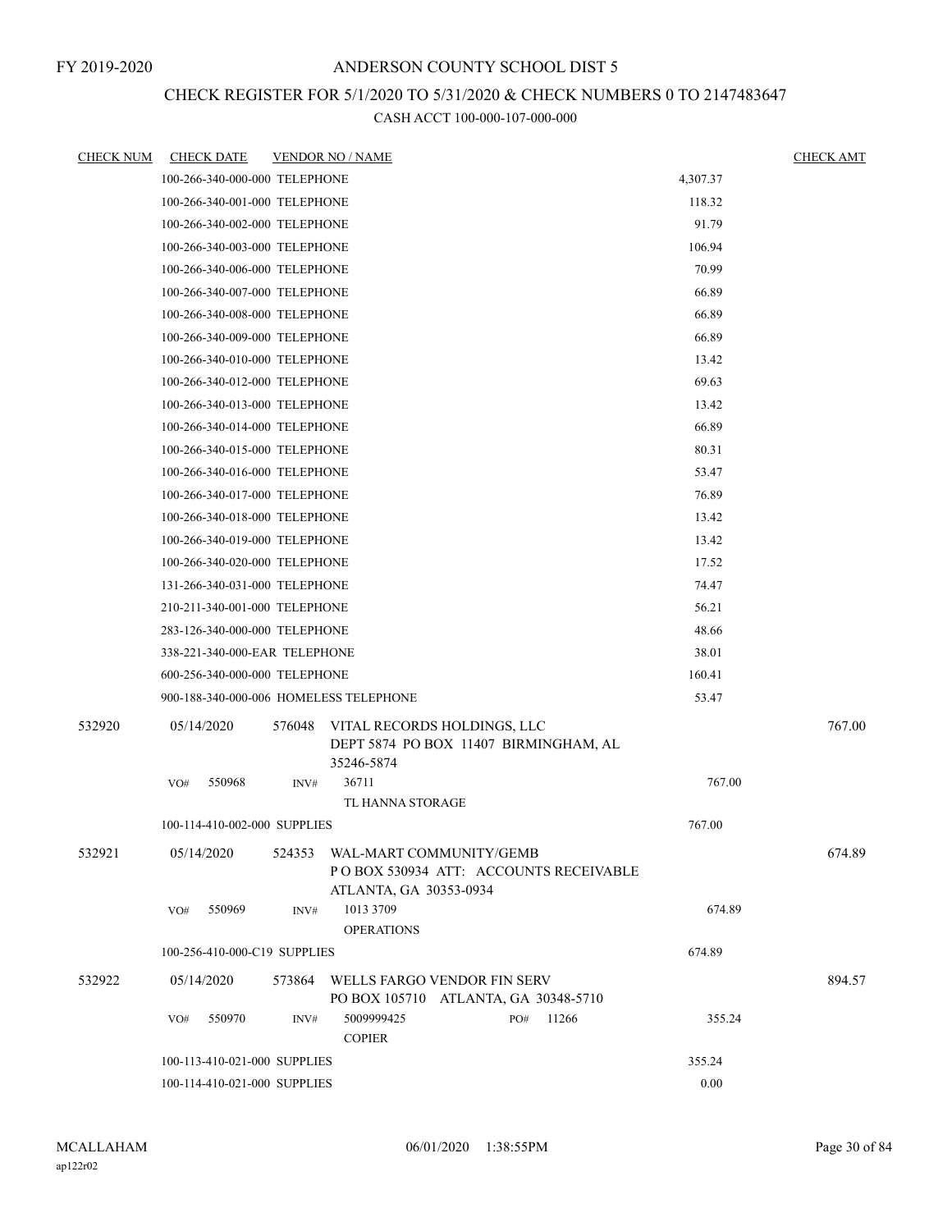## CHECK REGISTER FOR 5/1/2020 TO 5/31/2020 & CHECK NUMBERS 0 TO 2147483647

| <b>CHECK NUM</b> | <b>CHECK DATE</b>                      |        | <b>VENDOR NO / NAME</b>                                                                     |          | <b>CHECK AMT</b> |
|------------------|----------------------------------------|--------|---------------------------------------------------------------------------------------------|----------|------------------|
|                  | 100-266-340-000-000 TELEPHONE          |        |                                                                                             | 4,307.37 |                  |
|                  | 100-266-340-001-000 TELEPHONE          |        |                                                                                             | 118.32   |                  |
|                  | 100-266-340-002-000 TELEPHONE          |        |                                                                                             | 91.79    |                  |
|                  | 100-266-340-003-000 TELEPHONE          |        |                                                                                             | 106.94   |                  |
|                  | 100-266-340-006-000 TELEPHONE          |        |                                                                                             | 70.99    |                  |
|                  | 100-266-340-007-000 TELEPHONE          |        |                                                                                             | 66.89    |                  |
|                  | 100-266-340-008-000 TELEPHONE          |        |                                                                                             | 66.89    |                  |
|                  | 100-266-340-009-000 TELEPHONE          |        |                                                                                             | 66.89    |                  |
|                  | 100-266-340-010-000 TELEPHONE          |        |                                                                                             | 13.42    |                  |
|                  | 100-266-340-012-000 TELEPHONE          |        |                                                                                             | 69.63    |                  |
|                  | 100-266-340-013-000 TELEPHONE          |        |                                                                                             | 13.42    |                  |
|                  | 100-266-340-014-000 TELEPHONE          |        |                                                                                             | 66.89    |                  |
|                  | 100-266-340-015-000 TELEPHONE          |        |                                                                                             | 80.31    |                  |
|                  | 100-266-340-016-000 TELEPHONE          |        |                                                                                             | 53.47    |                  |
|                  | 100-266-340-017-000 TELEPHONE          |        |                                                                                             | 76.89    |                  |
|                  | 100-266-340-018-000 TELEPHONE          |        |                                                                                             | 13.42    |                  |
|                  | 100-266-340-019-000 TELEPHONE          |        |                                                                                             | 13.42    |                  |
|                  | 100-266-340-020-000 TELEPHONE          |        |                                                                                             | 17.52    |                  |
|                  | 131-266-340-031-000 TELEPHONE          |        |                                                                                             | 74.47    |                  |
|                  | 210-211-340-001-000 TELEPHONE          |        |                                                                                             | 56.21    |                  |
|                  | 283-126-340-000-000 TELEPHONE          |        |                                                                                             | 48.66    |                  |
|                  | 338-221-340-000-EAR TELEPHONE          |        |                                                                                             | 38.01    |                  |
|                  | 600-256-340-000-000 TELEPHONE          |        |                                                                                             | 160.41   |                  |
|                  | 900-188-340-000-006 HOMELESS TELEPHONE |        |                                                                                             | 53.47    |                  |
| 532920           | 05/14/2020                             | 576048 | VITAL RECORDS HOLDINGS, LLC<br>DEPT 5874 PO BOX 11407 BIRMINGHAM, AL<br>35246-5874          |          | 767.00           |
|                  | 550968<br>VO#                          | INV#   | 36711<br>TL HANNA STORAGE                                                                   | 767.00   |                  |
|                  | 100-114-410-002-000 SUPPLIES           |        |                                                                                             | 767.00   |                  |
| 532921           | 05/14/2020                             | 524353 | WAL-MART COMMUNITY/GEMB<br>PO BOX 530934 ATT: ACCOUNTS RECEIVABLE<br>ATLANTA, GA 30353-0934 |          | 674.89           |
|                  | 550969<br>VO#                          | INV#   | 1013 3709<br><b>OPERATIONS</b>                                                              | 674.89   |                  |
|                  | 100-256-410-000-C19 SUPPLIES           |        |                                                                                             | 674.89   |                  |
| 532922           | 05/14/2020                             | 573864 | WELLS FARGO VENDOR FIN SERV<br>PO BOX 105710 ATLANTA, GA 30348-5710                         |          | 894.57           |
|                  | VO#<br>550970                          | INV#   | 5009999425<br>11266<br>PO#<br><b>COPIER</b>                                                 | 355.24   |                  |
|                  | 100-113-410-021-000 SUPPLIES           |        |                                                                                             | 355.24   |                  |
|                  | 100-114-410-021-000 SUPPLIES           |        |                                                                                             | 0.00     |                  |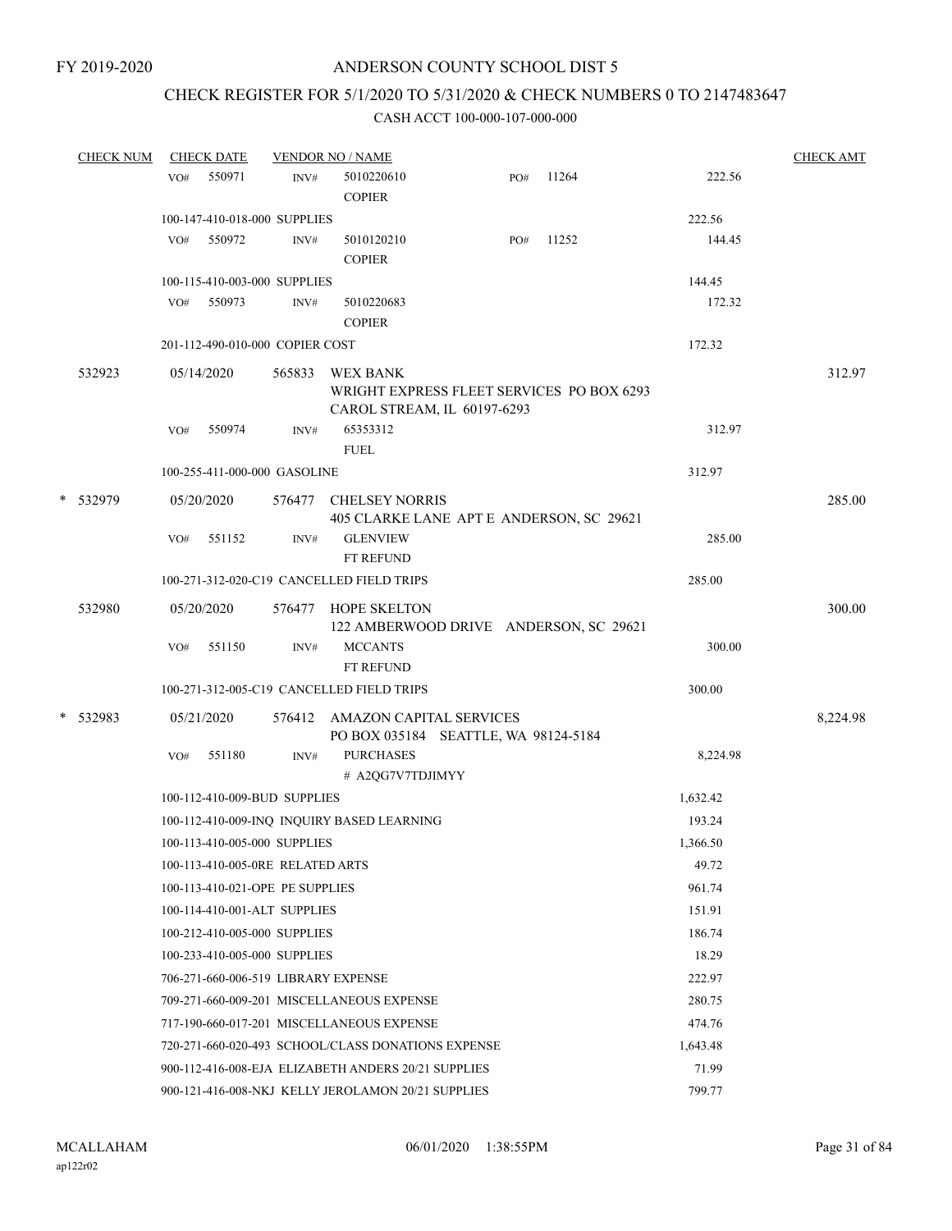## CHECK REGISTER FOR 5/1/2020 TO 5/31/2020 & CHECK NUMBERS 0 TO 2147483647

| <b>CHECK NUM</b> |     | <b>CHECK DATE</b> | <b>VENDOR NO / NAME</b>          |                                                                                             | <b>CHECK AMT</b> |       |          |          |
|------------------|-----|-------------------|----------------------------------|---------------------------------------------------------------------------------------------|------------------|-------|----------|----------|
|                  | VO# | 550971            | INV#                             | 5010220610<br><b>COPIER</b>                                                                 | PO#              | 11264 | 222.56   |          |
|                  |     |                   | 100-147-410-018-000 SUPPLIES     |                                                                                             |                  |       | 222.56   |          |
|                  | VO# | 550972            | INV#                             | 5010120210<br><b>COPIER</b>                                                                 | PO#              | 11252 | 144.45   |          |
|                  |     |                   | 100-115-410-003-000 SUPPLIES     |                                                                                             |                  |       | 144.45   |          |
|                  |     | VO# 550973        | INV#                             | 5010220683<br><b>COPIER</b>                                                                 |                  |       | 172.32   |          |
|                  |     |                   | 201-112-490-010-000 COPIER COST  |                                                                                             |                  |       | 172.32   |          |
| 532923           |     | 05/14/2020        | 565833                           | <b>WEX BANK</b><br>WRIGHT EXPRESS FLEET SERVICES PO BOX 6293<br>CAROL STREAM, IL 60197-6293 |                  |       |          | 312.97   |
|                  | VO# | 550974            | INV#                             | 65353312<br><b>FUEL</b>                                                                     |                  |       | 312.97   |          |
|                  |     |                   | 100-255-411-000-000 GASOLINE     |                                                                                             |                  |       | 312.97   |          |
| * 532979         |     | 05/20/2020        | 576477                           | <b>CHELSEY NORRIS</b><br>405 CLARKE LANE APT E ANDERSON, SC 29621                           |                  |       |          | 285.00   |
|                  | VO# | 551152            | INV#                             | <b>GLENVIEW</b><br>FT REFUND                                                                |                  |       | 285.00   |          |
|                  |     |                   |                                  | 100-271-312-020-C19 CANCELLED FIELD TRIPS                                                   |                  |       | 285.00   |          |
| 532980           |     | 05/20/2020        |                                  | 576477 HOPE SKELTON<br>122 AMBERWOOD DRIVE ANDERSON, SC 29621                               |                  |       |          | 300.00   |
|                  | VO# | 551150            | INV#                             | <b>MCCANTS</b><br>FT REFUND                                                                 |                  |       | 300.00   |          |
|                  |     |                   |                                  | 100-271-312-005-C19 CANCELLED FIELD TRIPS                                                   |                  |       | 300.00   |          |
| * 532983         |     | 05/21/2020        |                                  | 576412 AMAZON CAPITAL SERVICES<br>PO BOX 035184 SEATTLE, WA 98124-5184                      |                  |       |          | 8,224.98 |
|                  | VO# | 551180            | INV#                             | <b>PURCHASES</b><br># A2QG7V7TDJIMYY                                                        |                  |       | 8,224.98 |          |
|                  |     |                   | 100-112-410-009-BUD SUPPLIES     |                                                                                             |                  |       | 1,632.42 |          |
|                  |     |                   |                                  | 100-112-410-009-INQ INQUIRY BASED LEARNING                                                  |                  |       | 193.24   |          |
|                  |     |                   | 100-113-410-005-000 SUPPLIES     |                                                                                             |                  |       | 1,366.50 |          |
|                  |     |                   | 100-113-410-005-0RE RELATED ARTS |                                                                                             |                  |       | 49.72    |          |
|                  |     |                   | 100-113-410-021-OPE PE SUPPLIES  |                                                                                             |                  |       | 961.74   |          |
|                  |     |                   | 100-114-410-001-ALT SUPPLIES     |                                                                                             |                  |       | 151.91   |          |
|                  |     |                   | 100-212-410-005-000 SUPPLIES     |                                                                                             |                  |       | 186.74   |          |
|                  |     |                   | 100-233-410-005-000 SUPPLIES     |                                                                                             |                  |       | 18.29    |          |
|                  |     |                   |                                  | 706-271-660-006-519 LIBRARY EXPENSE                                                         |                  |       | 222.97   |          |
|                  |     |                   |                                  | 709-271-660-009-201 MISCELLANEOUS EXPENSE                                                   |                  |       | 280.75   |          |
|                  |     |                   |                                  | 717-190-660-017-201 MISCELLANEOUS EXPENSE                                                   |                  |       | 474.76   |          |
|                  |     |                   |                                  | 720-271-660-020-493 SCHOOL/CLASS DONATIONS EXPENSE                                          |                  |       | 1,643.48 |          |
|                  |     |                   |                                  | 900-112-416-008-EJA ELIZABETH ANDERS 20/21 SUPPLIES                                         |                  |       | 71.99    |          |
|                  |     |                   |                                  | 900-121-416-008-NKJ KELLY JEROLAMON 20/21 SUPPLIES                                          |                  |       | 799.77   |          |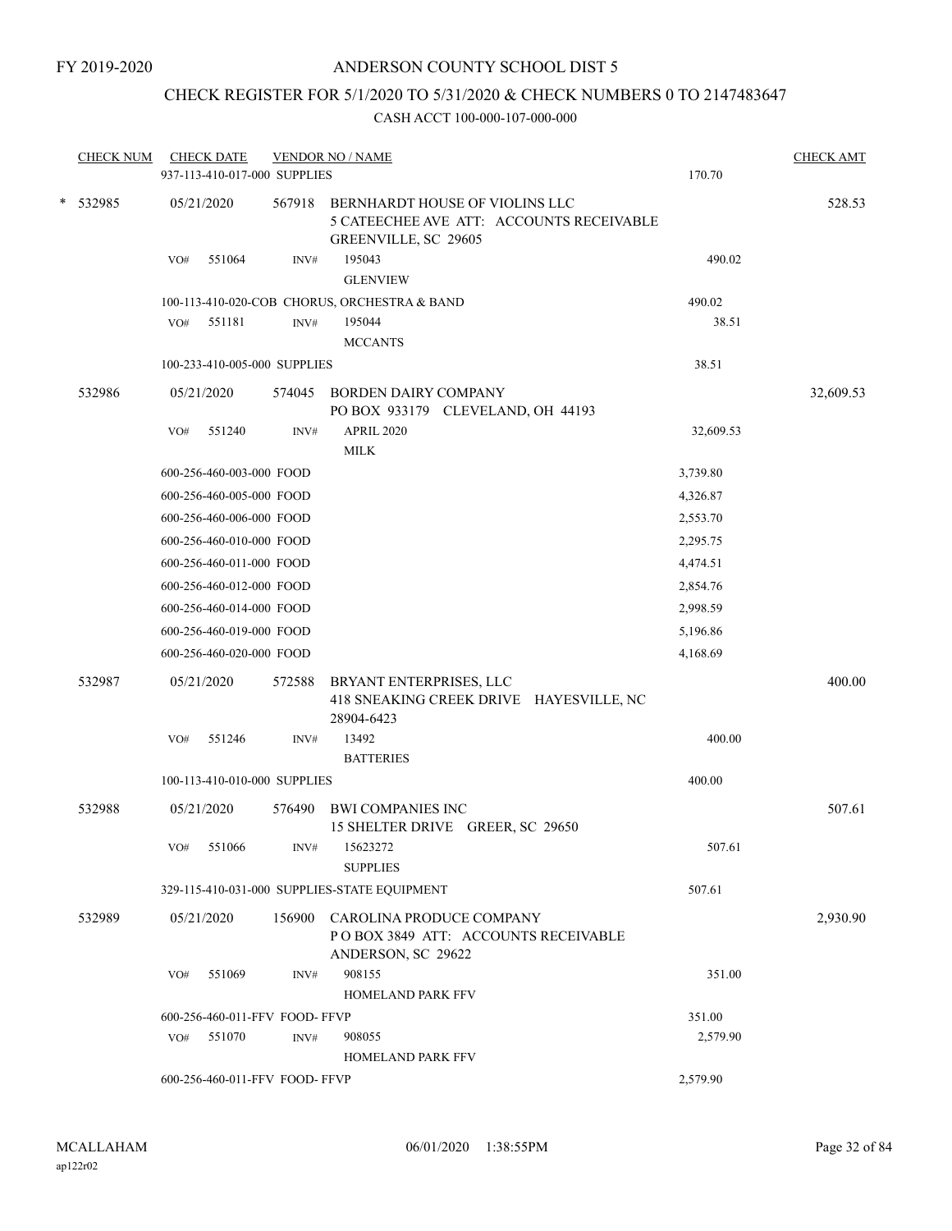## CHECK REGISTER FOR 5/1/2020 TO 5/31/2020 & CHECK NUMBERS 0 TO 2147483647

| <b>CHECK NUM</b> |            | <b>CHECK DATE</b><br>937-113-410-017-000 SUPPLIES |        | <b>VENDOR NO / NAME</b>                                                                                   | 170.70    | <b>CHECK AMT</b> |  |  |
|------------------|------------|---------------------------------------------------|--------|-----------------------------------------------------------------------------------------------------------|-----------|------------------|--|--|
| * 532985         | 05/21/2020 |                                                   |        | 567918 BERNHARDT HOUSE OF VIOLINS LLC<br>5 CATEECHEE AVE ATT: ACCOUNTS RECEIVABLE<br>GREENVILLE, SC 29605 |           | 528.53           |  |  |
|                  | VO#        | 551064                                            | INV#   | 195043<br><b>GLENVIEW</b>                                                                                 | 490.02    |                  |  |  |
|                  |            |                                                   |        | 100-113-410-020-COB CHORUS, ORCHESTRA & BAND                                                              | 490.02    |                  |  |  |
|                  | VO#        | 551181                                            | INV#   | 195044                                                                                                    | 38.51     |                  |  |  |
|                  |            |                                                   |        | <b>MCCANTS</b>                                                                                            |           |                  |  |  |
|                  |            | 100-233-410-005-000 SUPPLIES                      |        |                                                                                                           | 38.51     |                  |  |  |
| 532986           | 05/21/2020 |                                                   | 574045 | <b>BORDEN DAIRY COMPANY</b><br>PO BOX 933179 CLEVELAND, OH 44193                                          |           | 32,609.53        |  |  |
|                  | VO#        | 551240                                            | INV#   | APRIL 2020<br><b>MILK</b>                                                                                 | 32,609.53 |                  |  |  |
|                  |            | 600-256-460-003-000 FOOD                          |        |                                                                                                           | 3,739.80  |                  |  |  |
|                  |            | 600-256-460-005-000 FOOD                          |        |                                                                                                           | 4,326.87  |                  |  |  |
|                  |            | 600-256-460-006-000 FOOD                          |        |                                                                                                           | 2,553.70  |                  |  |  |
|                  |            | 600-256-460-010-000 FOOD                          |        |                                                                                                           | 2,295.75  |                  |  |  |
|                  |            | 600-256-460-011-000 FOOD                          |        |                                                                                                           | 4,474.51  |                  |  |  |
|                  |            | 600-256-460-012-000 FOOD                          |        |                                                                                                           | 2,854.76  |                  |  |  |
|                  |            | 600-256-460-014-000 FOOD                          |        |                                                                                                           | 2,998.59  |                  |  |  |
|                  |            | 600-256-460-019-000 FOOD                          |        |                                                                                                           | 5,196.86  |                  |  |  |
|                  |            | 600-256-460-020-000 FOOD                          |        |                                                                                                           | 4,168.69  |                  |  |  |
| 532987           | 05/21/2020 |                                                   | 572588 | BRYANT ENTERPRISES, LLC                                                                                   |           | 400.00           |  |  |
|                  |            |                                                   |        | 418 SNEAKING CREEK DRIVE HAYESVILLE, NC<br>28904-6423                                                     |           |                  |  |  |
|                  | VO#        | 551246                                            | INV#   | 13492<br><b>BATTERIES</b>                                                                                 | 400.00    |                  |  |  |
|                  |            | 100-113-410-010-000 SUPPLIES                      |        |                                                                                                           | 400.00    |                  |  |  |
| 532988           | 05/21/2020 |                                                   | 576490 | <b>BWI COMPANIES INC</b><br>15 SHELTER DRIVE GREER, SC 29650                                              |           | 507.61           |  |  |
|                  |            | VO# 551066                                        | INV#   | 15623272<br><b>SUPPLIES</b>                                                                               | 507.61    |                  |  |  |
|                  |            |                                                   |        | 329-115-410-031-000 SUPPLIES-STATE EQUIPMENT                                                              | 507.61    |                  |  |  |
| 532989           | 05/21/2020 |                                                   |        | 156900 CAROLINA PRODUCE COMPANY<br>POBOX 3849 ATT: ACCOUNTS RECEIVABLE<br>ANDERSON, SC 29622              |           | 2,930.90         |  |  |
|                  | VO#        | 551069                                            | INV#   | 908155<br>HOMELAND PARK FFV                                                                               | 351.00    |                  |  |  |
|                  |            | 600-256-460-011-FFV FOOD-FFVP                     |        |                                                                                                           | 351.00    |                  |  |  |
|                  |            | VO# 551070                                        | INV#   | 908055<br><b>HOMELAND PARK FFV</b>                                                                        | 2,579.90  |                  |  |  |
|                  |            | 600-256-460-011-FFV FOOD- FFVP                    |        |                                                                                                           | 2,579.90  |                  |  |  |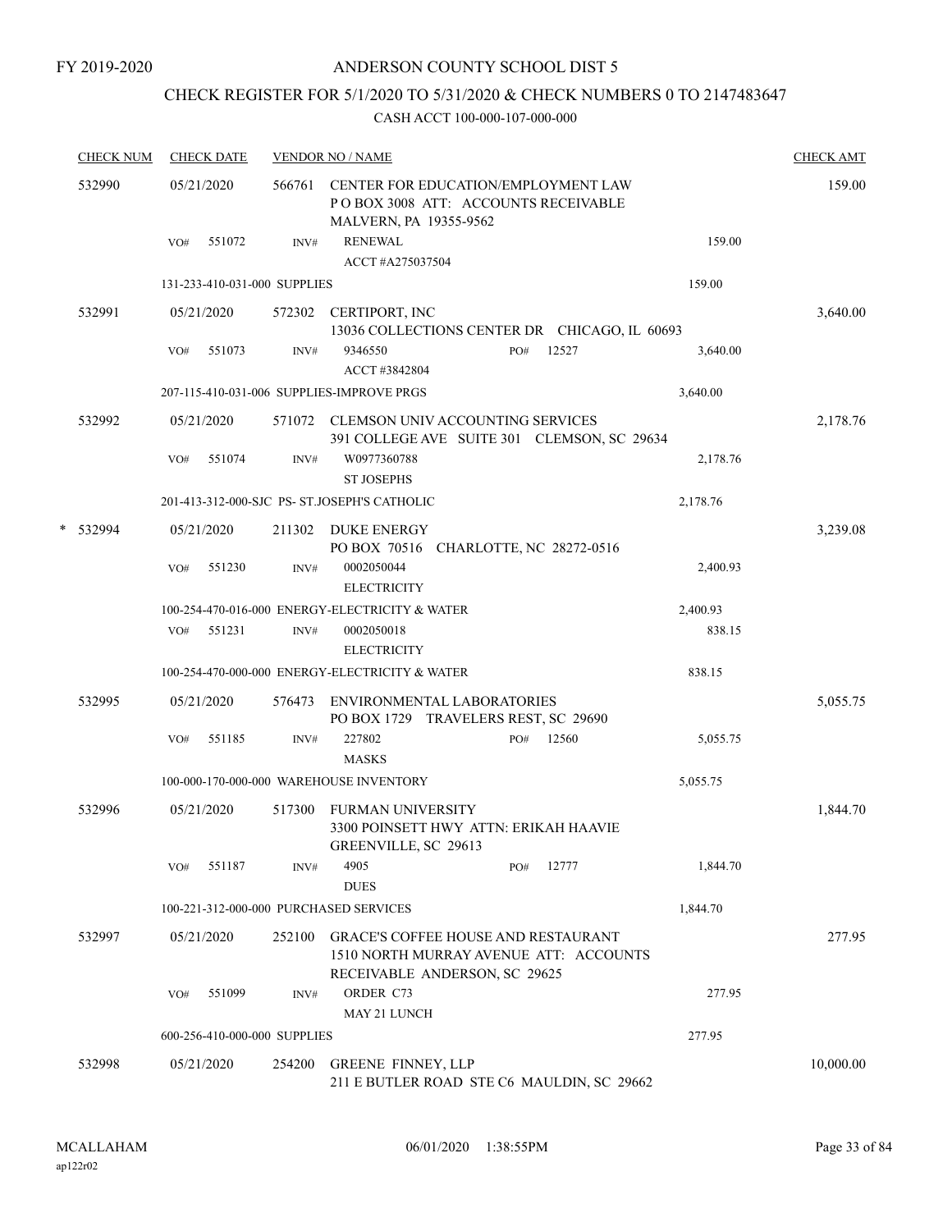FY 2019-2020

## ANDERSON COUNTY SCHOOL DIST 5

## CHECK REGISTER FOR 5/1/2020 TO 5/31/2020 & CHECK NUMBERS 0 TO 2147483647

|   | <b>CHECK NUM</b> |     | <b>CHECK DATE</b> |                              | <b>VENDOR NO / NAME</b>                                                                              |     |       |          | <b>CHECK AMT</b> |  |
|---|------------------|-----|-------------------|------------------------------|------------------------------------------------------------------------------------------------------|-----|-------|----------|------------------|--|
|   | 532990           |     | 05/21/2020        | 566761                       | CENTER FOR EDUCATION/EMPLOYMENT LAW<br>POBOX 3008 ATT: ACCOUNTS RECEIVABLE<br>MALVERN, PA 19355-9562 |     |       |          |                  |  |
|   |                  | VO# | 551072            | INV#                         | <b>RENEWAL</b><br>ACCT #A275037504                                                                   |     |       | 159.00   |                  |  |
|   |                  |     |                   | 131-233-410-031-000 SUPPLIES |                                                                                                      |     |       | 159.00   |                  |  |
|   | 532991           |     | 05/21/2020        | 572302                       | CERTIPORT, INC<br>13036 COLLECTIONS CENTER DR CHICAGO, IL 60693                                      |     |       |          | 3,640.00         |  |
|   |                  | VO# | 551073            | INV#                         | 9346550<br>ACCT #3842804                                                                             | PO# | 12527 | 3,640.00 |                  |  |
|   |                  |     |                   |                              | 207-115-410-031-006 SUPPLIES-IMPROVE PRGS                                                            |     |       | 3,640.00 |                  |  |
|   | 532992           |     | 05/21/2020        |                              | 571072 CLEMSON UNIV ACCOUNTING SERVICES<br>391 COLLEGE AVE SUITE 301 CLEMSON, SC 29634               |     |       |          | 2,178.76         |  |
|   |                  | VO# | 551074            | INV#                         | W0977360788<br><b>ST JOSEPHS</b>                                                                     |     |       | 2,178.76 |                  |  |
|   |                  |     |                   |                              | 201-413-312-000-SJC PS- ST.JOSEPH'S CATHOLIC                                                         |     |       | 2,178.76 |                  |  |
| * | 532994           |     | 05/21/2020        | 211302                       | <b>DUKE ENERGY</b><br>PO BOX 70516 CHARLOTTE, NC 28272-0516                                          |     |       |          | 3,239.08         |  |
|   |                  | VO# | 551230            | INV#                         | 0002050044<br><b>ELECTRICITY</b>                                                                     |     |       | 2,400.93 |                  |  |
|   |                  |     |                   |                              | 100-254-470-016-000 ENERGY-ELECTRICITY & WATER                                                       |     |       | 2,400.93 |                  |  |
|   |                  | VO# | 551231            | INV#                         | 0002050018<br><b>ELECTRICITY</b>                                                                     |     |       | 838.15   |                  |  |
|   |                  |     |                   |                              | 100-254-470-000-000 ENERGY-ELECTRICITY & WATER                                                       |     |       | 838.15   |                  |  |
|   | 532995           |     | 05/21/2020        | 576473                       | ENVIRONMENTAL LABORATORIES<br>PO BOX 1729 TRAVELERS REST, SC 29690                                   |     |       |          | 5,055.75         |  |
|   |                  | VO# | 551185            | INV#                         | 227802<br><b>MASKS</b>                                                                               | PO# | 12560 | 5,055.75 |                  |  |
|   |                  |     |                   |                              | 100-000-170-000-000 WAREHOUSE INVENTORY                                                              |     |       | 5,055.75 |                  |  |
|   | 532996           |     | 05/21/2020        | 517300                       | <b>FURMAN UNIVERSITY</b><br>3300 POINSETT HWY ATTN: ERIKAH HAAVIE<br>GREENVILLE, SC 29613            |     |       |          | 1,844.70         |  |
|   |                  | VO# | 551187            | INV#                         | 4905<br><b>DUES</b>                                                                                  | PO# | 12777 | 1,844.70 |                  |  |
|   |                  |     |                   |                              | 100-221-312-000-000 PURCHASED SERVICES                                                               |     |       | 1,844.70 |                  |  |
|   | 532997           |     | 05/21/2020        | 252100                       | <b>GRACE'S COFFEE HOUSE AND RESTAURANT</b><br>1510 NORTH MURRAY AVENUE ATT: ACCOUNTS                 |     |       |          | 277.95           |  |
|   |                  | VO# | 551099            | INV#                         | RECEIVABLE ANDERSON, SC 29625<br>ORDER C73                                                           |     |       | 277.95   |                  |  |
|   |                  |     |                   |                              | MAY 21 LUNCH                                                                                         |     |       |          |                  |  |
|   |                  |     |                   | 600-256-410-000-000 SUPPLIES |                                                                                                      |     |       | 277.95   |                  |  |
|   | 532998           |     | 05/21/2020        | 254200                       | <b>GREENE FINNEY, LLP</b><br>211 E BUTLER ROAD STE C6 MAULDIN, SC 29662                              |     |       |          | 10,000.00        |  |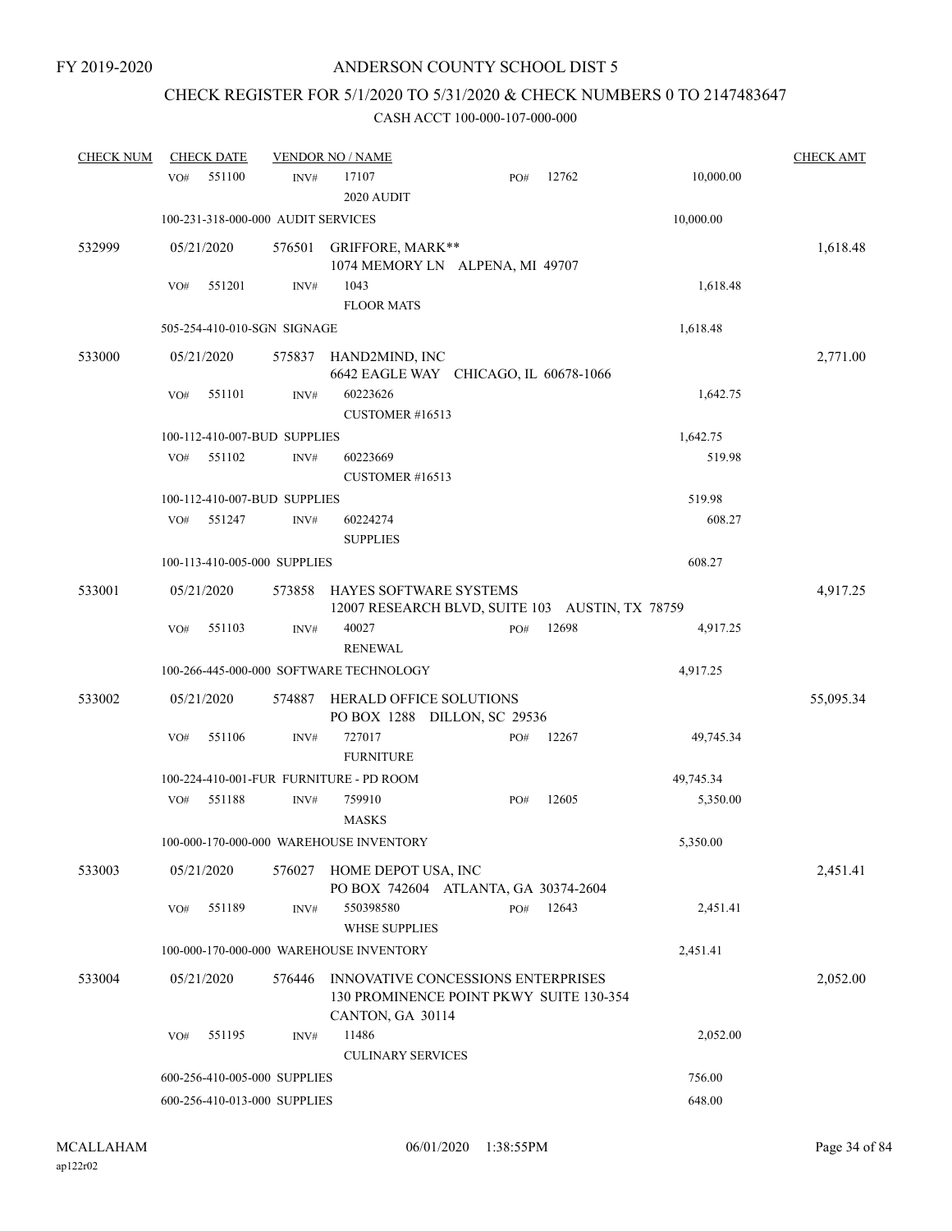# CHECK REGISTER FOR 5/1/2020 TO 5/31/2020 & CHECK NUMBERS 0 TO 2147483647

| <b>CHECK NUM</b> |     | <b>CHECK DATE</b> |                                    | <b>VENDOR NO / NAME</b>                                                                           |     |       |           | <b>CHECK AMT</b> |
|------------------|-----|-------------------|------------------------------------|---------------------------------------------------------------------------------------------------|-----|-------|-----------|------------------|
|                  | VO# | 551100            | $\text{INV}\#$                     | 17107<br>2020 AUDIT                                                                               | PO# | 12762 | 10,000.00 |                  |
|                  |     |                   | 100-231-318-000-000 AUDIT SERVICES |                                                                                                   |     |       | 10,000.00 |                  |
| 532999           |     | 05/21/2020        | 576501                             | GRIFFORE, MARK**<br>1074 MEMORY LN ALPENA, MI 49707                                               |     |       |           | 1,618.48         |
|                  | VO# | 551201            | INV#                               | 1043<br><b>FLOOR MATS</b>                                                                         |     |       | 1,618.48  |                  |
|                  |     |                   | 505-254-410-010-SGN SIGNAGE        |                                                                                                   |     |       | 1,618.48  |                  |
| 533000           |     | 05/21/2020        |                                    | 575837 HAND2MIND, INC<br>6642 EAGLE WAY CHICAGO, IL 60678-1066                                    |     |       |           | 2,771.00         |
|                  | VO# | 551101            | INV#                               | 60223626<br>CUSTOMER #16513                                                                       |     |       | 1,642.75  |                  |
|                  |     |                   | 100-112-410-007-BUD SUPPLIES       |                                                                                                   |     |       | 1,642.75  |                  |
|                  | VO# | 551102            | INV#                               | 60223669<br>CUSTOMER #16513                                                                       |     |       | 519.98    |                  |
|                  |     |                   | 100-112-410-007-BUD SUPPLIES       |                                                                                                   |     |       | 519.98    |                  |
|                  | VO# | 551247            | INV#                               | 60224274<br><b>SUPPLIES</b>                                                                       |     |       | 608.27    |                  |
|                  |     |                   | 100-113-410-005-000 SUPPLIES       |                                                                                                   |     |       | 608.27    |                  |
| 533001           |     | 05/21/2020        | 573858                             | <b>HAYES SOFTWARE SYSTEMS</b><br>12007 RESEARCH BLVD, SUITE 103 AUSTIN, TX 78759                  |     |       |           | 4,917.25         |
|                  | VO# | 551103            | INV#                               | 40027<br><b>RENEWAL</b>                                                                           | PO# | 12698 | 4,917.25  |                  |
|                  |     |                   |                                    | 100-266-445-000-000 SOFTWARE TECHNOLOGY                                                           |     |       | 4,917.25  |                  |
| 533002           |     | 05/21/2020        | 574887                             | <b>HERALD OFFICE SOLUTIONS</b><br>PO BOX 1288 DILLON, SC 29536                                    |     |       |           | 55,095.34        |
|                  | VO# | 551106            | INV#                               | 727017<br><b>FURNITURE</b>                                                                        | PO# | 12267 | 49,745.34 |                  |
|                  |     |                   |                                    | 100-224-410-001-FUR FURNITURE - PD ROOM                                                           |     |       | 49,745.34 |                  |
|                  | VO# | 551188            | INV#                               | 759910<br><b>MASKS</b>                                                                            | PO# | 12605 | 5,350.00  |                  |
|                  |     |                   |                                    | 100-000-170-000-000 WAREHOUSE INVENTORY                                                           |     |       | 5,350.00  |                  |
| 533003           |     | 05/21/2020        |                                    | 576027 HOME DEPOT USA, INC<br>PO BOX 742604 ATLANTA, GA 30374-2604                                |     |       |           | 2,451.41         |
|                  | VO# | 551189            | INV#                               | 550398580<br><b>WHSE SUPPLIES</b>                                                                 | PO# | 12643 | 2,451.41  |                  |
|                  |     |                   |                                    | 100-000-170-000-000 WAREHOUSE INVENTORY                                                           |     |       | 2,451.41  |                  |
| 533004           |     | 05/21/2020        | 576446                             | INNOVATIVE CONCESSIONS ENTERPRISES<br>130 PROMINENCE POINT PKWY SUITE 130-354<br>CANTON, GA 30114 |     |       |           | 2,052.00         |
|                  | VO# | 551195            | INV#                               | 11486<br><b>CULINARY SERVICES</b>                                                                 |     |       | 2,052.00  |                  |
|                  |     |                   | 600-256-410-005-000 SUPPLIES       |                                                                                                   |     |       | 756.00    |                  |
|                  |     |                   | 600-256-410-013-000 SUPPLIES       |                                                                                                   |     |       | 648.00    |                  |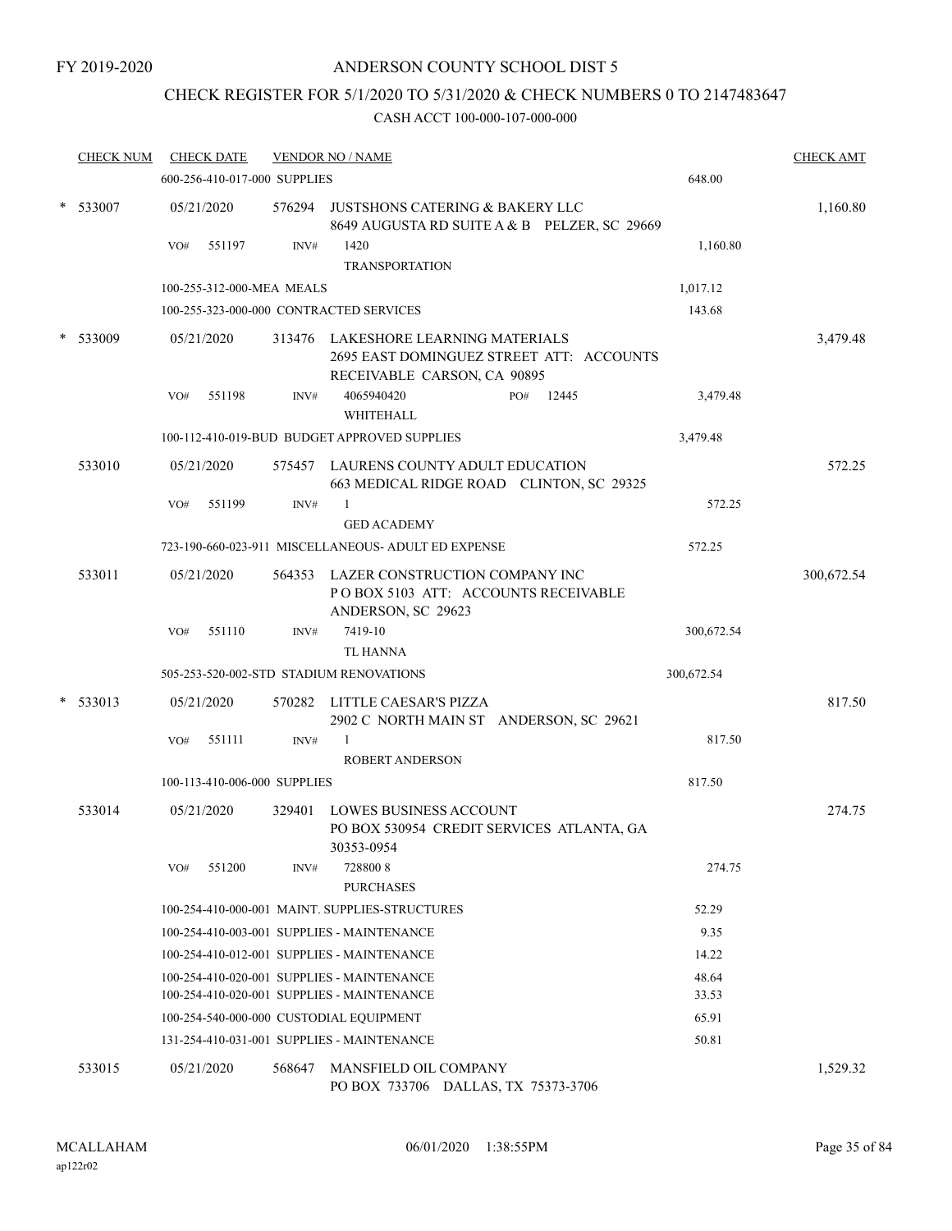### FY 2019-2020

## ANDERSON COUNTY SCHOOL DIST 5

## CHECK REGISTER FOR 5/1/2020 TO 5/31/2020 & CHECK NUMBERS 0 TO 2147483647

| <b>CHECK NUM</b> |     | <b>CHECK DATE</b>            |        | <b>VENDOR NO / NAME</b>                                                                                 |              |                | <b>CHECK AMT</b> |
|------------------|-----|------------------------------|--------|---------------------------------------------------------------------------------------------------------|--------------|----------------|------------------|
|                  |     | 600-256-410-017-000 SUPPLIES |        |                                                                                                         |              | 648.00         |                  |
| $*$ 533007       |     | 05/21/2020                   |        | 576294 JUSTSHONS CATERING & BAKERY LLC<br>8649 AUGUSTA RD SUITE A & B PELZER, SC 29669                  |              |                | 1,160.80         |
|                  | VO# | 551197                       | INV#   | 1420                                                                                                    |              | 1,160.80       |                  |
|                  |     |                              |        | <b>TRANSPORTATION</b>                                                                                   |              |                |                  |
|                  |     | 100-255-312-000-MEA MEALS    |        |                                                                                                         |              | 1,017.12       |                  |
|                  |     |                              |        | 100-255-323-000-000 CONTRACTED SERVICES                                                                 |              | 143.68         |                  |
| 533009           |     | 05/21/2020                   | 313476 | LAKESHORE LEARNING MATERIALS<br>2695 EAST DOMINGUEZ STREET ATT: ACCOUNTS<br>RECEIVABLE CARSON, CA 90895 |              |                | 3,479.48         |
|                  | VO# | 551198                       | INV#   | 4065940420<br>WHITEHALL                                                                                 | 12445<br>PO# | 3,479.48       |                  |
|                  |     |                              |        | 100-112-410-019-BUD BUDGET APPROVED SUPPLIES                                                            |              | 3,479.48       |                  |
| 533010           |     | 05/21/2020                   |        | 575457 LAURENS COUNTY ADULT EDUCATION<br>663 MEDICAL RIDGE ROAD CLINTON, SC 29325                       |              |                | 572.25           |
|                  | VO# | 551199                       | INV#   | 1                                                                                                       |              | 572.25         |                  |
|                  |     |                              |        | <b>GED ACADEMY</b>                                                                                      |              |                |                  |
|                  |     |                              |        | 723-190-660-023-911 MISCELLANEOUS- ADULT ED EXPENSE                                                     |              | 572.25         |                  |
| 533011           |     | 05/21/2020                   |        | 564353 LAZER CONSTRUCTION COMPANY INC<br>POBOX 5103 ATT: ACCOUNTS RECEIVABLE<br>ANDERSON, SC 29623      |              |                | 300,672.54       |
|                  | VO# | 551110                       | INV#   | 7419-10<br><b>TL HANNA</b>                                                                              |              | 300,672.54     |                  |
|                  |     |                              |        | 505-253-520-002-STD STADIUM RENOVATIONS                                                                 |              | 300,672.54     |                  |
| $*$ 533013       |     | 05/21/2020                   | 570282 | LITTLE CAESAR'S PIZZA<br>2902 C NORTH MAIN ST ANDERSON, SC 29621                                        |              |                | 817.50           |
|                  | VO# | 551111                       | INV#   | $\mathbf{1}$<br><b>ROBERT ANDERSON</b>                                                                  |              | 817.50         |                  |
|                  |     | 100-113-410-006-000 SUPPLIES |        |                                                                                                         |              | 817.50         |                  |
| 533014           |     | 05/21/2020                   | 329401 | <b>LOWES BUSINESS ACCOUNT</b><br>PO BOX 530954 CREDIT SERVICES ATLANTA, GA<br>30353-0954                |              |                | 274.75           |
|                  | VO# | 551200                       | INV#   | 7288008<br><b>PURCHASES</b>                                                                             |              | 274.75         |                  |
|                  |     |                              |        | 100-254-410-000-001 MAINT. SUPPLIES-STRUCTURES                                                          |              | 52.29          |                  |
|                  |     |                              |        | 100-254-410-003-001 SUPPLIES - MAINTENANCE                                                              |              | 9.35           |                  |
|                  |     |                              |        | 100-254-410-012-001 SUPPLIES - MAINTENANCE                                                              |              | 14.22          |                  |
|                  |     |                              |        | 100-254-410-020-001 SUPPLIES - MAINTENANCE<br>100-254-410-020-001 SUPPLIES - MAINTENANCE                |              | 48.64<br>33.53 |                  |
|                  |     |                              |        | 100-254-540-000-000 CUSTODIAL EQUIPMENT                                                                 |              | 65.91          |                  |
|                  |     |                              |        | 131-254-410-031-001 SUPPLIES - MAINTENANCE                                                              |              | 50.81          |                  |
| 533015           |     | 05/21/2020                   | 568647 | MANSFIELD OIL COMPANY<br>PO BOX 733706 DALLAS, TX 75373-3706                                            |              |                | 1,529.32         |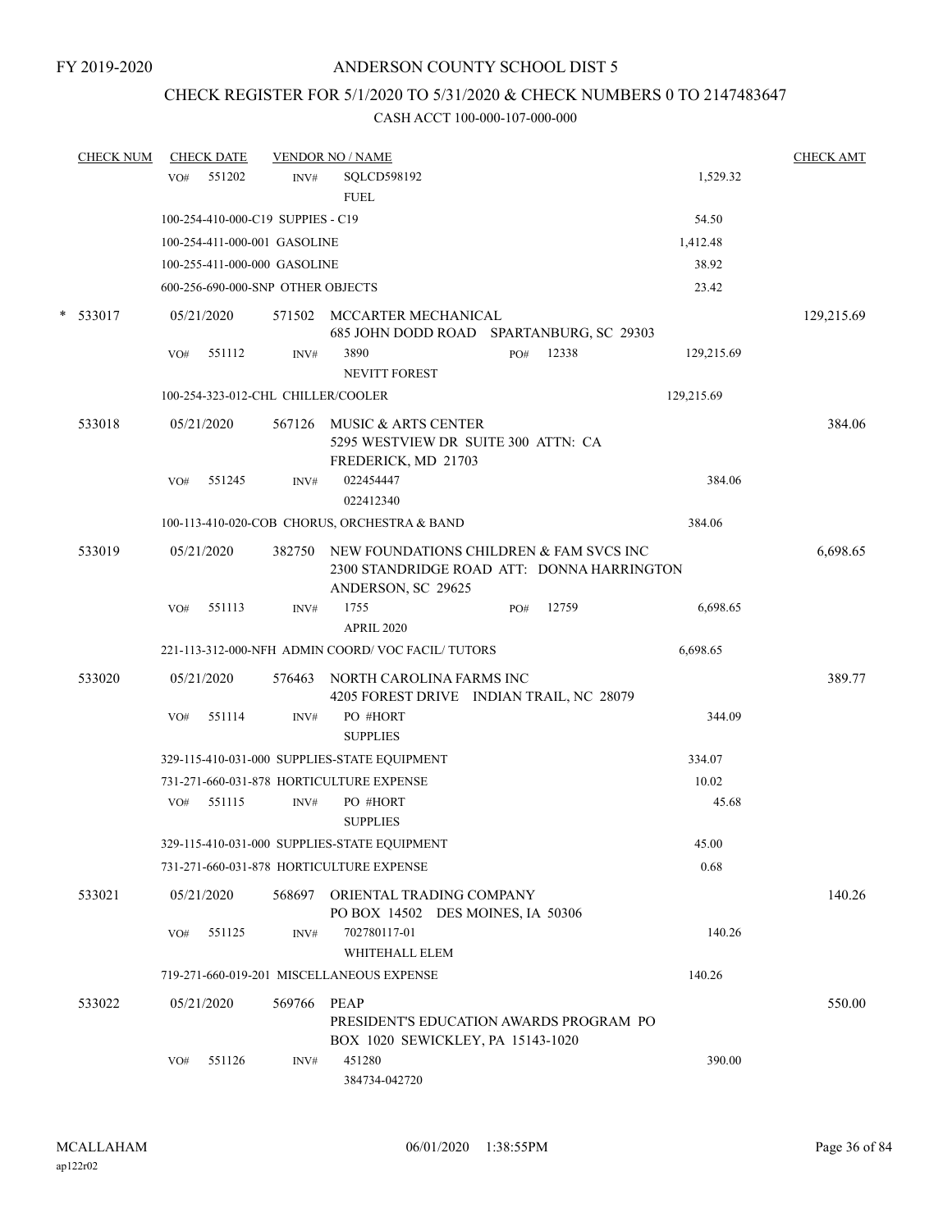## CHECK REGISTER FOR 5/1/2020 TO 5/31/2020 & CHECK NUMBERS 0 TO 2147483647

| <b>CHECK NUM</b> | VO# | <b>CHECK DATE</b><br>551202       | INV#   | <b>VENDOR NO / NAME</b><br>SQLCD598192                                                                             |     |       | 1,529.32   | <b>CHECK AMT</b> |
|------------------|-----|-----------------------------------|--------|--------------------------------------------------------------------------------------------------------------------|-----|-------|------------|------------------|
|                  |     |                                   |        | <b>FUEL</b>                                                                                                        |     |       |            |                  |
|                  |     | 100-254-410-000-C19 SUPPIES - C19 |        |                                                                                                                    |     |       | 54.50      |                  |
|                  |     | 100-254-411-000-001 GASOLINE      |        |                                                                                                                    |     |       | 1,412.48   |                  |
|                  |     | 100-255-411-000-000 GASOLINE      |        |                                                                                                                    |     |       | 38.92      |                  |
|                  |     | 600-256-690-000-SNP OTHER OBJECTS |        |                                                                                                                    |     |       | 23.42      |                  |
| $*$ 533017       |     | 05/21/2020                        |        | 571502 MCCARTER MECHANICAL<br>685 JOHN DODD ROAD SPARTANBURG, SC 29303                                             |     |       |            | 129,215.69       |
|                  | VO# | 551112                            | INV#   | 3890<br><b>NEVITT FOREST</b>                                                                                       | PO# | 12338 | 129,215.69 |                  |
|                  |     |                                   |        | 100-254-323-012-CHL CHILLER/COOLER                                                                                 |     |       | 129,215.69 |                  |
| 533018           |     | 05/21/2020                        |        | 567126 MUSIC & ARTS CENTER<br>5295 WESTVIEW DR SUITE 300 ATTN: CA<br>FREDERICK, MD 21703                           |     |       |            | 384.06           |
|                  | VO# | 551245                            | INV#   | 022454447<br>022412340                                                                                             |     |       | 384.06     |                  |
|                  |     |                                   |        | 100-113-410-020-COB CHORUS, ORCHESTRA & BAND                                                                       |     |       | 384.06     |                  |
| 533019           |     | 05/21/2020                        |        | 382750 NEW FOUNDATIONS CHILDREN & FAM SVCS INC<br>2300 STANDRIDGE ROAD ATT: DONNA HARRINGTON<br>ANDERSON, SC 29625 |     |       |            | 6,698.65         |
|                  | VO# | 551113                            | INV#   | 1755<br><b>APRIL 2020</b>                                                                                          | PO# | 12759 | 6,698.65   |                  |
|                  |     |                                   |        | 221-113-312-000-NFH ADMIN COORD/VOC FACIL/TUTORS                                                                   |     |       | 6,698.65   |                  |
| 533020           |     | 05/21/2020                        | 576463 | NORTH CAROLINA FARMS INC                                                                                           |     |       |            | 389.77           |
|                  |     |                                   |        | 4205 FOREST DRIVE INDIAN TRAIL, NC 28079<br>PO #HORT                                                               |     |       |            |                  |
|                  | VO# | 551114                            | INV#   | <b>SUPPLIES</b>                                                                                                    |     |       | 344.09     |                  |
|                  |     |                                   |        | 329-115-410-031-000 SUPPLIES-STATE EQUIPMENT                                                                       |     |       | 334.07     |                  |
|                  |     |                                   |        | 731-271-660-031-878 HORTICULTURE EXPENSE                                                                           |     |       | 10.02      |                  |
|                  | VO# | 551115                            | INV#   | PO #HORT<br><b>SUPPLIES</b>                                                                                        |     |       | 45.68      |                  |
|                  |     |                                   |        | 329-115-410-031-000 SUPPLIES-STATE EOUIPMENT                                                                       |     |       | 45.00      |                  |
|                  |     |                                   |        | 731-271-660-031-878 HORTICULTURE EXPENSE                                                                           |     |       | 0.68       |                  |
| 533021           |     | 05/21/2020                        |        | 568697 ORIENTAL TRADING COMPANY<br>PO BOX 14502 DES MOINES, IA 50306                                               |     |       |            | 140.26           |
|                  | VO# | 551125                            | INV#   | 702780117-01<br>WHITEHALL ELEM                                                                                     |     |       | 140.26     |                  |
|                  |     |                                   |        | 719-271-660-019-201 MISCELLANEOUS EXPENSE                                                                          |     |       | 140.26     |                  |
|                  |     |                                   |        |                                                                                                                    |     |       |            |                  |
| 533022           |     | 05/21/2020                        | 569766 | <b>PEAP</b><br>PRESIDENT'S EDUCATION AWARDS PROGRAM PO<br>BOX 1020 SEWICKLEY, PA 15143-1020                        |     |       |            | 550.00           |
|                  | VO# | 551126                            | INV#   | 451280<br>384734-042720                                                                                            |     |       | 390.00     |                  |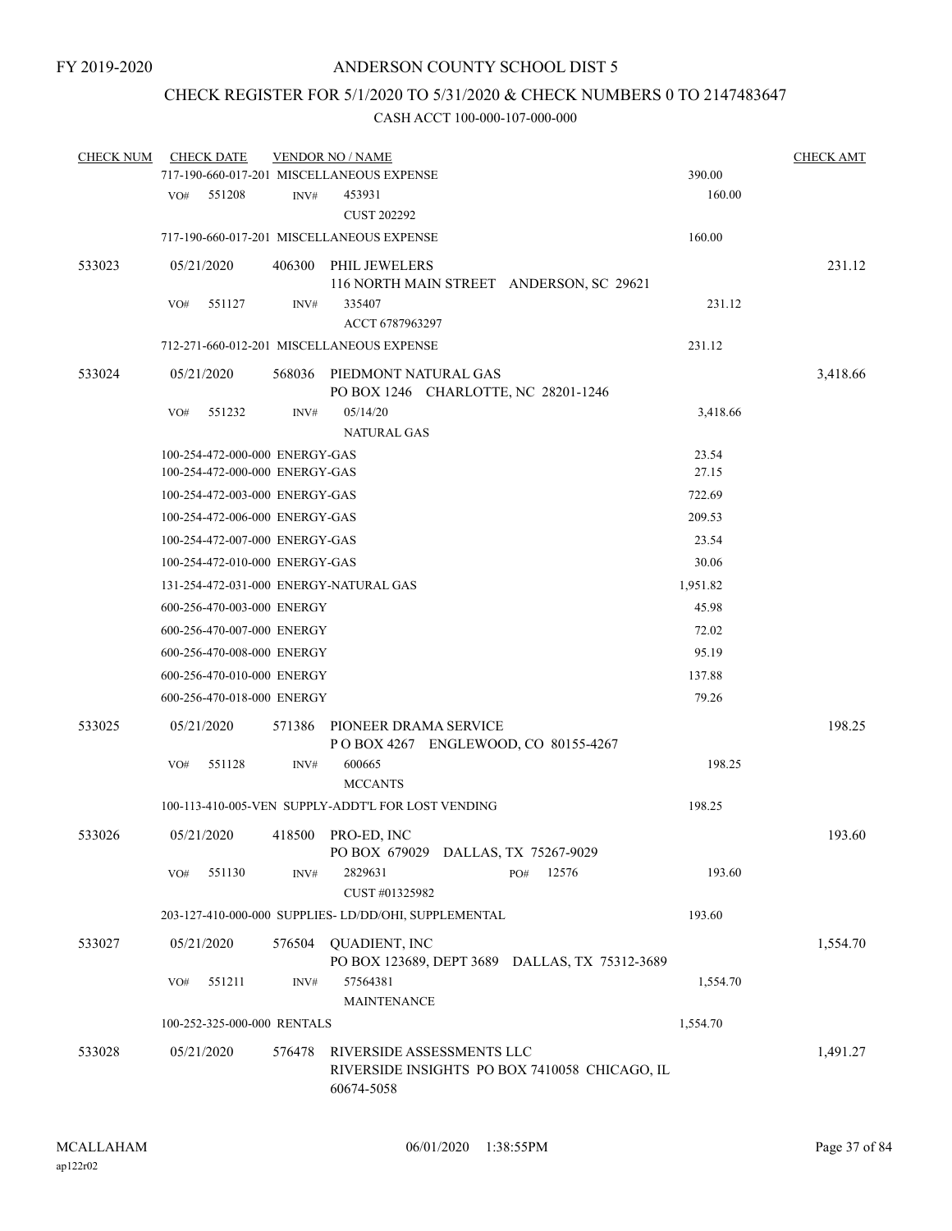## CHECK REGISTER FOR 5/1/2020 TO 5/31/2020 & CHECK NUMBERS 0 TO 2147483647

| <b>CHECK NUM</b> |     | <b>CHECK DATE</b>              |        | <b>VENDOR NO / NAME</b>                                      |                                                |          | <b>CHECK AMT</b> |
|------------------|-----|--------------------------------|--------|--------------------------------------------------------------|------------------------------------------------|----------|------------------|
|                  |     |                                |        | 717-190-660-017-201 MISCELLANEOUS EXPENSE                    |                                                | 390.00   |                  |
|                  | VO# | 551208                         | INV#   | 453931<br><b>CUST 202292</b>                                 |                                                | 160.00   |                  |
|                  |     |                                |        | 717-190-660-017-201 MISCELLANEOUS EXPENSE                    |                                                | 160.00   |                  |
| 533023           |     | 05/21/2020                     | 406300 | PHIL JEWELERS                                                |                                                |          | 231.12           |
|                  |     |                                |        |                                                              | 116 NORTH MAIN STREET ANDERSON, SC 29621       |          |                  |
|                  | VO# | 551127                         | INV#   | 335407                                                       |                                                | 231.12   |                  |
|                  |     |                                |        | ACCT 6787963297                                              |                                                |          |                  |
|                  |     |                                |        | 712-271-660-012-201 MISCELLANEOUS EXPENSE                    |                                                | 231.12   |                  |
| 533024           |     | 05/21/2020                     | 568036 | PIEDMONT NATURAL GAS<br>PO BOX 1246 CHARLOTTE, NC 28201-1246 |                                                |          | 3,418.66         |
|                  | VO# | 551232                         | INV#   | 05/14/20<br><b>NATURAL GAS</b>                               |                                                | 3,418.66 |                  |
|                  |     | 100-254-472-000-000 ENERGY-GAS |        |                                                              |                                                | 23.54    |                  |
|                  |     | 100-254-472-000-000 ENERGY-GAS |        |                                                              |                                                | 27.15    |                  |
|                  |     | 100-254-472-003-000 ENERGY-GAS |        |                                                              |                                                | 722.69   |                  |
|                  |     | 100-254-472-006-000 ENERGY-GAS |        |                                                              |                                                | 209.53   |                  |
|                  |     | 100-254-472-007-000 ENERGY-GAS |        |                                                              |                                                | 23.54    |                  |
|                  |     | 100-254-472-010-000 ENERGY-GAS |        |                                                              |                                                | 30.06    |                  |
|                  |     |                                |        | 131-254-472-031-000 ENERGY-NATURAL GAS                       |                                                | 1,951.82 |                  |
|                  |     | 600-256-470-003-000 ENERGY     |        |                                                              |                                                | 45.98    |                  |
|                  |     | 600-256-470-007-000 ENERGY     |        |                                                              |                                                | 72.02    |                  |
|                  |     | 600-256-470-008-000 ENERGY     |        |                                                              |                                                | 95.19    |                  |
|                  |     | 600-256-470-010-000 ENERGY     |        |                                                              |                                                | 137.88   |                  |
|                  |     | 600-256-470-018-000 ENERGY     |        |                                                              |                                                | 79.26    |                  |
| 533025           |     | 05/21/2020                     | 571386 | PIONEER DRAMA SERVICE                                        |                                                |          | 198.25           |
|                  | VO# | 551128                         | INV#   | POBOX 4267 ENGLEWOOD, CO 80155-4267<br>600665                |                                                | 198.25   |                  |
|                  |     |                                |        | <b>MCCANTS</b>                                               |                                                |          |                  |
|                  |     |                                |        | 100-113-410-005-VEN SUPPLY-ADDT'L FOR LOST VENDING           |                                                | 198.25   |                  |
| 533026           |     | 05/21/2020                     | 418500 | PRO-ED, INC<br>PO BOX 679029 DALLAS, TX 75267-9029           |                                                |          | 193.60           |
|                  | VO# | 551130                         | INV#   | 2829631<br>CUST #01325982                                    | 12576<br>PO#                                   | 193.60   |                  |
|                  |     |                                |        | 203-127-410-000-000 SUPPLIES- LD/DD/OHI, SUPPLEMENTAL        |                                                | 193.60   |                  |
| 533027           |     | 05/21/2020                     | 576504 | <b>QUADIENT, INC</b>                                         | PO BOX 123689, DEPT 3689 DALLAS, TX 75312-3689 |          | 1,554.70         |
|                  | VO# | 551211                         | INV#   | 57564381<br><b>MAINTENANCE</b>                               |                                                | 1,554.70 |                  |
|                  |     | 100-252-325-000-000 RENTALS    |        |                                                              |                                                | 1,554.70 |                  |
| 533028           |     | 05/21/2020                     | 576478 | RIVERSIDE ASSESSMENTS LLC<br>60674-5058                      | RIVERSIDE INSIGHTS PO BOX 7410058 CHICAGO, IL  |          | 1,491.27         |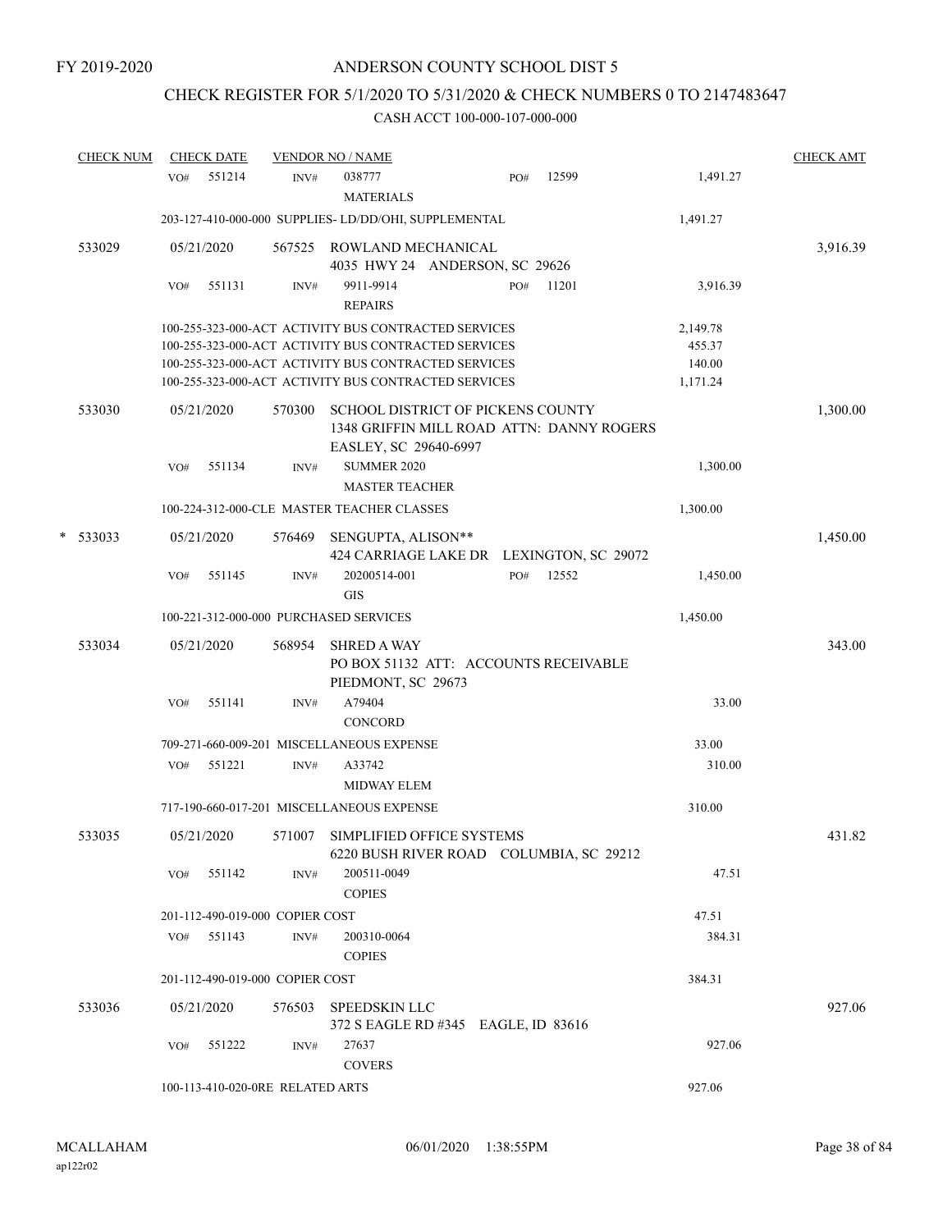# CHECK REGISTER FOR 5/1/2020 TO 5/31/2020 & CHECK NUMBERS 0 TO 2147483647

| <b>CHECK NUM</b> |     | <b>CHECK DATE</b> |                                  | <b>VENDOR NO / NAME</b>                                                                                 |     |       |          | <b>CHECK AMT</b> |
|------------------|-----|-------------------|----------------------------------|---------------------------------------------------------------------------------------------------------|-----|-------|----------|------------------|
|                  | VO# | 551214            | INV#                             | 038777<br><b>MATERIALS</b>                                                                              | PO# | 12599 | 1,491.27 |                  |
|                  |     |                   |                                  | 203-127-410-000-000 SUPPLIES- LD/DD/OHI, SUPPLEMENTAL                                                   |     |       | 1,491.27 |                  |
| 533029           |     | 05/21/2020        | 567525                           | ROWLAND MECHANICAL<br>4035 HWY 24 ANDERSON, SC 29626                                                    |     |       |          | 3,916.39         |
|                  | VO# | 551131            | INV#                             | 9911-9914<br><b>REPAIRS</b>                                                                             | PO# | 11201 | 3,916.39 |                  |
|                  |     |                   |                                  | 100-255-323-000-ACT ACTIVITY BUS CONTRACTED SERVICES                                                    |     |       | 2,149.78 |                  |
|                  |     |                   |                                  | 100-255-323-000-ACT ACTIVITY BUS CONTRACTED SERVICES                                                    |     |       | 455.37   |                  |
|                  |     |                   |                                  | 100-255-323-000-ACT ACTIVITY BUS CONTRACTED SERVICES                                                    |     |       | 140.00   |                  |
|                  |     |                   |                                  | 100-255-323-000-ACT ACTIVITY BUS CONTRACTED SERVICES                                                    |     |       | 1,171.24 |                  |
| 533030           |     | 05/21/2020        | 570300                           | SCHOOL DISTRICT OF PICKENS COUNTY<br>1348 GRIFFIN MILL ROAD ATTN: DANNY ROGERS<br>EASLEY, SC 29640-6997 |     |       |          | 1,300.00         |
|                  | VO# | 551134            | INV#                             | <b>SUMMER 2020</b>                                                                                      |     |       | 1,300.00 |                  |
|                  |     |                   |                                  | <b>MASTER TEACHER</b>                                                                                   |     |       |          |                  |
|                  |     |                   |                                  | 100-224-312-000-CLE MASTER TEACHER CLASSES                                                              |     |       | 1,300.00 |                  |
| $*$ 533033       |     | 05/21/2020        | 576469                           |                                                                                                         |     |       |          | 1,450.00         |
|                  |     |                   |                                  | SENGUPTA, ALISON**<br>424 CARRIAGE LAKE DR LEXINGTON, SC 29072                                          |     |       |          |                  |
|                  | VO# | 551145            | INV#                             | 20200514-001                                                                                            | PO# | 12552 | 1,450.00 |                  |
|                  |     |                   |                                  | <b>GIS</b>                                                                                              |     |       |          |                  |
|                  |     |                   |                                  | 100-221-312-000-000 PURCHASED SERVICES                                                                  |     |       | 1,450.00 |                  |
| 533034           |     | 05/21/2020        | 568954                           | <b>SHRED A WAY</b>                                                                                      |     |       |          | 343.00           |
|                  |     |                   |                                  | PO BOX 51132 ATT: ACCOUNTS RECEIVABLE<br>PIEDMONT, SC 29673                                             |     |       |          |                  |
|                  | VO# | 551141            | INV#                             | A79404                                                                                                  |     |       | 33.00    |                  |
|                  |     |                   |                                  | CONCORD                                                                                                 |     |       |          |                  |
|                  |     |                   |                                  | 709-271-660-009-201 MISCELLANEOUS EXPENSE                                                               |     |       | 33.00    |                  |
|                  | VO# | 551221            | INV#                             | A33742                                                                                                  |     |       | 310.00   |                  |
|                  |     |                   |                                  | MIDWAY ELEM                                                                                             |     |       |          |                  |
|                  |     |                   |                                  | 717-190-660-017-201 MISCELLANEOUS EXPENSE                                                               |     |       | 310.00   |                  |
| 533035           |     | 05/21/2020        | 571007                           | SIMPLIFIED OFFICE SYSTEMS                                                                               |     |       |          | 431.82           |
|                  |     |                   |                                  | 6220 BUSH RIVER ROAD COLUMBIA, SC 29212                                                                 |     |       |          |                  |
|                  | VO# | 551142            | INV#                             | 200511-0049<br><b>COPIES</b>                                                                            |     |       | 47.51    |                  |
|                  |     |                   | 201-112-490-019-000 COPIER COST  |                                                                                                         |     |       | 47.51    |                  |
|                  | VO# | 551143            | INV#                             | 200310-0064                                                                                             |     |       | 384.31   |                  |
|                  |     |                   |                                  | <b>COPIES</b>                                                                                           |     |       |          |                  |
|                  |     |                   | 201-112-490-019-000 COPIER COST  |                                                                                                         |     |       | 384.31   |                  |
| 533036           |     | 05/21/2020        | 576503                           | SPEEDSKIN LLC                                                                                           |     |       |          | 927.06           |
|                  |     |                   |                                  | 372 S EAGLE RD #345 EAGLE, ID 83616                                                                     |     |       |          |                  |
|                  | VO# | 551222            | INV#                             | 27637                                                                                                   |     |       | 927.06   |                  |
|                  |     |                   |                                  | <b>COVERS</b>                                                                                           |     |       |          |                  |
|                  |     |                   | 100-113-410-020-0RE RELATED ARTS |                                                                                                         |     |       | 927.06   |                  |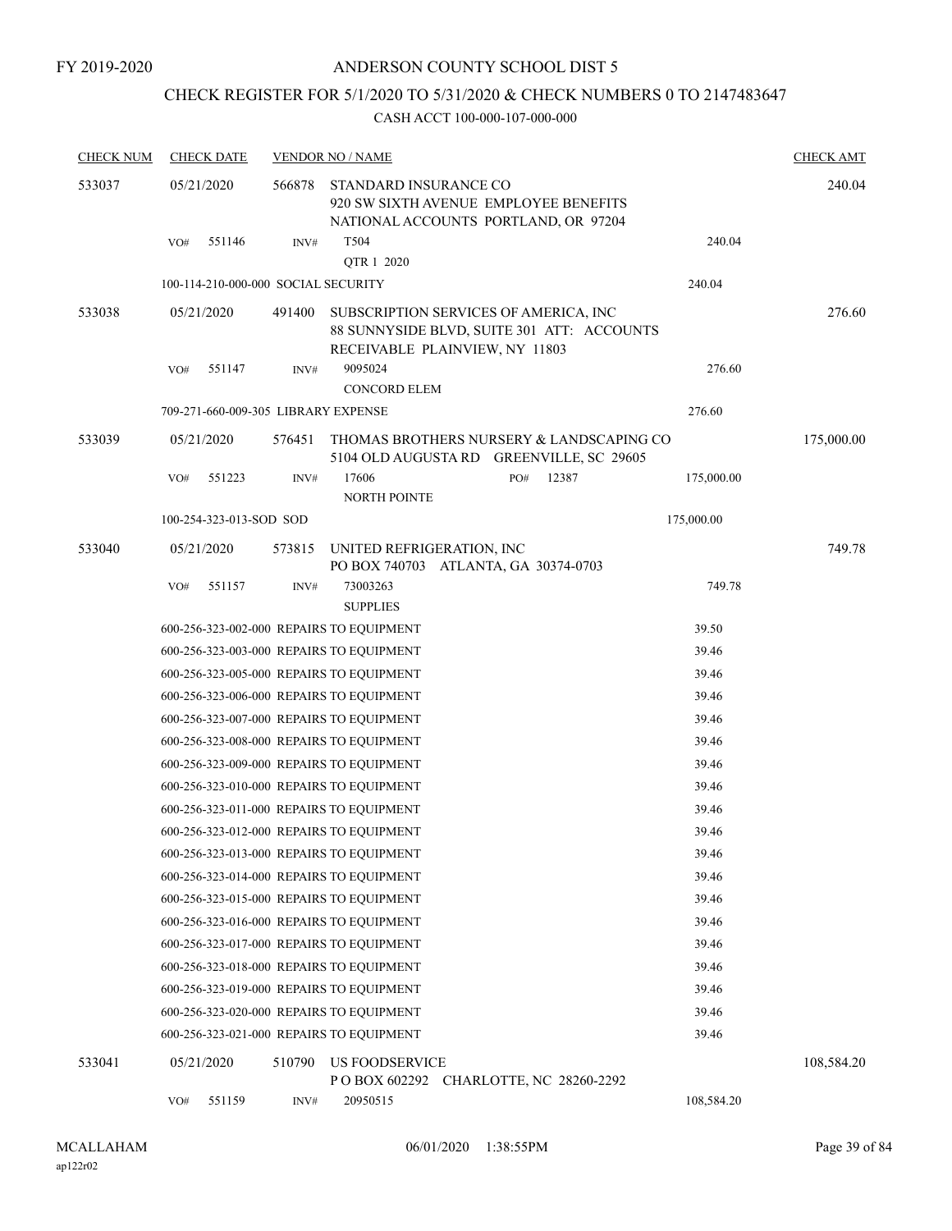## CHECK REGISTER FOR 5/1/2020 TO 5/31/2020 & CHECK NUMBERS 0 TO 2147483647

| <b>CHECK NUM</b> | <b>CHECK DATE</b>       |        |        | <b>VENDOR NO / NAME</b>                                                                                               |     |       |            | <b>CHECK AMT</b> |
|------------------|-------------------------|--------|--------|-----------------------------------------------------------------------------------------------------------------------|-----|-------|------------|------------------|
| 533037           | 05/21/2020              |        | 566878 | STANDARD INSURANCE CO<br>920 SW SIXTH AVENUE EMPLOYEE BENEFITS<br>NATIONAL ACCOUNTS PORTLAND, OR 97204                |     |       |            | 240.04           |
|                  | VO#                     | 551146 | INV#   | T504<br>QTR 1 2020                                                                                                    |     |       | 240.04     |                  |
|                  |                         |        |        | 100-114-210-000-000 SOCIAL SECURITY                                                                                   |     |       | 240.04     |                  |
| 533038           | 05/21/2020              |        | 491400 | SUBSCRIPTION SERVICES OF AMERICA, INC<br>88 SUNNYSIDE BLVD, SUITE 301 ATT: ACCOUNTS<br>RECEIVABLE PLAINVIEW, NY 11803 |     |       |            | 276.60           |
|                  | VO#                     | 551147 | INV#   | 9095024                                                                                                               |     |       | 276.60     |                  |
|                  |                         |        |        | <b>CONCORD ELEM</b>                                                                                                   |     |       |            |                  |
|                  |                         |        |        | 709-271-660-009-305 LIBRARY EXPENSE                                                                                   |     |       | 276.60     |                  |
| 533039           | 05/21/2020              |        | 576451 | THOMAS BROTHERS NURSERY & LANDSCAPING CO<br>5104 OLD AUGUSTA RD GREENVILLE, SC 29605                                  |     |       |            | 175,000.00       |
|                  | VO#                     | 551223 | INV#   | 17606<br>NORTH POINTE                                                                                                 | PO# | 12387 | 175,000.00 |                  |
|                  | 100-254-323-013-SOD SOD |        |        |                                                                                                                       |     |       | 175,000.00 |                  |
| 533040           | 05/21/2020              |        | 573815 | UNITED REFRIGERATION, INC<br>PO BOX 740703 ATLANTA, GA 30374-0703                                                     |     |       |            | 749.78           |
|                  | VO#                     | 551157 | INV#   | 73003263<br><b>SUPPLIES</b>                                                                                           |     |       | 749.78     |                  |
|                  |                         |        |        | 600-256-323-002-000 REPAIRS TO EQUIPMENT                                                                              |     |       | 39.50      |                  |
|                  |                         |        |        | 600-256-323-003-000 REPAIRS TO EQUIPMENT                                                                              |     |       | 39.46      |                  |
|                  |                         |        |        | 600-256-323-005-000 REPAIRS TO EQUIPMENT                                                                              |     |       | 39.46      |                  |
|                  |                         |        |        | 600-256-323-006-000 REPAIRS TO EQUIPMENT                                                                              |     |       | 39.46      |                  |
|                  |                         |        |        | 600-256-323-007-000 REPAIRS TO EQUIPMENT                                                                              |     |       | 39.46      |                  |
|                  |                         |        |        | 600-256-323-008-000 REPAIRS TO EQUIPMENT                                                                              |     |       | 39.46      |                  |
|                  |                         |        |        | 600-256-323-009-000 REPAIRS TO EQUIPMENT                                                                              |     |       | 39.46      |                  |
|                  |                         |        |        | 600-256-323-010-000 REPAIRS TO EQUIPMENT                                                                              |     |       | 39.46      |                  |
|                  |                         |        |        | 600-256-323-011-000 REPAIRS TO EQUIPMENT                                                                              |     |       | 39.46      |                  |
|                  |                         |        |        | 600-256-323-012-000 REPAIRS TO EQUIPMENT                                                                              |     |       | 39.46      |                  |
|                  |                         |        |        | 600-256-323-013-000 REPAIRS TO EQUIPMENT                                                                              |     |       | 39.46      |                  |
|                  |                         |        |        | 600-256-323-014-000 REPAIRS TO EQUIPMENT                                                                              |     |       | 39.46      |                  |
|                  |                         |        |        | 600-256-323-015-000 REPAIRS TO EQUIPMENT                                                                              |     |       | 39.46      |                  |
|                  |                         |        |        | 600-256-323-016-000 REPAIRS TO EQUIPMENT                                                                              |     |       | 39.46      |                  |
|                  |                         |        |        | 600-256-323-017-000 REPAIRS TO EQUIPMENT                                                                              |     |       | 39.46      |                  |
|                  |                         |        |        | 600-256-323-018-000 REPAIRS TO EQUIPMENT                                                                              |     |       | 39.46      |                  |
|                  |                         |        |        | 600-256-323-019-000 REPAIRS TO EQUIPMENT                                                                              |     |       | 39.46      |                  |
|                  |                         |        |        | 600-256-323-020-000 REPAIRS TO EQUIPMENT                                                                              |     |       | 39.46      |                  |
|                  |                         |        |        | 600-256-323-021-000 REPAIRS TO EQUIPMENT                                                                              |     |       | 39.46      |                  |
| 533041           | 05/21/2020              |        | 510790 | <b>US FOODSERVICE</b><br>POBOX 602292 CHARLOTTE, NC 28260-2292                                                        |     |       |            | 108,584.20       |
|                  | VO#                     | 551159 | INV#   | 20950515                                                                                                              |     |       | 108,584.20 |                  |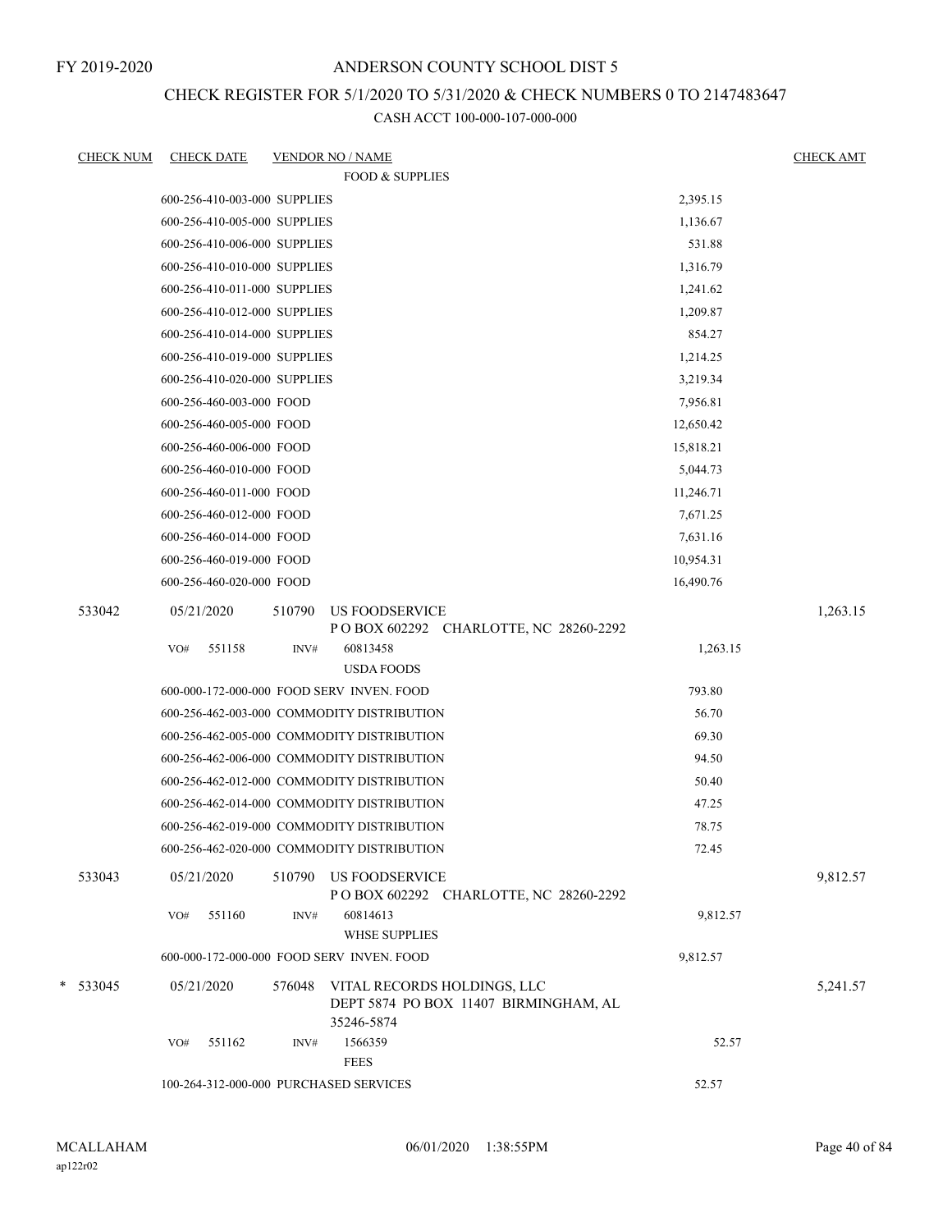## ANDERSON COUNTY SCHOOL DIST 5

## CHECK REGISTER FOR 5/1/2020 TO 5/31/2020 & CHECK NUMBERS 0 TO 2147483647

|   | <b>CHECK NUM</b> | <b>CHECK DATE</b>                         |        | <b>VENDOR NO / NAME</b>                                                            |           | <b>CHECK AMT</b> |
|---|------------------|-------------------------------------------|--------|------------------------------------------------------------------------------------|-----------|------------------|
|   |                  |                                           |        | <b>FOOD &amp; SUPPLIES</b>                                                         |           |                  |
|   |                  | 600-256-410-003-000 SUPPLIES              |        |                                                                                    | 2,395.15  |                  |
|   |                  | 600-256-410-005-000 SUPPLIES              |        |                                                                                    | 1,136.67  |                  |
|   |                  | 600-256-410-006-000 SUPPLIES              |        |                                                                                    | 531.88    |                  |
|   |                  | 600-256-410-010-000 SUPPLIES              |        |                                                                                    | 1,316.79  |                  |
|   |                  | 600-256-410-011-000 SUPPLIES              |        |                                                                                    | 1,241.62  |                  |
|   |                  | 600-256-410-012-000 SUPPLIES              |        |                                                                                    | 1,209.87  |                  |
|   |                  | 600-256-410-014-000 SUPPLIES              |        |                                                                                    | 854.27    |                  |
|   |                  | 600-256-410-019-000 SUPPLIES              |        |                                                                                    | 1,214.25  |                  |
|   |                  | 600-256-410-020-000 SUPPLIES              |        |                                                                                    | 3,219.34  |                  |
|   |                  | 600-256-460-003-000 FOOD                  |        |                                                                                    | 7,956.81  |                  |
|   |                  | 600-256-460-005-000 FOOD                  |        |                                                                                    | 12,650.42 |                  |
|   |                  | 600-256-460-006-000 FOOD                  |        |                                                                                    | 15,818.21 |                  |
|   |                  | 600-256-460-010-000 FOOD                  |        |                                                                                    | 5,044.73  |                  |
|   |                  | 600-256-460-011-000 FOOD                  |        |                                                                                    | 11,246.71 |                  |
|   |                  | 600-256-460-012-000 FOOD                  |        |                                                                                    | 7,671.25  |                  |
|   |                  | 600-256-460-014-000 FOOD                  |        |                                                                                    | 7,631.16  |                  |
|   |                  | 600-256-460-019-000 FOOD                  |        |                                                                                    | 10,954.31 |                  |
|   |                  | 600-256-460-020-000 FOOD                  |        |                                                                                    | 16,490.76 |                  |
|   | 533042           | 05/21/2020                                | 510790 | US FOODSERVICE                                                                     |           | 1,263.15         |
|   |                  |                                           |        | P O BOX 602292 CHARLOTTE, NC 28260-2292                                            |           |                  |
|   |                  | 551158<br>VO#                             | INV#   | 60813458                                                                           | 1,263.15  |                  |
|   |                  |                                           |        | <b>USDA FOODS</b>                                                                  |           |                  |
|   |                  | 600-000-172-000-000 FOOD SERV INVEN. FOOD |        |                                                                                    | 793.80    |                  |
|   |                  |                                           |        | 600-256-462-003-000 COMMODITY DISTRIBUTION                                         | 56.70     |                  |
|   |                  |                                           |        | 600-256-462-005-000 COMMODITY DISTRIBUTION                                         | 69.30     |                  |
|   |                  |                                           |        | 600-256-462-006-000 COMMODITY DISTRIBUTION                                         | 94.50     |                  |
|   |                  |                                           |        | 600-256-462-012-000 COMMODITY DISTRIBUTION                                         | 50.40     |                  |
|   |                  |                                           |        | 600-256-462-014-000 COMMODITY DISTRIBUTION                                         | 47.25     |                  |
|   |                  |                                           |        | 600-256-462-019-000 COMMODITY DISTRIBUTION                                         | 78.75     |                  |
|   |                  |                                           |        | 600-256-462-020-000 COMMODITY DISTRIBUTION                                         | 72.45     |                  |
|   | 533043           | 05/21/2020                                | 510790 | US FOODSERVICE<br>POBOX 602292 CHARLOTTE, NC 28260-2292                            |           | 9,812.57         |
|   |                  | 551160<br>VO#                             | INV#   | 60814613                                                                           | 9,812.57  |                  |
|   |                  |                                           |        | WHSE SUPPLIES                                                                      |           |                  |
|   |                  | 600-000-172-000-000 FOOD SERV INVEN. FOOD |        |                                                                                    | 9,812.57  |                  |
| * | 533045           | 05/21/2020                                | 576048 | VITAL RECORDS HOLDINGS, LLC<br>DEPT 5874 PO BOX 11407 BIRMINGHAM, AL<br>35246-5874 |           | 5,241.57         |
|   |                  | 551162<br>VO#                             | INV#   | 1566359                                                                            | 52.57     |                  |
|   |                  |                                           |        | <b>FEES</b>                                                                        |           |                  |
|   |                  | 100-264-312-000-000 PURCHASED SERVICES    |        |                                                                                    | 52.57     |                  |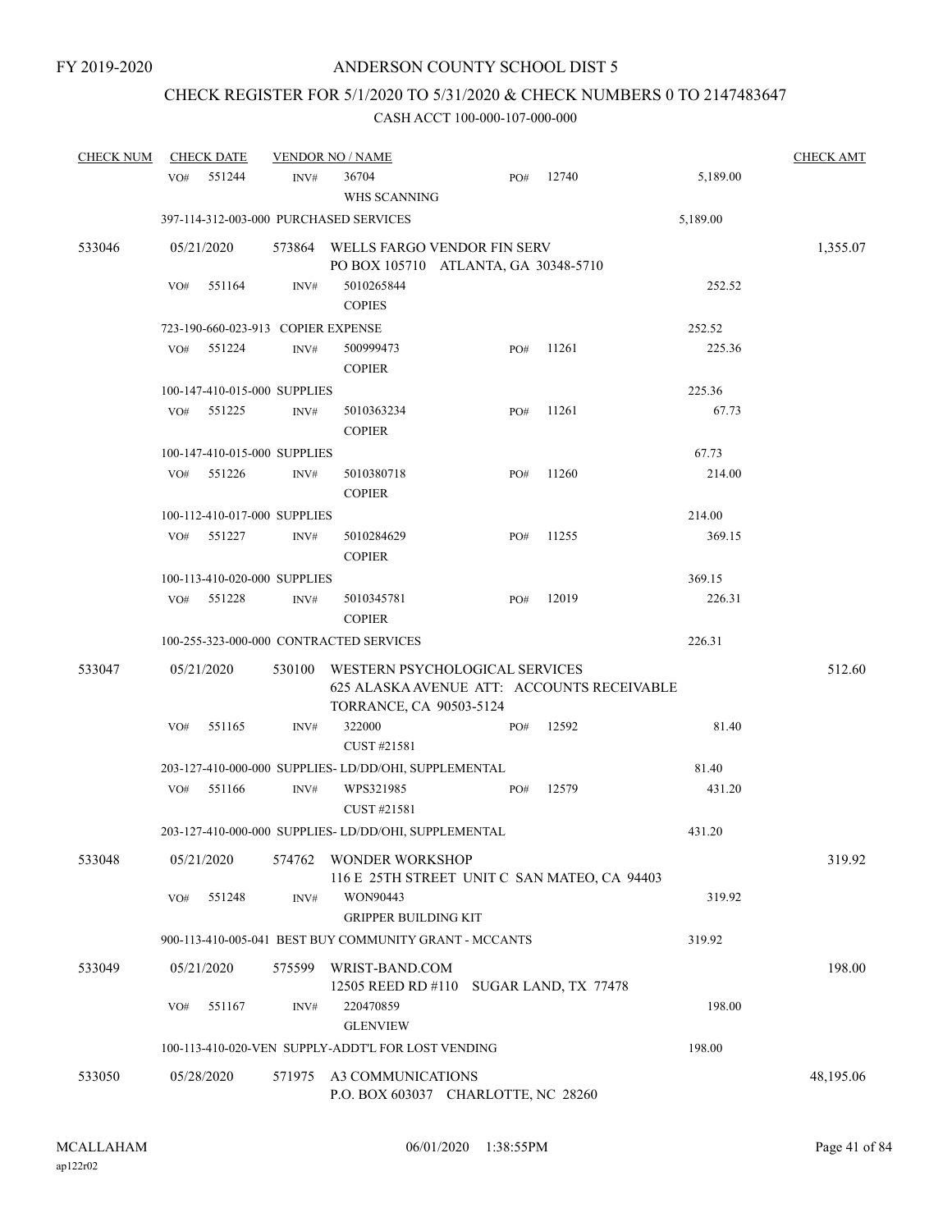# CHECK REGISTER FOR 5/1/2020 TO 5/31/2020 & CHECK NUMBERS 0 TO 2147483647

| <b>CHECK NUM</b> | <b>CHECK DATE</b> |                                    |        | <b>VENDOR NO / NAME</b>                                                                                 |     |       |          | <b>CHECK AMT</b> |
|------------------|-------------------|------------------------------------|--------|---------------------------------------------------------------------------------------------------------|-----|-------|----------|------------------|
|                  | VO#               | 551244                             | INV#   | 36704<br>WHS SCANNING                                                                                   | PO# | 12740 | 5,189.00 |                  |
|                  |                   |                                    |        | 397-114-312-003-000 PURCHASED SERVICES                                                                  |     |       | 5,189.00 |                  |
| 533046           | 05/21/2020        |                                    |        | 573864 WELLS FARGO VENDOR FIN SERV<br>PO BOX 105710 ATLANTA, GA 30348-5710                              |     |       |          | 1,355.07         |
|                  | VO#               | 551164                             | INV#   | 5010265844<br><b>COPIES</b>                                                                             |     |       | 252.52   |                  |
|                  |                   | 723-190-660-023-913 COPIER EXPENSE |        |                                                                                                         |     |       | 252.52   |                  |
|                  | VO#               | 551224                             | INV#   | 500999473<br><b>COPIER</b>                                                                              | PO# | 11261 | 225.36   |                  |
|                  |                   | 100-147-410-015-000 SUPPLIES       |        |                                                                                                         |     |       | 225.36   |                  |
|                  | VO#               | 551225                             | INV#   | 5010363234<br><b>COPIER</b>                                                                             | PO# | 11261 | 67.73    |                  |
|                  |                   | 100-147-410-015-000 SUPPLIES       |        |                                                                                                         |     |       | 67.73    |                  |
|                  | VO#               | 551226                             | INV#   | 5010380718<br><b>COPIER</b>                                                                             | PO# | 11260 | 214.00   |                  |
|                  |                   | 100-112-410-017-000 SUPPLIES       |        |                                                                                                         |     |       | 214.00   |                  |
|                  | VO#               | 551227                             | INV#   | 5010284629<br><b>COPIER</b>                                                                             | PO# | 11255 | 369.15   |                  |
|                  |                   | 100-113-410-020-000 SUPPLIES       |        |                                                                                                         |     |       | 369.15   |                  |
|                  | VO#               | 551228                             | INV#   | 5010345781<br><b>COPIER</b>                                                                             | PO# | 12019 | 226.31   |                  |
|                  |                   |                                    |        | 100-255-323-000-000 CONTRACTED SERVICES                                                                 |     |       | 226.31   |                  |
| 533047           | 05/21/2020        |                                    | 530100 | WESTERN PSYCHOLOGICAL SERVICES<br>625 ALASKA AVENUE ATT: ACCOUNTS RECEIVABLE<br>TORRANCE, CA 90503-5124 |     |       |          | 512.60           |
|                  | VO#               | 551165                             | INV#   | 322000<br>CUST #21581                                                                                   | PO# | 12592 | 81.40    |                  |
|                  |                   |                                    |        | 203-127-410-000-000 SUPPLIES-LD/DD/OHI, SUPPLEMENTAL                                                    |     |       | 81.40    |                  |
|                  | VO#               | 551166                             | INV#   | WPS321985<br>CUST #21581                                                                                | PO# | 12579 | 431.20   |                  |
|                  |                   |                                    |        | 203-127-410-000-000 SUPPLIES- LD/DD/OHI, SUPPLEMENTAL                                                   |     |       | 431.20   |                  |
| 533048           | 05/21/2020        |                                    | 574762 | <b>WONDER WORKSHOP</b><br>116 E 25TH STREET UNIT C SAN MATEO, CA 94403                                  |     |       |          | 319.92           |
|                  | VO#               | 551248                             | INV#   | WON90443<br><b>GRIPPER BUILDING KIT</b>                                                                 |     |       | 319.92   |                  |
|                  |                   |                                    |        | 900-113-410-005-041 BEST BUY COMMUNITY GRANT - MCCANTS                                                  |     |       | 319.92   |                  |
| 533049           | 05/21/2020        |                                    | 575599 | WRIST-BAND.COM<br>12505 REED RD #110 SUGAR LAND, TX 77478                                               |     |       |          | 198.00           |
|                  | VO#               | 551167                             | INV#   | 220470859<br><b>GLENVIEW</b>                                                                            |     |       | 198.00   |                  |
|                  |                   |                                    |        | 100-113-410-020-VEN SUPPLY-ADDT'L FOR LOST VENDING                                                      |     |       | 198.00   |                  |
| 533050           | 05/28/2020        |                                    |        | 571975 A3 COMMUNICATIONS<br>P.O. BOX 603037 CHARLOTTE, NC 28260                                         |     |       |          | 48,195.06        |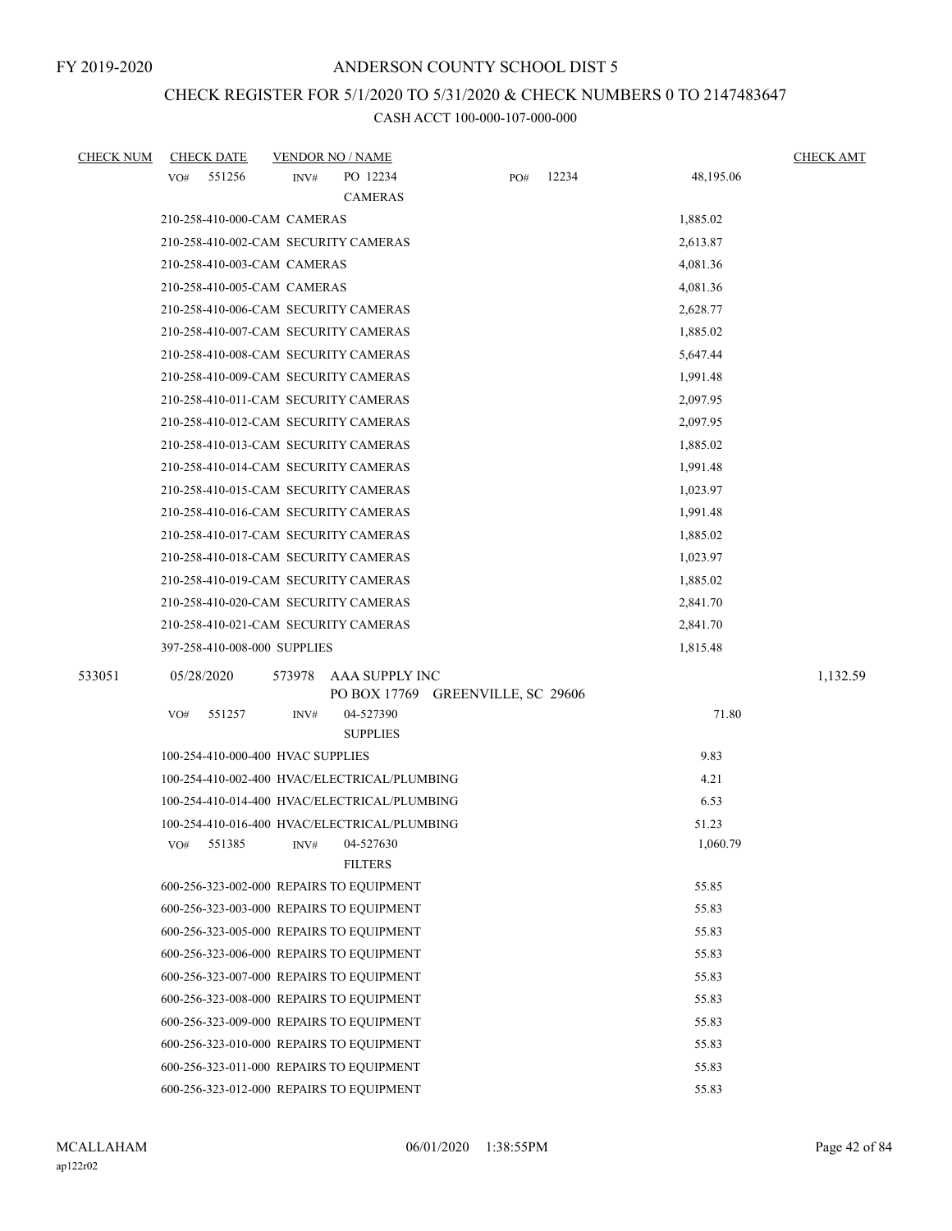# CHECK REGISTER FOR 5/1/2020 TO 5/31/2020 & CHECK NUMBERS 0 TO 2147483647

| <b>CHECK NUM</b> | <b>CHECK DATE</b>                            | <b>VENDOR NO / NAME</b> |                                                     |     |       |           | <b>CHECK AMT</b> |
|------------------|----------------------------------------------|-------------------------|-----------------------------------------------------|-----|-------|-----------|------------------|
|                  | 551256<br>VO#                                | INV#                    | PO 12234                                            | PO# | 12234 | 48,195.06 |                  |
|                  |                                              |                         | <b>CAMERAS</b>                                      |     |       |           |                  |
|                  | 210-258-410-000-CAM CAMERAS                  |                         |                                                     |     |       | 1,885.02  |                  |
|                  | 210-258-410-002-CAM SECURITY CAMERAS         |                         |                                                     |     |       | 2,613.87  |                  |
|                  | 210-258-410-003-CAM CAMERAS                  |                         |                                                     |     |       | 4,081.36  |                  |
|                  | 210-258-410-005-CAM CAMERAS                  |                         |                                                     |     |       | 4,081.36  |                  |
|                  | 210-258-410-006-CAM SECURITY CAMERAS         |                         |                                                     |     |       | 2,628.77  |                  |
|                  | 210-258-410-007-CAM SECURITY CAMERAS         |                         |                                                     |     |       | 1,885.02  |                  |
|                  | 210-258-410-008-CAM SECURITY CAMERAS         |                         |                                                     |     |       | 5,647.44  |                  |
|                  | 210-258-410-009-CAM SECURITY CAMERAS         |                         |                                                     |     |       | 1,991.48  |                  |
|                  | 210-258-410-011-CAM SECURITY CAMERAS         |                         |                                                     |     |       | 2,097.95  |                  |
|                  | 210-258-410-012-CAM SECURITY CAMERAS         |                         |                                                     |     |       | 2,097.95  |                  |
|                  | 210-258-410-013-CAM SECURITY CAMERAS         |                         |                                                     |     |       | 1,885.02  |                  |
|                  | 210-258-410-014-CAM SECURITY CAMERAS         |                         |                                                     |     |       | 1,991.48  |                  |
|                  | 210-258-410-015-CAM SECURITY CAMERAS         |                         |                                                     |     |       | 1,023.97  |                  |
|                  | 210-258-410-016-CAM SECURITY CAMERAS         |                         |                                                     |     |       | 1,991.48  |                  |
|                  | 210-258-410-017-CAM SECURITY CAMERAS         |                         |                                                     |     |       | 1,885.02  |                  |
|                  | 210-258-410-018-CAM SECURITY CAMERAS         |                         |                                                     |     |       | 1,023.97  |                  |
|                  | 210-258-410-019-CAM SECURITY CAMERAS         |                         |                                                     |     |       | 1,885.02  |                  |
|                  | 210-258-410-020-CAM SECURITY CAMERAS         |                         |                                                     |     |       | 2,841.70  |                  |
|                  | 210-258-410-021-CAM SECURITY CAMERAS         |                         |                                                     |     |       | 2,841.70  |                  |
|                  | 397-258-410-008-000 SUPPLIES                 |                         |                                                     |     |       | 1,815.48  |                  |
| 533051           | 05/28/2020                                   | 573978                  | AAA SUPPLY INC<br>PO BOX 17769 GREENVILLE, SC 29606 |     |       |           | 1,132.59         |
|                  | 551257<br>VO#                                | INV#                    | 04-527390<br><b>SUPPLIES</b>                        |     |       | 71.80     |                  |
|                  | 100-254-410-000-400 HVAC SUPPLIES            |                         |                                                     |     |       | 9.83      |                  |
|                  | 100-254-410-002-400 HVAC/ELECTRICAL/PLUMBING |                         |                                                     |     |       | 4.21      |                  |
|                  | 100-254-410-014-400 HVAC/ELECTRICAL/PLUMBING |                         |                                                     |     |       | 6.53      |                  |
|                  | 100-254-410-016-400 HVAC/ELECTRICAL/PLUMBING |                         |                                                     |     |       | 51.23     |                  |
|                  | VO#<br>551385                                | INV#                    | 04-527630<br><b>FILTERS</b>                         |     |       | 1,060.79  |                  |
|                  | 600-256-323-002-000 REPAIRS TO EQUIPMENT     |                         |                                                     |     |       | 55.85     |                  |
|                  | 600-256-323-003-000 REPAIRS TO EQUIPMENT     |                         |                                                     |     |       | 55.83     |                  |
|                  | 600-256-323-005-000 REPAIRS TO EQUIPMENT     |                         |                                                     |     |       | 55.83     |                  |
|                  | 600-256-323-006-000 REPAIRS TO EQUIPMENT     |                         |                                                     |     |       | 55.83     |                  |
|                  | 600-256-323-007-000 REPAIRS TO EQUIPMENT     |                         |                                                     |     |       | 55.83     |                  |
|                  | 600-256-323-008-000 REPAIRS TO EQUIPMENT     |                         |                                                     |     |       | 55.83     |                  |
|                  | 600-256-323-009-000 REPAIRS TO EQUIPMENT     |                         |                                                     |     |       | 55.83     |                  |
|                  | 600-256-323-010-000 REPAIRS TO EQUIPMENT     |                         |                                                     |     |       | 55.83     |                  |
|                  | 600-256-323-011-000 REPAIRS TO EQUIPMENT     |                         |                                                     |     |       | 55.83     |                  |
|                  | 600-256-323-012-000 REPAIRS TO EQUIPMENT     |                         |                                                     |     |       | 55.83     |                  |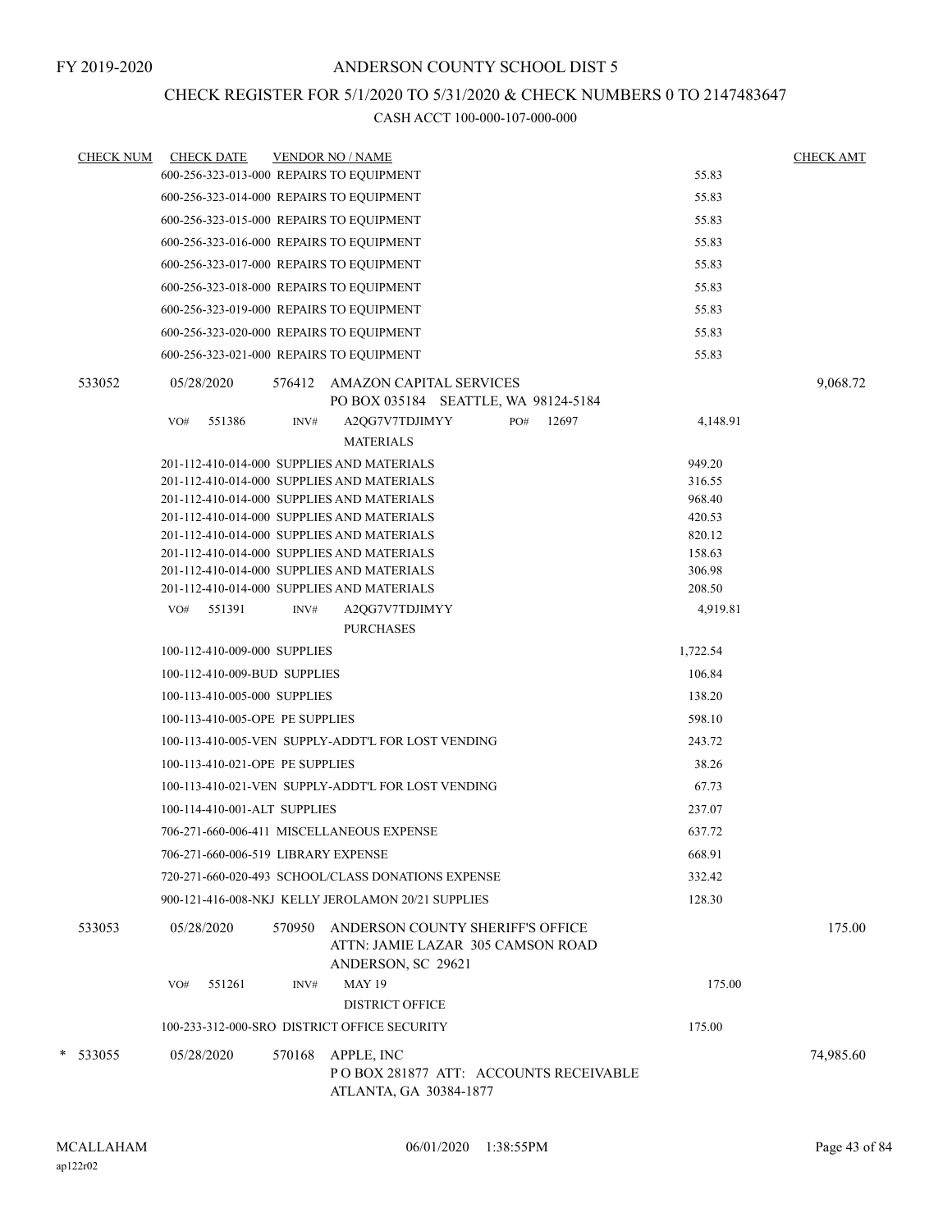## CHECK REGISTER FOR 5/1/2020 TO 5/31/2020 & CHECK NUMBERS 0 TO 2147483647

| <b>CHECK NUM</b> | <b>CHECK DATE</b>                          |        | <b>VENDOR NO / NAME</b>                                                                     |     |       |          | <b>CHECK AMT</b> |
|------------------|--------------------------------------------|--------|---------------------------------------------------------------------------------------------|-----|-------|----------|------------------|
|                  | 600-256-323-013-000 REPAIRS TO EQUIPMENT   |        |                                                                                             |     |       | 55.83    |                  |
|                  | 600-256-323-014-000 REPAIRS TO EQUIPMENT   |        |                                                                                             |     |       | 55.83    |                  |
|                  | 600-256-323-015-000 REPAIRS TO EQUIPMENT   |        |                                                                                             |     |       | 55.83    |                  |
|                  | 600-256-323-016-000 REPAIRS TO EQUIPMENT   |        |                                                                                             |     |       | 55.83    |                  |
|                  | 600-256-323-017-000 REPAIRS TO EQUIPMENT   |        |                                                                                             |     |       | 55.83    |                  |
|                  | 600-256-323-018-000 REPAIRS TO EQUIPMENT   |        |                                                                                             |     |       | 55.83    |                  |
|                  | 600-256-323-019-000 REPAIRS TO EQUIPMENT   |        |                                                                                             |     |       | 55.83    |                  |
|                  | 600-256-323-020-000 REPAIRS TO EQUIPMENT   |        |                                                                                             |     |       | 55.83    |                  |
|                  | 600-256-323-021-000 REPAIRS TO EQUIPMENT   |        |                                                                                             |     |       | 55.83    |                  |
| 533052           | 05/28/2020                                 | 576412 | <b>AMAZON CAPITAL SERVICES</b><br>PO BOX 035184 SEATTLE, WA 98124-5184                      |     |       |          | 9,068.72         |
|                  | 551386<br>VO#                              | INV#   | A2QG7V7TDJIMYY<br><b>MATERIALS</b>                                                          | PO# | 12697 | 4,148.91 |                  |
|                  | 201-112-410-014-000 SUPPLIES AND MATERIALS |        |                                                                                             |     |       | 949.20   |                  |
|                  | 201-112-410-014-000 SUPPLIES AND MATERIALS |        |                                                                                             |     |       | 316.55   |                  |
|                  | 201-112-410-014-000 SUPPLIES AND MATERIALS |        |                                                                                             |     |       | 968.40   |                  |
|                  | 201-112-410-014-000 SUPPLIES AND MATERIALS |        |                                                                                             |     |       | 420.53   |                  |
|                  | 201-112-410-014-000 SUPPLIES AND MATERIALS |        |                                                                                             |     |       | 820.12   |                  |
|                  | 201-112-410-014-000 SUPPLIES AND MATERIALS |        |                                                                                             |     |       | 158.63   |                  |
|                  | 201-112-410-014-000 SUPPLIES AND MATERIALS |        |                                                                                             |     |       | 306.98   |                  |
|                  | 201-112-410-014-000 SUPPLIES AND MATERIALS |        |                                                                                             |     |       | 208.50   |                  |
|                  | 551391<br>VO#                              | INV#   | A2QG7V7TDJIMYY<br><b>PURCHASES</b>                                                          |     |       | 4,919.81 |                  |
|                  | 100-112-410-009-000 SUPPLIES               |        |                                                                                             |     |       | 1,722.54 |                  |
|                  | 100-112-410-009-BUD SUPPLIES               |        |                                                                                             |     |       | 106.84   |                  |
|                  |                                            |        |                                                                                             |     |       |          |                  |
|                  | 100-113-410-005-000 SUPPLIES               |        |                                                                                             |     |       | 138.20   |                  |
|                  | 100-113-410-005-OPE PE SUPPLIES            |        |                                                                                             |     |       | 598.10   |                  |
|                  |                                            |        | 100-113-410-005-VEN SUPPLY-ADDT'L FOR LOST VENDING                                          |     |       | 243.72   |                  |
|                  | 100-113-410-021-OPE PE SUPPLIES            |        |                                                                                             |     |       | 38.26    |                  |
|                  |                                            |        | 100-113-410-021-VEN SUPPLY-ADDT'L FOR LOST VENDING                                          |     |       | 67.73    |                  |
|                  | 100-114-410-001-ALT SUPPLIES               |        |                                                                                             |     |       | 237.07   |                  |
|                  | 706-271-660-006-411 MISCELLANEOUS EXPENSE  |        |                                                                                             |     |       | 637.72   |                  |
|                  | 706-271-660-006-519 LIBRARY EXPENSE        |        |                                                                                             |     |       | 668.91   |                  |
|                  |                                            |        | 720-271-660-020-493 SCHOOL/CLASS DONATIONS EXPENSE                                          |     |       | 332.42   |                  |
|                  |                                            |        | 900-121-416-008-NKJ KELLY JEROLAMON 20/21 SUPPLIES                                          |     |       | 128.30   |                  |
| 533053           | 05/28/2020                                 | 570950 | ANDERSON COUNTY SHERIFF'S OFFICE<br>ATTN: JAMIE LAZAR 305 CAMSON ROAD<br>ANDERSON, SC 29621 |     |       |          | 175.00           |
|                  | 551261<br>VO#                              | INV#   | <b>MAY 19</b>                                                                               |     |       | 175.00   |                  |
|                  |                                            |        | <b>DISTRICT OFFICE</b>                                                                      |     |       |          |                  |
|                  |                                            |        | 100-233-312-000-SRO DISTRICT OFFICE SECURITY                                                |     |       | 175.00   |                  |
| * 533055         | 05/28/2020                                 | 570168 | APPLE, INC                                                                                  |     |       |          | 74,985.60        |
|                  |                                            |        | P O BOX 281877 ATT: ACCOUNTS RECEIVABLE<br>ATLANTA, GA 30384-1877                           |     |       |          |                  |
|                  |                                            |        |                                                                                             |     |       |          |                  |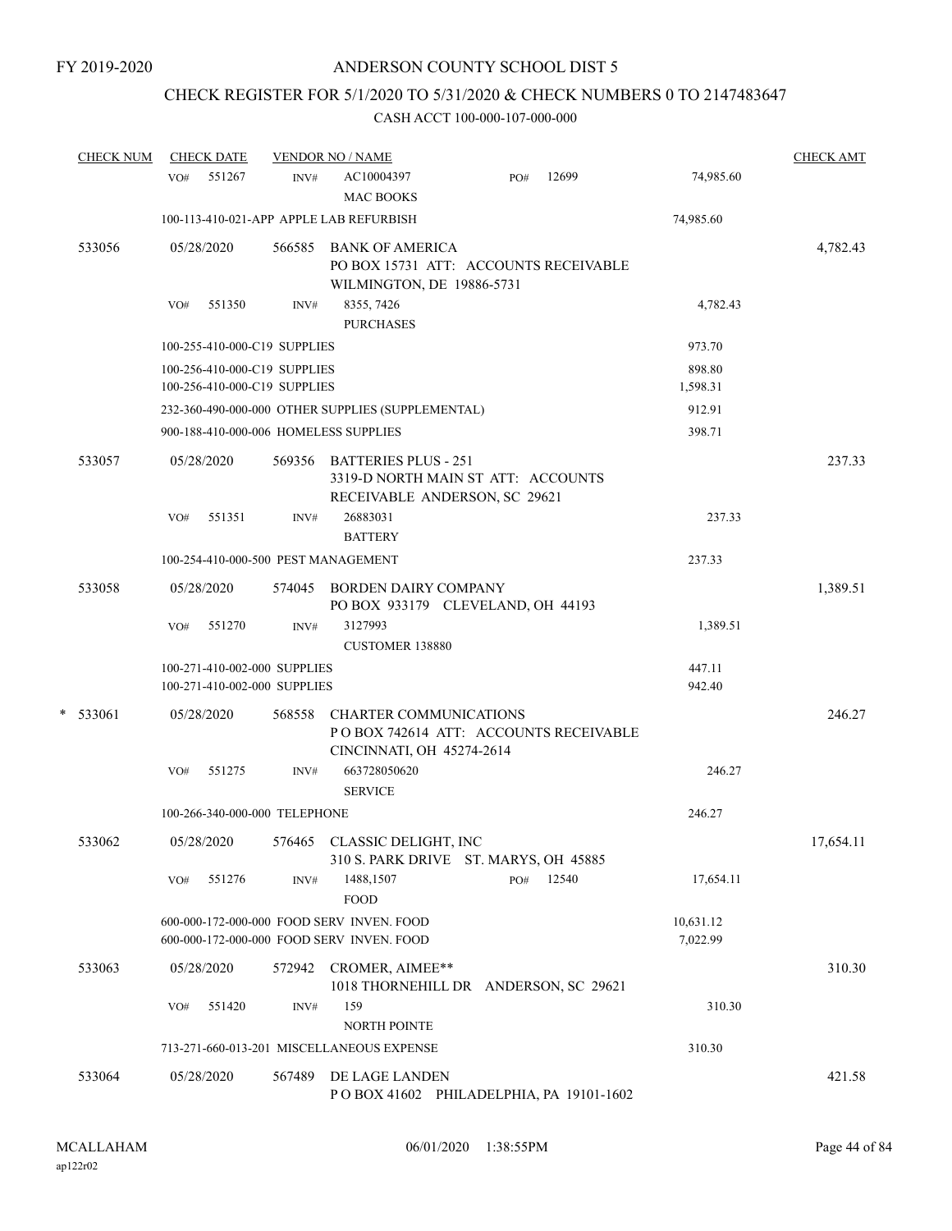## CHECK REGISTER FOR 5/1/2020 TO 5/31/2020 & CHECK NUMBERS 0 TO 2147483647

| <b>CHECK NUM</b> | <b>CHECK DATE</b>                                            |        | <b>VENDOR NO / NAME</b>                                                                              |     |       |                       | <b>CHECK AMT</b> |
|------------------|--------------------------------------------------------------|--------|------------------------------------------------------------------------------------------------------|-----|-------|-----------------------|------------------|
|                  | 551267<br>VO#                                                | INV#   | AC10004397<br>MAC BOOKS                                                                              | PO# | 12699 | 74,985.60             |                  |
|                  | 100-113-410-021-APP APPLE LAB REFURBISH                      |        |                                                                                                      |     |       | 74,985.60             |                  |
| 533056           | 05/28/2020                                                   |        | 566585 BANK OF AMERICA<br>PO BOX 15731 ATT: ACCOUNTS RECEIVABLE<br>WILMINGTON, DE 19886-5731         |     |       |                       | 4,782.43         |
|                  | 551350<br>VO#                                                | INV#   | 8355, 7426<br><b>PURCHASES</b>                                                                       |     |       | 4,782.43              |                  |
|                  | 100-255-410-000-C19 SUPPLIES                                 |        |                                                                                                      |     |       | 973.70                |                  |
|                  | 100-256-410-000-C19 SUPPLIES<br>100-256-410-000-C19 SUPPLIES |        |                                                                                                      |     |       | 898.80<br>1,598.31    |                  |
|                  |                                                              |        | 232-360-490-000-000 OTHER SUPPLIES (SUPPLEMENTAL)                                                    |     |       | 912.91                |                  |
|                  | 900-188-410-000-006 HOMELESS SUPPLIES                        |        |                                                                                                      |     |       | 398.71                |                  |
| 533057           | 05/28/2020                                                   |        | 569356 BATTERIES PLUS - 251<br>3319-D NORTH MAIN ST ATT: ACCOUNTS<br>RECEIVABLE ANDERSON, SC 29621   |     |       |                       | 237.33           |
|                  | 551351<br>VO#                                                | INV#   | 26883031<br><b>BATTERY</b>                                                                           |     |       | 237.33                |                  |
|                  | 100-254-410-000-500 PEST MANAGEMENT                          |        |                                                                                                      |     |       | 237.33                |                  |
| 533058           | 05/28/2020                                                   |        | 574045 BORDEN DAIRY COMPANY<br>PO BOX 933179 CLEVELAND, OH 44193                                     |     |       |                       | 1,389.51         |
|                  | 551270<br>VO#                                                | INV#   | 3127993<br><b>CUSTOMER 138880</b>                                                                    |     |       | 1,389.51              |                  |
|                  | 100-271-410-002-000 SUPPLIES<br>100-271-410-002-000 SUPPLIES |        |                                                                                                      |     |       | 447.11<br>942.40      |                  |
| $*$ 533061       | 05/28/2020                                                   | 568558 | <b>CHARTER COMMUNICATIONS</b><br>PO BOX 742614 ATT: ACCOUNTS RECEIVABLE<br>CINCINNATI, OH 45274-2614 |     |       |                       | 246.27           |
|                  | 551275<br>VO#                                                | INV#   | 663728050620<br><b>SERVICE</b>                                                                       |     |       | 246.27                |                  |
|                  | 100-266-340-000-000 TELEPHONE                                |        |                                                                                                      |     |       | 246.27                |                  |
| 533062           | 05/28/2020                                                   |        | 576465 CLASSIC DELIGHT, INC<br>310 S. PARK DRIVE ST. MARYS, OH 45885                                 |     |       |                       | 17,654.11        |
|                  | 551276<br>VO#                                                | INV#   | 1488,1507<br><b>FOOD</b>                                                                             | PO# | 12540 | 17,654.11             |                  |
|                  |                                                              |        | 600-000-172-000-000 FOOD SERV INVEN. FOOD<br>600-000-172-000-000 FOOD SERV INVEN. FOOD               |     |       | 10,631.12<br>7,022.99 |                  |
| 533063           | 05/28/2020                                                   | 572942 | CROMER, AIMEE**<br>1018 THORNEHILL DR ANDERSON, SC 29621                                             |     |       |                       | 310.30           |
|                  | 551420<br>VO#                                                | INV#   | 159<br><b>NORTH POINTE</b>                                                                           |     |       | 310.30                |                  |
|                  |                                                              |        | 713-271-660-013-201 MISCELLANEOUS EXPENSE                                                            |     |       | 310.30                |                  |
| 533064           | 05/28/2020                                                   | 567489 | DE LAGE LANDEN<br>POBOX 41602 PHILADELPHIA, PA 19101-1602                                            |     |       |                       | 421.58           |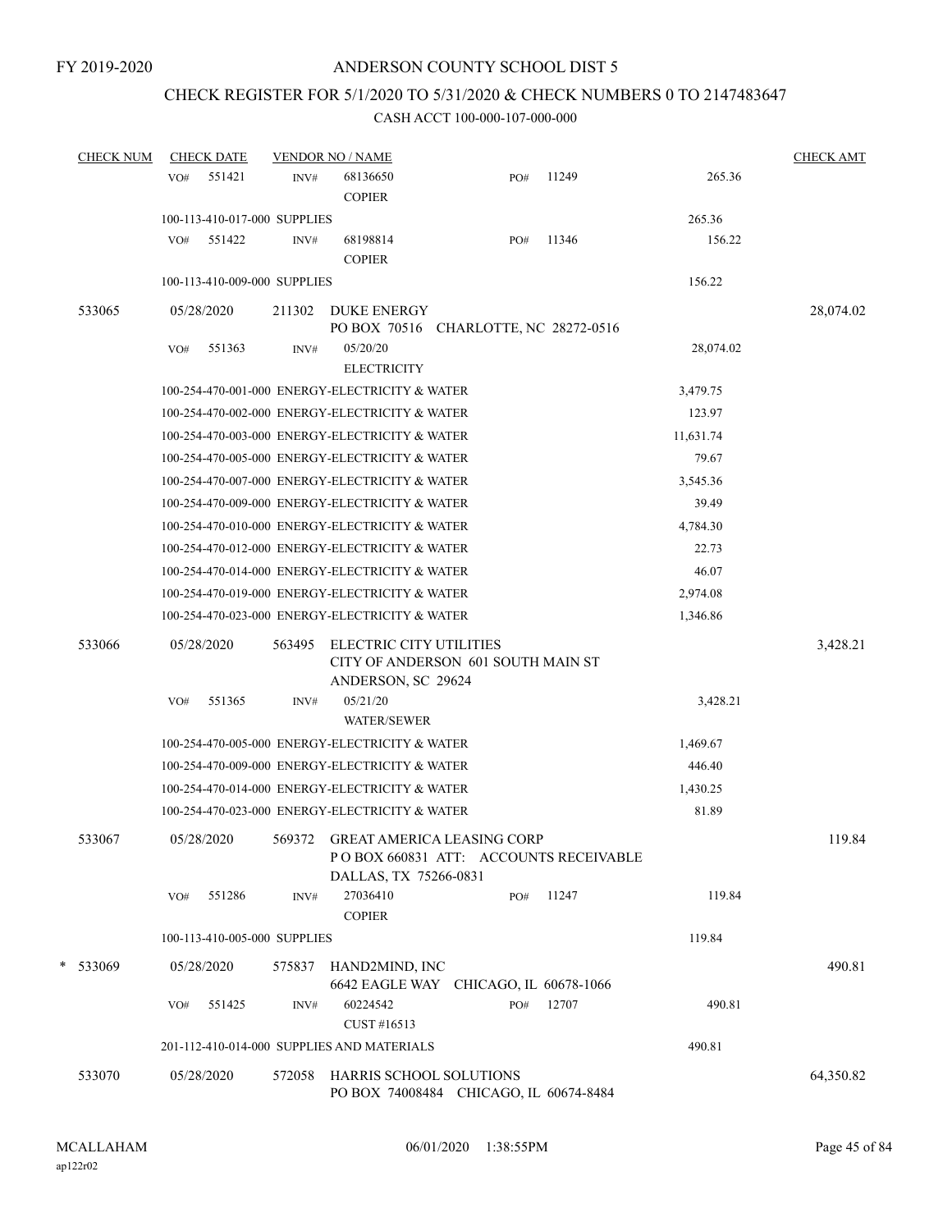# CHECK REGISTER FOR 5/1/2020 TO 5/31/2020 & CHECK NUMBERS 0 TO 2147483647

| <b>CHECK NUM</b> |     | <b>CHECK DATE</b>            |        | <b>VENDOR NO / NAME</b>                                                             |     |       |           | <b>CHECK AMT</b> |
|------------------|-----|------------------------------|--------|-------------------------------------------------------------------------------------|-----|-------|-----------|------------------|
|                  | VO# | 551421                       | INV#   | 68136650<br><b>COPIER</b>                                                           | PO# | 11249 | 265.36    |                  |
|                  |     | 100-113-410-017-000 SUPPLIES |        |                                                                                     |     |       | 265.36    |                  |
|                  | VO# | 551422                       | INV#   | 68198814<br><b>COPIER</b>                                                           | PO# | 11346 | 156.22    |                  |
|                  |     | 100-113-410-009-000 SUPPLIES |        |                                                                                     |     |       | 156.22    |                  |
| 533065           |     | 05/28/2020                   | 211302 | <b>DUKE ENERGY</b>                                                                  |     |       |           | 28,074.02        |
|                  |     |                              |        | PO BOX 70516 CHARLOTTE, NC 28272-0516                                               |     |       |           |                  |
|                  | VO# | 551363                       | INV#   | 05/20/20                                                                            |     |       | 28,074.02 |                  |
|                  |     |                              |        | <b>ELECTRICITY</b>                                                                  |     |       |           |                  |
|                  |     |                              |        | 100-254-470-001-000 ENERGY-ELECTRICITY & WATER                                      |     |       | 3,479.75  |                  |
|                  |     |                              |        | 100-254-470-002-000 ENERGY-ELECTRICITY & WATER                                      |     |       | 123.97    |                  |
|                  |     |                              |        | 100-254-470-003-000 ENERGY-ELECTRICITY & WATER                                      |     |       | 11,631.74 |                  |
|                  |     |                              |        | 100-254-470-005-000 ENERGY-ELECTRICITY & WATER                                      |     |       | 79.67     |                  |
|                  |     |                              |        | 100-254-470-007-000 ENERGY-ELECTRICITY & WATER                                      |     |       | 3,545.36  |                  |
|                  |     |                              |        | 100-254-470-009-000 ENERGY-ELECTRICITY & WATER                                      |     |       | 39.49     |                  |
|                  |     |                              |        | 100-254-470-010-000 ENERGY-ELECTRICITY & WATER                                      |     |       | 4,784.30  |                  |
|                  |     |                              |        | 100-254-470-012-000 ENERGY-ELECTRICITY & WATER                                      |     |       | 22.73     |                  |
|                  |     |                              |        | 100-254-470-014-000 ENERGY-ELECTRICITY & WATER                                      |     |       | 46.07     |                  |
|                  |     |                              |        | 100-254-470-019-000 ENERGY-ELECTRICITY & WATER                                      |     |       | 2,974.08  |                  |
|                  |     |                              |        | 100-254-470-023-000 ENERGY-ELECTRICITY & WATER                                      |     |       | 1,346.86  |                  |
| 533066           |     | 05/28/2020                   | 563495 | ELECTRIC CITY UTILITIES<br>CITY OF ANDERSON 601 SOUTH MAIN ST<br>ANDERSON, SC 29624 |     |       |           | 3,428.21         |
|                  | VO# | 551365                       | INV#   | 05/21/20<br><b>WATER/SEWER</b>                                                      |     |       | 3,428.21  |                  |
|                  |     |                              |        | 100-254-470-005-000 ENERGY-ELECTRICITY & WATER                                      |     |       | 1,469.67  |                  |
|                  |     |                              |        | 100-254-470-009-000 ENERGY-ELECTRICITY & WATER                                      |     |       | 446.40    |                  |
|                  |     |                              |        | 100-254-470-014-000 ENERGY-ELECTRICITY & WATER                                      |     |       | 1,430.25  |                  |
|                  |     |                              |        | 100-254-470-023-000 ENERGY-ELECTRICITY & WATER                                      |     |       | 81.89     |                  |
| 533067           |     | 05/28/2020                   |        | 569372 GREAT AMERICA LEASING CORP<br>POBOX 660831 ATT: ACCOUNTS RECEIVABLE          |     |       |           | 119.84           |
|                  |     |                              |        | DALLAS, TX 75266-0831                                                               |     |       |           |                  |
|                  | VO# | 551286                       | INV#   | 27036410<br><b>COPIER</b>                                                           | PO# | 11247 | 119.84    |                  |
|                  |     | 100-113-410-005-000 SUPPLIES |        |                                                                                     |     |       | 119.84    |                  |
| * 533069         |     | 05/28/2020                   | 575837 | HAND2MIND, INC<br>6642 EAGLE WAY CHICAGO, IL 60678-1066                             |     |       |           | 490.81           |
|                  | VO# | 551425                       | INV#   | 60224542<br>CUST #16513                                                             | PO# | 12707 | 490.81    |                  |
|                  |     |                              |        | 201-112-410-014-000 SUPPLIES AND MATERIALS                                          |     |       | 490.81    |                  |
| 533070           |     | 05/28/2020                   | 572058 | HARRIS SCHOOL SOLUTIONS<br>PO BOX 74008484 CHICAGO, IL 60674-8484                   |     |       |           | 64,350.82        |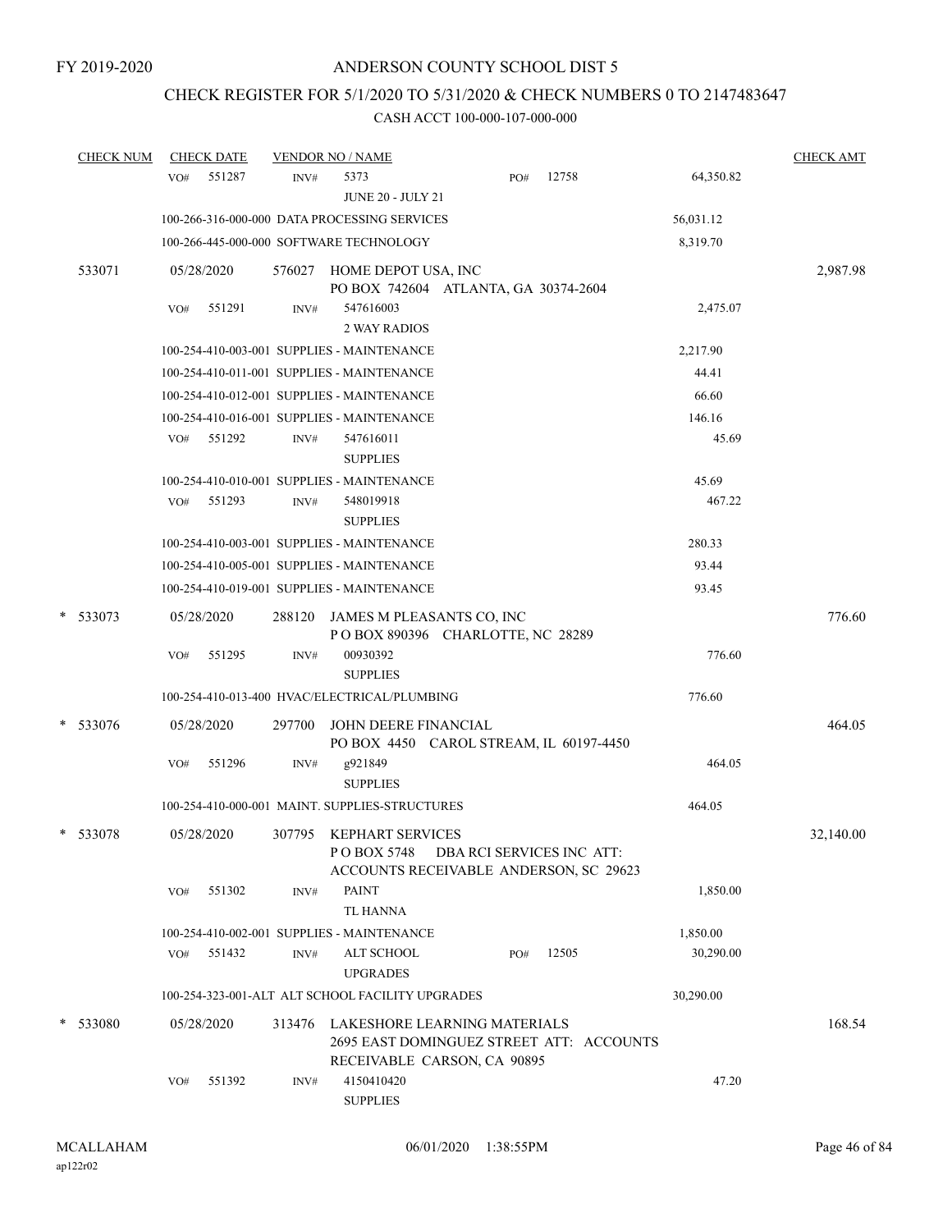# CHECK REGISTER FOR 5/1/2020 TO 5/31/2020 & CHECK NUMBERS 0 TO 2147483647

|   | <b>CHECK NUM</b> | <b>CHECK DATE</b> |        |        | <b>VENDOR NO / NAME</b>                                                                                 |                           |       |           | <b>CHECK AMT</b> |
|---|------------------|-------------------|--------|--------|---------------------------------------------------------------------------------------------------------|---------------------------|-------|-----------|------------------|
|   |                  | VO#               | 551287 | INV#   | 5373<br><b>JUNE 20 - JULY 21</b>                                                                        | PO#                       | 12758 | 64,350.82 |                  |
|   |                  |                   |        |        | 100-266-316-000-000 DATA PROCESSING SERVICES                                                            |                           |       | 56,031.12 |                  |
|   |                  |                   |        |        | 100-266-445-000-000 SOFTWARE TECHNOLOGY                                                                 |                           |       | 8,319.70  |                  |
|   | 533071           | 05/28/2020        |        |        | 576027 HOME DEPOT USA, INC<br>PO BOX 742604 ATLANTA, GA 30374-2604                                      |                           |       |           | 2,987.98         |
|   |                  | VO#               | 551291 | INV#   | 547616003<br><b>2 WAY RADIOS</b>                                                                        |                           |       | 2,475.07  |                  |
|   |                  |                   |        |        | 100-254-410-003-001 SUPPLIES - MAINTENANCE                                                              |                           |       | 2,217.90  |                  |
|   |                  |                   |        |        | 100-254-410-011-001 SUPPLIES - MAINTENANCE                                                              |                           |       | 44.41     |                  |
|   |                  |                   |        |        | 100-254-410-012-001 SUPPLIES - MAINTENANCE                                                              |                           |       | 66.60     |                  |
|   |                  |                   |        |        | 100-254-410-016-001 SUPPLIES - MAINTENANCE                                                              |                           |       | 146.16    |                  |
|   |                  | VO#               | 551292 | INV#   | 547616011<br><b>SUPPLIES</b>                                                                            |                           |       | 45.69     |                  |
|   |                  |                   |        |        | 100-254-410-010-001 SUPPLIES - MAINTENANCE                                                              |                           |       | 45.69     |                  |
|   |                  | VO#               | 551293 | INV#   | 548019918<br><b>SUPPLIES</b>                                                                            |                           |       | 467.22    |                  |
|   |                  |                   |        |        | 100-254-410-003-001 SUPPLIES - MAINTENANCE                                                              |                           |       | 280.33    |                  |
|   |                  |                   |        |        | 100-254-410-005-001 SUPPLIES - MAINTENANCE                                                              |                           |       | 93.44     |                  |
|   |                  |                   |        |        | 100-254-410-019-001 SUPPLIES - MAINTENANCE                                                              |                           |       | 93.45     |                  |
| * | 533073           | 05/28/2020        |        | 288120 | JAMES M PLEASANTS CO, INC<br>POBOX 890396 CHARLOTTE, NC 28289                                           |                           |       |           | 776.60           |
|   |                  | VO#               | 551295 | INV#   | 00930392<br><b>SUPPLIES</b>                                                                             |                           |       | 776.60    |                  |
|   |                  |                   |        |        | 100-254-410-013-400 HVAC/ELECTRICAL/PLUMBING                                                            |                           |       | 776.60    |                  |
|   | * 533076         | 05/28/2020        |        | 297700 | JOHN DEERE FINANCIAL<br>PO BOX 4450 CAROL STREAM, IL 60197-4450                                         |                           |       |           | 464.05           |
|   |                  | VO#               | 551296 | INV#   | g921849<br><b>SUPPLIES</b>                                                                              |                           |       | 464.05    |                  |
|   |                  |                   |        |        | 100-254-410-000-001 MAINT. SUPPLIES-STRUCTURES                                                          |                           |       | 464.05    |                  |
|   | * 533078         | 05/28/2020        |        | 307795 | <b>KEPHART SERVICES</b><br>P O BOX 5748<br>ACCOUNTS RECEIVABLE ANDERSON, SC 29623                       | DBA RCI SERVICES INC ATT: |       |           | 32,140.00        |
|   |                  | VO#               | 551302 | INV#   | <b>PAINT</b><br><b>TL HANNA</b>                                                                         |                           |       | 1,850.00  |                  |
|   |                  |                   |        |        | 100-254-410-002-001 SUPPLIES - MAINTENANCE                                                              |                           |       | 1,850.00  |                  |
|   |                  | VO#               | 551432 | INV#   | ALT SCHOOL<br><b>UPGRADES</b>                                                                           | PO#                       | 12505 | 30,290.00 |                  |
|   |                  |                   |        |        | 100-254-323-001-ALT ALT SCHOOL FACILITY UPGRADES                                                        |                           |       | 30,290.00 |                  |
|   | * 533080         | 05/28/2020        |        | 313476 | LAKESHORE LEARNING MATERIALS<br>2695 EAST DOMINGUEZ STREET ATT: ACCOUNTS<br>RECEIVABLE CARSON, CA 90895 |                           |       |           | 168.54           |
|   |                  | VO#               | 551392 | INV#   | 4150410420<br><b>SUPPLIES</b>                                                                           |                           |       | 47.20     |                  |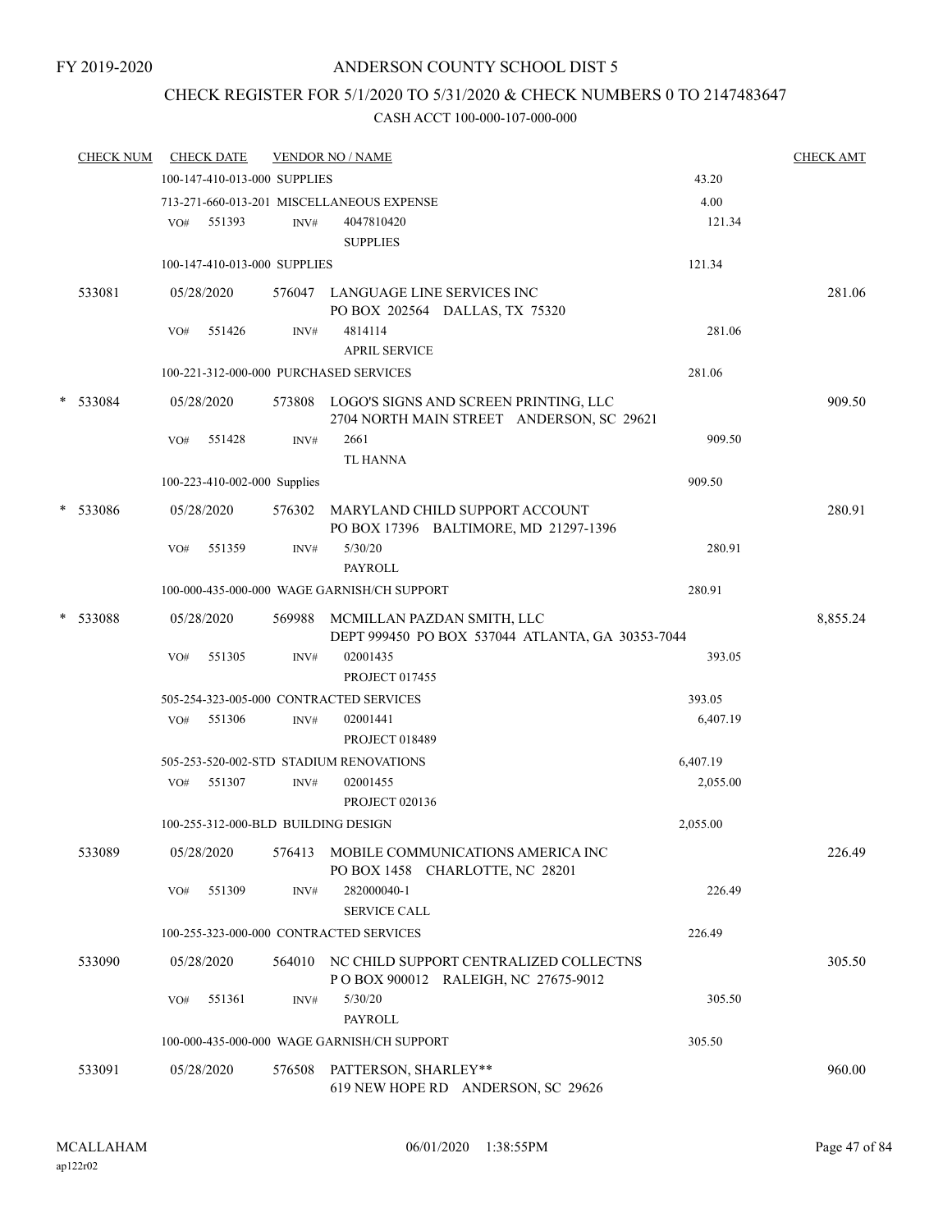# CHECK REGISTER FOR 5/1/2020 TO 5/31/2020 & CHECK NUMBERS 0 TO 2147483647

|   | <b>CHECK NUM</b> |     | <b>CHECK DATE</b>                   |        | <b>VENDOR NO / NAME</b>                                                                   |          | <b>CHECK AMT</b> |
|---|------------------|-----|-------------------------------------|--------|-------------------------------------------------------------------------------------------|----------|------------------|
|   |                  |     | 100-147-410-013-000 SUPPLIES        |        |                                                                                           | 43.20    |                  |
|   |                  |     |                                     |        | 713-271-660-013-201 MISCELLANEOUS EXPENSE                                                 | 4.00     |                  |
|   |                  | VO# | 551393                              | INV#   | 4047810420                                                                                | 121.34   |                  |
|   |                  |     |                                     |        | <b>SUPPLIES</b>                                                                           |          |                  |
|   |                  |     | 100-147-410-013-000 SUPPLIES        |        |                                                                                           | 121.34   |                  |
|   | 533081           |     | 05/28/2020                          |        | 576047 LANGUAGE LINE SERVICES INC<br>PO BOX 202564 DALLAS, TX 75320                       |          | 281.06           |
|   |                  | VO# | 551426                              | INV#   | 4814114<br><b>APRIL SERVICE</b>                                                           | 281.06   |                  |
|   |                  |     |                                     |        | 100-221-312-000-000 PURCHASED SERVICES                                                    | 281.06   |                  |
|   | * 533084         |     | 05/28/2020                          |        | 573808 LOGO'S SIGNS AND SCREEN PRINTING, LLC<br>2704 NORTH MAIN STREET ANDERSON, SC 29621 |          | 909.50           |
|   |                  | VO# | 551428                              | INV#   | 2661<br><b>TL HANNA</b>                                                                   | 909.50   |                  |
|   |                  |     | 100-223-410-002-000 Supplies        |        |                                                                                           | 909.50   |                  |
| * | 533086           |     | 05/28/2020                          |        | 576302 MARYLAND CHILD SUPPORT ACCOUNT<br>PO BOX 17396 BALTIMORE, MD 21297-1396            |          | 280.91           |
|   |                  | VO# | 551359                              | INV#   | 5/30/20<br><b>PAYROLL</b>                                                                 | 280.91   |                  |
|   |                  |     |                                     |        | 100-000-435-000-000 WAGE GARNISH/CH SUPPORT                                               | 280.91   |                  |
| * | 533088           |     | 05/28/2020                          | 569988 | MCMILLAN PAZDAN SMITH, LLC<br>DEPT 999450 PO BOX 537044 ATLANTA, GA 30353-7044            |          | 8,855.24         |
|   |                  | VO# | 551305                              | INV#   | 02001435<br><b>PROJECT 017455</b>                                                         | 393.05   |                  |
|   |                  |     |                                     |        | 505-254-323-005-000 CONTRACTED SERVICES                                                   | 393.05   |                  |
|   |                  | VO# | 551306                              | INV#   | 02001441                                                                                  | 6,407.19 |                  |
|   |                  |     |                                     |        | <b>PROJECT 018489</b>                                                                     |          |                  |
|   |                  |     |                                     |        | 505-253-520-002-STD STADIUM RENOVATIONS                                                   | 6,407.19 |                  |
|   |                  | VO# | 551307                              | INV#   | 02001455<br><b>PROJECT 020136</b>                                                         | 2,055.00 |                  |
|   |                  |     | 100-255-312-000-BLD BUILDING DESIGN |        |                                                                                           | 2,055.00 |                  |
|   | 533089           |     | 05/28/2020                          | 576413 | MOBILE COMMUNICATIONS AMERICA INC<br>PO BOX 1458 CHARLOTTE, NC 28201                      |          | 226.49           |
|   |                  | VO# | 551309                              | INV#   | 282000040-1<br>SERVICE CALL                                                               | 226.49   |                  |
|   |                  |     |                                     |        | 100-255-323-000-000 CONTRACTED SERVICES                                                   | 226.49   |                  |
|   | 533090           |     | 05/28/2020                          | 564010 | NC CHILD SUPPORT CENTRALIZED COLLECTNS<br>P O BOX 900012 RALEIGH, NC 27675-9012           |          | 305.50           |
|   |                  | VO# | 551361                              | INV#   | 5/30/20<br><b>PAYROLL</b>                                                                 | 305.50   |                  |
|   |                  |     |                                     |        | 100-000-435-000-000 WAGE GARNISH/CH SUPPORT                                               | 305.50   |                  |
|   | 533091           |     | 05/28/2020                          | 576508 | PATTERSON, SHARLEY**<br>619 NEW HOPE RD ANDERSON, SC 29626                                |          | 960.00           |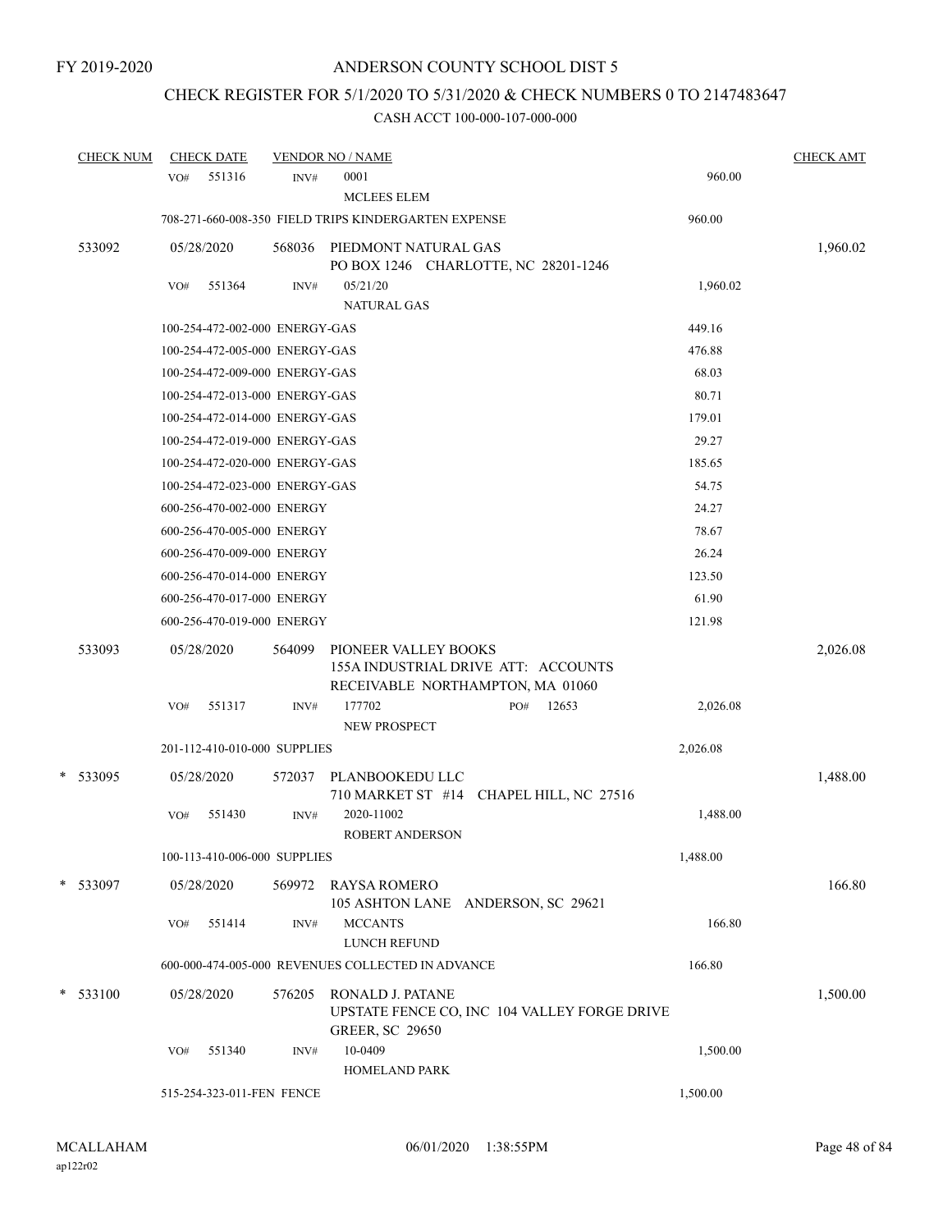# CHECK REGISTER FOR 5/1/2020 TO 5/31/2020 & CHECK NUMBERS 0 TO 2147483647

| <b>CHECK NUM</b> |     | <b>CHECK DATE</b>              |        | <b>VENDOR NO / NAME</b>                                                                         |     |                                              |          | <b>CHECK AMT</b> |
|------------------|-----|--------------------------------|--------|-------------------------------------------------------------------------------------------------|-----|----------------------------------------------|----------|------------------|
|                  | VO# | 551316                         | INV#   | 0001<br><b>MCLEES ELEM</b>                                                                      |     |                                              | 960.00   |                  |
|                  |     |                                |        | 708-271-660-008-350 FIELD TRIPS KINDERGARTEN EXPENSE                                            |     |                                              | 960.00   |                  |
| 533092           |     | 05/28/2020                     | 568036 | PIEDMONT NATURAL GAS<br>PO BOX 1246 CHARLOTTE, NC 28201-1246                                    |     |                                              |          | 1,960.02         |
|                  | VO# | 551364                         | INV#   | 05/21/20<br><b>NATURAL GAS</b>                                                                  |     |                                              | 1,960.02 |                  |
|                  |     | 100-254-472-002-000 ENERGY-GAS |        |                                                                                                 |     |                                              | 449.16   |                  |
|                  |     | 100-254-472-005-000 ENERGY-GAS |        |                                                                                                 |     |                                              | 476.88   |                  |
|                  |     | 100-254-472-009-000 ENERGY-GAS |        |                                                                                                 |     |                                              | 68.03    |                  |
|                  |     | 100-254-472-013-000 ENERGY-GAS |        |                                                                                                 |     |                                              | 80.71    |                  |
|                  |     | 100-254-472-014-000 ENERGY-GAS |        |                                                                                                 |     |                                              | 179.01   |                  |
|                  |     | 100-254-472-019-000 ENERGY-GAS |        |                                                                                                 |     |                                              | 29.27    |                  |
|                  |     | 100-254-472-020-000 ENERGY-GAS |        |                                                                                                 |     |                                              | 185.65   |                  |
|                  |     | 100-254-472-023-000 ENERGY-GAS |        |                                                                                                 |     |                                              | 54.75    |                  |
|                  |     | 600-256-470-002-000 ENERGY     |        |                                                                                                 |     |                                              | 24.27    |                  |
|                  |     | 600-256-470-005-000 ENERGY     |        |                                                                                                 |     |                                              | 78.67    |                  |
|                  |     | 600-256-470-009-000 ENERGY     |        |                                                                                                 |     |                                              | 26.24    |                  |
|                  |     | 600-256-470-014-000 ENERGY     |        |                                                                                                 |     |                                              | 123.50   |                  |
|                  |     | 600-256-470-017-000 ENERGY     |        |                                                                                                 |     |                                              | 61.90    |                  |
|                  |     | 600-256-470-019-000 ENERGY     |        |                                                                                                 |     |                                              | 121.98   |                  |
| 533093           |     | 05/28/2020                     | 564099 | PIONEER VALLEY BOOKS<br>155A INDUSTRIAL DRIVE ATT: ACCOUNTS<br>RECEIVABLE NORTHAMPTON, MA 01060 |     |                                              |          | 2,026.08         |
|                  | VO# | 551317                         | INV#   | 177702<br>NEW PROSPECT                                                                          | PO# | 12653                                        | 2,026.08 |                  |
|                  |     | 201-112-410-010-000 SUPPLIES   |        |                                                                                                 |     |                                              | 2,026.08 |                  |
| * 533095         |     | 05/28/2020                     | 572037 | PLANBOOKEDU LLC<br>710 MARKET ST #14 CHAPEL HILL, NC 27516                                      |     |                                              |          | 1,488.00         |
|                  | VO# | 551430                         | INV#   | 2020-11002<br><b>ROBERT ANDERSON</b>                                                            |     |                                              | 1,488.00 |                  |
|                  |     | 100-113-410-006-000 SUPPLIES   |        |                                                                                                 |     |                                              | 1,488.00 |                  |
| * 533097         |     | 05/28/2020                     | 569972 | RAYSA ROMERO<br>105 ASHTON LANE ANDERSON, SC 29621                                              |     |                                              |          | 166.80           |
|                  | VO# | 551414                         | INV#   | <b>MCCANTS</b><br>LUNCH REFUND                                                                  |     |                                              | 166.80   |                  |
|                  |     |                                |        | 600-000-474-005-000 REVENUES COLLECTED IN ADVANCE                                               |     |                                              | 166.80   |                  |
| $*$ 533100       |     | 05/28/2020                     | 576205 | RONALD J. PATANE<br><b>GREER, SC 29650</b>                                                      |     | UPSTATE FENCE CO, INC 104 VALLEY FORGE DRIVE |          | 1,500.00         |
|                  | VO# | 551340                         | INV#   | 10-0409<br>HOMELAND PARK                                                                        |     |                                              | 1,500.00 |                  |
|                  |     | 515-254-323-011-FEN FENCE      |        |                                                                                                 |     |                                              | 1,500.00 |                  |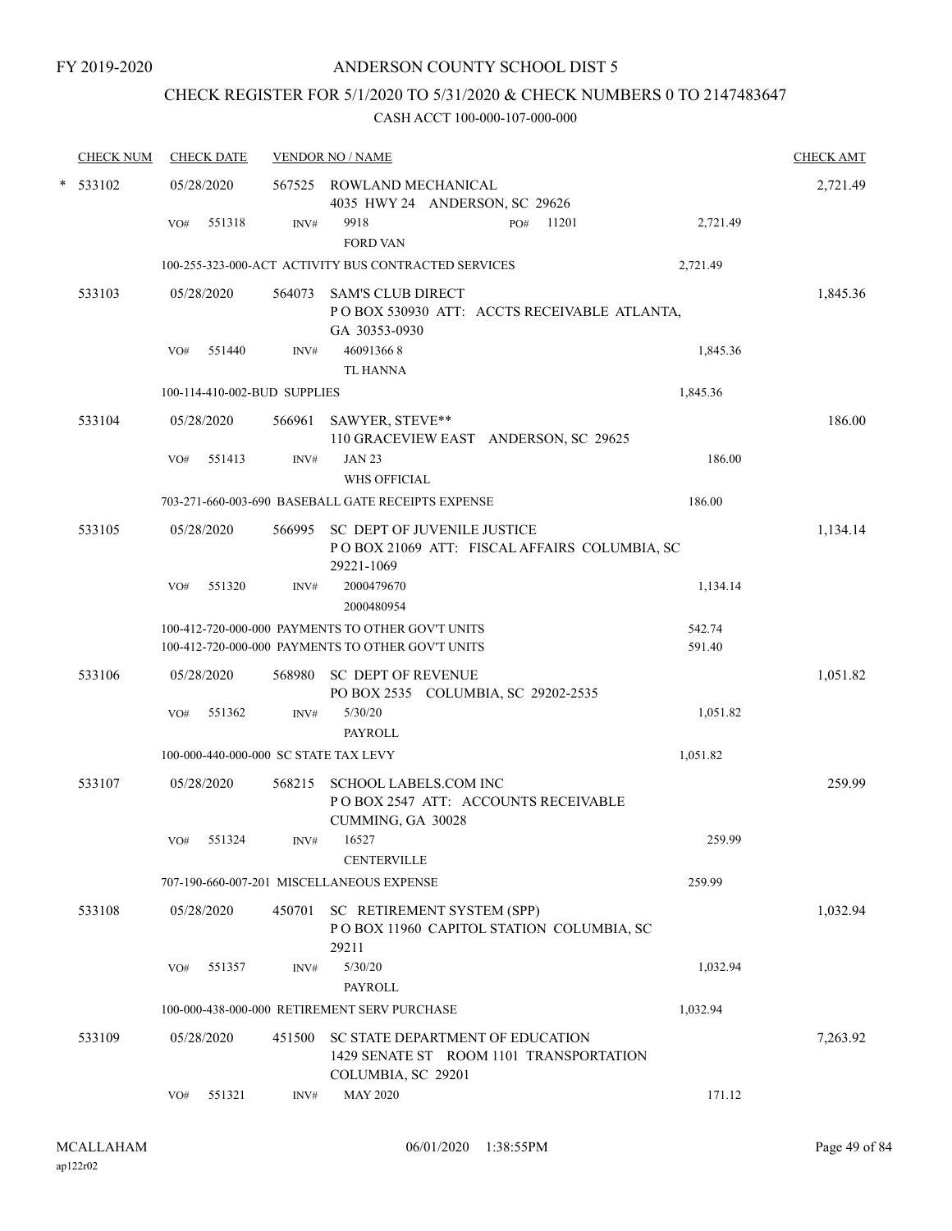## CHECK REGISTER FOR 5/1/2020 TO 5/31/2020 & CHECK NUMBERS 0 TO 2147483647

| <b>CHECK NUM</b> |            |            | <b>CHECK DATE</b><br><b>VENDOR NO / NAME</b> |                              |                                                                                                        |                  |          |  |
|------------------|------------|------------|----------------------------------------------|------------------------------|--------------------------------------------------------------------------------------------------------|------------------|----------|--|
|                  | $*$ 533102 |            | 05/28/2020                                   |                              | 567525 ROWLAND MECHANICAL<br>4035 HWY 24 ANDERSON, SC 29626                                            |                  | 2,721.49 |  |
|                  |            | VO#        | 551318                                       | INV#                         | 9918<br>11201<br>PO#<br><b>FORD VAN</b>                                                                | 2,721.49         |          |  |
|                  |            |            |                                              |                              | 100-255-323-000-ACT ACTIVITY BUS CONTRACTED SERVICES                                                   | 2,721.49         |          |  |
|                  | 533103     |            | 05/28/2020                                   | 564073                       | <b>SAM'S CLUB DIRECT</b><br>POBOX 530930 ATT: ACCTS RECEIVABLE ATLANTA,<br>GA 30353-0930               |                  | 1,845.36 |  |
|                  |            | VO#        | 551440                                       | INV#                         | 460913668<br><b>TL HANNA</b>                                                                           | 1,845.36         |          |  |
|                  |            |            |                                              | 100-114-410-002-BUD SUPPLIES |                                                                                                        | 1,845.36         |          |  |
|                  | 533104     | 05/28/2020 |                                              | 566961                       | SAWYER, STEVE**<br>110 GRACEVIEW EAST ANDERSON, SC 29625                                               |                  | 186.00   |  |
|                  |            | VO#        | 551413                                       | INV#                         | <b>JAN 23</b><br><b>WHS OFFICIAL</b>                                                                   | 186.00           |          |  |
|                  |            |            |                                              |                              | 703-271-660-003-690 BASEBALL GATE RECEIPTS EXPENSE                                                     | 186.00           |          |  |
|                  | 533105     |            | 05/28/2020                                   |                              | 566995 SC DEPT OF JUVENILE JUSTICE<br>POBOX 21069 ATT: FISCAL AFFAIRS COLUMBIA, SC<br>29221-1069       |                  | 1,134.14 |  |
|                  |            | VO#        | 551320                                       | INV#                         | 2000479670<br>2000480954                                                                               | 1,134.14         |          |  |
|                  |            |            |                                              |                              | 100-412-720-000-000 PAYMENTS TO OTHER GOV'T UNITS<br>100-412-720-000-000 PAYMENTS TO OTHER GOV'T UNITS | 542.74<br>591.40 |          |  |
|                  | 533106     |            | 05/28/2020                                   |                              | 568980 SC DEPT OF REVENUE<br>PO BOX 2535 COLUMBIA, SC 29202-2535                                       |                  | 1,051.82 |  |
|                  |            | VO#        | 551362                                       | INV#                         | 5/30/20<br>PAYROLL                                                                                     | 1,051.82         |          |  |
|                  |            |            |                                              |                              | 100-000-440-000-000 SC STATE TAX LEVY                                                                  | 1,051.82         |          |  |
|                  | 533107     |            | 05/28/2020                                   | 568215                       | <b>SCHOOL LABELS.COM INC</b><br>PO BOX 2547 ATT: ACCOUNTS RECEIVABLE<br>CUMMING, GA 30028              |                  | 259.99   |  |
|                  |            | VO#        | 551324                                       | INV#                         | 16527<br><b>CENTERVILLE</b>                                                                            | 259.99           |          |  |
|                  |            |            |                                              |                              | 707-190-660-007-201 MISCELLANEOUS EXPENSE                                                              | 259.99           |          |  |
|                  | 533108     |            | 05/28/2020                                   | 450701                       | SC RETIREMENT SYSTEM (SPP)<br>POBOX 11960 CAPITOL STATION COLUMBIA, SC<br>29211                        |                  | 1,032.94 |  |
|                  |            | VO#        | 551357                                       | INV#                         | 5/30/20<br><b>PAYROLL</b>                                                                              | 1,032.94         |          |  |
|                  |            |            |                                              |                              | 100-000-438-000-000 RETIREMENT SERV PURCHASE                                                           | 1,032.94         |          |  |
|                  | 533109     |            | 05/28/2020                                   | 451500                       | SC STATE DEPARTMENT OF EDUCATION<br>1429 SENATE ST ROOM 1101 TRANSPORTATION<br>COLUMBIA, SC 29201      |                  | 7,263.92 |  |
|                  |            | VO#        | 551321                                       | INV#                         | <b>MAY 2020</b>                                                                                        | 171.12           |          |  |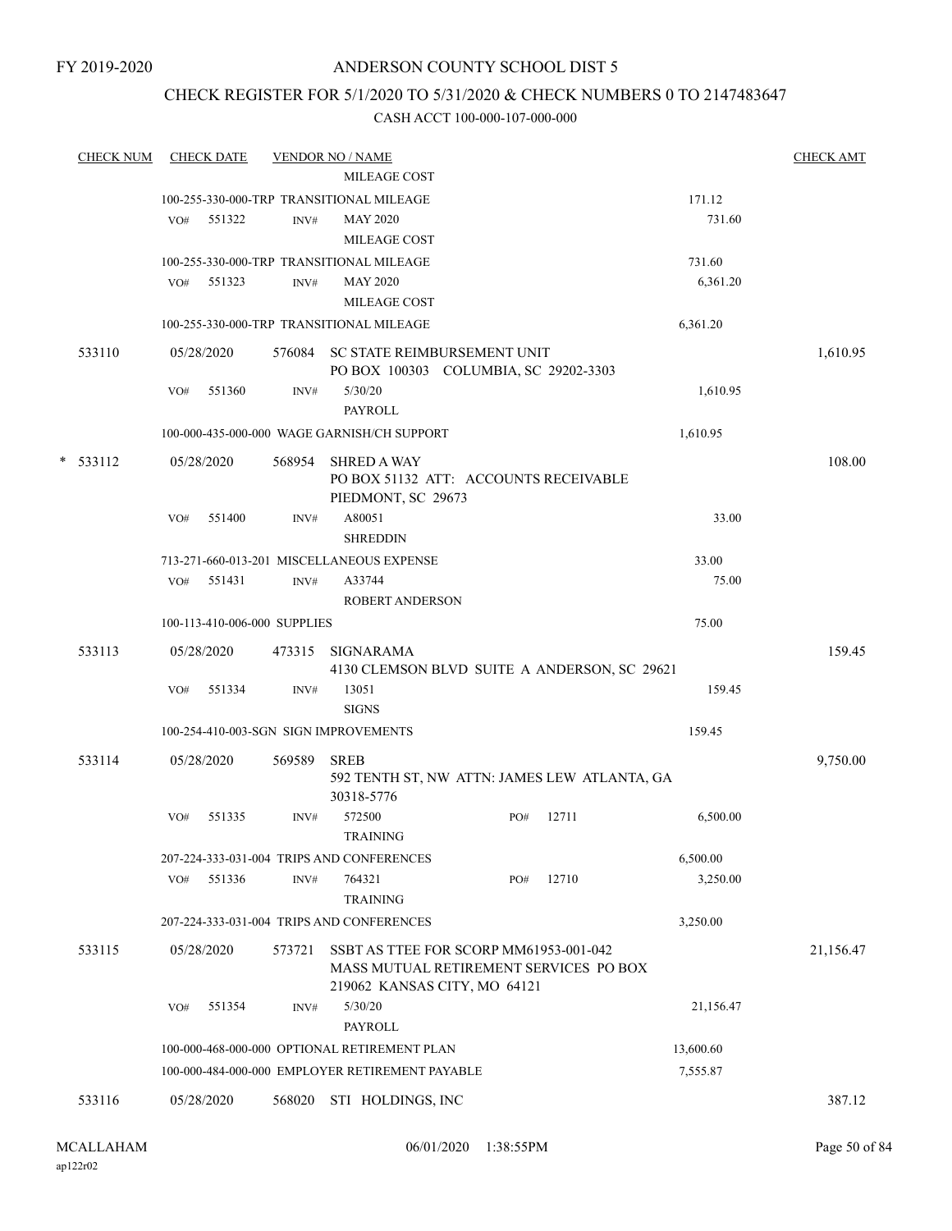## CHECK REGISTER FOR 5/1/2020 TO 5/31/2020 & CHECK NUMBERS 0 TO 2147483647

| <b>CHECK NUM</b> |                                                 | <b>CHECK DATE</b>            |        | <b>VENDOR NO / NAME</b>                                                     |     |       |           | <b>CHECK AMT</b> |  |
|------------------|-------------------------------------------------|------------------------------|--------|-----------------------------------------------------------------------------|-----|-------|-----------|------------------|--|
|                  |                                                 |                              |        | MILEAGE COST                                                                |     |       |           |                  |  |
|                  |                                                 |                              |        | 100-255-330-000-TRP TRANSITIONAL MILEAGE                                    |     |       | 171.12    |                  |  |
|                  | VO#                                             | 551322                       | INV#   | <b>MAY 2020</b>                                                             |     |       | 731.60    |                  |  |
|                  |                                                 |                              |        | MILEAGE COST                                                                |     |       |           |                  |  |
|                  |                                                 |                              |        | 100-255-330-000-TRP TRANSITIONAL MILEAGE                                    |     |       | 731.60    |                  |  |
|                  | VO#                                             | 551323                       | INV#   | <b>MAY 2020</b>                                                             |     |       | 6,361.20  |                  |  |
|                  |                                                 |                              |        | <b>MILEAGE COST</b>                                                         |     |       |           |                  |  |
|                  |                                                 |                              |        | 100-255-330-000-TRP TRANSITIONAL MILEAGE                                    |     |       | 6,361.20  |                  |  |
| 533110           |                                                 | 05/28/2020                   |        | 576084 SC STATE REIMBURSEMENT UNIT<br>PO BOX 100303 COLUMBIA, SC 29202-3303 |     |       |           | 1,610.95         |  |
|                  | VO#                                             | 551360                       | INV#   | 5/30/20<br><b>PAYROLL</b>                                                   |     |       | 1,610.95  |                  |  |
|                  |                                                 |                              |        | 100-000-435-000-000 WAGE GARNISH/CH SUPPORT                                 |     |       | 1,610.95  |                  |  |
| $* 533112$       |                                                 | 05/28/2020                   | 568954 | <b>SHRED A WAY</b>                                                          |     |       |           | 108.00           |  |
|                  |                                                 |                              |        | PO BOX 51132 ATT: ACCOUNTS RECEIVABLE<br>PIEDMONT, SC 29673                 |     |       |           |                  |  |
|                  | VO#                                             | 551400                       | INV#   | A80051                                                                      |     |       | 33.00     |                  |  |
|                  |                                                 |                              |        | <b>SHREDDIN</b>                                                             |     |       |           |                  |  |
|                  |                                                 |                              |        | 713-271-660-013-201 MISCELLANEOUS EXPENSE                                   |     |       | 33.00     |                  |  |
|                  | VO#                                             | 551431                       | INV#   | A33744                                                                      |     |       | 75.00     |                  |  |
|                  |                                                 |                              |        | <b>ROBERT ANDERSON</b>                                                      |     |       |           |                  |  |
|                  |                                                 | 100-113-410-006-000 SUPPLIES |        |                                                                             |     |       | 75.00     |                  |  |
| 533113           |                                                 | 05/28/2020                   | 473315 | <b>SIGNARAMA</b>                                                            |     |       |           | 159.45           |  |
|                  | VO#                                             | 551334                       | INV#   | 4130 CLEMSON BLVD SUITE A ANDERSON, SC 29621<br>13051                       |     |       | 159.45    |                  |  |
|                  |                                                 |                              |        | <b>SIGNS</b>                                                                |     |       |           |                  |  |
|                  | 100-254-410-003-SGN SIGN IMPROVEMENTS<br>159.45 |                              |        |                                                                             |     |       |           |                  |  |
| 533114           |                                                 | 05/28/2020                   | 569589 | <b>SREB</b><br>592 TENTH ST, NW ATTN: JAMES LEW ATLANTA, GA<br>30318-5776   |     |       |           | 9,750.00         |  |
|                  | VO#                                             | 551335                       | INV#   | 572500<br><b>TRAINING</b>                                                   | PO# | 12711 | 6,500.00  |                  |  |
|                  |                                                 |                              |        | 207-224-333-031-004 TRIPS AND CONFERENCES                                   |     |       | 6,500.00  |                  |  |
|                  | VO#                                             | 551336                       | INV#   | 764321<br><b>TRAINING</b>                                                   | PO# | 12710 | 3,250.00  |                  |  |
|                  |                                                 |                              |        | 207-224-333-031-004 TRIPS AND CONFERENCES                                   |     |       | 3,250.00  |                  |  |
| 533115           |                                                 | 05/28/2020                   | 573721 | SSBT AS TTEE FOR SCORP MM61953-001-042                                      |     |       |           | 21,156.47        |  |
|                  |                                                 |                              |        | MASS MUTUAL RETIREMENT SERVICES PO BOX<br>219062 KANSAS CITY, MO 64121      |     |       |           |                  |  |
|                  | VO#                                             | 551354                       | INV#   | 5/30/20<br><b>PAYROLL</b>                                                   |     |       | 21,156.47 |                  |  |
|                  |                                                 |                              |        | 100-000-468-000-000 OPTIONAL RETIREMENT PLAN                                |     |       | 13,600.60 |                  |  |
|                  |                                                 |                              |        | 100-000-484-000-000 EMPLOYER RETIREMENT PAYABLE                             |     |       | 7,555.87  |                  |  |
|                  |                                                 |                              |        |                                                                             |     |       |           |                  |  |
| 533116           |                                                 | 05/28/2020                   | 568020 | STI HOLDINGS, INC                                                           |     |       |           | 387.12           |  |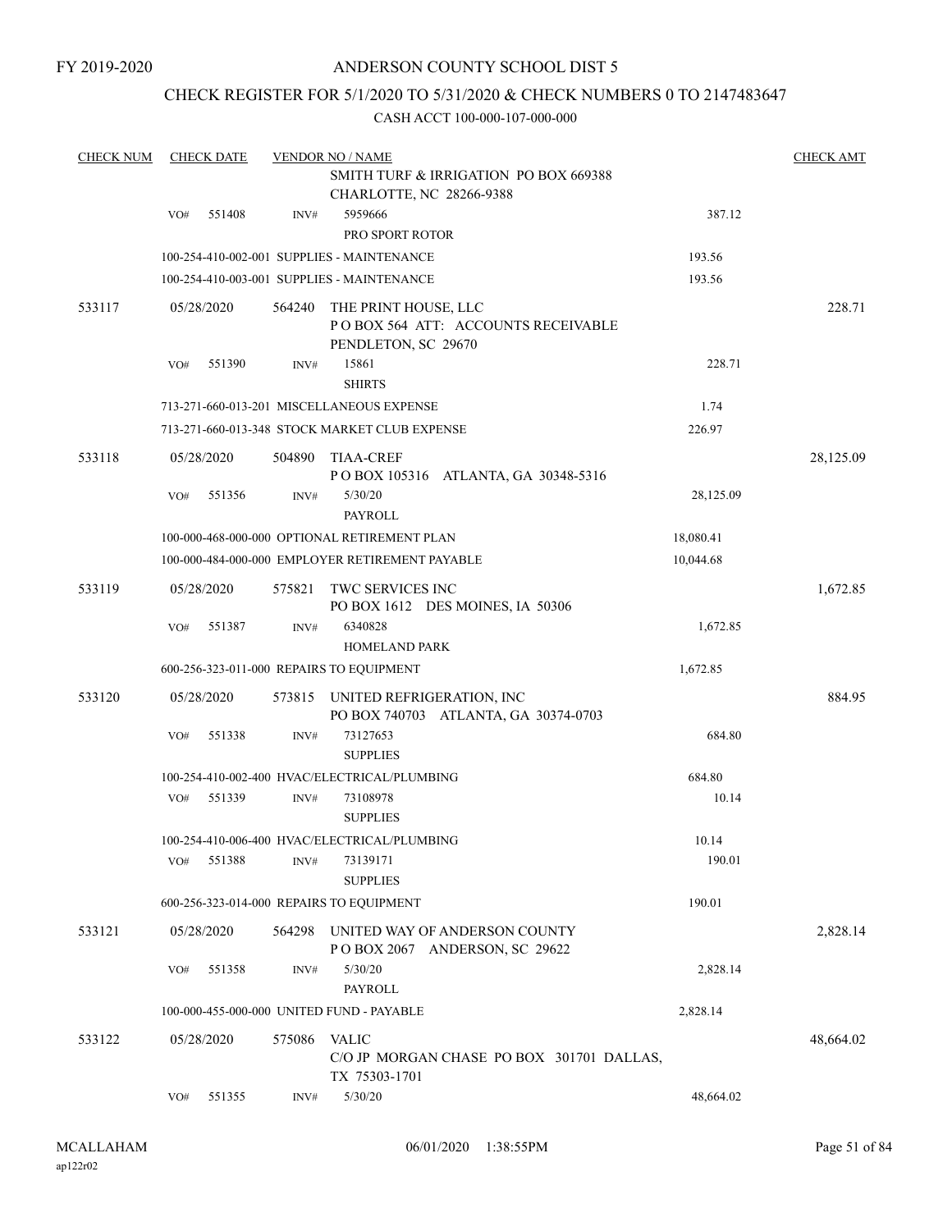## ANDERSON COUNTY SCHOOL DIST 5

## CHECK REGISTER FOR 5/1/2020 TO 5/31/2020 & CHECK NUMBERS 0 TO 2147483647

| <b>CHECK NUM</b> |     | <b>CHECK DATE</b> |        | <b>VENDOR NO / NAME</b>                                                           |           | <b>CHECK AMT</b> |
|------------------|-----|-------------------|--------|-----------------------------------------------------------------------------------|-----------|------------------|
|                  |     |                   |        | <b>SMITH TURF &amp; IRRIGATION PO BOX 669388</b><br>CHARLOTTE, NC 28266-9388      |           |                  |
|                  | VO# | 551408            | INV#   | 5959666<br>PRO SPORT ROTOR                                                        | 387.12    |                  |
|                  |     |                   |        | 100-254-410-002-001 SUPPLIES - MAINTENANCE                                        | 193.56    |                  |
|                  |     |                   |        | 100-254-410-003-001 SUPPLIES - MAINTENANCE                                        | 193.56    |                  |
| 533117           |     | 05/28/2020        | 564240 | THE PRINT HOUSE, LLC<br>POBOX 564 ATT: ACCOUNTS RECEIVABLE<br>PENDLETON, SC 29670 |           | 228.71           |
|                  | VO# | 551390            | INV#   | 15861<br><b>SHIRTS</b>                                                            | 228.71    |                  |
|                  |     |                   |        | 713-271-660-013-201 MISCELLANEOUS EXPENSE                                         | 1.74      |                  |
|                  |     |                   |        | 713-271-660-013-348 STOCK MARKET CLUB EXPENSE                                     | 226.97    |                  |
| 533118           |     | 05/28/2020        | 504890 | TIAA-CREF<br>POBOX 105316 ATLANTA, GA 30348-5316                                  |           | 28,125.09        |
|                  | VO# | 551356            | INV#   | 5/30/20<br><b>PAYROLL</b>                                                         | 28,125.09 |                  |
|                  |     |                   |        | 100-000-468-000-000 OPTIONAL RETIREMENT PLAN                                      | 18,080.41 |                  |
|                  |     |                   |        | 100-000-484-000-000 EMPLOYER RETIREMENT PAYABLE                                   | 10,044.68 |                  |
| 533119           |     | 05/28/2020        | 575821 | <b>TWC SERVICES INC</b><br>PO BOX 1612 DES MOINES, IA 50306                       |           | 1,672.85         |
|                  | VO# | 551387            | INV#   | 6340828<br><b>HOMELAND PARK</b>                                                   | 1,672.85  |                  |
|                  |     |                   |        | 600-256-323-011-000 REPAIRS TO EQUIPMENT                                          | 1,672.85  |                  |
| 533120           |     | 05/28/2020        | 573815 | UNITED REFRIGERATION, INC<br>PO BOX 740703 ATLANTA, GA 30374-0703                 |           | 884.95           |
|                  | VO# | 551338            | INV#   | 73127653<br><b>SUPPLIES</b>                                                       | 684.80    |                  |
|                  |     |                   |        | 100-254-410-002-400 HVAC/ELECTRICAL/PLUMBING                                      | 684.80    |                  |
|                  | VO# | 551339            | INV#   | 73108978<br><b>SUPPLIES</b>                                                       | 10.14     |                  |
|                  |     |                   |        | 100-254-410-006-400 HVAC/ELECTRICAL/PLUMBING                                      | 10.14     |                  |
|                  | VO# | 551388            | INV#   | 73139171<br><b>SUPPLIES</b>                                                       | 190.01    |                  |
|                  |     |                   |        | 600-256-323-014-000 REPAIRS TO EQUIPMENT                                          | 190.01    |                  |
| 533121           |     | 05/28/2020        | 564298 | UNITED WAY OF ANDERSON COUNTY<br>POBOX 2067 ANDERSON, SC 29622                    |           | 2,828.14         |
|                  | VO# | 551358            | INV#   | 5/30/20<br><b>PAYROLL</b>                                                         | 2,828.14  |                  |
|                  |     |                   |        | 100-000-455-000-000 UNITED FUND - PAYABLE                                         | 2,828.14  |                  |
| 533122           |     | 05/28/2020        | 575086 | <b>VALIC</b><br>C/O JP MORGAN CHASE PO BOX 301701 DALLAS,<br>TX 75303-1701        |           | 48,664.02        |
|                  | VO# | 551355            | INV#   | 5/30/20                                                                           | 48,664.02 |                  |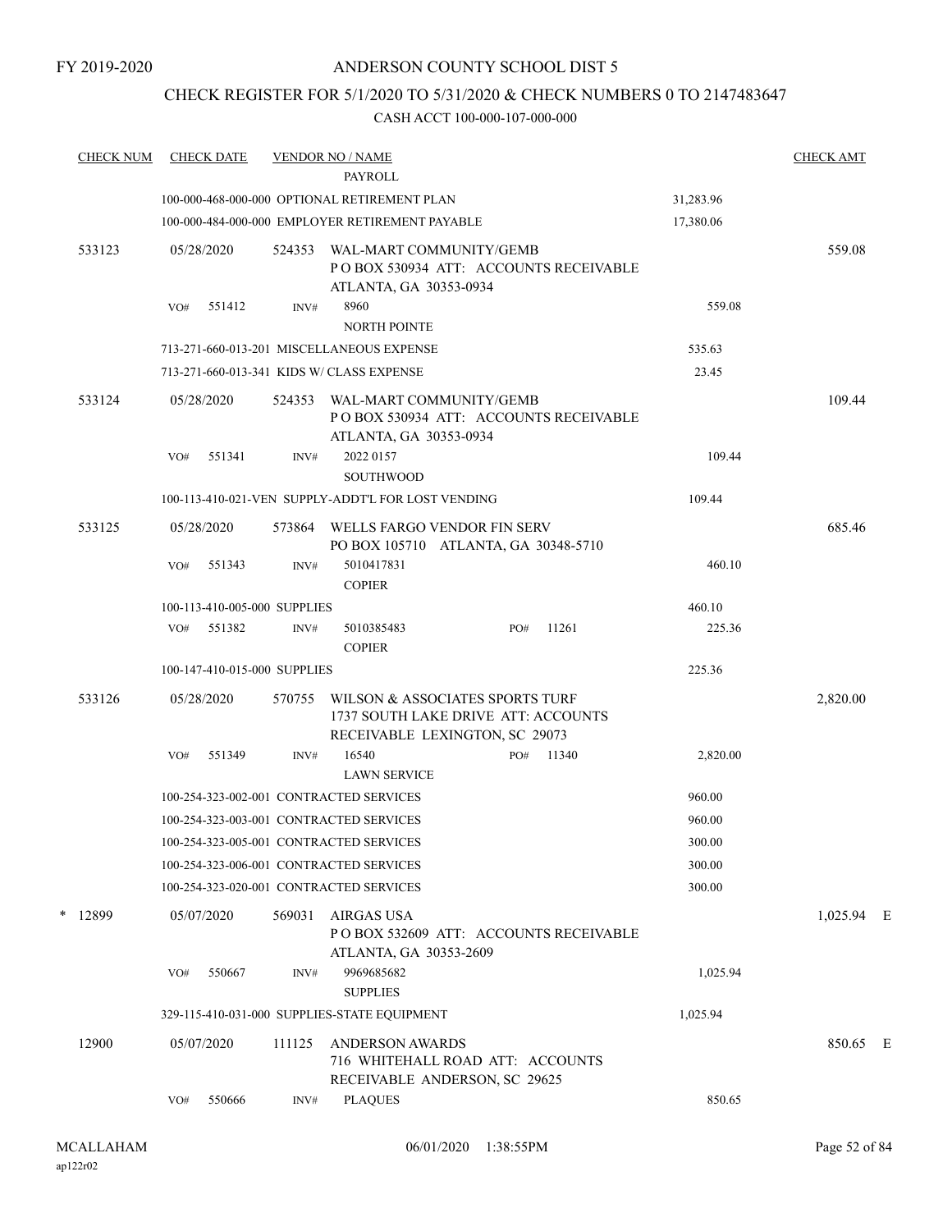## ANDERSON COUNTY SCHOOL DIST 5

## CHECK REGISTER FOR 5/1/2020 TO 5/31/2020 & CHECK NUMBERS 0 TO 2147483647

| <b>CHECK NUM</b> | <b>CHECK DATE</b> |                              | <b>VENDOR NO / NAME</b><br><b>PAYROLL</b>                |                                                                                                          |        |           | <b>CHECK AMT</b> |  |
|------------------|-------------------|------------------------------|----------------------------------------------------------|----------------------------------------------------------------------------------------------------------|--------|-----------|------------------|--|
|                  |                   |                              | 100-000-468-000-000 OPTIONAL RETIREMENT PLAN             |                                                                                                          |        | 31,283.96 |                  |  |
|                  |                   |                              | 100-000-484-000-000 EMPLOYER RETIREMENT PAYABLE          |                                                                                                          |        | 17,380.06 |                  |  |
| 533123           | 05/28/2020        | 524353                       | WAL-MART COMMUNITY/GEMB<br>ATLANTA, GA 30353-0934        | PO BOX 530934 ATT: ACCOUNTS RECEIVABLE                                                                   |        |           | 559.08           |  |
|                  | 551412<br>VO#     | INV#                         | 8960<br><b>NORTH POINTE</b>                              |                                                                                                          |        | 559.08    |                  |  |
|                  |                   |                              | 713-271-660-013-201 MISCELLANEOUS EXPENSE                |                                                                                                          |        | 535.63    |                  |  |
|                  |                   |                              | 713-271-660-013-341 KIDS W/ CLASS EXPENSE                |                                                                                                          |        | 23.45     |                  |  |
| 533124           | 05/28/2020        |                              | 524353 WAL-MART COMMUNITY/GEMB<br>ATLANTA, GA 30353-0934 | PO BOX 530934 ATT: ACCOUNTS RECEIVABLE                                                                   |        |           | 109.44           |  |
|                  | 551341<br>VO#     | INV#                         | 2022 0157                                                |                                                                                                          |        | 109.44    |                  |  |
|                  |                   |                              | <b>SOUTHWOOD</b>                                         |                                                                                                          |        |           |                  |  |
|                  |                   |                              | 100-113-410-021-VEN SUPPLY-ADDT'L FOR LOST VENDING       |                                                                                                          | 109.44 |           |                  |  |
| 533125           | 05/28/2020        |                              | 573864 WELLS FARGO VENDOR FIN SERV                       | PO BOX 105710 ATLANTA, GA 30348-5710                                                                     |        |           | 685.46           |  |
|                  | 551343<br>VO#     | INV#                         | 5010417831<br><b>COPIER</b>                              |                                                                                                          |        | 460.10    |                  |  |
|                  |                   | 100-113-410-005-000 SUPPLIES |                                                          |                                                                                                          |        | 460.10    |                  |  |
|                  | VO# 551382        | INV#                         | 5010385483<br><b>COPIER</b>                              | PO#                                                                                                      | 11261  | 225.36    |                  |  |
|                  |                   | 100-147-410-015-000 SUPPLIES |                                                          |                                                                                                          |        | 225.36    |                  |  |
| 533126           | 05/28/2020        | 570755                       |                                                          | WILSON & ASSOCIATES SPORTS TURF<br>1737 SOUTH LAKE DRIVE ATT: ACCOUNTS<br>RECEIVABLE LEXINGTON, SC 29073 |        |           | 2,820.00         |  |
|                  | VO#<br>551349     | INV#                         | 16540<br><b>LAWN SERVICE</b>                             | PO#                                                                                                      | 11340  | 2,820.00  |                  |  |
|                  |                   |                              | 100-254-323-002-001 CONTRACTED SERVICES                  |                                                                                                          |        | 960.00    |                  |  |
|                  |                   |                              | 100-254-323-003-001 CONTRACTED SERVICES                  |                                                                                                          |        | 960.00    |                  |  |
|                  |                   |                              | 100-254-323-005-001 CONTRACTED SERVICES                  |                                                                                                          |        | 300.00    |                  |  |
|                  |                   |                              | 100-254-323-006-001 CONTRACTED SERVICES                  |                                                                                                          |        | 300.00    |                  |  |
|                  |                   |                              | 100-254-323-020-001 CONTRACTED SERVICES                  |                                                                                                          |        | 300.00    |                  |  |
| * 12899          | 05/07/2020        | 569031                       | AIRGAS USA<br>ATLANTA, GA 30353-2609                     | POBOX 532609 ATT: ACCOUNTS RECEIVABLE                                                                    |        |           | 1,025.94 E       |  |
|                  | VO#<br>550667     | INV#                         | 9969685682<br><b>SUPPLIES</b>                            |                                                                                                          |        | 1,025.94  |                  |  |
|                  |                   |                              | 329-115-410-031-000 SUPPLIES-STATE EQUIPMENT             |                                                                                                          |        | 1,025.94  |                  |  |
| 12900            | 05/07/2020        | 111125                       | <b>ANDERSON AWARDS</b>                                   | 716 WHITEHALL ROAD ATT: ACCOUNTS<br>RECEIVABLE ANDERSON, SC 29625                                        |        |           | 850.65 E         |  |
|                  | 550666<br>VO#     | INV#                         | <b>PLAQUES</b>                                           |                                                                                                          |        | 850.65    |                  |  |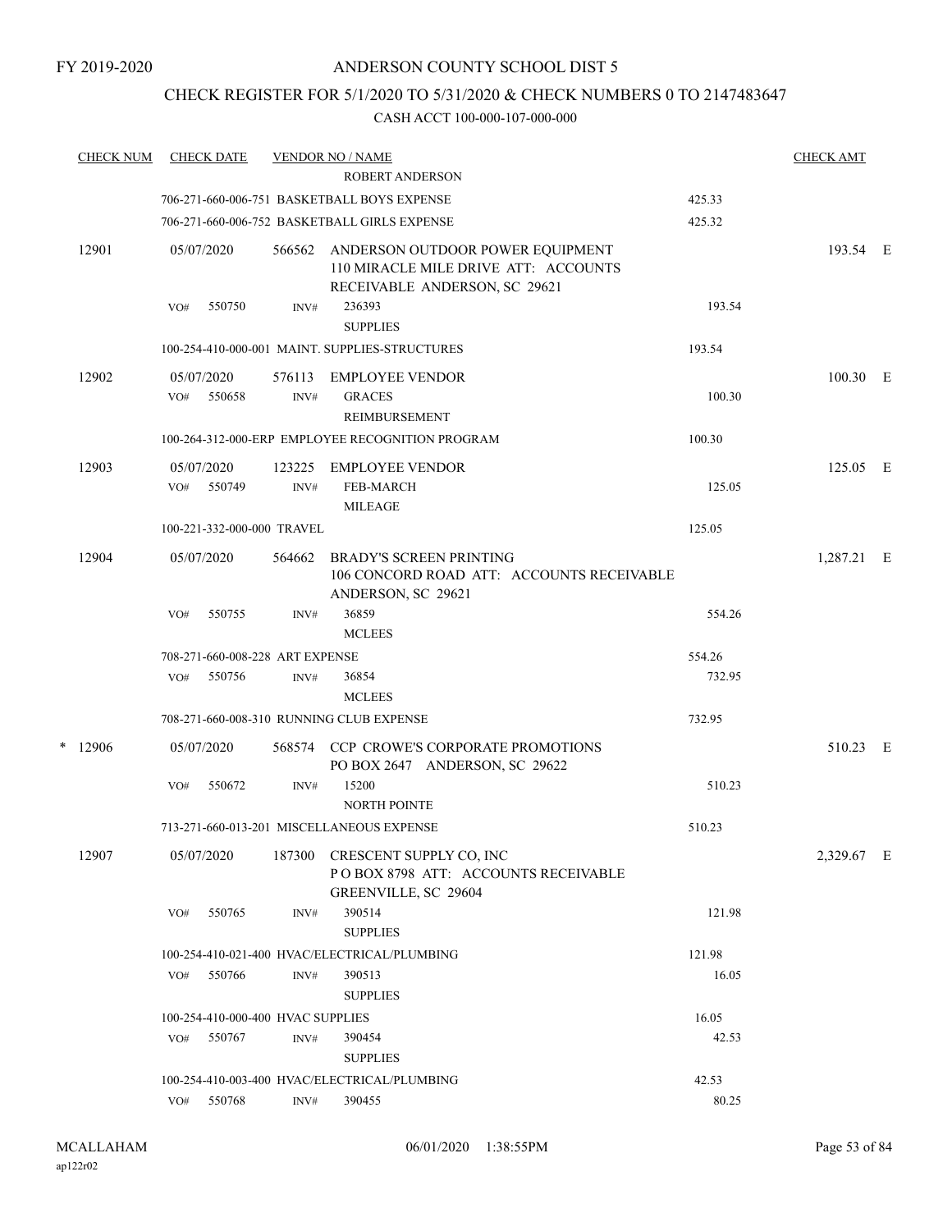## CHECK REGISTER FOR 5/1/2020 TO 5/31/2020 & CHECK NUMBERS 0 TO 2147483647

|   | <b>CHECK NUM</b> |     | <b>CHECK DATE</b>    |                                   | <b>VENDOR NO / NAME</b><br><b>ROBERT ANDERSON</b>                                                                        | <b>CHECK AMT</b> |            |   |
|---|------------------|-----|----------------------|-----------------------------------|--------------------------------------------------------------------------------------------------------------------------|------------------|------------|---|
|   |                  |     |                      |                                   | 706-271-660-006-751 BASKETBALL BOYS EXPENSE                                                                              | 425.33           |            |   |
|   |                  |     |                      | 425.32                            |                                                                                                                          |                  |            |   |
|   | 12901            |     | 05/07/2020           | 566562                            | 706-271-660-006-752 BASKETBALL GIRLS EXPENSE<br>ANDERSON OUTDOOR POWER EQUIPMENT<br>110 MIRACLE MILE DRIVE ATT: ACCOUNTS |                  | 193.54 E   |   |
|   |                  | VO# | 550750               | INV#                              | RECEIVABLE ANDERSON, SC 29621<br>236393<br><b>SUPPLIES</b>                                                               | 193.54           |            |   |
|   |                  |     |                      |                                   | 100-254-410-000-001 MAINT. SUPPLIES-STRUCTURES                                                                           | 193.54           |            |   |
|   |                  |     |                      |                                   |                                                                                                                          |                  |            |   |
|   | 12902            | VO# | 05/07/2020<br>550658 | 576113<br>INV#                    | <b>EMPLOYEE VENDOR</b><br><b>GRACES</b><br>REIMBURSEMENT                                                                 | 100.30           | 100.30 E   |   |
|   |                  |     |                      |                                   | 100-264-312-000-ERP EMPLOYEE RECOGNITION PROGRAM                                                                         | 100.30           |            |   |
|   | 12903            |     | 05/07/2020           | 123225                            | <b>EMPLOYEE VENDOR</b>                                                                                                   |                  | 125.05 E   |   |
|   |                  | VO# | 550749               | $\text{INV}\#$                    | <b>FEB-MARCH</b><br><b>MILEAGE</b>                                                                                       | 125.05           |            |   |
|   |                  |     |                      | 100-221-332-000-000 TRAVEL        |                                                                                                                          | 125.05           |            |   |
|   | 12904            |     | 05/07/2020           | 564662                            | <b>BRADY'S SCREEN PRINTING</b><br>106 CONCORD ROAD ATT: ACCOUNTS RECEIVABLE<br>ANDERSON, SC 29621                        |                  | 1,287.21   | Е |
|   |                  | VO# | 550755               | INV#                              | 36859<br><b>MCLEES</b>                                                                                                   | 554.26           |            |   |
|   |                  |     |                      | 708-271-660-008-228 ART EXPENSE   |                                                                                                                          | 554.26           |            |   |
|   |                  | VO# | 550756               | INV#                              | 36854<br><b>MCLEES</b>                                                                                                   | 732.95           |            |   |
|   |                  |     |                      |                                   | 708-271-660-008-310 RUNNING CLUB EXPENSE                                                                                 | 732.95           |            |   |
| * | 12906            |     | 05/07/2020           |                                   | 568574 CCP CROWE'S CORPORATE PROMOTIONS<br>PO BOX 2647 ANDERSON, SC 29622                                                |                  | 510.23 E   |   |
|   |                  | VO# | 550672               | INV#                              | 15200<br>NORTH POINTE                                                                                                    | 510.23           |            |   |
|   |                  |     |                      |                                   | 713-271-660-013-201 MISCELLANEOUS EXPENSE                                                                                | 510.23           |            |   |
|   | 12907            |     | 05/07/2020           | 187300                            | CRESCENT SUPPLY CO, INC<br>POBOX 8798 ATT: ACCOUNTS RECEIVABLE<br>GREENVILLE, SC 29604                                   |                  | 2,329.67 E |   |
|   |                  | VO# | 550765               | INV#                              | 390514<br><b>SUPPLIES</b>                                                                                                | 121.98           |            |   |
|   |                  |     |                      |                                   | 100-254-410-021-400 HVAC/ELECTRICAL/PLUMBING                                                                             | 121.98           |            |   |
|   |                  | VO# | 550766               | INV#                              | 390513<br><b>SUPPLIES</b>                                                                                                | 16.05            |            |   |
|   |                  |     |                      | 100-254-410-000-400 HVAC SUPPLIES |                                                                                                                          | 16.05            |            |   |
|   |                  | VO# | 550767               | INV#                              | 390454<br><b>SUPPLIES</b>                                                                                                | 42.53            |            |   |
|   |                  |     |                      |                                   | 100-254-410-003-400 HVAC/ELECTRICAL/PLUMBING                                                                             | 42.53            |            |   |
|   |                  | VO# | 550768               | INV#                              | 390455                                                                                                                   | 80.25            |            |   |
|   |                  |     |                      |                                   |                                                                                                                          |                  |            |   |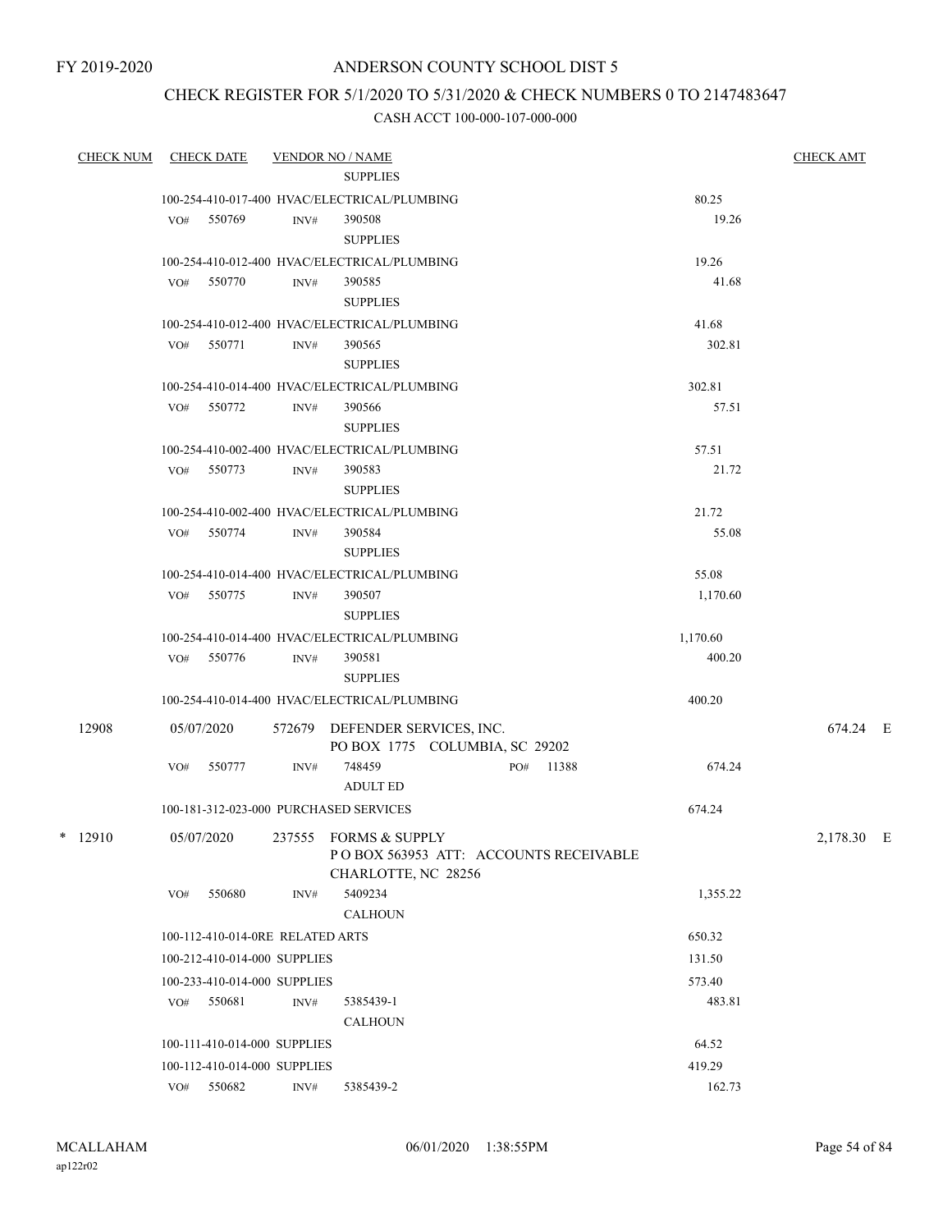## ANDERSON COUNTY SCHOOL DIST 5

## CHECK REGISTER FOR 5/1/2020 TO 5/31/2020 & CHECK NUMBERS 0 TO 2147483647

| <b>CHECK NUM</b> |     | <b>CHECK DATE</b>                |      | <b>VENDOR NO / NAME</b>                                          |           |          | <b>CHECK AMT</b> |  |
|------------------|-----|----------------------------------|------|------------------------------------------------------------------|-----------|----------|------------------|--|
|                  |     |                                  |      | <b>SUPPLIES</b>                                                  |           |          |                  |  |
|                  |     |                                  |      | 100-254-410-017-400 HVAC/ELECTRICAL/PLUMBING                     |           | 80.25    |                  |  |
|                  |     | VO# 550769                       | INV# | 390508<br><b>SUPPLIES</b>                                        |           | 19.26    |                  |  |
|                  |     |                                  |      | 100-254-410-012-400 HVAC/ELECTRICAL/PLUMBING                     |           | 19.26    |                  |  |
|                  |     | VO# 550770                       | INV# | 390585                                                           |           | 41.68    |                  |  |
|                  |     |                                  |      | <b>SUPPLIES</b>                                                  |           |          |                  |  |
|                  |     |                                  |      | 100-254-410-012-400 HVAC/ELECTRICAL/PLUMBING                     |           | 41.68    |                  |  |
|                  |     | VO# 550771                       | INV# | 390565                                                           |           | 302.81   |                  |  |
|                  |     |                                  |      | <b>SUPPLIES</b>                                                  |           |          |                  |  |
|                  |     |                                  |      | 100-254-410-014-400 HVAC/ELECTRICAL/PLUMBING                     |           | 302.81   |                  |  |
|                  |     | VO# 550772                       | INV# | 390566                                                           |           | 57.51    |                  |  |
|                  |     |                                  |      | <b>SUPPLIES</b>                                                  |           |          |                  |  |
|                  |     |                                  |      | 100-254-410-002-400 HVAC/ELECTRICAL/PLUMBING                     |           | 57.51    |                  |  |
|                  |     | VO# 550773                       | INV# | 390583                                                           |           | 21.72    |                  |  |
|                  |     |                                  |      | <b>SUPPLIES</b>                                                  |           |          |                  |  |
|                  |     |                                  |      | 100-254-410-002-400 HVAC/ELECTRICAL/PLUMBING                     |           | 21.72    |                  |  |
|                  |     | VO# 550774                       | INV# | 390584                                                           |           | 55.08    |                  |  |
|                  |     |                                  |      | <b>SUPPLIES</b>                                                  |           |          |                  |  |
|                  |     |                                  |      | 100-254-410-014-400 HVAC/ELECTRICAL/PLUMBING                     |           | 55.08    |                  |  |
|                  |     | VO# 550775                       | INV# | 390507                                                           |           | 1,170.60 |                  |  |
|                  |     |                                  |      | <b>SUPPLIES</b>                                                  |           |          |                  |  |
|                  |     |                                  |      | 100-254-410-014-400 HVAC/ELECTRICAL/PLUMBING                     |           | 1,170.60 |                  |  |
|                  |     | VO# 550776                       | INV# | 390581                                                           |           | 400.20   |                  |  |
|                  |     |                                  |      | <b>SUPPLIES</b>                                                  |           |          |                  |  |
|                  |     |                                  |      | 100-254-410-014-400 HVAC/ELECTRICAL/PLUMBING                     |           | 400.20   |                  |  |
| 12908            |     | 05/07/2020                       |      | 572679 DEFENDER SERVICES, INC.<br>PO BOX 1775 COLUMBIA, SC 29202 |           |          | 674.24 E         |  |
|                  | VO# | 550777                           | INV# | 748459                                                           | PO# 11388 | 674.24   |                  |  |
|                  |     |                                  |      | <b>ADULT ED</b>                                                  |           |          |                  |  |
|                  |     |                                  |      | 100-181-312-023-000 PURCHASED SERVICES                           |           | 674.24   |                  |  |
| $*$ 12910        |     | 05/07/2020                       |      | 237555 FORMS & SUPPLY                                            |           |          | 2,178.30 E       |  |
|                  |     |                                  |      | POBOX 563953 ATT: ACCOUNTS RECEIVABLE                            |           |          |                  |  |
|                  |     |                                  |      | CHARLOTTE, NC 28256                                              |           |          |                  |  |
|                  | VO# | 550680                           | INV# | 5409234                                                          |           | 1,355.22 |                  |  |
|                  |     |                                  |      | <b>CALHOUN</b>                                                   |           |          |                  |  |
|                  |     | 100-112-410-014-0RE RELATED ARTS |      |                                                                  |           | 650.32   |                  |  |
|                  |     | 100-212-410-014-000 SUPPLIES     |      |                                                                  |           | 131.50   |                  |  |
|                  |     | 100-233-410-014-000 SUPPLIES     |      |                                                                  |           | 573.40   |                  |  |
|                  |     | VO# 550681                       | INV# | 5385439-1                                                        |           | 483.81   |                  |  |
|                  |     |                                  |      | <b>CALHOUN</b>                                                   |           |          |                  |  |
|                  |     | 100-111-410-014-000 SUPPLIES     |      |                                                                  |           | 64.52    |                  |  |
|                  |     | 100-112-410-014-000 SUPPLIES     |      |                                                                  |           | 419.29   |                  |  |
|                  |     | VO# 550682                       | INV# | 5385439-2                                                        |           | 162.73   |                  |  |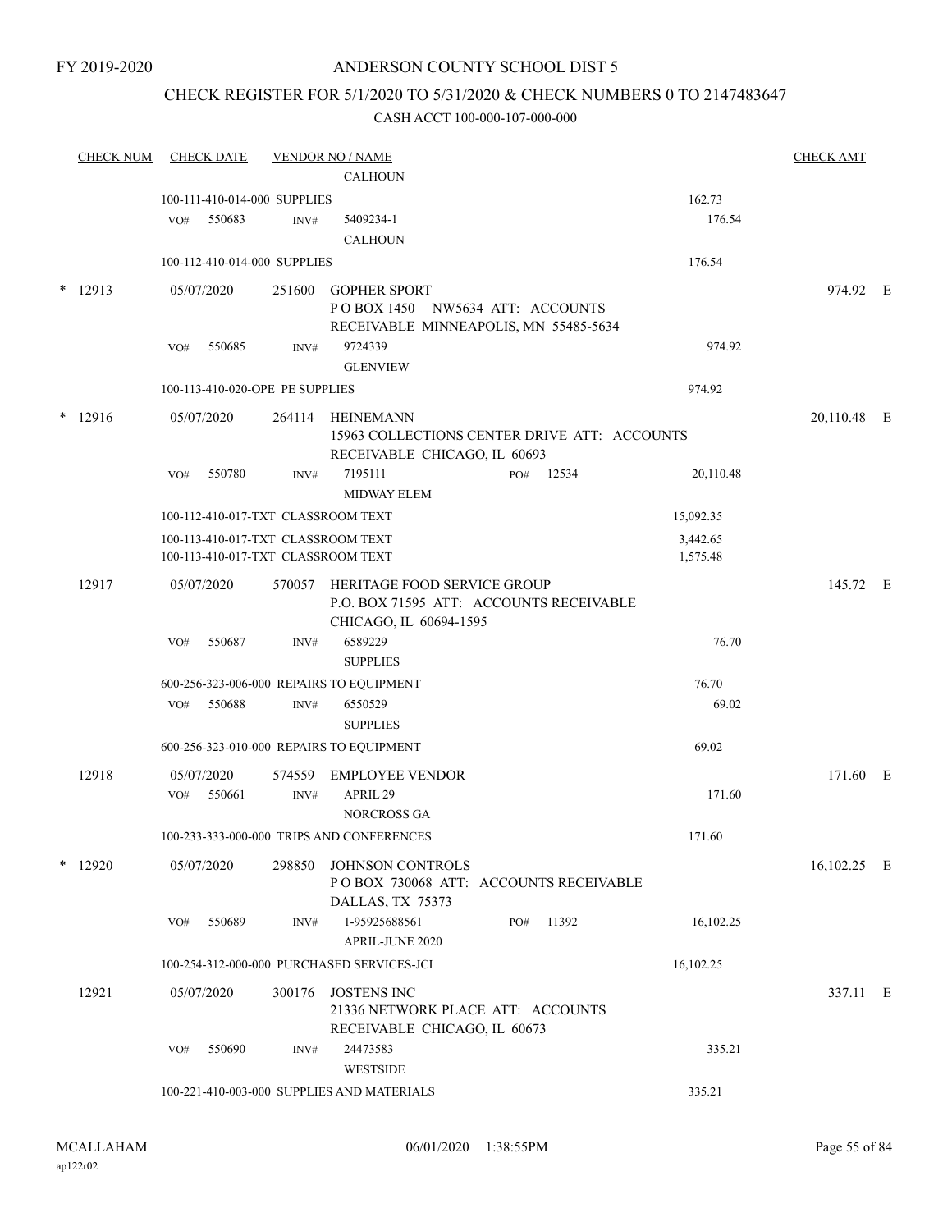## ANDERSON COUNTY SCHOOL DIST 5

## CHECK REGISTER FOR 5/1/2020 TO 5/31/2020 & CHECK NUMBERS 0 TO 2147483647

|   | <b>CHECK NUM</b> | <b>CHECK DATE</b>                        |                | <b>VENDOR NO / NAME</b>                                                  |     |       |           | <b>CHECK AMT</b> |  |
|---|------------------|------------------------------------------|----------------|--------------------------------------------------------------------------|-----|-------|-----------|------------------|--|
|   |                  |                                          |                | <b>CALHOUN</b>                                                           |     |       |           |                  |  |
|   |                  | 100-111-410-014-000 SUPPLIES             |                |                                                                          |     |       | 162.73    |                  |  |
|   |                  | 550683<br>VO#                            | INV#           | 5409234-1<br><b>CALHOUN</b>                                              |     |       | 176.54    |                  |  |
|   |                  | 100-112-410-014-000 SUPPLIES             |                |                                                                          |     |       | 176.54    |                  |  |
|   |                  |                                          |                |                                                                          |     |       |           |                  |  |
| * | 12913            | 05/07/2020                               |                | 251600 GOPHER SPORT                                                      |     |       |           | 974.92 E         |  |
|   |                  |                                          |                | POBOX 1450 NW5634 ATT: ACCOUNTS<br>RECEIVABLE MINNEAPOLIS, MN 55485-5634 |     |       |           |                  |  |
|   |                  | 550685<br>VO#                            | $\text{INV}\#$ | 9724339                                                                  |     |       | 974.92    |                  |  |
|   |                  |                                          |                | <b>GLENVIEW</b>                                                          |     |       |           |                  |  |
|   |                  | 100-113-410-020-OPE PE SUPPLIES          |                |                                                                          |     |       | 974.92    |                  |  |
|   | $*$ 12916        |                                          |                | 264114 HEINEMANN                                                         |     |       |           |                  |  |
|   |                  | 05/07/2020                               |                | 15963 COLLECTIONS CENTER DRIVE ATT: ACCOUNTS                             |     |       |           | 20,110.48 E      |  |
|   |                  |                                          |                | RECEIVABLE CHICAGO, IL 60693                                             |     |       |           |                  |  |
|   |                  | 550780<br>VO#                            | INV#           | 7195111                                                                  | PO# | 12534 | 20,110.48 |                  |  |
|   |                  |                                          |                | <b>MIDWAY ELEM</b>                                                       |     |       |           |                  |  |
|   |                  | 100-112-410-017-TXT CLASSROOM TEXT       |                |                                                                          |     |       | 15,092.35 |                  |  |
|   |                  | 100-113-410-017-TXT CLASSROOM TEXT       |                |                                                                          |     |       | 3,442.65  |                  |  |
|   |                  | 100-113-410-017-TXT CLASSROOM TEXT       |                |                                                                          |     |       | 1,575.48  |                  |  |
|   | 12917            | 05/07/2020                               |                | 570057 HERITAGE FOOD SERVICE GROUP                                       |     |       |           | 145.72 E         |  |
|   |                  |                                          |                | P.O. BOX 71595 ATT: ACCOUNTS RECEIVABLE                                  |     |       |           |                  |  |
|   |                  |                                          |                | CHICAGO, IL 60694-1595                                                   |     |       |           |                  |  |
|   |                  | 550687<br>VO#                            | INV#           | 6589229<br><b>SUPPLIES</b>                                               |     |       | 76.70     |                  |  |
|   |                  | 600-256-323-006-000 REPAIRS TO EQUIPMENT |                |                                                                          |     |       | 76.70     |                  |  |
|   |                  | 550688<br>VO#                            | INV#           | 6550529                                                                  |     |       | 69.02     |                  |  |
|   |                  |                                          |                | <b>SUPPLIES</b>                                                          |     |       |           |                  |  |
|   |                  | 600-256-323-010-000 REPAIRS TO EQUIPMENT |                |                                                                          |     |       | 69.02     |                  |  |
|   | 12918            | 05/07/2020                               |                |                                                                          |     |       |           | 171.60 E         |  |
|   |                  | 550661<br>VO#                            | $\text{INV}\#$ | 574559 EMPLOYEE VENDOR<br>APRIL 29                                       |     |       | 171.60    |                  |  |
|   |                  |                                          |                | NORCROSS GA                                                              |     |       |           |                  |  |
|   |                  |                                          |                | 100-233-333-000-000 TRIPS AND CONFERENCES                                |     |       | 171.60    |                  |  |
|   | $*$ 12920        | 05/07/2020                               |                |                                                                          |     |       |           |                  |  |
|   |                  |                                          |                | 298850 JOHNSON CONTROLS<br>POBOX 730068 ATT: ACCOUNTS RECEIVABLE         |     |       |           | 16,102.25 E      |  |
|   |                  |                                          |                | DALLAS, TX 75373                                                         |     |       |           |                  |  |
|   |                  | 550689<br>VO#                            | INV#           | 1-95925688561                                                            | PO# | 11392 | 16,102.25 |                  |  |
|   |                  |                                          |                | APRIL-JUNE 2020                                                          |     |       |           |                  |  |
|   |                  |                                          |                | 100-254-312-000-000 PURCHASED SERVICES-JCI                               |     |       | 16,102.25 |                  |  |
|   | 12921            | 05/07/2020                               | 300176         | JOSTENS INC                                                              |     |       |           | 337.11 E         |  |
|   |                  |                                          |                | 21336 NETWORK PLACE ATT: ACCOUNTS                                        |     |       |           |                  |  |
|   |                  |                                          |                | RECEIVABLE CHICAGO, IL 60673                                             |     |       |           |                  |  |
|   |                  | 550690<br>VO#                            | INV#           | 24473583                                                                 |     |       | 335.21    |                  |  |
|   |                  |                                          |                | WESTSIDE                                                                 |     |       |           |                  |  |
|   |                  |                                          |                | 100-221-410-003-000 SUPPLIES AND MATERIALS                               |     |       | 335.21    |                  |  |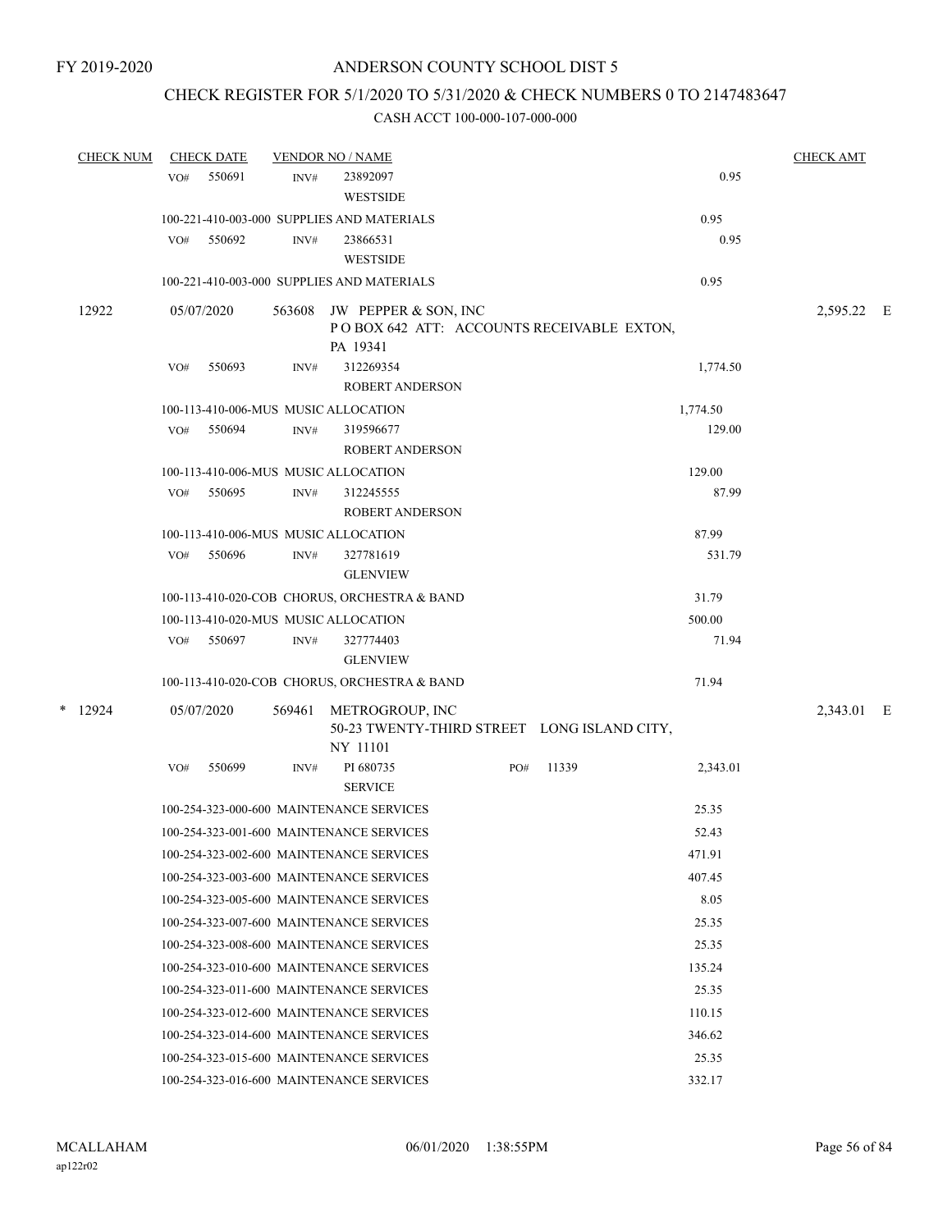## CHECK REGISTER FOR 5/1/2020 TO 5/31/2020 & CHECK NUMBERS 0 TO 2147483647

| <b>CHECK NUM</b> |     | <b>CHECK DATE</b> |        | <b>VENDOR NO / NAME</b>                                                       |     |       |          | <b>CHECK AMT</b> |  |
|------------------|-----|-------------------|--------|-------------------------------------------------------------------------------|-----|-------|----------|------------------|--|
|                  | VO# | 550691            | INV#   | 23892097<br><b>WESTSIDE</b>                                                   |     |       | 0.95     |                  |  |
|                  |     |                   |        | 100-221-410-003-000 SUPPLIES AND MATERIALS                                    |     |       | 0.95     |                  |  |
|                  | VO# | 550692            | INV#   | 23866531<br><b>WESTSIDE</b>                                                   |     |       | 0.95     |                  |  |
|                  |     |                   |        | 100-221-410-003-000 SUPPLIES AND MATERIALS                                    |     |       | 0.95     |                  |  |
| 12922            |     | 05/07/2020        | 563608 | JW PEPPER & SON, INC<br>POBOX 642 ATT: ACCOUNTS RECEIVABLE EXTON,<br>PA 19341 |     |       |          | 2,595.22 E       |  |
|                  | VO# | 550693            | INV#   | 312269354<br><b>ROBERT ANDERSON</b>                                           |     |       | 1,774.50 |                  |  |
|                  |     |                   |        | 100-113-410-006-MUS MUSIC ALLOCATION                                          |     |       | 1,774.50 |                  |  |
|                  | VO# | 550694            | INV#   | 319596677<br><b>ROBERT ANDERSON</b>                                           |     |       | 129.00   |                  |  |
|                  |     |                   |        | 100-113-410-006-MUS MUSIC ALLOCATION                                          |     |       | 129.00   |                  |  |
|                  | VO# | 550695            | INV#   | 312245555<br><b>ROBERT ANDERSON</b>                                           |     |       | 87.99    |                  |  |
|                  |     |                   |        | 100-113-410-006-MUS MUSIC ALLOCATION                                          |     |       | 87.99    |                  |  |
|                  | VO# | 550696            | INV#   | 327781619<br><b>GLENVIEW</b>                                                  |     |       | 531.79   |                  |  |
|                  |     |                   |        | 100-113-410-020-COB CHORUS, ORCHESTRA & BAND                                  |     |       | 31.79    |                  |  |
|                  |     |                   |        | 100-113-410-020-MUS MUSIC ALLOCATION                                          |     |       | 500.00   |                  |  |
|                  |     | VO# 550697        | INV#   | 327774403<br><b>GLENVIEW</b>                                                  |     |       | 71.94    |                  |  |
|                  |     |                   |        | 100-113-410-020-COB CHORUS, ORCHESTRA & BAND                                  |     |       | 71.94    |                  |  |
| $*$ 12924        |     | 05/07/2020        | 569461 | METROGROUP, INC<br>50-23 TWENTY-THIRD STREET LONG ISLAND CITY,<br>NY 11101    |     |       |          | 2,343.01 E       |  |
|                  | VO# | 550699            | INV#   | PI 680735<br><b>SERVICE</b>                                                   | PO# | 11339 | 2,343.01 |                  |  |
|                  |     |                   |        | 100-254-323-000-600 MAINTENANCE SERVICES                                      |     |       | 25.35    |                  |  |
|                  |     |                   |        | 100-254-323-001-600 MAINTENANCE SERVICES                                      |     |       | 52.43    |                  |  |
|                  |     |                   |        | 100-254-323-002-600 MAINTENANCE SERVICES                                      |     |       | 471.91   |                  |  |
|                  |     |                   |        | 100-254-323-003-600 MAINTENANCE SERVICES                                      |     |       | 407.45   |                  |  |
|                  |     |                   |        | 100-254-323-005-600 MAINTENANCE SERVICES                                      |     |       | 8.05     |                  |  |
|                  |     |                   |        | 100-254-323-007-600 MAINTENANCE SERVICES                                      |     |       | 25.35    |                  |  |
|                  |     |                   |        | 100-254-323-008-600 MAINTENANCE SERVICES                                      |     |       | 25.35    |                  |  |
|                  |     |                   |        | 100-254-323-010-600 MAINTENANCE SERVICES                                      |     |       | 135.24   |                  |  |
|                  |     |                   |        | 100-254-323-011-600 MAINTENANCE SERVICES                                      |     |       | 25.35    |                  |  |
|                  |     |                   |        | 100-254-323-012-600 MAINTENANCE SERVICES                                      |     |       | 110.15   |                  |  |
|                  |     |                   |        | 100-254-323-014-600 MAINTENANCE SERVICES                                      |     |       | 346.62   |                  |  |
|                  |     |                   |        | 100-254-323-015-600 MAINTENANCE SERVICES                                      |     |       | 25.35    |                  |  |
|                  |     |                   |        | 100-254-323-016-600 MAINTENANCE SERVICES                                      |     |       | 332.17   |                  |  |
|                  |     |                   |        |                                                                               |     |       |          |                  |  |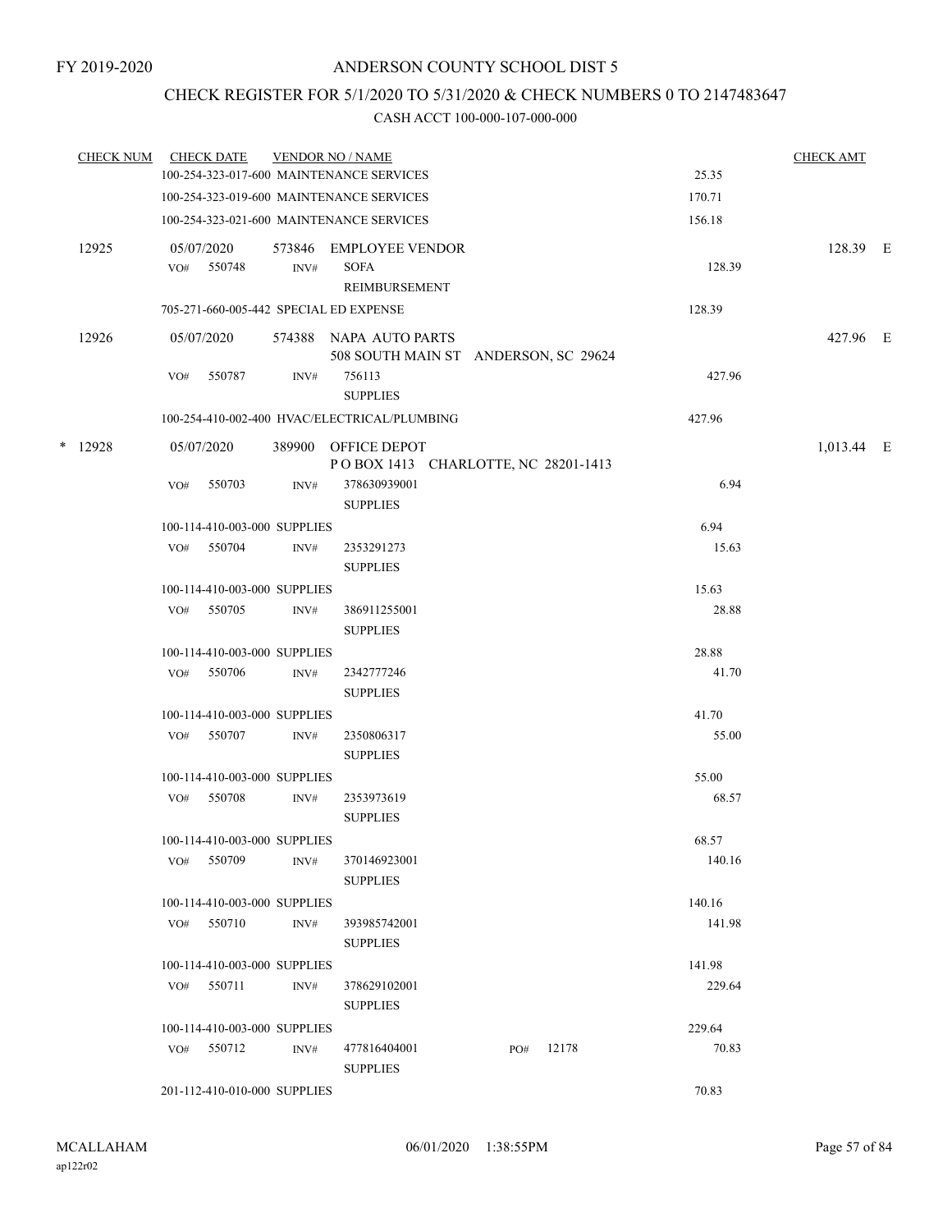## CHECK REGISTER FOR 5/1/2020 TO 5/31/2020 & CHECK NUMBERS 0 TO 2147483647

| <b>CHECK NUM</b> |     | <b>CHECK DATE</b>            |        | <b>VENDOR NO / NAME</b>                      |        | <b>CHECK AMT</b> |  |
|------------------|-----|------------------------------|--------|----------------------------------------------|--------|------------------|--|
|                  |     |                              |        | 100-254-323-017-600 MAINTENANCE SERVICES     | 25.35  |                  |  |
|                  |     |                              |        | 100-254-323-019-600 MAINTENANCE SERVICES     | 170.71 |                  |  |
|                  |     |                              |        | 100-254-323-021-600 MAINTENANCE SERVICES     | 156.18 |                  |  |
| 12925            |     | 05/07/2020                   |        | 573846 EMPLOYEE VENDOR                       |        | 128.39 E         |  |
|                  |     | VO# 550748                   | INV#   | <b>SOFA</b>                                  | 128.39 |                  |  |
|                  |     |                              |        | REIMBURSEMENT                                |        |                  |  |
|                  |     |                              |        | 705-271-660-005-442 SPECIAL ED EXPENSE       | 128.39 |                  |  |
| 12926            |     | 05/07/2020                   |        | 574388 NAPA AUTO PARTS                       |        | 427.96 E         |  |
|                  |     |                              |        | 508 SOUTH MAIN ST ANDERSON, SC 29624         |        |                  |  |
|                  | VO# | 550787                       | INV#   | 756113                                       | 427.96 |                  |  |
|                  |     |                              |        | <b>SUPPLIES</b>                              |        |                  |  |
|                  |     |                              |        | 100-254-410-002-400 HVAC/ELECTRICAL/PLUMBING | 427.96 |                  |  |
| $*$ 12928        |     | 05/07/2020                   | 389900 | OFFICE DEPOT                                 |        | 1,013.44 E       |  |
|                  |     |                              |        | POBOX 1413 CHARLOTTE, NC 28201-1413          |        |                  |  |
|                  | VO# | 550703                       | INV#   | 378630939001                                 | 6.94   |                  |  |
|                  |     |                              |        | <b>SUPPLIES</b>                              |        |                  |  |
|                  |     | 100-114-410-003-000 SUPPLIES |        |                                              | 6.94   |                  |  |
|                  |     | VO# 550704                   | INV#   | 2353291273                                   | 15.63  |                  |  |
|                  |     |                              |        | <b>SUPPLIES</b>                              |        |                  |  |
|                  |     | 100-114-410-003-000 SUPPLIES |        |                                              | 15.63  |                  |  |
|                  | VO# | 550705                       | INV#   | 386911255001                                 | 28.88  |                  |  |
|                  |     |                              |        | <b>SUPPLIES</b>                              |        |                  |  |
|                  |     | 100-114-410-003-000 SUPPLIES |        |                                              | 28.88  |                  |  |
|                  | VO# | 550706                       | INV#   | 2342777246                                   | 41.70  |                  |  |
|                  |     |                              |        | <b>SUPPLIES</b>                              |        |                  |  |
|                  |     | 100-114-410-003-000 SUPPLIES |        |                                              | 41.70  |                  |  |
|                  | VO# | 550707                       | INV#   | 2350806317                                   | 55.00  |                  |  |
|                  |     |                              |        | <b>SUPPLIES</b>                              |        |                  |  |
|                  |     | 100-114-410-003-000 SUPPLIES |        |                                              | 55.00  |                  |  |
|                  | VO# | 550708                       | INV#   | 2353973619                                   | 68.57  |                  |  |
|                  |     |                              |        | <b>SUPPLIES</b>                              |        |                  |  |
|                  |     | 100-114-410-003-000 SUPPLIES |        |                                              | 68.57  |                  |  |
|                  | VO# | 550709                       | INV#   | 370146923001                                 | 140.16 |                  |  |
|                  |     |                              |        | <b>SUPPLIES</b>                              |        |                  |  |
|                  |     | 100-114-410-003-000 SUPPLIES |        |                                              | 140.16 |                  |  |
|                  | VO# | 550710                       | INV#   | 393985742001                                 | 141.98 |                  |  |
|                  |     |                              |        | <b>SUPPLIES</b>                              |        |                  |  |
|                  |     | 100-114-410-003-000 SUPPLIES |        |                                              | 141.98 |                  |  |
|                  |     | VO# 550711                   | INV#   | 378629102001                                 | 229.64 |                  |  |
|                  |     |                              |        | <b>SUPPLIES</b>                              |        |                  |  |
|                  |     | 100-114-410-003-000 SUPPLIES |        |                                              | 229.64 |                  |  |
|                  |     | VO# 550712                   | INV#   | 477816404001<br>12178<br>PO#                 | 70.83  |                  |  |
|                  |     |                              |        | <b>SUPPLIES</b>                              |        |                  |  |
|                  |     | 201-112-410-010-000 SUPPLIES |        |                                              | 70.83  |                  |  |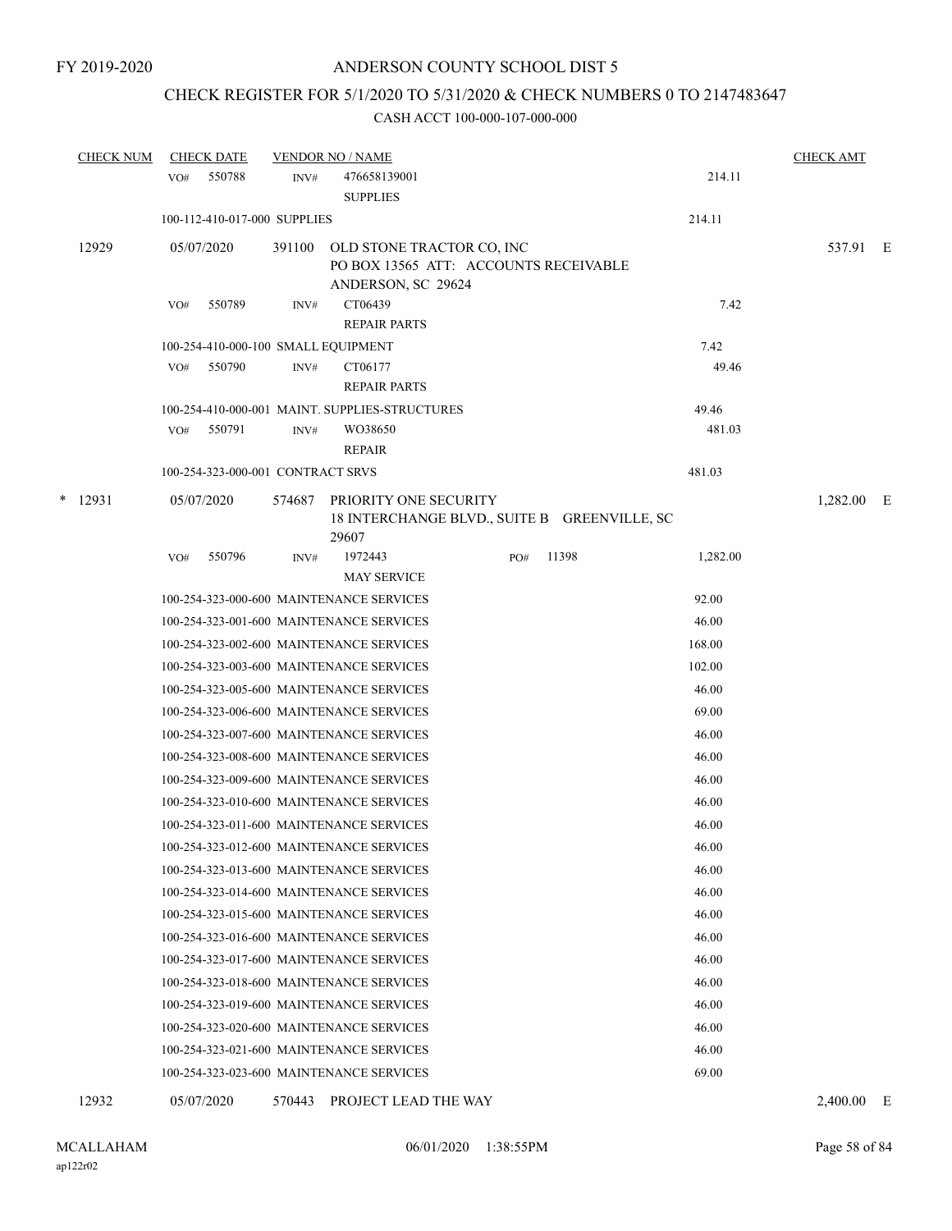# CHECK REGISTER FOR 5/1/2020 TO 5/31/2020 & CHECK NUMBERS 0 TO 2147483647

|   | <b>CHECK NUM</b> |     | <b>CHECK DATE</b>                 |        | <b>VENDOR NO / NAME</b>                                                                         |     |       |          | <b>CHECK AMT</b> |     |
|---|------------------|-----|-----------------------------------|--------|-------------------------------------------------------------------------------------------------|-----|-------|----------|------------------|-----|
|   |                  | VO# | 550788                            | INV#   | 476658139001<br><b>SUPPLIES</b>                                                                 |     |       | 214.11   |                  |     |
|   |                  |     | 100-112-410-017-000 SUPPLIES      |        |                                                                                                 |     |       | 214.11   |                  |     |
|   | 12929            |     | 05/07/2020                        |        | 391100 OLD STONE TRACTOR CO, INC<br>PO BOX 13565 ATT: ACCOUNTS RECEIVABLE<br>ANDERSON, SC 29624 |     |       |          | 537.91 E         |     |
|   |                  | VO# | 550789                            | INV#   | CT06439<br><b>REPAIR PARTS</b>                                                                  |     |       | 7.42     |                  |     |
|   |                  |     |                                   |        | 100-254-410-000-100 SMALL EQUIPMENT                                                             |     |       | 7.42     |                  |     |
|   |                  | VO# | 550790                            | INV#   | CT06177<br><b>REPAIR PARTS</b>                                                                  |     |       | 49.46    |                  |     |
|   |                  |     |                                   |        | 100-254-410-000-001 MAINT. SUPPLIES-STRUCTURES                                                  |     |       | 49.46    |                  |     |
|   |                  | VO# | 550791                            | INV#   | WO38650                                                                                         |     |       | 481.03   |                  |     |
|   |                  |     | 100-254-323-000-001 CONTRACT SRVS |        | <b>REPAIR</b>                                                                                   |     |       | 481.03   |                  |     |
| * | 12931            |     | 05/07/2020                        | 574687 | PRIORITY ONE SECURITY<br>18 INTERCHANGE BLVD., SUITE B GREENVILLE, SC<br>29607                  |     |       |          | 1,282.00 E       |     |
|   |                  | VO# | 550796                            | INV#   | 1972443<br><b>MAY SERVICE</b>                                                                   | PO# | 11398 | 1,282.00 |                  |     |
|   |                  |     |                                   |        | 100-254-323-000-600 MAINTENANCE SERVICES                                                        |     |       | 92.00    |                  |     |
|   |                  |     |                                   |        | 100-254-323-001-600 MAINTENANCE SERVICES                                                        |     |       | 46.00    |                  |     |
|   |                  |     |                                   |        | 100-254-323-002-600 MAINTENANCE SERVICES                                                        |     |       | 168.00   |                  |     |
|   |                  |     |                                   |        | 100-254-323-003-600 MAINTENANCE SERVICES                                                        |     |       | 102.00   |                  |     |
|   |                  |     |                                   |        | 100-254-323-005-600 MAINTENANCE SERVICES                                                        |     |       | 46.00    |                  |     |
|   |                  |     |                                   |        | 100-254-323-006-600 MAINTENANCE SERVICES                                                        |     |       | 69.00    |                  |     |
|   |                  |     |                                   |        | 100-254-323-007-600 MAINTENANCE SERVICES                                                        |     |       | 46.00    |                  |     |
|   |                  |     |                                   |        | 100-254-323-008-600 MAINTENANCE SERVICES                                                        |     |       | 46.00    |                  |     |
|   |                  |     |                                   |        | 100-254-323-009-600 MAINTENANCE SERVICES                                                        |     |       | 46.00    |                  |     |
|   |                  |     |                                   |        | 100-254-323-010-600 MAINTENANCE SERVICES                                                        |     |       | 46.00    |                  |     |
|   |                  |     |                                   |        | 100-254-323-011-600 MAINTENANCE SERVICES                                                        |     |       | 46.00    |                  |     |
|   |                  |     |                                   |        | 100-254-323-012-600 MAINTENANCE SERVICES                                                        |     |       | 46.00    |                  |     |
|   |                  |     |                                   |        | 100-254-323-013-600 MAINTENANCE SERVICES                                                        |     |       | 46.00    |                  |     |
|   |                  |     |                                   |        | 100-254-323-014-600 MAINTENANCE SERVICES                                                        |     |       | 46.00    |                  |     |
|   |                  |     |                                   |        | 100-254-323-015-600 MAINTENANCE SERVICES                                                        |     |       | 46.00    |                  |     |
|   |                  |     |                                   |        | 100-254-323-016-600 MAINTENANCE SERVICES                                                        |     |       | 46.00    |                  |     |
|   |                  |     |                                   |        | 100-254-323-017-600 MAINTENANCE SERVICES                                                        |     |       | 46.00    |                  |     |
|   |                  |     |                                   |        | 100-254-323-018-600 MAINTENANCE SERVICES                                                        |     |       | 46.00    |                  |     |
|   |                  |     |                                   |        | 100-254-323-019-600 MAINTENANCE SERVICES                                                        |     |       | 46.00    |                  |     |
|   |                  |     |                                   |        | 100-254-323-020-600 MAINTENANCE SERVICES                                                        |     |       | 46.00    |                  |     |
|   |                  |     |                                   |        | 100-254-323-021-600 MAINTENANCE SERVICES                                                        |     |       | 46.00    |                  |     |
|   |                  |     |                                   |        | 100-254-323-023-600 MAINTENANCE SERVICES                                                        |     |       | 69.00    |                  |     |
|   | 12932            |     | 05/07/2020                        | 570443 | PROJECT LEAD THE WAY                                                                            |     |       |          | 2,400.00         | – E |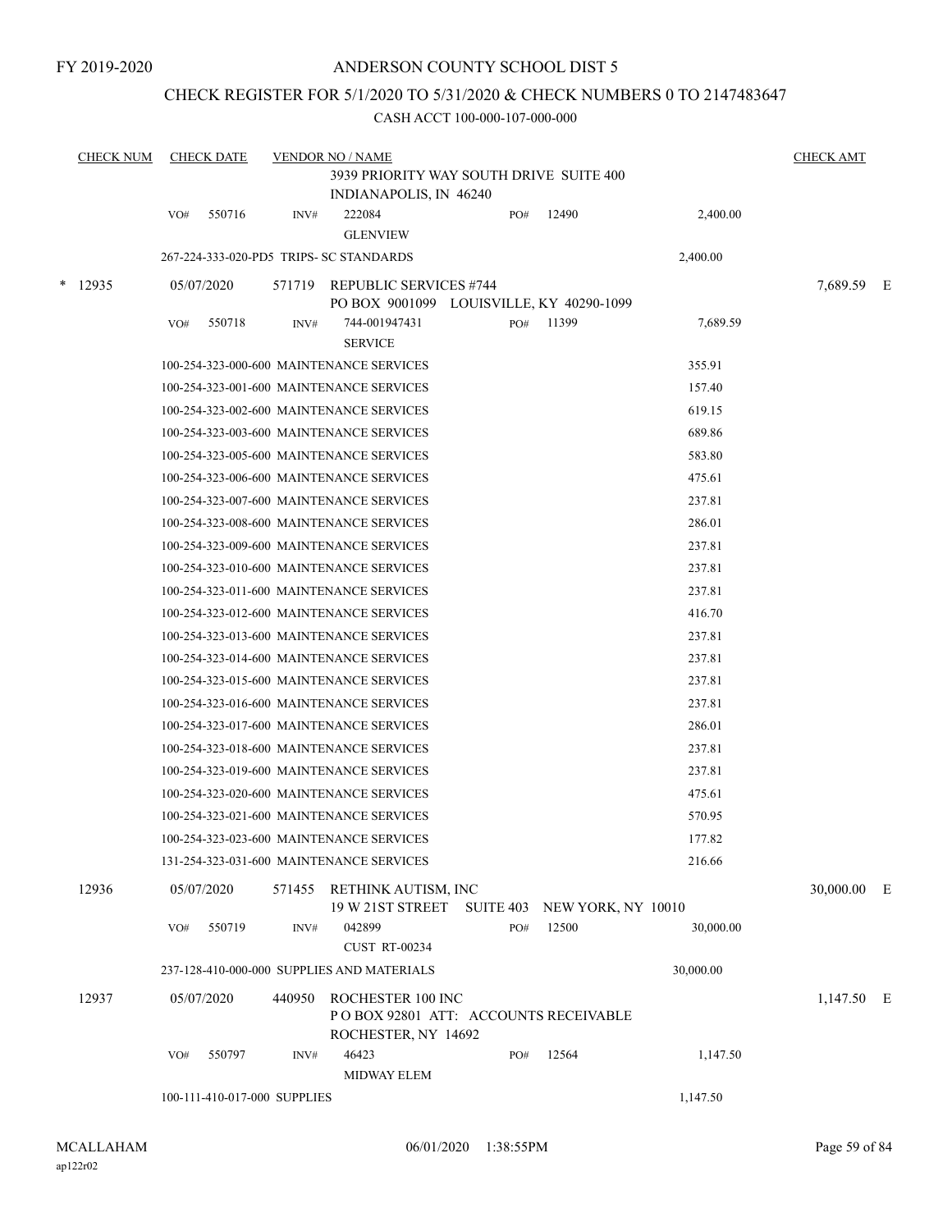## CHECK REGISTER FOR 5/1/2020 TO 5/31/2020 & CHECK NUMBERS 0 TO 2147483647

| <b>CHECK NUM</b> |     | <b>CHECK DATE</b>            |        | <b>VENDOR NO / NAME</b><br>3939 PRIORITY WAY SOUTH DRIVE SUITE 400               |     |       |           | <b>CHECK AMT</b> |  |
|------------------|-----|------------------------------|--------|----------------------------------------------------------------------------------|-----|-------|-----------|------------------|--|
|                  |     |                              |        | INDIANAPOLIS, IN 46240                                                           |     |       |           |                  |  |
|                  | VO# | 550716                       | INV#   | 222084<br><b>GLENVIEW</b>                                                        | PO# | 12490 | 2,400.00  |                  |  |
|                  |     |                              |        | 267-224-333-020-PD5 TRIPS- SC STANDARDS                                          |     |       | 2,400.00  |                  |  |
| $*$ 12935        |     | 05/07/2020                   | 571719 | <b>REPUBLIC SERVICES #744</b><br>PO BOX 9001099 LOUISVILLE, KY 40290-1099        |     |       |           | 7,689.59 E       |  |
|                  | VO# | 550718                       | INV#   | 744-001947431<br><b>SERVICE</b>                                                  | PO# | 11399 | 7,689.59  |                  |  |
|                  |     |                              |        | 100-254-323-000-600 MAINTENANCE SERVICES                                         |     |       | 355.91    |                  |  |
|                  |     |                              |        | 100-254-323-001-600 MAINTENANCE SERVICES                                         |     |       | 157.40    |                  |  |
|                  |     |                              |        | 100-254-323-002-600 MAINTENANCE SERVICES                                         |     |       | 619.15    |                  |  |
|                  |     |                              |        | 100-254-323-003-600 MAINTENANCE SERVICES                                         |     |       | 689.86    |                  |  |
|                  |     |                              |        | 100-254-323-005-600 MAINTENANCE SERVICES                                         |     |       | 583.80    |                  |  |
|                  |     |                              |        | 100-254-323-006-600 MAINTENANCE SERVICES                                         |     |       | 475.61    |                  |  |
|                  |     |                              |        | 100-254-323-007-600 MAINTENANCE SERVICES                                         |     |       | 237.81    |                  |  |
|                  |     |                              |        | 100-254-323-008-600 MAINTENANCE SERVICES                                         |     |       | 286.01    |                  |  |
|                  |     |                              |        | 100-254-323-009-600 MAINTENANCE SERVICES                                         |     |       | 237.81    |                  |  |
|                  |     |                              |        | 100-254-323-010-600 MAINTENANCE SERVICES                                         |     |       | 237.81    |                  |  |
|                  |     |                              |        | 100-254-323-011-600 MAINTENANCE SERVICES                                         |     |       | 237.81    |                  |  |
|                  |     |                              |        | 100-254-323-012-600 MAINTENANCE SERVICES                                         |     |       | 416.70    |                  |  |
|                  |     |                              |        | 100-254-323-013-600 MAINTENANCE SERVICES                                         |     |       | 237.81    |                  |  |
|                  |     |                              |        | 100-254-323-014-600 MAINTENANCE SERVICES                                         |     |       | 237.81    |                  |  |
|                  |     |                              |        | 100-254-323-015-600 MAINTENANCE SERVICES                                         |     |       | 237.81    |                  |  |
|                  |     |                              |        | 100-254-323-016-600 MAINTENANCE SERVICES                                         |     |       | 237.81    |                  |  |
|                  |     |                              |        | 100-254-323-017-600 MAINTENANCE SERVICES                                         |     |       | 286.01    |                  |  |
|                  |     |                              |        | 100-254-323-018-600 MAINTENANCE SERVICES                                         |     |       | 237.81    |                  |  |
|                  |     |                              |        | 100-254-323-019-600 MAINTENANCE SERVICES                                         |     |       | 237.81    |                  |  |
|                  |     |                              |        | 100-254-323-020-600 MAINTENANCE SERVICES                                         |     |       | 475.61    |                  |  |
|                  |     |                              |        | 100-254-323-021-600 MAINTENANCE SERVICES                                         |     |       | 570.95    |                  |  |
|                  |     |                              |        | 100-254-323-023-600 MAINTENANCE SERVICES                                         |     |       | 177.82    |                  |  |
|                  |     |                              |        | 131-254-323-031-600 MAINTENANCE SERVICES                                         |     |       | 216.66    |                  |  |
| 12936            |     | 05/07/2020                   |        | 571455 RETHINK AUTISM, INC<br>19 W 21ST STREET SUITE 403 NEW YORK, NY 10010      |     |       |           | 30,000.00 E      |  |
|                  | VO# | 550719                       | INV#   | 042899                                                                           | PO# | 12500 | 30,000.00 |                  |  |
|                  |     |                              |        | <b>CUST RT-00234</b>                                                             |     |       |           |                  |  |
|                  |     |                              |        | 237-128-410-000-000 SUPPLIES AND MATERIALS                                       |     |       | 30,000.00 |                  |  |
| 12937            |     | 05/07/2020                   | 440950 | ROCHESTER 100 INC<br>POBOX 92801 ATT: ACCOUNTS RECEIVABLE<br>ROCHESTER, NY 14692 |     |       |           | $1,147.50$ E     |  |
|                  | VO# | 550797                       | INV#   | 46423                                                                            | PO# | 12564 | 1,147.50  |                  |  |
|                  |     | 100-111-410-017-000 SUPPLIES |        | <b>MIDWAY ELEM</b>                                                               |     |       | 1,147.50  |                  |  |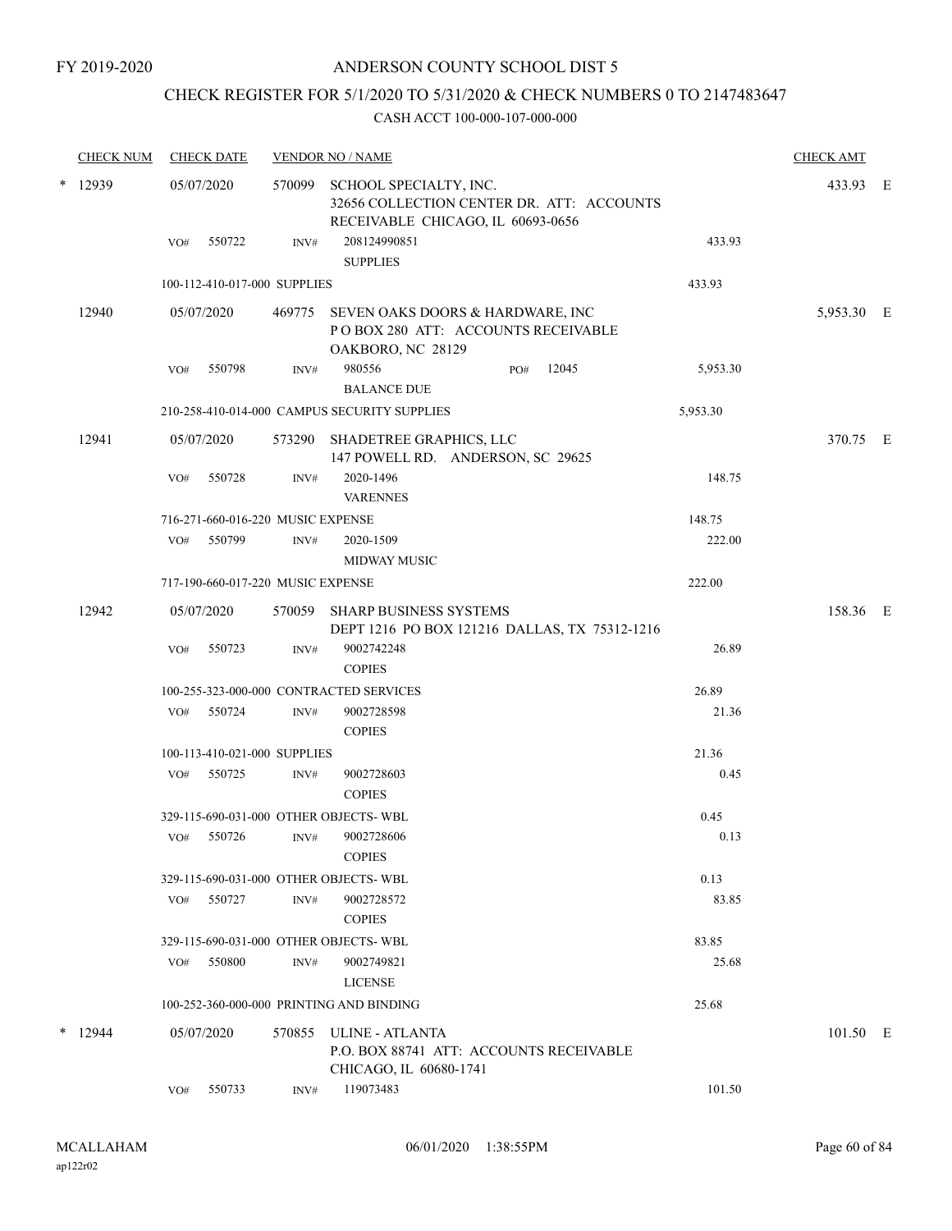## ANDERSON COUNTY SCHOOL DIST 5

## CHECK REGISTER FOR 5/1/2020 TO 5/31/2020 & CHECK NUMBERS 0 TO 2147483647

| <b>CHECK NUM</b> |            | <b>CHECK DATE</b>                 |        | <b>VENDOR NO / NAME</b>                                                                                         |          | <b>CHECK AMT</b> |  |
|------------------|------------|-----------------------------------|--------|-----------------------------------------------------------------------------------------------------------------|----------|------------------|--|
| $*$ 12939        | 05/07/2020 |                                   |        | 570099 SCHOOL SPECIALTY, INC.<br>32656 COLLECTION CENTER DR. ATT: ACCOUNTS<br>RECEIVABLE CHICAGO, IL 60693-0656 |          | 433.93 E         |  |
|                  | VO#        | 550722                            | INV#   | 208124990851<br><b>SUPPLIES</b>                                                                                 | 433.93   |                  |  |
|                  |            | 100-112-410-017-000 SUPPLIES      |        |                                                                                                                 | 433.93   |                  |  |
| 12940            |            | 05/07/2020                        |        | 469775 SEVEN OAKS DOORS & HARDWARE, INC<br>POBOX 280 ATT: ACCOUNTS RECEIVABLE<br>OAKBORO, NC 28129              |          | 5,953.30 E       |  |
|                  | VO#        | 550798                            | INV#   | 980556<br>12045<br>PO#<br><b>BALANCE DUE</b>                                                                    | 5,953.30 |                  |  |
|                  |            |                                   |        | 210-258-410-014-000 CAMPUS SECURITY SUPPLIES                                                                    | 5,953.30 |                  |  |
| 12941            |            | 05/07/2020                        | 573290 | SHADETREE GRAPHICS, LLC<br>147 POWELL RD. ANDERSON, SC 29625                                                    |          | 370.75 E         |  |
|                  | VO#        | 550728                            | INV#   | 2020-1496<br><b>VARENNES</b>                                                                                    | 148.75   |                  |  |
|                  |            | 716-271-660-016-220 MUSIC EXPENSE |        |                                                                                                                 | 148.75   |                  |  |
|                  | VO#        | 550799                            | INV#   | 2020-1509<br><b>MIDWAY MUSIC</b>                                                                                | 222.00   |                  |  |
|                  |            | 717-190-660-017-220 MUSIC EXPENSE |        |                                                                                                                 | 222.00   |                  |  |
| 12942            |            | 05/07/2020                        | 570059 | <b>SHARP BUSINESS SYSTEMS</b><br>DEPT 1216 PO BOX 121216 DALLAS, TX 75312-1216                                  |          | 158.36 E         |  |
|                  | VO#        | 550723                            | INV#   | 9002742248<br><b>COPIES</b>                                                                                     | 26.89    |                  |  |
|                  |            |                                   |        | 100-255-323-000-000 CONTRACTED SERVICES                                                                         | 26.89    |                  |  |
|                  | VO#        | 550724                            | INV#   | 9002728598<br><b>COPIES</b>                                                                                     | 21.36    |                  |  |
|                  |            | 100-113-410-021-000 SUPPLIES      |        |                                                                                                                 | 21.36    |                  |  |
|                  | VO#        | 550725                            | INV#   | 9002728603<br><b>COPIES</b>                                                                                     | 0.45     |                  |  |
|                  |            |                                   |        | 329-115-690-031-000 OTHER OBJECTS-WBL                                                                           | 0.45     |                  |  |
|                  | VO#        | 550726                            | INV#   | 9002728606<br><b>COPIES</b>                                                                                     | 0.13     |                  |  |
|                  |            |                                   |        | 329-115-690-031-000 OTHER OBJECTS-WBL                                                                           | 0.13     |                  |  |
|                  | VO#        | 550727                            | INV#   | 9002728572<br><b>COPIES</b>                                                                                     | 83.85    |                  |  |
|                  |            |                                   |        | 329-115-690-031-000 OTHER OBJECTS-WBL                                                                           | 83.85    |                  |  |
|                  | VO#        | 550800                            | INV#   | 9002749821<br><b>LICENSE</b>                                                                                    | 25.68    |                  |  |
|                  |            |                                   |        | 100-252-360-000-000 PRINTING AND BINDING                                                                        | 25.68    |                  |  |
| $*$ 12944        |            | 05/07/2020                        | 570855 | ULINE - ATLANTA<br>P.O. BOX 88741 ATT: ACCOUNTS RECEIVABLE<br>CHICAGO, IL 60680-1741                            |          | 101.50 E         |  |
|                  | VO#        | 550733                            | INV#   | 119073483                                                                                                       | 101.50   |                  |  |
|                  |            |                                   |        |                                                                                                                 |          |                  |  |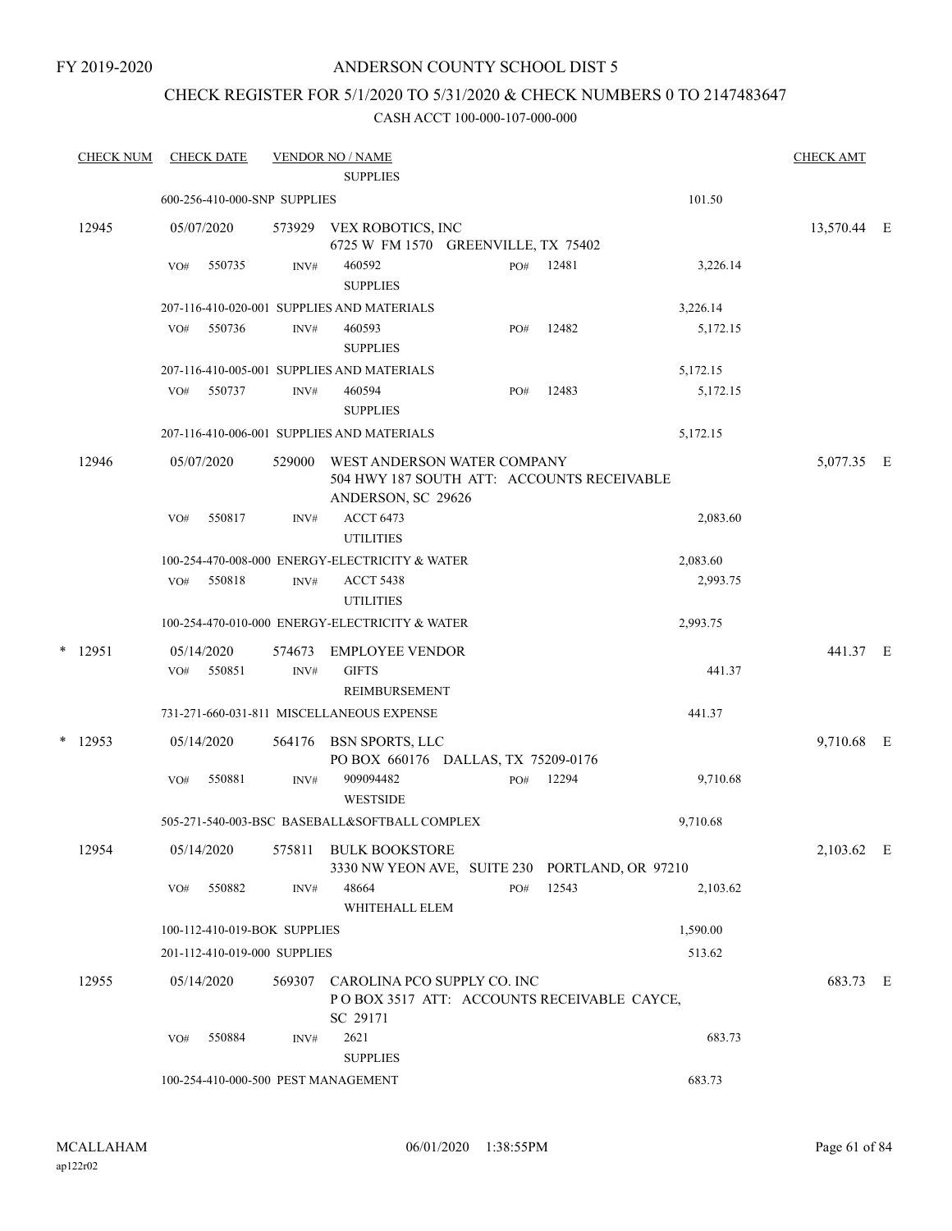## ANDERSON COUNTY SCHOOL DIST 5

## CHECK REGISTER FOR 5/1/2020 TO 5/31/2020 & CHECK NUMBERS 0 TO 2147483647

| <b>CHECK NUM</b> | <b>CHECK DATE</b>                   |        | <b>VENDOR NO / NAME</b><br><b>SUPPLIES</b>                                                      |     |       |          | <b>CHECK AMT</b> |  |
|------------------|-------------------------------------|--------|-------------------------------------------------------------------------------------------------|-----|-------|----------|------------------|--|
|                  | 600-256-410-000-SNP SUPPLIES        |        |                                                                                                 |     |       | 101.50   |                  |  |
| 12945            | 05/07/2020                          |        | 573929 VEX ROBOTICS, INC<br>6725 W FM 1570 GREENVILLE, TX 75402                                 |     |       |          | 13,570.44 E      |  |
|                  | 550735<br>VO#                       | INV#   | 460592<br><b>SUPPLIES</b>                                                                       | PO# | 12481 | 3,226.14 |                  |  |
|                  |                                     |        | 207-116-410-020-001 SUPPLIES AND MATERIALS                                                      |     |       | 3,226.14 |                  |  |
|                  | 550736<br>VO#                       | INV#   | 460593<br><b>SUPPLIES</b>                                                                       | PO# | 12482 | 5,172.15 |                  |  |
|                  |                                     |        | 207-116-410-005-001 SUPPLIES AND MATERIALS                                                      |     |       | 5,172.15 |                  |  |
|                  | 550737<br>VO#                       | INV#   | 460594<br><b>SUPPLIES</b>                                                                       | PO# | 12483 | 5,172.15 |                  |  |
|                  |                                     |        | 207-116-410-006-001 SUPPLIES AND MATERIALS                                                      |     |       | 5,172.15 |                  |  |
| 12946            | 05/07/2020                          | 529000 | WEST ANDERSON WATER COMPANY<br>504 HWY 187 SOUTH ATT: ACCOUNTS RECEIVABLE<br>ANDERSON, SC 29626 |     |       |          | 5,077.35 E       |  |
|                  | 550817<br>VO#                       | INV#   | <b>ACCT 6473</b><br><b>UTILITIES</b>                                                            |     |       | 2,083.60 |                  |  |
|                  |                                     |        | 100-254-470-008-000 ENERGY-ELECTRICITY & WATER                                                  |     |       | 2,083.60 |                  |  |
|                  | 550818<br>VO#                       | INV#   | <b>ACCT 5438</b><br><b>UTILITIES</b>                                                            |     |       | 2,993.75 |                  |  |
|                  |                                     |        | 100-254-470-010-000 ENERGY-ELECTRICITY & WATER                                                  |     |       | 2,993.75 |                  |  |
| $*$ 12951        | 05/14/2020                          | 574673 | <b>EMPLOYEE VENDOR</b>                                                                          |     |       |          | 441.37 E         |  |
|                  | 550851<br>VO#                       | INV#   | <b>GIFTS</b><br>REIMBURSEMENT                                                                   |     |       | 441.37   |                  |  |
|                  |                                     |        | 731-271-660-031-811 MISCELLANEOUS EXPENSE                                                       |     |       | 441.37   |                  |  |
| $*$ 12953        | 05/14/2020                          |        | 564176 BSN SPORTS, LLC<br>PO BOX 660176 DALLAS, TX 75209-0176                                   |     |       |          | 9,710.68 E       |  |
|                  | 550881<br>VO#                       | INV#   | 909094482<br><b>WESTSIDE</b>                                                                    | PO# | 12294 | 9,710.68 |                  |  |
|                  |                                     |        | 505-271-540-003-BSC BASEBALL&SOFTBALL COMPLEX                                                   |     |       | 9,710.68 |                  |  |
| 12954            | 05/14/2020                          |        | 575811 BULK BOOKSTORE<br>3330 NW YEON AVE, SUITE 230 PORTLAND, OR 97210                         |     |       |          | 2,103.62 E       |  |
|                  | 550882<br>VO#                       | INV#   | 48664<br>WHITEHALL ELEM                                                                         | PO# | 12543 | 2,103.62 |                  |  |
|                  | 100-112-410-019-BOK SUPPLIES        |        |                                                                                                 |     |       | 1,590.00 |                  |  |
|                  | 201-112-410-019-000 SUPPLIES        |        |                                                                                                 |     |       | 513.62   |                  |  |
| 12955            | 05/14/2020                          | 569307 | CAROLINA PCO SUPPLY CO. INC<br>PO BOX 3517 ATT: ACCOUNTS RECEIVABLE CAYCE,<br>SC 29171          |     |       |          | 683.73 E         |  |
|                  | VO#<br>550884                       | INV#   | 2621<br><b>SUPPLIES</b>                                                                         |     |       | 683.73   |                  |  |
|                  | 100-254-410-000-500 PEST MANAGEMENT |        |                                                                                                 |     |       | 683.73   |                  |  |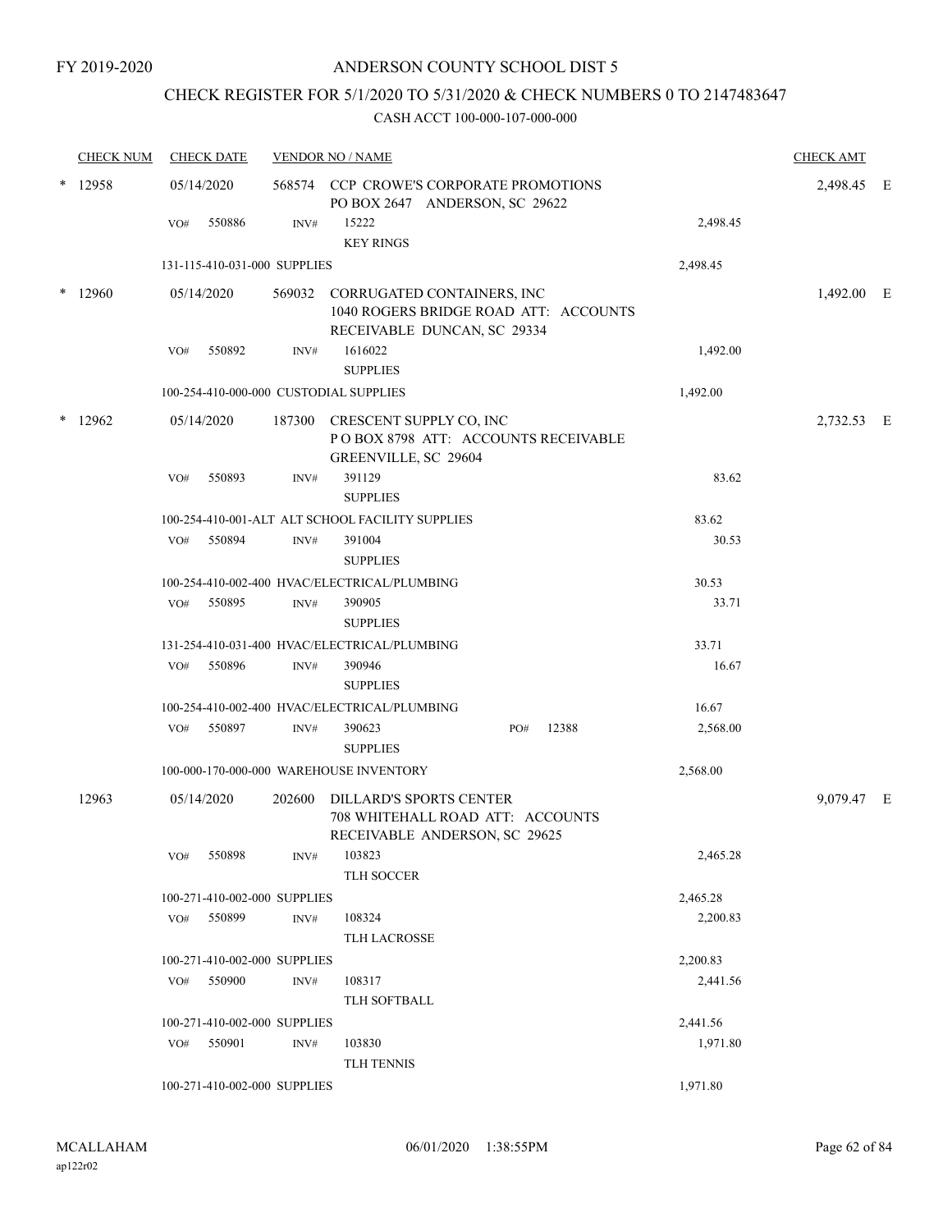## CHECK REGISTER FOR 5/1/2020 TO 5/31/2020 & CHECK NUMBERS 0 TO 2147483647

|   | <b>CHECK NUM</b> | <b>CHECK DATE</b>                      |        | <b>VENDOR NO / NAME</b>                                                                                   |          | <b>CHECK AMT</b> |  |
|---|------------------|----------------------------------------|--------|-----------------------------------------------------------------------------------------------------------|----------|------------------|--|
| * | 12958            | 05/14/2020                             |        | 568574 CCP CROWE'S CORPORATE PROMOTIONS<br>PO BOX 2647 ANDERSON, SC 29622                                 |          | 2,498.45 E       |  |
|   |                  | 550886<br>VO#                          | INV#   | 15222                                                                                                     | 2,498.45 |                  |  |
|   |                  |                                        |        | <b>KEY RINGS</b>                                                                                          |          |                  |  |
|   |                  | 131-115-410-031-000 SUPPLIES           |        |                                                                                                           | 2,498.45 |                  |  |
| * | 12960            | 05/14/2020                             |        | 569032 CORRUGATED CONTAINERS, INC<br>1040 ROGERS BRIDGE ROAD ATT: ACCOUNTS<br>RECEIVABLE DUNCAN, SC 29334 |          | 1,492.00 E       |  |
|   |                  | 550892<br>VO#                          | INV#   | 1616022<br><b>SUPPLIES</b>                                                                                | 1,492.00 |                  |  |
|   |                  | 100-254-410-000-000 CUSTODIAL SUPPLIES |        |                                                                                                           | 1,492.00 |                  |  |
|   | $*$ 12962        |                                        |        |                                                                                                           |          |                  |  |
|   |                  | 05/14/2020                             |        | 187300 CRESCENT SUPPLY CO, INC<br>POBOX 8798 ATT: ACCOUNTS RECEIVABLE<br>GREENVILLE, SC 29604             |          | 2,732.53 E       |  |
|   |                  | 550893<br>VO#                          | INV#   | 391129<br><b>SUPPLIES</b>                                                                                 | 83.62    |                  |  |
|   |                  |                                        |        | 100-254-410-001-ALT ALT SCHOOL FACILITY SUPPLIES                                                          | 83.62    |                  |  |
|   |                  | 550894<br>VO#                          | INV#   | 391004<br><b>SUPPLIES</b>                                                                                 | 30.53    |                  |  |
|   |                  |                                        |        | 100-254-410-002-400 HVAC/ELECTRICAL/PLUMBING                                                              | 30.53    |                  |  |
|   |                  | 550895<br>VO#                          | INV#   | 390905<br><b>SUPPLIES</b>                                                                                 | 33.71    |                  |  |
|   |                  |                                        |        | 131-254-410-031-400 HVAC/ELECTRICAL/PLUMBING                                                              | 33.71    |                  |  |
|   |                  | 550896<br>VO#                          | INV#   | 390946<br><b>SUPPLIES</b>                                                                                 | 16.67    |                  |  |
|   |                  |                                        |        | 100-254-410-002-400 HVAC/ELECTRICAL/PLUMBING                                                              | 16.67    |                  |  |
|   |                  | 550897<br>VO#                          | INV#   | 12388<br>390623<br>PO#<br><b>SUPPLIES</b>                                                                 | 2,568.00 |                  |  |
|   |                  |                                        |        | 100-000-170-000-000 WAREHOUSE INVENTORY                                                                   | 2,568.00 |                  |  |
|   | 12963            | 05/14/2020                             | 202600 | DILLARD'S SPORTS CENTER<br>708 WHITEHALL ROAD ATT: ACCOUNTS<br>RECEIVABLE ANDERSON, SC 29625              |          | 9,079.47 E       |  |
|   |                  | 550898<br>VO#                          | INV#   | 103823<br>TLH SOCCER                                                                                      | 2,465.28 |                  |  |
|   |                  | 100-271-410-002-000 SUPPLIES           |        |                                                                                                           | 2,465.28 |                  |  |
|   |                  | 550899<br>VO#                          | INV#   | 108324<br>TLH LACROSSE                                                                                    | 2,200.83 |                  |  |
|   |                  | 100-271-410-002-000 SUPPLIES           |        |                                                                                                           | 2,200.83 |                  |  |
|   |                  | 550900<br>VO#                          | INV#   | 108317<br>TLH SOFTBALL                                                                                    | 2,441.56 |                  |  |
|   |                  | 100-271-410-002-000 SUPPLIES           |        |                                                                                                           | 2,441.56 |                  |  |
|   |                  | 550901<br>VO#                          | INV#   | 103830<br>TLH TENNIS                                                                                      | 1,971.80 |                  |  |
|   |                  | 100-271-410-002-000 SUPPLIES           |        |                                                                                                           | 1,971.80 |                  |  |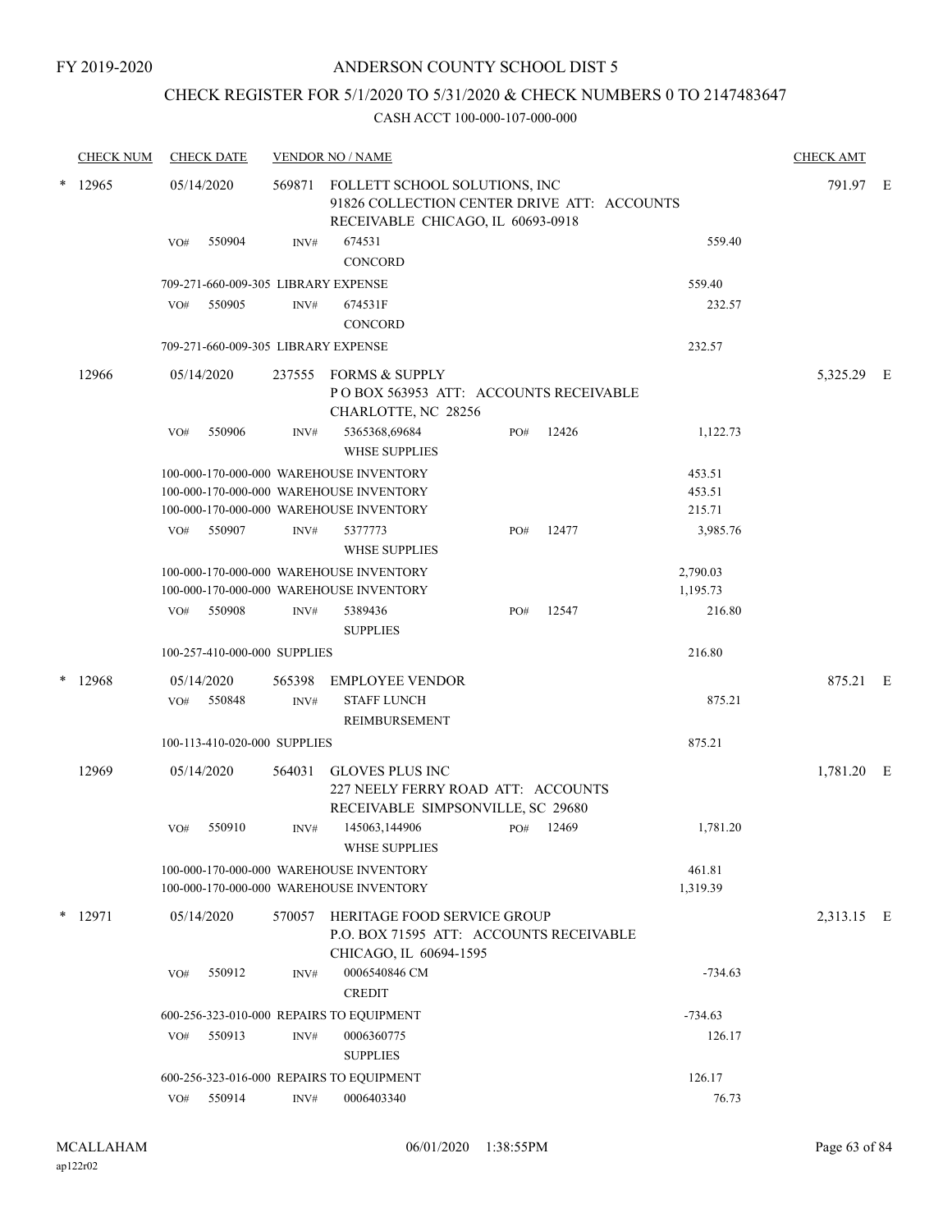## CHECK REGISTER FOR 5/1/2020 TO 5/31/2020 & CHECK NUMBERS 0 TO 2147483647

|   | <b>CHECK NUM</b> | <b>CHECK DATE</b>                   |        | <b>VENDOR NO / NAME</b>                                                                                           |     |       |                      | <b>CHECK AMT</b> |  |
|---|------------------|-------------------------------------|--------|-------------------------------------------------------------------------------------------------------------------|-----|-------|----------------------|------------------|--|
|   | $*$ 12965        | 05/14/2020                          | 569871 | FOLLETT SCHOOL SOLUTIONS, INC<br>91826 COLLECTION CENTER DRIVE ATT: ACCOUNTS<br>RECEIVABLE CHICAGO, IL 60693-0918 |     |       |                      | 791.97 E         |  |
|   |                  | 550904<br>VO#                       | INV#   | 674531<br>CONCORD                                                                                                 |     |       | 559.40               |                  |  |
|   |                  | 709-271-660-009-305 LIBRARY EXPENSE |        |                                                                                                                   |     |       | 559.40               |                  |  |
|   |                  | 550905<br>VO#                       | INV#   | 674531F<br><b>CONCORD</b>                                                                                         |     |       | 232.57               |                  |  |
|   |                  | 709-271-660-009-305 LIBRARY EXPENSE |        |                                                                                                                   |     |       | 232.57               |                  |  |
|   | 12966            | 05/14/2020                          | 237555 | FORMS & SUPPLY<br>POBOX 563953 ATT: ACCOUNTS RECEIVABLE<br>CHARLOTTE, NC 28256                                    |     |       |                      | 5,325.29 E       |  |
|   |                  | VO#<br>550906                       | INV#   | 5365368,69684<br><b>WHSE SUPPLIES</b>                                                                             | PO# | 12426 | 1,122.73             |                  |  |
|   |                  |                                     |        | 100-000-170-000-000 WAREHOUSE INVENTORY                                                                           |     |       | 453.51               |                  |  |
|   |                  |                                     |        | 100-000-170-000-000 WAREHOUSE INVENTORY                                                                           |     |       | 453.51               |                  |  |
|   |                  |                                     |        | 100-000-170-000-000 WAREHOUSE INVENTORY                                                                           |     |       | 215.71               |                  |  |
|   |                  | 550907<br>VO#                       | INV#   | 5377773<br><b>WHSE SUPPLIES</b>                                                                                   | PO# | 12477 | 3,985.76             |                  |  |
|   |                  |                                     |        | 100-000-170-000-000 WAREHOUSE INVENTORY<br>100-000-170-000-000 WAREHOUSE INVENTORY                                |     |       | 2,790.03<br>1,195.73 |                  |  |
|   |                  | 550908<br>VO#                       | INV#   | 5389436<br><b>SUPPLIES</b>                                                                                        | PO# | 12547 | 216.80               |                  |  |
|   |                  | 100-257-410-000-000 SUPPLIES        |        |                                                                                                                   |     |       | 216.80               |                  |  |
| * | 12968            | 05/14/2020                          | 565398 | <b>EMPLOYEE VENDOR</b>                                                                                            |     |       |                      | 875.21 E         |  |
|   |                  | 550848<br>VO#                       | INV#   | <b>STAFF LUNCH</b>                                                                                                |     |       | 875.21               |                  |  |
|   |                  |                                     |        | REIMBURSEMENT                                                                                                     |     |       |                      |                  |  |
|   |                  | 100-113-410-020-000 SUPPLIES        |        |                                                                                                                   |     |       | 875.21               |                  |  |
|   | 12969            | 05/14/2020                          | 564031 | <b>GLOVES PLUS INC</b><br>227 NEELY FERRY ROAD ATT: ACCOUNTS                                                      |     |       |                      | 1,781.20 E       |  |
|   |                  | VO#<br>550910                       | INV#   | RECEIVABLE SIMPSONVILLE, SC 29680<br>145063,144906                                                                | PO# | 12469 | 1,781.20             |                  |  |
|   |                  |                                     |        | WHSE SUPPLIES                                                                                                     |     |       |                      |                  |  |
|   |                  |                                     |        | 100-000-170-000-000 WAREHOUSE INVENTORY<br>100-000-170-000-000 WAREHOUSE INVENTORY                                |     |       | 461.81<br>1,319.39   |                  |  |
|   | * 12971          | 05/14/2020                          | 570057 | <b>HERITAGE FOOD SERVICE GROUP</b><br>P.O. BOX 71595 ATT: ACCOUNTS RECEIVABLE<br>CHICAGO, IL 60694-1595           |     |       |                      | 2,313.15 E       |  |
|   |                  | 550912<br>VO#                       | INV#   | 0006540846 CM<br><b>CREDIT</b>                                                                                    |     |       | $-734.63$            |                  |  |
|   |                  |                                     |        | 600-256-323-010-000 REPAIRS TO EQUIPMENT                                                                          |     |       | $-734.63$            |                  |  |
|   |                  | 550913<br>VO#                       | INV#   | 0006360775                                                                                                        |     |       | 126.17               |                  |  |
|   |                  |                                     |        | <b>SUPPLIES</b>                                                                                                   |     |       |                      |                  |  |
|   |                  |                                     |        | 600-256-323-016-000 REPAIRS TO EQUIPMENT                                                                          |     |       | 126.17               |                  |  |
|   |                  | VO# 550914                          | INV#   | 0006403340                                                                                                        |     |       | 76.73                |                  |  |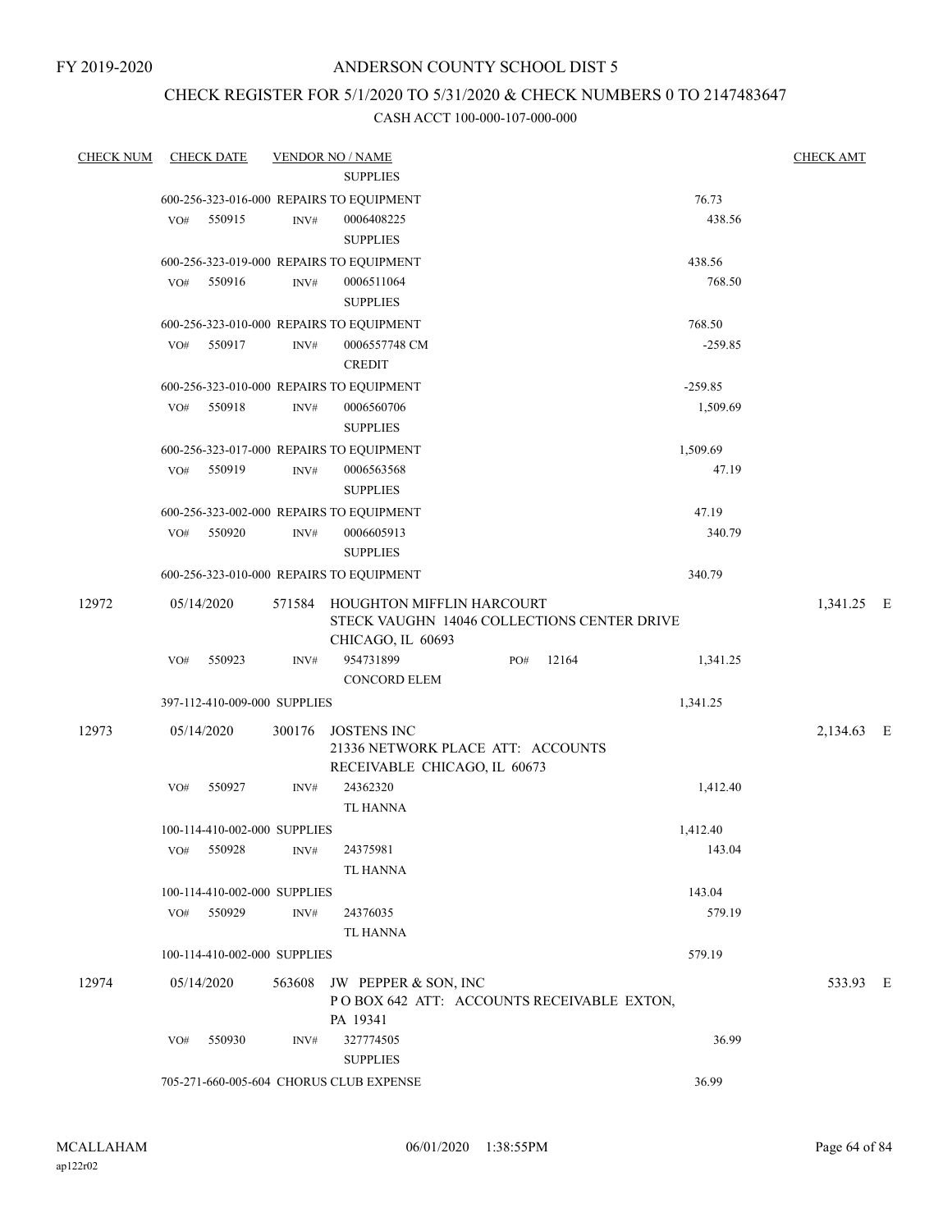## ANDERSON COUNTY SCHOOL DIST 5

## CHECK REGISTER FOR 5/1/2020 TO 5/31/2020 & CHECK NUMBERS 0 TO 2147483647

| <b>CHECK NUM</b> | <b>CHECK DATE</b>                        |                  | <b>VENDOR NO / NAME</b>                                                                 |     |       |           | <b>CHECK AMT</b> |  |
|------------------|------------------------------------------|------------------|-----------------------------------------------------------------------------------------|-----|-------|-----------|------------------|--|
|                  |                                          |                  | <b>SUPPLIES</b>                                                                         |     |       |           |                  |  |
|                  | 600-256-323-016-000 REPAIRS TO EQUIPMENT |                  |                                                                                         |     |       | 76.73     |                  |  |
|                  | 550915<br>VO#                            | INV#             | 0006408225                                                                              |     |       | 438.56    |                  |  |
|                  |                                          |                  | <b>SUPPLIES</b>                                                                         |     |       |           |                  |  |
|                  | 600-256-323-019-000 REPAIRS TO EQUIPMENT |                  |                                                                                         |     |       | 438.56    |                  |  |
|                  | 550916<br>VO#                            | INV#             | 0006511064                                                                              |     |       | 768.50    |                  |  |
|                  |                                          |                  | <b>SUPPLIES</b>                                                                         |     |       |           |                  |  |
|                  | 600-256-323-010-000 REPAIRS TO EQUIPMENT |                  |                                                                                         |     |       | 768.50    |                  |  |
|                  | 550917<br>VO#                            | $\mathrm{INV}\#$ | 0006557748 CM                                                                           |     |       | $-259.85$ |                  |  |
|                  |                                          |                  | <b>CREDIT</b>                                                                           |     |       |           |                  |  |
|                  | 600-256-323-010-000 REPAIRS TO EQUIPMENT |                  |                                                                                         |     |       | $-259.85$ |                  |  |
|                  | 550918<br>VO#                            | $\mathrm{INV}\#$ | 0006560706<br><b>SUPPLIES</b>                                                           |     |       | 1,509.69  |                  |  |
|                  | 600-256-323-017-000 REPAIRS TO EQUIPMENT |                  |                                                                                         |     |       | 1,509.69  |                  |  |
|                  | 550919<br>VO#                            | INV#             | 0006563568                                                                              |     |       | 47.19     |                  |  |
|                  |                                          |                  | <b>SUPPLIES</b>                                                                         |     |       |           |                  |  |
|                  | 600-256-323-002-000 REPAIRS TO EQUIPMENT |                  |                                                                                         |     |       | 47.19     |                  |  |
|                  | VO#<br>550920                            | INV#             | 0006605913                                                                              |     |       | 340.79    |                  |  |
|                  |                                          |                  | <b>SUPPLIES</b>                                                                         |     |       |           |                  |  |
|                  | 600-256-323-010-000 REPAIRS TO EQUIPMENT |                  |                                                                                         |     |       | 340.79    |                  |  |
| 12972            | 05/14/2020                               |                  | 571584 HOUGHTON MIFFLIN HARCOURT<br>STECK VAUGHN 14046 COLLECTIONS CENTER DRIVE         |     |       |           | 1,341.25 E       |  |
|                  |                                          |                  | CHICAGO, IL 60693                                                                       |     |       |           |                  |  |
|                  | 550923<br>VO#                            | INV#             | 954731899                                                                               | PO# | 12164 | 1,341.25  |                  |  |
|                  |                                          |                  | <b>CONCORD ELEM</b>                                                                     |     |       |           |                  |  |
|                  | 397-112-410-009-000 SUPPLIES             |                  |                                                                                         |     |       | 1,341.25  |                  |  |
| 12973            | 05/14/2020                               |                  | 300176 JOSTENS INC<br>21336 NETWORK PLACE ATT: ACCOUNTS<br>RECEIVABLE CHICAGO, IL 60673 |     |       |           | 2,134.63 E       |  |
|                  | 550927<br>VO#                            | INV#             | 24362320<br><b>TL HANNA</b>                                                             |     |       | 1,412.40  |                  |  |
|                  | 100-114-410-002-000 SUPPLIES             |                  |                                                                                         |     |       | 1,412.40  |                  |  |
|                  | 550928<br>VO#                            | INV#             | 24375981                                                                                |     |       | 143.04    |                  |  |
|                  |                                          |                  | TL HANNA                                                                                |     |       |           |                  |  |
|                  | 100-114-410-002-000 SUPPLIES             |                  |                                                                                         |     |       | 143.04    |                  |  |
|                  | VO#<br>550929                            | INV#             | 24376035                                                                                |     |       | 579.19    |                  |  |
|                  |                                          |                  | TL HANNA                                                                                |     |       |           |                  |  |
|                  | 100-114-410-002-000 SUPPLIES             |                  |                                                                                         |     |       | 579.19    |                  |  |
| 12974            | 05/14/2020                               | 563608           | JW PEPPER & SON, INC<br>POBOX 642 ATT: ACCOUNTS RECEIVABLE EXTON,<br>PA 19341           |     |       |           | 533.93 E         |  |
|                  | 550930<br>VO#                            | INV#             | 327774505                                                                               |     |       | 36.99     |                  |  |
|                  |                                          |                  | <b>SUPPLIES</b>                                                                         |     |       |           |                  |  |
|                  | 705-271-660-005-604 CHORUS CLUB EXPENSE  |                  |                                                                                         |     |       | 36.99     |                  |  |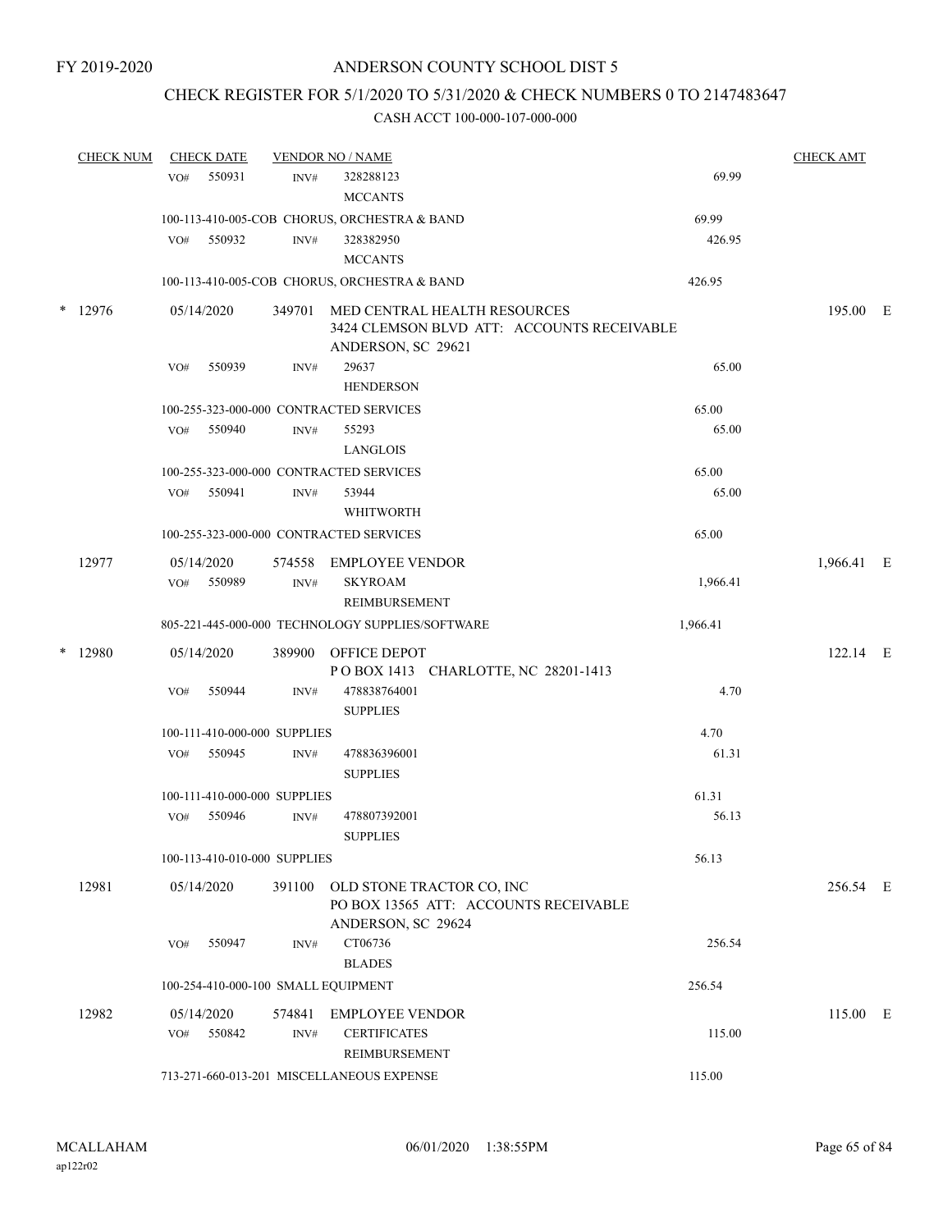## CHECK REGISTER FOR 5/1/2020 TO 5/31/2020 & CHECK NUMBERS 0 TO 2147483647

| <b>CHECK NUM</b> | <b>CHECK DATE</b>                   |        | <b>VENDOR NO / NAME</b>                                                                          |          | <b>CHECK AMT</b> |  |
|------------------|-------------------------------------|--------|--------------------------------------------------------------------------------------------------|----------|------------------|--|
|                  | 550931<br>VO#                       | INV#   | 328288123<br><b>MCCANTS</b>                                                                      | 69.99    |                  |  |
|                  |                                     |        | 100-113-410-005-COB CHORUS, ORCHESTRA & BAND                                                     | 69.99    |                  |  |
|                  | 550932<br>VO#                       | INV#   | 328382950<br><b>MCCANTS</b>                                                                      | 426.95   |                  |  |
|                  |                                     |        | 100-113-410-005-COB CHORUS, ORCHESTRA & BAND                                                     | 426.95   |                  |  |
| * 12976          | 05/14/2020                          | 349701 | MED CENTRAL HEALTH RESOURCES<br>3424 CLEMSON BLVD ATT: ACCOUNTS RECEIVABLE<br>ANDERSON, SC 29621 |          | 195.00 E         |  |
|                  | VO#<br>550939                       | INV#   | 29637<br><b>HENDERSON</b>                                                                        | 65.00    |                  |  |
|                  |                                     |        | 100-255-323-000-000 CONTRACTED SERVICES                                                          | 65.00    |                  |  |
|                  | 550940<br>VO#                       | INV#   | 55293<br>LANGLOIS                                                                                | 65.00    |                  |  |
|                  |                                     |        | 100-255-323-000-000 CONTRACTED SERVICES                                                          | 65.00    |                  |  |
|                  | VO# 550941                          | INV#   | 53944<br><b>WHITWORTH</b>                                                                        | 65.00    |                  |  |
|                  |                                     |        | 100-255-323-000-000 CONTRACTED SERVICES                                                          | 65.00    |                  |  |
| 12977            | 05/14/2020                          |        | 574558 EMPLOYEE VENDOR                                                                           |          | 1,966.41 E       |  |
|                  | 550989<br>VO#                       | INV#   | <b>SKYROAM</b><br>REIMBURSEMENT                                                                  | 1,966.41 |                  |  |
|                  |                                     |        | 805-221-445-000-000 TECHNOLOGY SUPPLIES/SOFTWARE                                                 | 1,966.41 |                  |  |
| * 12980          | 05/14/2020                          | 389900 | OFFICE DEPOT<br>POBOX 1413 CHARLOTTE, NC 28201-1413                                              |          | $122.14$ E       |  |
|                  | 550944<br>VO#                       | INV#   | 478838764001<br><b>SUPPLIES</b>                                                                  | 4.70     |                  |  |
|                  | 100-111-410-000-000 SUPPLIES        |        |                                                                                                  | 4.70     |                  |  |
|                  | 550945<br>VO#                       | INV#   | 478836396001<br><b>SUPPLIES</b>                                                                  | 61.31    |                  |  |
|                  | 100-111-410-000-000 SUPPLIES        |        |                                                                                                  | 61.31    |                  |  |
|                  | 550946<br>VO#                       | INV#   | 478807392001<br><b>SUPPLIES</b>                                                                  | 56.13    |                  |  |
|                  | 100-113-410-010-000 SUPPLIES        |        |                                                                                                  | 56.13    |                  |  |
| 12981            | 05/14/2020                          | 391100 | OLD STONE TRACTOR CO, INC<br>PO BOX 13565 ATT: ACCOUNTS RECEIVABLE<br>ANDERSON, SC 29624         |          | 256.54 E         |  |
|                  | 550947<br>VO#                       | INV#   | CT06736<br><b>BLADES</b>                                                                         | 256.54   |                  |  |
|                  | 100-254-410-000-100 SMALL EQUIPMENT |        |                                                                                                  | 256.54   |                  |  |
| 12982            | 05/14/2020                          | 574841 | <b>EMPLOYEE VENDOR</b>                                                                           |          | 115.00 E         |  |
|                  | 550842<br>VO#                       | INV#   | <b>CERTIFICATES</b><br>REIMBURSEMENT                                                             | 115.00   |                  |  |
|                  |                                     |        | 713-271-660-013-201 MISCELLANEOUS EXPENSE                                                        | 115.00   |                  |  |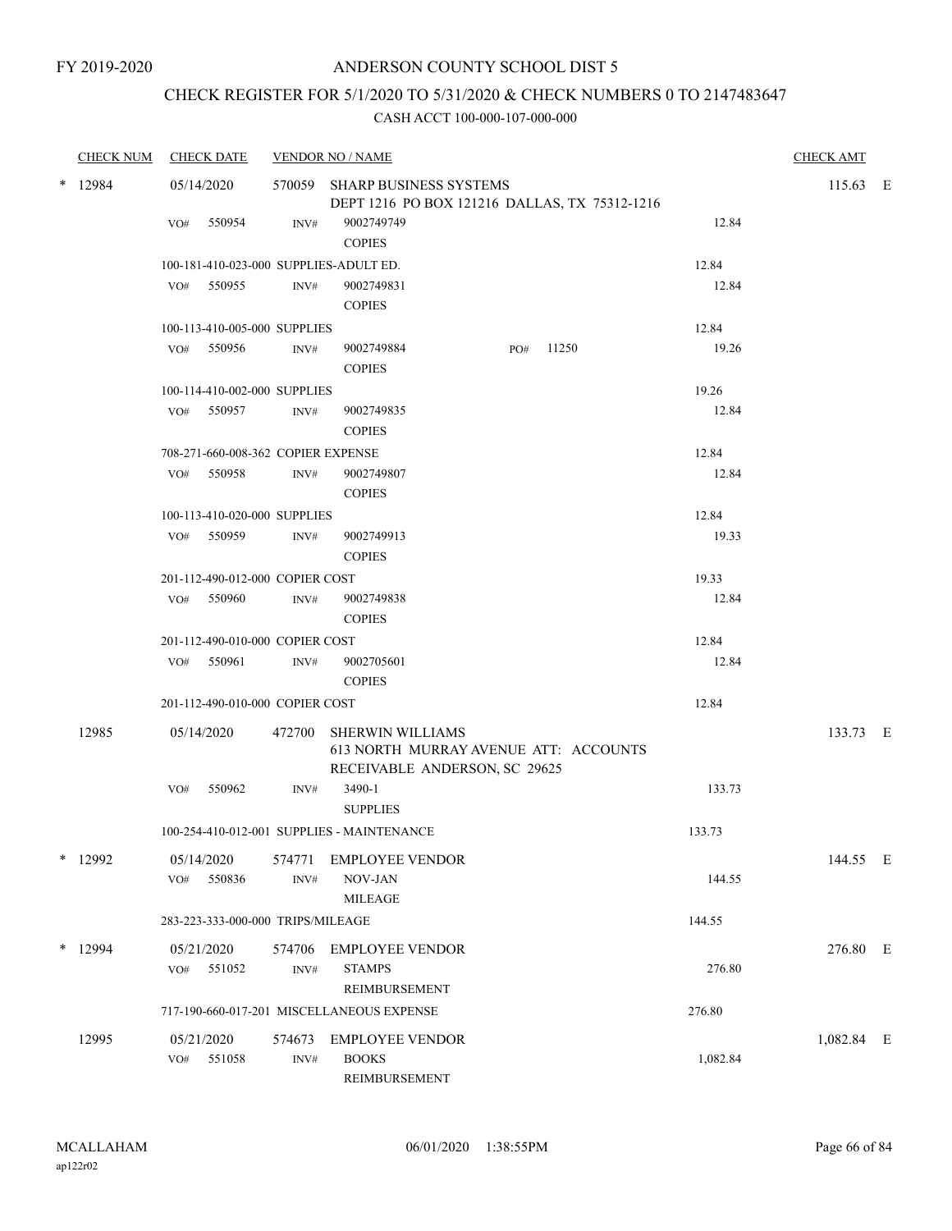# CHECK REGISTER FOR 5/1/2020 TO 5/31/2020 & CHECK NUMBERS 0 TO 2147483647

| <b>CHECK NUM</b> |                   | <b>CHECK DATE</b>                  |                          | <b>VENDOR NO / NAME</b>                                                                           |     |       |          | <b>CHECK AMT</b> |  |
|------------------|-------------------|------------------------------------|--------------------------|---------------------------------------------------------------------------------------------------|-----|-------|----------|------------------|--|
| $*$ 12984        | 05/14/2020        |                                    |                          | 570059 SHARP BUSINESS SYSTEMS<br>DEPT 1216 PO BOX 121216 DALLAS, TX 75312-1216                    |     |       |          | 115.63 E         |  |
|                  | VO#               | 550954                             | INV#                     | 9002749749<br><b>COPIES</b>                                                                       |     |       | 12.84    |                  |  |
|                  |                   |                                    |                          | 100-181-410-023-000 SUPPLIES-ADULT ED.                                                            |     |       | 12.84    |                  |  |
|                  |                   | VO# 550955                         | INV#                     | 9002749831<br><b>COPIES</b>                                                                       |     |       | 12.84    |                  |  |
|                  |                   | 100-113-410-005-000 SUPPLIES       |                          |                                                                                                   |     |       | 12.84    |                  |  |
|                  |                   | VO# 550956                         | INV#                     | 9002749884<br><b>COPIES</b>                                                                       | PO# | 11250 | 19.26    |                  |  |
|                  |                   | 100-114-410-002-000 SUPPLIES       |                          |                                                                                                   |     |       | 19.26    |                  |  |
|                  |                   | VO# 550957                         | INV#                     | 9002749835<br><b>COPIES</b>                                                                       |     |       | 12.84    |                  |  |
|                  |                   | 708-271-660-008-362 COPIER EXPENSE |                          |                                                                                                   |     |       | 12.84    |                  |  |
|                  |                   | VO# 550958                         | INV#                     | 9002749807<br><b>COPIES</b>                                                                       |     |       | 12.84    |                  |  |
|                  |                   | 100-113-410-020-000 SUPPLIES       |                          |                                                                                                   |     |       | 12.84    |                  |  |
|                  |                   | VO# 550959                         | INV#                     | 9002749913<br><b>COPIES</b>                                                                       |     |       | 19.33    |                  |  |
|                  |                   | 201-112-490-012-000 COPIER COST    |                          |                                                                                                   |     |       | 19.33    |                  |  |
|                  |                   | VO# 550960                         | INV#                     | 9002749838<br><b>COPIES</b>                                                                       |     |       | 12.84    |                  |  |
|                  |                   | 201-112-490-010-000 COPIER COST    |                          |                                                                                                   |     |       | 12.84    |                  |  |
|                  |                   | VO# 550961                         | INV#                     | 9002705601<br><b>COPIES</b>                                                                       |     |       | 12.84    |                  |  |
|                  |                   | 201-112-490-010-000 COPIER COST    |                          |                                                                                                   |     |       | 12.84    |                  |  |
| 12985            | 05/14/2020        |                                    | 472700                   | <b>SHERWIN WILLIAMS</b><br>613 NORTH MURRAY AVENUE ATT: ACCOUNTS<br>RECEIVABLE ANDERSON, SC 29625 |     |       |          | 133.73 E         |  |
|                  | VO#               | 550962                             | INV#                     | 3490-1<br><b>SUPPLIES</b>                                                                         |     |       | 133.73   |                  |  |
|                  |                   |                                    |                          | 100-254-410-012-001 SUPPLIES - MAINTENANCE                                                        |     |       | 133.73   |                  |  |
| $*$ 12992        | 05/14/2020<br>VO# | 550836                             | 574771<br>INV#           | <b>EMPLOYEE VENDOR</b><br>NOV-JAN                                                                 |     |       | 144.55   | 144.55 E         |  |
|                  |                   |                                    |                          | <b>MILEAGE</b>                                                                                    |     |       |          |                  |  |
|                  |                   | 283-223-333-000-000 TRIPS/MILEAGE  |                          |                                                                                                   |     |       | 144.55   |                  |  |
| * 12994          | 05/21/2020<br>VO# | 551052                             | 574706<br>$\text{INV}\#$ | <b>EMPLOYEE VENDOR</b><br><b>STAMPS</b><br>REIMBURSEMENT                                          |     |       | 276.80   | 276.80 E         |  |
|                  |                   |                                    |                          | 717-190-660-017-201 MISCELLANEOUS EXPENSE                                                         |     |       | 276.80   |                  |  |
| 12995            | 05/21/2020<br>VO# | 551058                             | 574673<br>$\text{INV}\#$ | <b>EMPLOYEE VENDOR</b><br><b>BOOKS</b><br>REIMBURSEMENT                                           |     |       | 1,082.84 | 1,082.84 E       |  |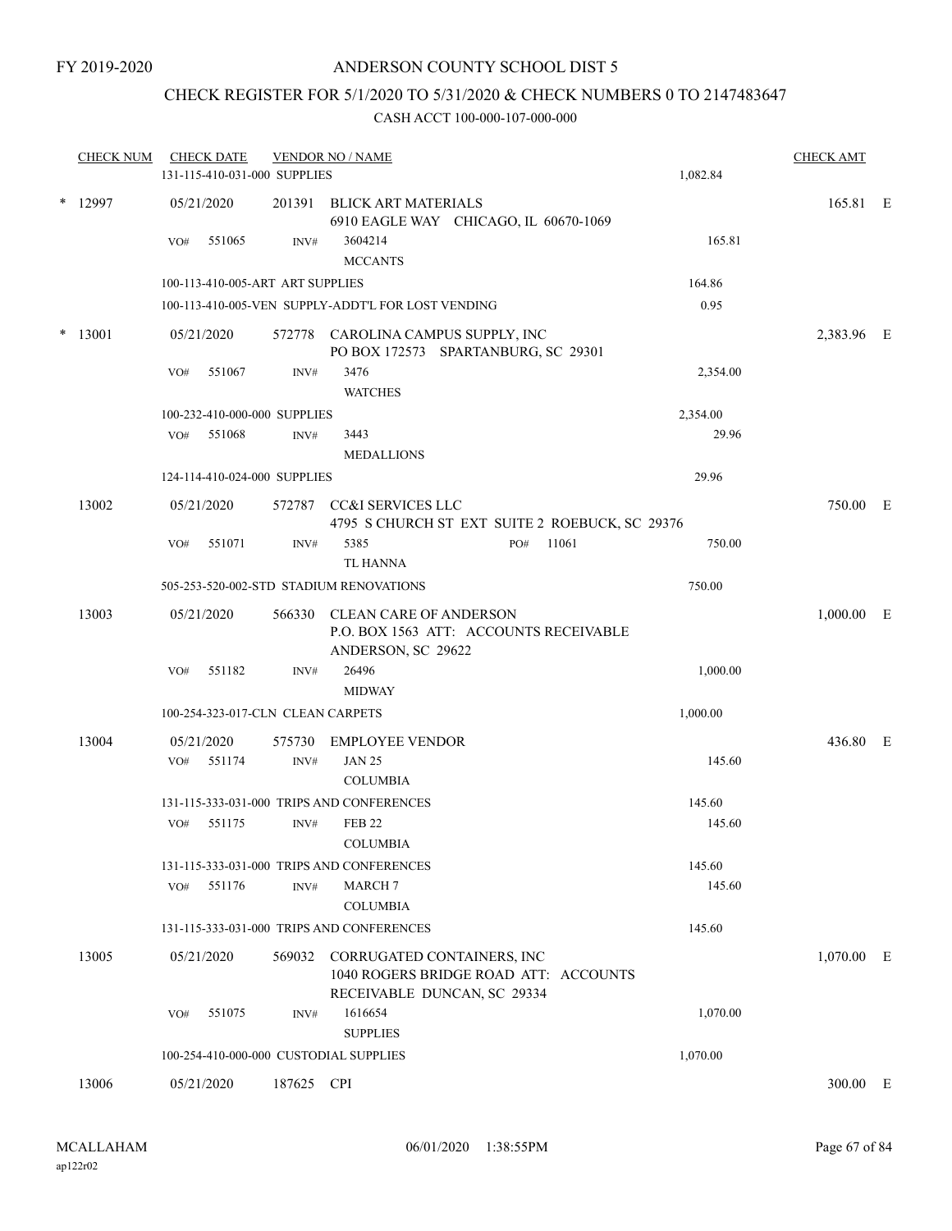## CHECK REGISTER FOR 5/1/2020 TO 5/31/2020 & CHECK NUMBERS 0 TO 2147483647

| <b>CHECK NUM</b> |     | <b>CHECK DATE</b> | 131-115-410-031-000 SUPPLIES      | <b>VENDOR NO / NAME</b>                                                                            |     |       | 1,082.84 | <b>CHECK AMT</b> |  |
|------------------|-----|-------------------|-----------------------------------|----------------------------------------------------------------------------------------------------|-----|-------|----------|------------------|--|
| $*$ 12997        |     | 05/21/2020        | 201391                            | BLICK ART MATERIALS<br>6910 EAGLE WAY CHICAGO, IL 60670-1069                                       |     |       |          | 165.81 E         |  |
|                  | VO# | 551065            | INV#                              | 3604214<br><b>MCCANTS</b>                                                                          |     |       | 165.81   |                  |  |
|                  |     |                   | 100-113-410-005-ART ART SUPPLIES  |                                                                                                    |     |       | 164.86   |                  |  |
|                  |     |                   |                                   | 100-113-410-005-VEN SUPPLY-ADDT'L FOR LOST VENDING                                                 |     |       | 0.95     |                  |  |
| * 13001          |     | 05/21/2020        | 572778                            | CAROLINA CAMPUS SUPPLY, INC<br>PO BOX 172573 SPARTANBURG, SC 29301                                 |     |       |          | 2,383.96 E       |  |
|                  | VO# | 551067            | INV#                              | 3476<br><b>WATCHES</b>                                                                             |     |       | 2,354.00 |                  |  |
|                  |     |                   | 100-232-410-000-000 SUPPLIES      |                                                                                                    |     |       | 2,354.00 |                  |  |
|                  | VO# | 551068            | INV#                              | 3443<br><b>MEDALLIONS</b>                                                                          |     |       | 29.96    |                  |  |
|                  |     |                   | 124-114-410-024-000 SUPPLIES      |                                                                                                    |     |       | 29.96    |                  |  |
| 13002            |     | 05/21/2020        |                                   | 572787 CC&I SERVICES LLC<br>4795 S CHURCH ST EXT SUITE 2 ROEBUCK, SC 29376                         |     |       |          | 750.00 E         |  |
|                  | VO# | 551071            | INV#                              | 5385<br><b>TL HANNA</b>                                                                            | PO# | 11061 | 750.00   |                  |  |
|                  |     |                   |                                   | 505-253-520-002-STD STADIUM RENOVATIONS                                                            |     |       | 750.00   |                  |  |
| 13003            |     | 05/21/2020        | 566330                            | CLEAN CARE OF ANDERSON<br>P.O. BOX 1563 ATT: ACCOUNTS RECEIVABLE<br>ANDERSON, SC 29622             |     |       |          | $1,000.00$ E     |  |
|                  | VO# | 551182            | INV#                              | 26496<br><b>MIDWAY</b>                                                                             |     |       | 1,000.00 |                  |  |
|                  |     |                   | 100-254-323-017-CLN CLEAN CARPETS |                                                                                                    |     |       | 1,000.00 |                  |  |
| 13004            |     | 05/21/2020        | 575730                            | <b>EMPLOYEE VENDOR</b>                                                                             |     |       |          | 436.80 E         |  |
|                  | VO# | 551174            | INV#                              | <b>JAN 25</b><br><b>COLUMBIA</b>                                                                   |     |       | 145.60   |                  |  |
|                  |     |                   |                                   | 131-115-333-031-000 TRIPS AND CONFERENCES                                                          |     |       | 145.60   |                  |  |
|                  | VO# | 551175            | INV#                              | <b>FEB 22</b><br><b>COLUMBIA</b>                                                                   |     |       | 145.60   |                  |  |
|                  |     |                   |                                   | 131-115-333-031-000 TRIPS AND CONFERENCES                                                          |     |       | 145.60   |                  |  |
|                  | VO# | 551176            | INV#                              | <b>MARCH 7</b><br><b>COLUMBIA</b>                                                                  |     |       | 145.60   |                  |  |
|                  |     |                   |                                   | 131-115-333-031-000 TRIPS AND CONFERENCES                                                          |     |       | 145.60   |                  |  |
| 13005            |     | 05/21/2020        | 569032                            | CORRUGATED CONTAINERS, INC<br>1040 ROGERS BRIDGE ROAD ATT: ACCOUNTS<br>RECEIVABLE DUNCAN, SC 29334 |     |       |          | $1,070.00$ E     |  |
|                  | VO# | 551075            | INV#                              | 1616654<br><b>SUPPLIES</b>                                                                         |     |       | 1,070.00 |                  |  |
|                  |     |                   |                                   | 100-254-410-000-000 CUSTODIAL SUPPLIES                                                             |     |       | 1,070.00 |                  |  |
| 13006            |     | 05/21/2020        | 187625 CPI                        |                                                                                                    |     |       |          | 300.00 E         |  |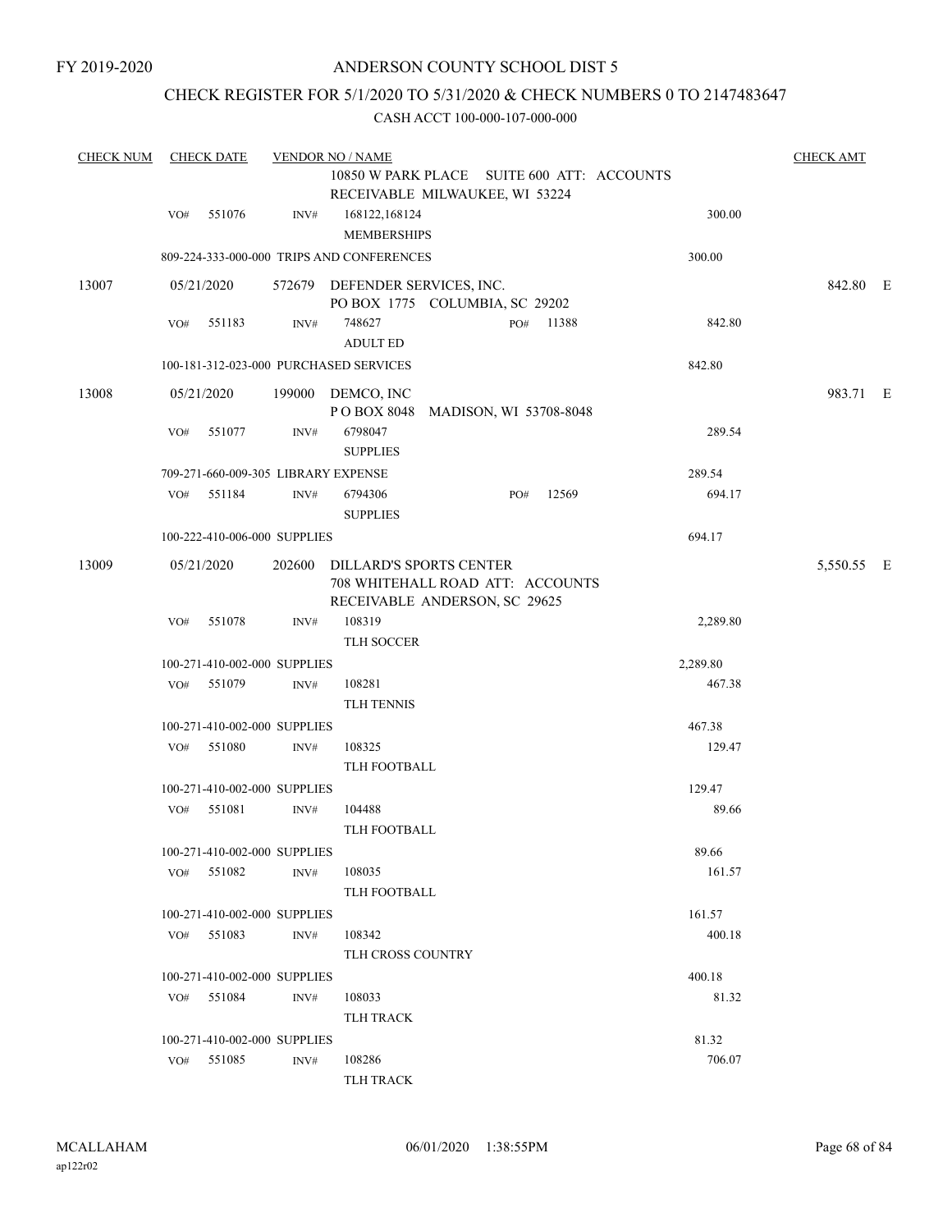## CHECK REGISTER FOR 5/1/2020 TO 5/31/2020 & CHECK NUMBERS 0 TO 2147483647

| <b>CHECK NUM</b> |     | <b>CHECK DATE</b>                   |                | <b>VENDOR NO / NAME</b>                                                                             |     |       |          | <b>CHECK AMT</b> |  |
|------------------|-----|-------------------------------------|----------------|-----------------------------------------------------------------------------------------------------|-----|-------|----------|------------------|--|
|                  |     |                                     |                | 10850 W PARK PLACE SUITE 600 ATT: ACCOUNTS                                                          |     |       |          |                  |  |
|                  |     |                                     |                | RECEIVABLE MILWAUKEE, WI 53224                                                                      |     |       |          |                  |  |
|                  | VO# | 551076                              | INV#           | 168122,168124<br><b>MEMBERSHIPS</b>                                                                 |     |       | 300.00   |                  |  |
|                  |     |                                     |                | 809-224-333-000-000 TRIPS AND CONFERENCES                                                           |     |       | 300.00   |                  |  |
| 13007            |     | 05/21/2020                          |                | 572679 DEFENDER SERVICES, INC.<br>PO BOX 1775 COLUMBIA, SC 29202                                    |     |       |          | 842.80 E         |  |
|                  | VO# | 551183                              | INV#           | 748627<br><b>ADULT ED</b>                                                                           | PO# | 11388 | 842.80   |                  |  |
|                  |     |                                     |                | 100-181-312-023-000 PURCHASED SERVICES                                                              |     |       | 842.80   |                  |  |
| 13008            |     | 05/21/2020                          |                | 199000 DEMCO, INC<br>POBOX 8048 MADISON, WI 53708-8048                                              |     |       |          | 983.71 E         |  |
|                  | VO# | 551077                              | INV#           | 6798047<br><b>SUPPLIES</b>                                                                          |     |       | 289.54   |                  |  |
|                  |     | 709-271-660-009-305 LIBRARY EXPENSE |                |                                                                                                     |     |       | 289.54   |                  |  |
|                  | VO# | 551184                              | INV#           | 6794306<br><b>SUPPLIES</b>                                                                          | PO# | 12569 | 694.17   |                  |  |
|                  |     | 100-222-410-006-000 SUPPLIES        |                |                                                                                                     |     |       | 694.17   |                  |  |
| 13009            |     | 05/21/2020                          |                | 202600 DILLARD'S SPORTS CENTER<br>708 WHITEHALL ROAD ATT: ACCOUNTS<br>RECEIVABLE ANDERSON, SC 29625 |     |       |          | 5,550.55 E       |  |
|                  | VO# | 551078                              | INV#           | 108319<br>TLH SOCCER                                                                                |     |       | 2,289.80 |                  |  |
|                  |     | 100-271-410-002-000 SUPPLIES        |                |                                                                                                     |     |       | 2,289.80 |                  |  |
|                  | VO# | 551079                              | $\text{INV}\#$ | 108281<br>TLH TENNIS                                                                                |     |       | 467.38   |                  |  |
|                  |     | 100-271-410-002-000 SUPPLIES        |                |                                                                                                     |     |       | 467.38   |                  |  |
|                  | VO# | 551080                              | INV#           | 108325<br>TLH FOOTBALL                                                                              |     |       | 129.47   |                  |  |
|                  |     | 100-271-410-002-000 SUPPLIES        |                |                                                                                                     |     |       | 129.47   |                  |  |
|                  | VO# | 551081                              | INV#           | 104488<br>TLH FOOTBALL                                                                              |     |       | 89.66    |                  |  |
|                  |     | 100-271-410-002-000 SUPPLIES        |                |                                                                                                     |     |       | 89.66    |                  |  |
|                  |     | VO# 551082                          | INV#           | 108035<br>TLH FOOTBALL                                                                              |     |       | 161.57   |                  |  |
|                  |     | 100-271-410-002-000 SUPPLIES        |                |                                                                                                     |     |       | 161.57   |                  |  |
|                  | VO# | 551083                              | INV#           | 108342<br>TLH CROSS COUNTRY                                                                         |     |       | 400.18   |                  |  |
|                  |     | 100-271-410-002-000 SUPPLIES        |                |                                                                                                     |     |       | 400.18   |                  |  |
|                  | VO# | 551084                              | INV#           | 108033<br><b>TLH TRACK</b>                                                                          |     |       | 81.32    |                  |  |
|                  |     | 100-271-410-002-000 SUPPLIES        |                |                                                                                                     |     |       | 81.32    |                  |  |
|                  |     | VO# 551085                          | INV#           | 108286                                                                                              |     |       | 706.07   |                  |  |
|                  |     |                                     |                | <b>TLH TRACK</b>                                                                                    |     |       |          |                  |  |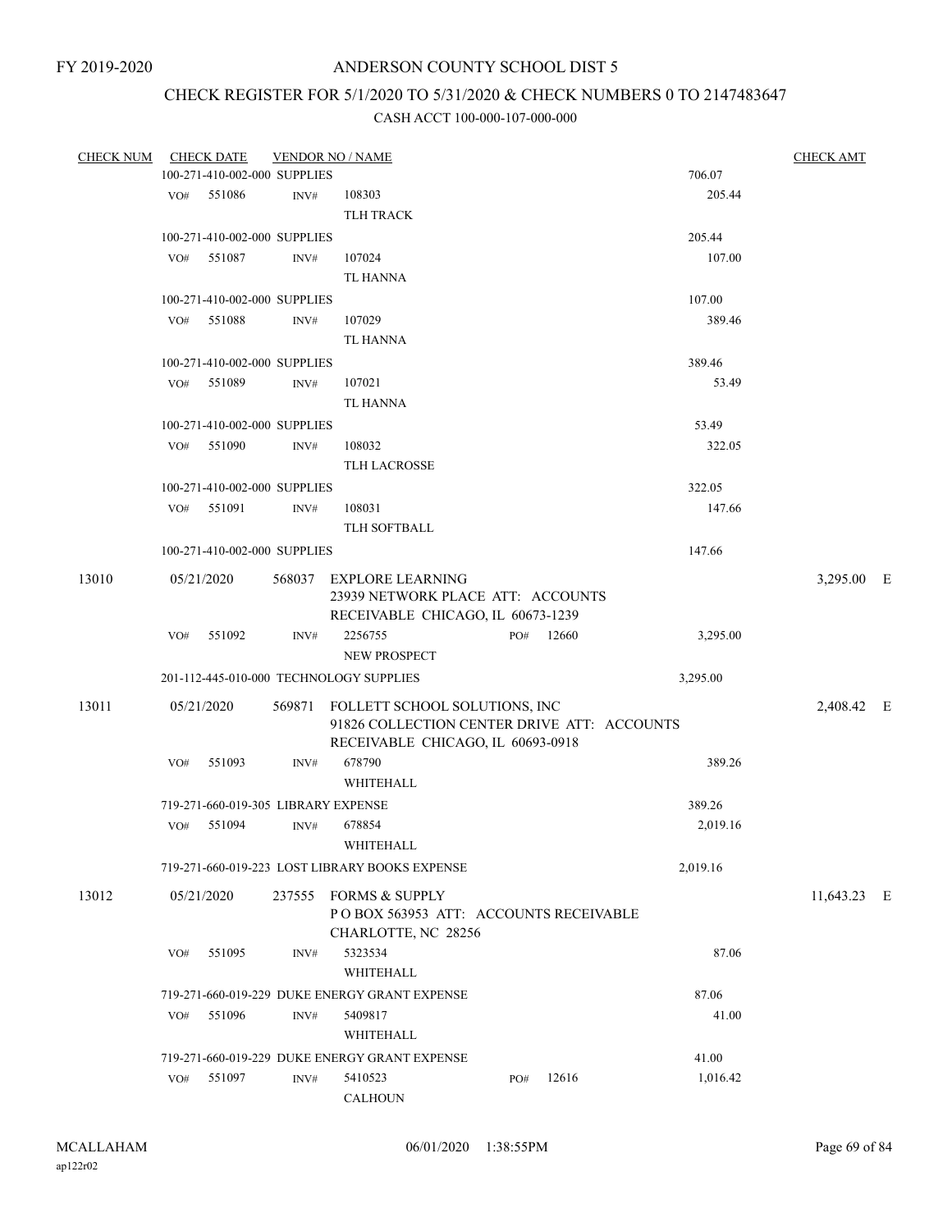# CHECK REGISTER FOR 5/1/2020 TO 5/31/2020 & CHECK NUMBERS 0 TO 2147483647

| CHECK NUM |     | <b>CHECK DATE</b>                   |      | <b>VENDOR NO / NAME</b>                        |     |           |          | <b>CHECK AMT</b> |  |
|-----------|-----|-------------------------------------|------|------------------------------------------------|-----|-----------|----------|------------------|--|
|           |     | 100-271-410-002-000 SUPPLIES        |      |                                                |     |           | 706.07   |                  |  |
|           | VO# | 551086                              | INV# | 108303                                         |     |           | 205.44   |                  |  |
|           |     |                                     |      | <b>TLH TRACK</b>                               |     |           |          |                  |  |
|           |     | 100-271-410-002-000 SUPPLIES        |      |                                                |     |           | 205.44   |                  |  |
|           | VO# | 551087                              | INV# | 107024                                         |     |           | 107.00   |                  |  |
|           |     |                                     |      | TL HANNA                                       |     |           |          |                  |  |
|           |     | 100-271-410-002-000 SUPPLIES        |      |                                                |     |           | 107.00   |                  |  |
|           | VO# | 551088                              | INV# | 107029                                         |     |           | 389.46   |                  |  |
|           |     |                                     |      | TL HANNA                                       |     |           |          |                  |  |
|           |     | 100-271-410-002-000 SUPPLIES        |      |                                                |     |           | 389.46   |                  |  |
|           | VO# | 551089                              | INV# | 107021                                         |     |           | 53.49    |                  |  |
|           |     |                                     |      | TL HANNA                                       |     |           |          |                  |  |
|           |     | 100-271-410-002-000 SUPPLIES        |      |                                                |     |           | 53.49    |                  |  |
|           | VO# | 551090                              | INV# | 108032                                         |     |           | 322.05   |                  |  |
|           |     |                                     |      | <b>TLH LACROSSE</b>                            |     |           |          |                  |  |
|           |     | 100-271-410-002-000 SUPPLIES        |      |                                                |     |           | 322.05   |                  |  |
|           |     | VO# 551091                          | INV# | 108031                                         |     |           | 147.66   |                  |  |
|           |     |                                     |      | TLH SOFTBALL                                   |     |           |          |                  |  |
|           |     | 100-271-410-002-000 SUPPLIES        |      |                                                |     |           | 147.66   |                  |  |
| 13010     |     | 05/21/2020                          |      | 568037 EXPLORE LEARNING                        |     |           |          | 3,295.00 E       |  |
|           |     |                                     |      | 23939 NETWORK PLACE ATT: ACCOUNTS              |     |           |          |                  |  |
|           |     |                                     |      | RECEIVABLE CHICAGO, IL 60673-1239              |     |           |          |                  |  |
|           | VO# | 551092                              | INV# | 2256755                                        |     | PO# 12660 | 3,295.00 |                  |  |
|           |     |                                     |      | NEW PROSPECT                                   |     |           |          |                  |  |
|           |     |                                     |      | 201-112-445-010-000 TECHNOLOGY SUPPLIES        |     |           | 3,295.00 |                  |  |
| 13011     |     | 05/21/2020                          |      | 569871 FOLLETT SCHOOL SOLUTIONS, INC           |     |           |          | 2,408.42 E       |  |
|           |     |                                     |      | 91826 COLLECTION CENTER DRIVE ATT: ACCOUNTS    |     |           |          |                  |  |
|           |     |                                     |      | RECEIVABLE CHICAGO, IL 60693-0918              |     |           |          |                  |  |
|           | VO# | 551093                              | INV# | 678790                                         |     |           | 389.26   |                  |  |
|           |     |                                     |      | WHITEHALL                                      |     |           |          |                  |  |
|           |     | 719-271-660-019-305 LIBRARY EXPENSE |      |                                                |     |           | 389.26   |                  |  |
|           | VO# | 551094                              | INV# | 678854                                         |     |           | 2,019.16 |                  |  |
|           |     |                                     |      | WHITEHALL                                      |     |           |          |                  |  |
|           |     |                                     |      | 719-271-660-019-223 LOST LIBRARY BOOKS EXPENSE |     |           | 2,019.16 |                  |  |
| 13012     |     | 05/21/2020                          |      | 237555 FORMS & SUPPLY                          |     |           |          | 11,643.23 E      |  |
|           |     |                                     |      | POBOX 563953 ATT: ACCOUNTS RECEIVABLE          |     |           |          |                  |  |
|           |     |                                     |      | CHARLOTTE, NC 28256                            |     |           |          |                  |  |
|           | VO# | 551095                              | INV# | 5323534                                        |     |           | 87.06    |                  |  |
|           |     |                                     |      | WHITEHALL                                      |     |           |          |                  |  |
|           |     |                                     |      | 719-271-660-019-229 DUKE ENERGY GRANT EXPENSE  |     |           | 87.06    |                  |  |
|           | VO# | 551096                              | INV# | 5409817                                        |     |           | 41.00    |                  |  |
|           |     |                                     |      | WHITEHALL                                      |     |           |          |                  |  |
|           |     |                                     |      | 719-271-660-019-229 DUKE ENERGY GRANT EXPENSE  |     |           | 41.00    |                  |  |
|           | VO# | 551097                              | INV# | 5410523                                        | PO# | 12616     | 1,016.42 |                  |  |
|           |     |                                     |      | <b>CALHOUN</b>                                 |     |           |          |                  |  |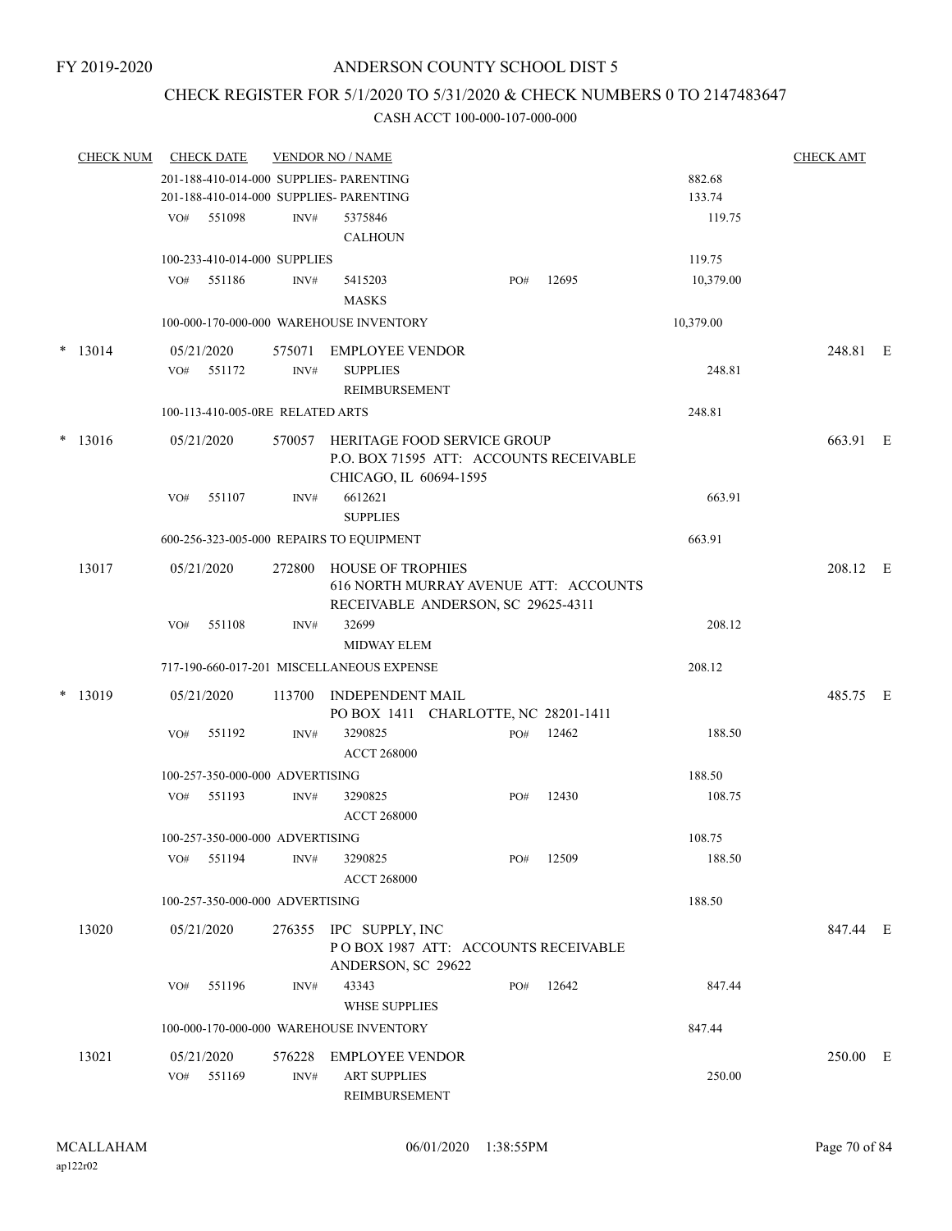## CHECK REGISTER FOR 5/1/2020 TO 5/31/2020 & CHECK NUMBERS 0 TO 2147483647

| <b>CHECK NUM</b> |     | <b>CHECK DATE</b>                |        | <b>VENDOR NO / NAME</b>                   |     |                                         |           | <b>CHECK AMT</b> |  |
|------------------|-----|----------------------------------|--------|-------------------------------------------|-----|-----------------------------------------|-----------|------------------|--|
|                  |     |                                  |        | 201-188-410-014-000 SUPPLIES- PARENTING   |     |                                         | 882.68    |                  |  |
|                  |     |                                  |        | 201-188-410-014-000 SUPPLIES- PARENTING   |     |                                         | 133.74    |                  |  |
|                  |     | VO# 551098                       | INV#   | 5375846                                   |     |                                         | 119.75    |                  |  |
|                  |     |                                  |        | <b>CALHOUN</b>                            |     |                                         |           |                  |  |
|                  |     | 100-233-410-014-000 SUPPLIES     |        |                                           |     |                                         | 119.75    |                  |  |
|                  |     | VO# 551186                       | INV#   | 5415203                                   | PO# | 12695                                   | 10,379.00 |                  |  |
|                  |     |                                  |        | <b>MASKS</b>                              |     |                                         |           |                  |  |
|                  |     |                                  |        | 100-000-170-000-000 WAREHOUSE INVENTORY   |     |                                         | 10,379.00 |                  |  |
|                  |     |                                  |        |                                           |     |                                         |           |                  |  |
| $*$ 13014        |     | 05/21/2020                       | 575071 | EMPLOYEE VENDOR                           |     |                                         |           | 248.81 E         |  |
|                  | VO# | 551172                           | INV#   | <b>SUPPLIES</b>                           |     |                                         | 248.81    |                  |  |
|                  |     |                                  |        | REIMBURSEMENT                             |     |                                         |           |                  |  |
|                  |     | 100-113-410-005-0RE RELATED ARTS |        |                                           |     |                                         | 248.81    |                  |  |
| $* 13016$        |     | 05/21/2020                       |        | 570057 HERITAGE FOOD SERVICE GROUP        |     |                                         |           | 663.91 E         |  |
|                  |     |                                  |        |                                           |     | P.O. BOX 71595 ATT: ACCOUNTS RECEIVABLE |           |                  |  |
|                  |     |                                  |        | CHICAGO, IL 60694-1595                    |     |                                         |           |                  |  |
|                  | VO# | 551107                           | INV#   | 6612621                                   |     |                                         | 663.91    |                  |  |
|                  |     |                                  |        | <b>SUPPLIES</b>                           |     |                                         |           |                  |  |
|                  |     |                                  |        | 600-256-323-005-000 REPAIRS TO EQUIPMENT  |     |                                         | 663.91    |                  |  |
| 13017            |     | 05/21/2020                       |        | 272800 HOUSE OF TROPHIES                  |     |                                         |           | 208.12 E         |  |
|                  |     |                                  |        |                                           |     | 616 NORTH MURRAY AVENUE ATT: ACCOUNTS   |           |                  |  |
|                  |     |                                  |        | RECEIVABLE ANDERSON, SC 29625-4311        |     |                                         |           |                  |  |
|                  | VO# | 551108                           | INV#   | 32699                                     |     |                                         | 208.12    |                  |  |
|                  |     |                                  |        | <b>MIDWAY ELEM</b>                        |     |                                         |           |                  |  |
|                  |     |                                  |        | 717-190-660-017-201 MISCELLANEOUS EXPENSE |     |                                         | 208.12    |                  |  |
|                  |     |                                  |        |                                           |     |                                         |           |                  |  |
| $*$ 13019        |     | 05/21/2020                       |        | 113700 INDEPENDENT MAIL                   |     |                                         |           | 485.75 E         |  |
|                  |     |                                  |        | PO BOX 1411 CHARLOTTE, NC 28201-1411      |     |                                         |           |                  |  |
|                  | VO# | 551192                           | INV#   | 3290825                                   |     | PO# 12462                               | 188.50    |                  |  |
|                  |     |                                  |        | <b>ACCT 268000</b>                        |     |                                         |           |                  |  |
|                  |     | 100-257-350-000-000 ADVERTISING  |        |                                           |     |                                         | 188.50    |                  |  |
|                  |     | VO# 551193                       | INV#   | 3290825                                   | PO# | 12430                                   | 108.75    |                  |  |
|                  |     |                                  |        | <b>ACCT 268000</b>                        |     |                                         |           |                  |  |
|                  |     | 100-257-350-000-000 ADVERTISING  |        |                                           |     |                                         | 108.75    |                  |  |
|                  | VO# | 551194                           | INV#   | 3290825                                   | PO# | 12509                                   | 188.50    |                  |  |
|                  |     |                                  |        | <b>ACCT 268000</b>                        |     |                                         |           |                  |  |
|                  |     | 100-257-350-000-000 ADVERTISING  |        |                                           |     |                                         | 188.50    |                  |  |
| 13020            |     | 05/21/2020                       |        | 276355 IPC SUPPLY, INC                    |     |                                         |           | 847.44 E         |  |
|                  |     |                                  |        | POBOX 1987 ATT: ACCOUNTS RECEIVABLE       |     |                                         |           |                  |  |
|                  |     |                                  |        | ANDERSON, SC 29622                        |     |                                         |           |                  |  |
|                  | VO# | 551196                           | INV#   | 43343                                     | PO# | 12642                                   | 847.44    |                  |  |
|                  |     |                                  |        | <b>WHSE SUPPLIES</b>                      |     |                                         |           |                  |  |
|                  |     |                                  |        | 100-000-170-000-000 WAREHOUSE INVENTORY   |     |                                         | 847.44    |                  |  |
|                  |     |                                  |        |                                           |     |                                         |           |                  |  |
| 13021            |     | 05/21/2020                       | 576228 | EMPLOYEE VENDOR                           |     |                                         |           | 250.00 E         |  |
|                  | VO# | 551169                           | INV#   | <b>ART SUPPLIES</b>                       |     |                                         | 250.00    |                  |  |
|                  |     |                                  |        | <b>REIMBURSEMENT</b>                      |     |                                         |           |                  |  |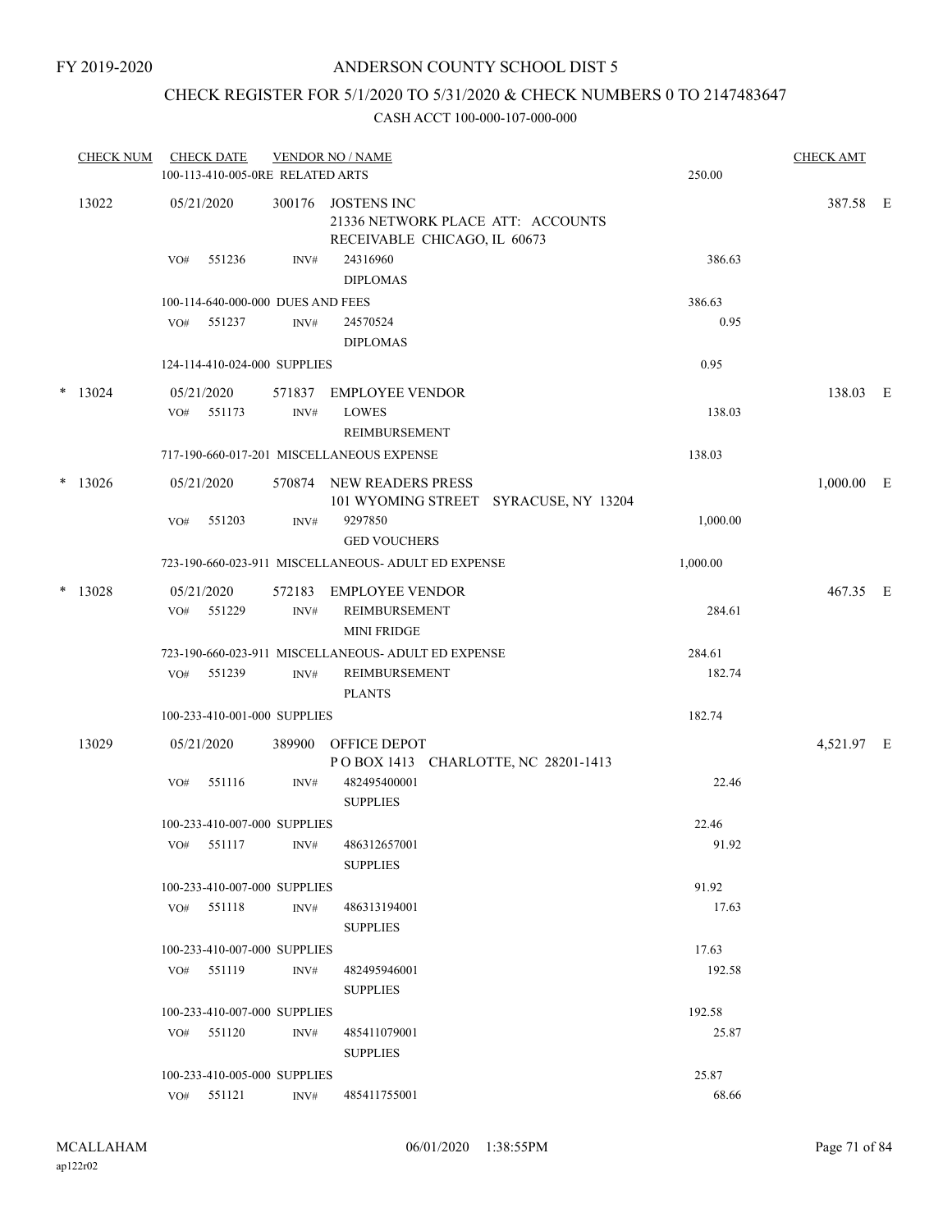## CHECK REGISTER FOR 5/1/2020 TO 5/31/2020 & CHECK NUMBERS 0 TO 2147483647

| <b>CHECK NUM</b> |     | <b>CHECK DATE</b><br>100-113-410-005-0RE RELATED ARTS |                | <b>VENDOR NO / NAME</b>                                                          | 250.00   | <b>CHECK AMT</b> |  |
|------------------|-----|-------------------------------------------------------|----------------|----------------------------------------------------------------------------------|----------|------------------|--|
| 13022            |     | 05/21/2020                                            | 300176         | JOSTENS INC<br>21336 NETWORK PLACE ATT: ACCOUNTS<br>RECEIVABLE CHICAGO, IL 60673 |          | 387.58 E         |  |
|                  | VO# | 551236                                                | INV#           | 24316960<br><b>DIPLOMAS</b>                                                      | 386.63   |                  |  |
|                  |     | 100-114-640-000-000 DUES AND FEES                     |                |                                                                                  | 386.63   |                  |  |
|                  |     | VO# 551237                                            | INV#           | 24570524<br><b>DIPLOMAS</b>                                                      | 0.95     |                  |  |
|                  |     | 124-114-410-024-000 SUPPLIES                          |                |                                                                                  | 0.95     |                  |  |
| $*$ 13024        | VO# | 05/21/2020<br>551173                                  | INV#           | 571837 EMPLOYEE VENDOR<br><b>LOWES</b><br>REIMBURSEMENT                          | 138.03   | 138.03 E         |  |
|                  |     |                                                       |                | 717-190-660-017-201 MISCELLANEOUS EXPENSE                                        | 138.03   |                  |  |
| $*$ 13026        |     | 05/21/2020                                            |                | 570874 NEW READERS PRESS<br>101 WYOMING STREET SYRACUSE, NY 13204                |          | $1,000.00$ E     |  |
|                  | VO# | 551203                                                | INV#           | 9297850<br><b>GED VOUCHERS</b>                                                   | 1,000.00 |                  |  |
|                  |     |                                                       |                | 723-190-660-023-911 MISCELLANEOUS- ADULT ED EXPENSE                              | 1,000.00 |                  |  |
| $*$ 13028        |     | 05/21/2020<br>VO# 551229                              | 572183<br>INV# | EMPLOYEE VENDOR<br>REIMBURSEMENT<br><b>MINI FRIDGE</b>                           | 284.61   | 467.35 E         |  |
|                  |     |                                                       |                | 723-190-660-023-911 MISCELLANEOUS- ADULT ED EXPENSE                              | 284.61   |                  |  |
|                  | VO# | 551239                                                | INV#           | REIMBURSEMENT<br><b>PLANTS</b>                                                   | 182.74   |                  |  |
|                  |     | 100-233-410-001-000 SUPPLIES                          |                |                                                                                  | 182.74   |                  |  |
| 13029            |     | 05/21/2020                                            |                | 389900 OFFICE DEPOT<br>POBOX 1413 CHARLOTTE, NC 28201-1413                       |          | 4,521.97 E       |  |
|                  | VO# | 551116                                                | INV#           | 482495400001<br><b>SUPPLIES</b>                                                  | 22.46    |                  |  |
|                  |     | 100-233-410-007-000 SUPPLIES                          |                |                                                                                  | 22.46    |                  |  |
|                  |     | VO# 551117                                            |                | INV# 486312657001<br><b>SUPPLIES</b>                                             | 91.92    |                  |  |
|                  |     | 100-233-410-007-000 SUPPLIES                          |                |                                                                                  | 91.92    |                  |  |
|                  |     | VO# 551118                                            | INV#           | 486313194001<br><b>SUPPLIES</b>                                                  | 17.63    |                  |  |
|                  |     | 100-233-410-007-000 SUPPLIES                          |                |                                                                                  | 17.63    |                  |  |
|                  |     | VO# 551119                                            | INV#           | 482495946001<br><b>SUPPLIES</b>                                                  | 192.58   |                  |  |
|                  |     | 100-233-410-007-000 SUPPLIES                          |                |                                                                                  | 192.58   |                  |  |
|                  |     | VO# 551120                                            | INV#           | 485411079001<br><b>SUPPLIES</b>                                                  | 25.87    |                  |  |
|                  |     | 100-233-410-005-000 SUPPLIES                          |                |                                                                                  | 25.87    |                  |  |
|                  |     | VO# 551121                                            | INV#           | 485411755001                                                                     | 68.66    |                  |  |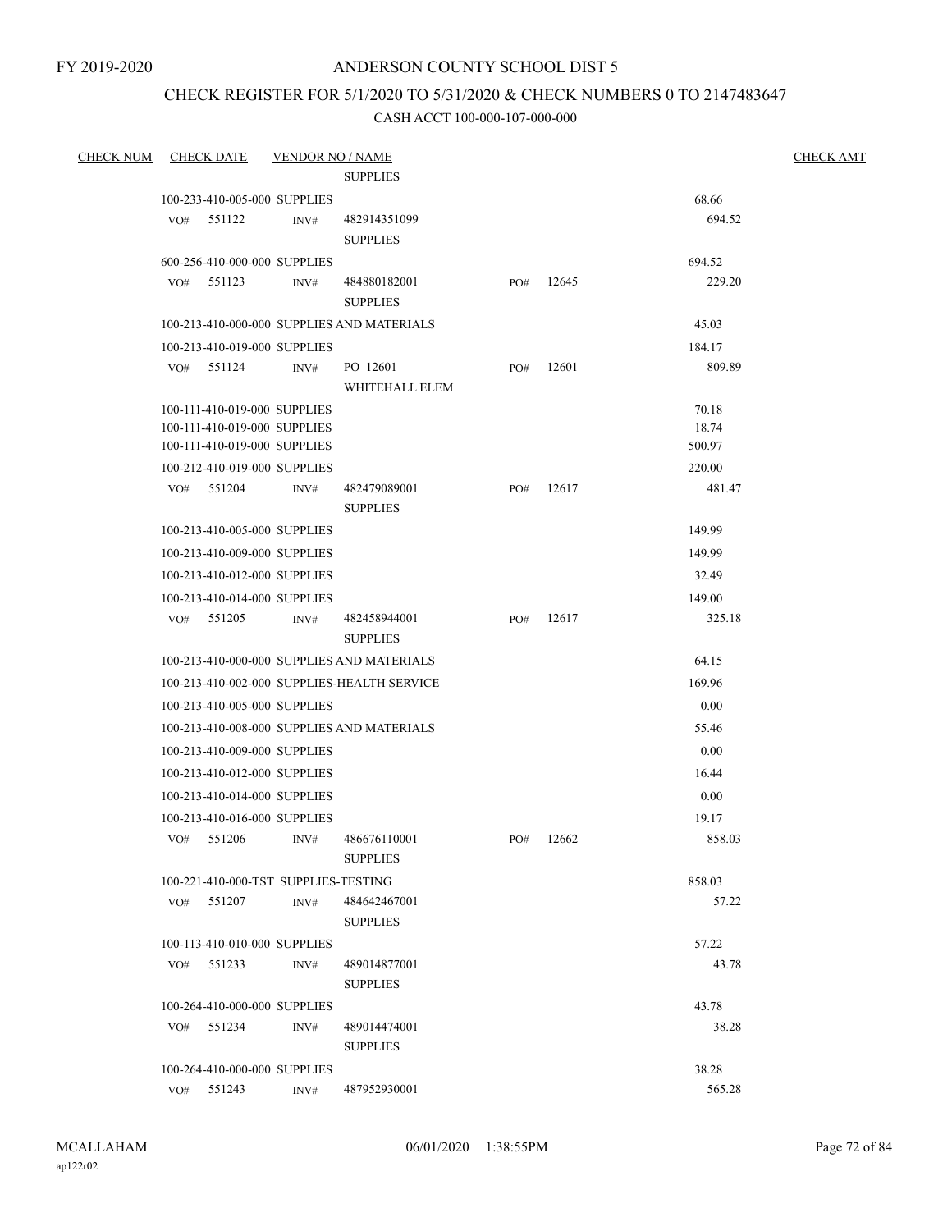## CHECK REGISTER FOR 5/1/2020 TO 5/31/2020 & CHECK NUMBERS 0 TO 2147483647

| <b>CHECK NUM</b> |     | <b>CHECK DATE</b>                    | <b>VENDOR NO / NAME</b> |                                             |     |       |        | <b>CHECK AMT</b> |
|------------------|-----|--------------------------------------|-------------------------|---------------------------------------------|-----|-------|--------|------------------|
|                  |     |                                      |                         | <b>SUPPLIES</b>                             |     |       |        |                  |
|                  |     | 100-233-410-005-000 SUPPLIES         |                         |                                             |     |       | 68.66  |                  |
|                  | VO# | 551122                               | INV#                    | 482914351099                                |     |       | 694.52 |                  |
|                  |     |                                      |                         | <b>SUPPLIES</b>                             |     |       |        |                  |
|                  |     | 600-256-410-000-000 SUPPLIES         |                         |                                             |     |       | 694.52 |                  |
|                  |     | VO# 551123                           | INV#                    | 484880182001<br><b>SUPPLIES</b>             | PO# | 12645 | 229.20 |                  |
|                  |     |                                      |                         | 100-213-410-000-000 SUPPLIES AND MATERIALS  |     |       | 45.03  |                  |
|                  |     | 100-213-410-019-000 SUPPLIES         |                         |                                             |     |       | 184.17 |                  |
|                  |     | VO# 551124                           | INV#                    | PO 12601                                    | PO# | 12601 | 809.89 |                  |
|                  |     |                                      |                         | WHITEHALL ELEM                              |     |       |        |                  |
|                  |     | 100-111-410-019-000 SUPPLIES         |                         |                                             |     |       | 70.18  |                  |
|                  |     | 100-111-410-019-000 SUPPLIES         |                         |                                             |     |       | 18.74  |                  |
|                  |     | 100-111-410-019-000 SUPPLIES         |                         |                                             |     |       | 500.97 |                  |
|                  |     | 100-212-410-019-000 SUPPLIES         |                         |                                             |     |       | 220.00 |                  |
|                  |     | VO# 551204                           | INV#                    | 482479089001<br><b>SUPPLIES</b>             | PO# | 12617 | 481.47 |                  |
|                  |     | 100-213-410-005-000 SUPPLIES         |                         |                                             |     |       | 149.99 |                  |
|                  |     | 100-213-410-009-000 SUPPLIES         |                         |                                             |     |       | 149.99 |                  |
|                  |     | 100-213-410-012-000 SUPPLIES         |                         |                                             |     |       | 32.49  |                  |
|                  |     | 100-213-410-014-000 SUPPLIES         |                         |                                             |     |       | 149.00 |                  |
|                  |     | VO# 551205                           | INV#                    | 482458944001<br><b>SUPPLIES</b>             | PO# | 12617 | 325.18 |                  |
|                  |     |                                      |                         | 100-213-410-000-000 SUPPLIES AND MATERIALS  |     |       | 64.15  |                  |
|                  |     |                                      |                         | 100-213-410-002-000 SUPPLIES-HEALTH SERVICE |     |       | 169.96 |                  |
|                  |     | 100-213-410-005-000 SUPPLIES         |                         |                                             |     |       | 0.00   |                  |
|                  |     |                                      |                         | 100-213-410-008-000 SUPPLIES AND MATERIALS  |     |       | 55.46  |                  |
|                  |     | 100-213-410-009-000 SUPPLIES         |                         |                                             |     |       | 0.00   |                  |
|                  |     | 100-213-410-012-000 SUPPLIES         |                         |                                             |     |       | 16.44  |                  |
|                  |     | 100-213-410-014-000 SUPPLIES         |                         |                                             |     |       | 0.00   |                  |
|                  |     | 100-213-410-016-000 SUPPLIES         |                         |                                             |     |       | 19.17  |                  |
|                  |     | VO# 551206                           | INV#                    | 486676110001<br><b>SUPPLIES</b>             | PO# | 12662 | 858.03 |                  |
|                  |     | 100-221-410-000-TST SUPPLIES-TESTING |                         |                                             |     |       | 858.03 |                  |
|                  | VO# | 551207                               | INV#                    | 484642467001                                |     |       | 57.22  |                  |
|                  |     |                                      |                         | <b>SUPPLIES</b>                             |     |       |        |                  |
|                  |     | 100-113-410-010-000 SUPPLIES         |                         |                                             |     |       | 57.22  |                  |
|                  | VO# | 551233                               | INV#                    | 489014877001                                |     |       | 43.78  |                  |
|                  |     |                                      |                         | <b>SUPPLIES</b>                             |     |       |        |                  |
|                  |     | 100-264-410-000-000 SUPPLIES         |                         |                                             |     |       | 43.78  |                  |
|                  |     | VO# 551234                           | INV#                    | 489014474001                                |     |       | 38.28  |                  |
|                  |     |                                      |                         | <b>SUPPLIES</b>                             |     |       |        |                  |
|                  |     | 100-264-410-000-000 SUPPLIES         |                         |                                             |     |       | 38.28  |                  |
|                  |     | VO# 551243                           | INV#                    | 487952930001                                |     |       | 565.28 |                  |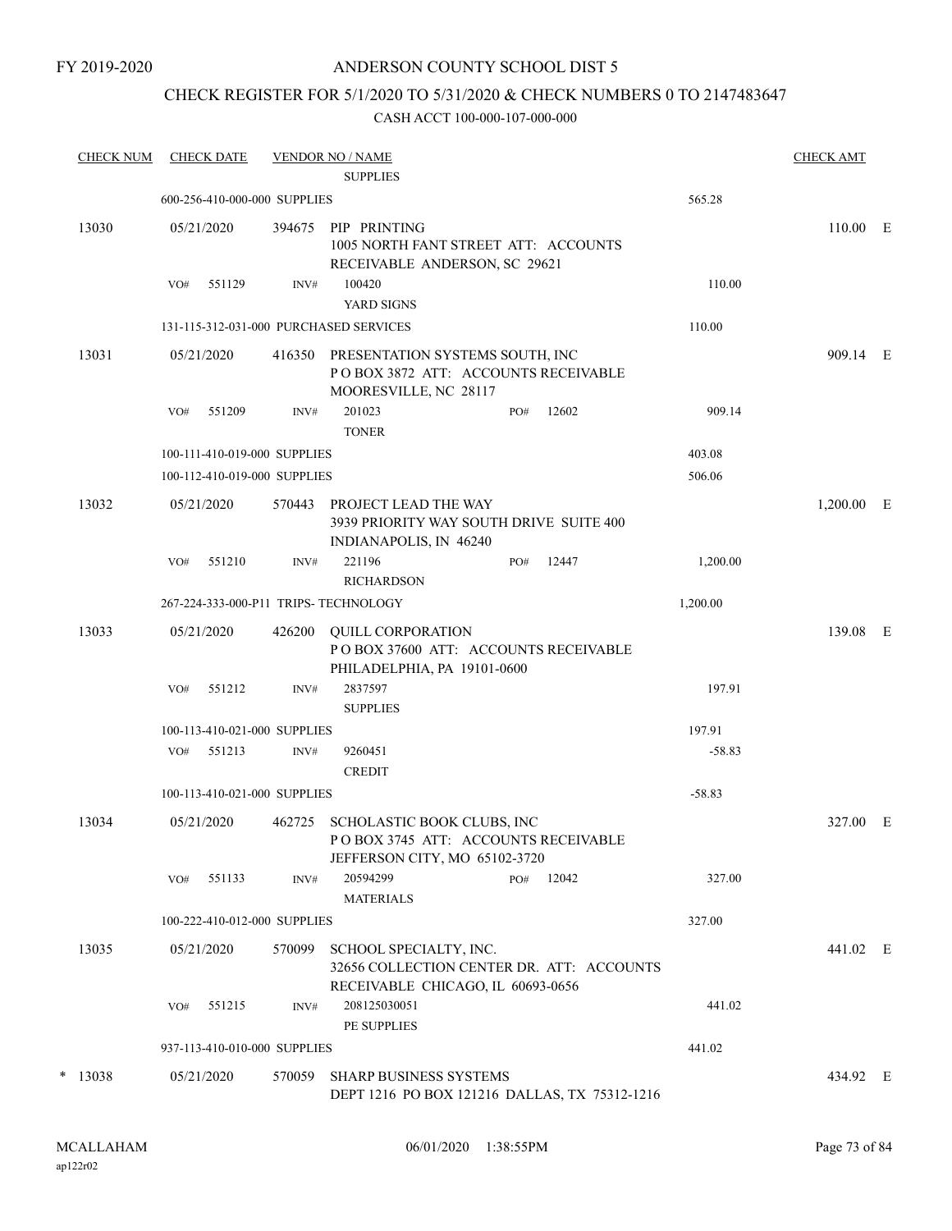FY 2019-2020

### ANDERSON COUNTY SCHOOL DIST 5

# CHECK REGISTER FOR 5/1/2020 TO 5/31/2020 & CHECK NUMBERS 0 TO 2147483647

| <b>CHECK NUM</b> |     | <b>CHECK DATE</b> |                              | <b>VENDOR NO / NAME</b><br><b>SUPPLIES</b>                                                               |     |       |          | <b>CHECK AMT</b> |  |
|------------------|-----|-------------------|------------------------------|----------------------------------------------------------------------------------------------------------|-----|-------|----------|------------------|--|
|                  |     |                   | 600-256-410-000-000 SUPPLIES |                                                                                                          |     |       | 565.28   |                  |  |
| 13030            |     | 05/21/2020        | 394675                       | PIP PRINTING<br>1005 NORTH FANT STREET ATT: ACCOUNTS<br>RECEIVABLE ANDERSON, SC 29621                    |     |       |          | 110.00 E         |  |
|                  | VO# | 551129            | INV#                         | 100420<br>YARD SIGNS                                                                                     |     |       | 110.00   |                  |  |
|                  |     |                   |                              | 131-115-312-031-000 PURCHASED SERVICES                                                                   |     |       | 110.00   |                  |  |
| 13031            |     | 05/21/2020        | 416350                       | PRESENTATION SYSTEMS SOUTH, INC<br>POBOX 3872 ATT: ACCOUNTS RECEIVABLE<br>MOORESVILLE, NC 28117          |     |       |          | 909.14 E         |  |
|                  | VO# | 551209            | INV#                         | 201023<br><b>TONER</b>                                                                                   | PO# | 12602 | 909.14   |                  |  |
|                  |     |                   | 100-111-410-019-000 SUPPLIES |                                                                                                          |     |       | 403.08   |                  |  |
|                  |     |                   | 100-112-410-019-000 SUPPLIES |                                                                                                          |     |       | 506.06   |                  |  |
| 13032            |     | 05/21/2020        |                              | 570443 PROJECT LEAD THE WAY<br>3939 PRIORITY WAY SOUTH DRIVE SUITE 400<br>INDIANAPOLIS, IN 46240         |     |       |          | $1,200.00$ E     |  |
|                  | VO# | 551210            | INV#                         | 221196<br><b>RICHARDSON</b>                                                                              | PO# | 12447 | 1,200.00 |                  |  |
|                  |     |                   |                              | 267-224-333-000-P11 TRIPS- TECHNOLOGY                                                                    |     |       | 1,200.00 |                  |  |
| 13033            |     | 05/21/2020        | 426200                       | <b>QUILL CORPORATION</b><br>POBOX 37600 ATT: ACCOUNTS RECEIVABLE<br>PHILADELPHIA, PA 19101-0600          |     |       |          | 139.08 E         |  |
|                  | VO# | 551212            | INV#                         | 2837597<br><b>SUPPLIES</b>                                                                               |     |       | 197.91   |                  |  |
|                  |     |                   | 100-113-410-021-000 SUPPLIES |                                                                                                          |     |       | 197.91   |                  |  |
|                  | VO# | 551213            | INV#                         | 9260451<br><b>CREDIT</b>                                                                                 |     |       | $-58.83$ |                  |  |
|                  |     |                   | 100-113-410-021-000 SUPPLIES |                                                                                                          |     |       | $-58.83$ |                  |  |
| 13034            |     | 05/21/2020        | 462725                       | SCHOLASTIC BOOK CLUBS, INC<br>POBOX 3745 ATT: ACCOUNTS RECEIVABLE<br>JEFFERSON CITY, MO 65102-3720       |     |       |          | 327.00 E         |  |
|                  | VO# | 551133            | INV#                         | 20594299<br><b>MATERIALS</b>                                                                             | PO# | 12042 | 327.00   |                  |  |
|                  |     |                   | 100-222-410-012-000 SUPPLIES |                                                                                                          |     |       | 327.00   |                  |  |
| 13035            |     | 05/21/2020        | 570099                       | SCHOOL SPECIALTY, INC.<br>32656 COLLECTION CENTER DR. ATT: ACCOUNTS<br>RECEIVABLE CHICAGO, IL 60693-0656 |     |       |          | 441.02 E         |  |
|                  | VO# | 551215            | INV#                         | 208125030051<br>PE SUPPLIES                                                                              |     |       | 441.02   |                  |  |
|                  |     |                   | 937-113-410-010-000 SUPPLIES |                                                                                                          |     |       | 441.02   |                  |  |
| $*$ 13038        |     | 05/21/2020        | 570059                       | <b>SHARP BUSINESS SYSTEMS</b><br>DEPT 1216 PO BOX 121216 DALLAS, TX 75312-1216                           |     |       |          | 434.92 E         |  |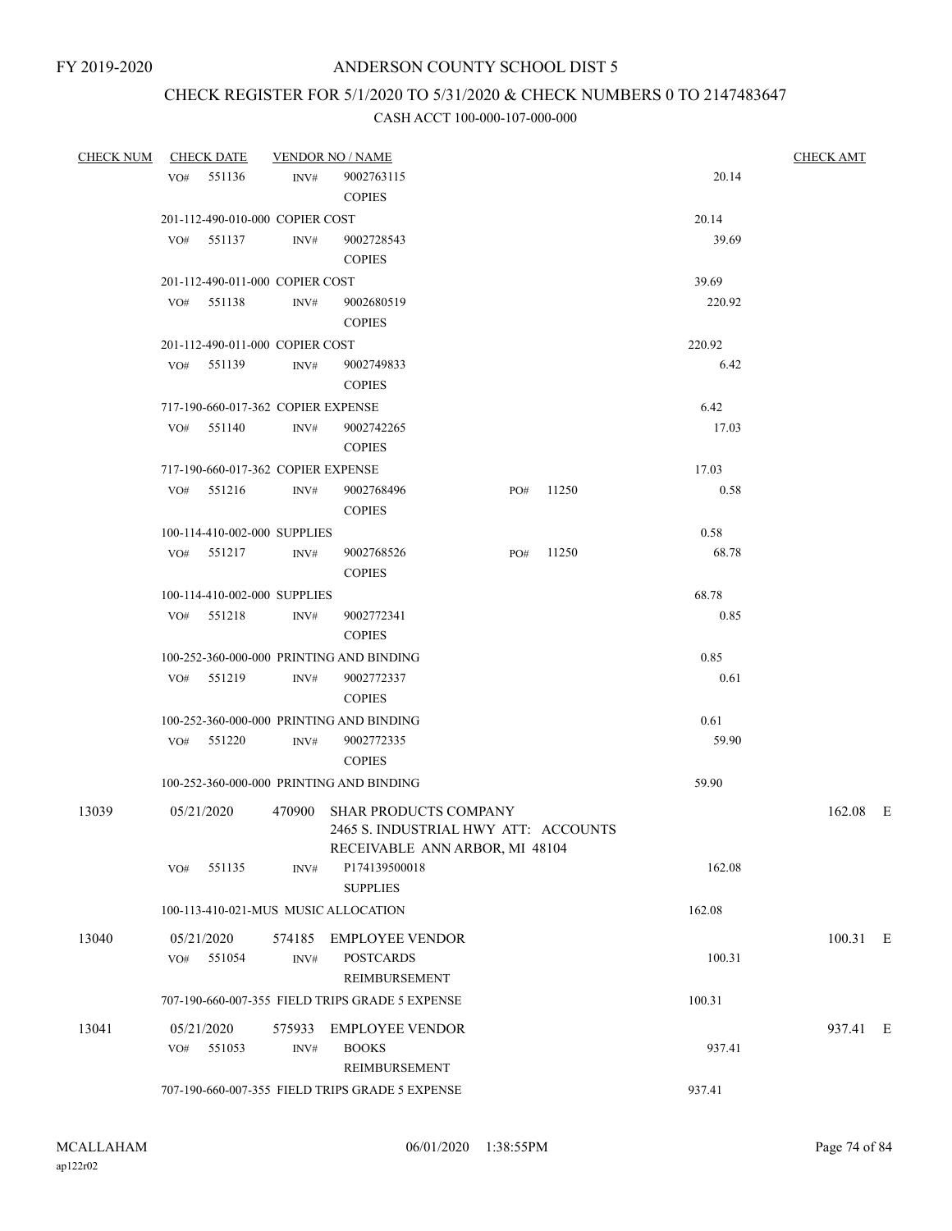# CHECK REGISTER FOR 5/1/2020 TO 5/31/2020 & CHECK NUMBERS 0 TO 2147483647

| <b>CHECK NUM</b> | <b>CHECK DATE</b>                    |        | <b>VENDOR NO / NAME</b>                                                                                |     |       |        | <b>CHECK AMT</b> |
|------------------|--------------------------------------|--------|--------------------------------------------------------------------------------------------------------|-----|-------|--------|------------------|
|                  | VO# 551136                           | INV#   | 9002763115<br><b>COPIES</b>                                                                            |     |       | 20.14  |                  |
|                  | 201-112-490-010-000 COPIER COST      |        |                                                                                                        |     |       | 20.14  |                  |
|                  | VO# 551137                           | INV#   | 9002728543                                                                                             |     |       | 39.69  |                  |
|                  |                                      |        | <b>COPIES</b>                                                                                          |     |       |        |                  |
|                  | 201-112-490-011-000 COPIER COST      |        |                                                                                                        |     |       | 39.69  |                  |
|                  | VO# 551138                           | INV#   | 9002680519<br><b>COPIES</b>                                                                            |     |       | 220.92 |                  |
|                  | 201-112-490-011-000 COPIER COST      |        |                                                                                                        |     |       | 220.92 |                  |
|                  | 551139<br>VO#                        | INV#   | 9002749833                                                                                             |     |       | 6.42   |                  |
|                  |                                      |        | <b>COPIES</b>                                                                                          |     |       |        |                  |
|                  | 717-190-660-017-362 COPIER EXPENSE   |        |                                                                                                        |     |       | 6.42   |                  |
|                  | VO# 551140                           | INV#   | 9002742265<br><b>COPIES</b>                                                                            |     |       | 17.03  |                  |
|                  | 717-190-660-017-362 COPIER EXPENSE   |        |                                                                                                        |     |       | 17.03  |                  |
|                  | VO# 551216 INV#                      |        | 9002768496                                                                                             | PO# | 11250 | 0.58   |                  |
|                  |                                      |        | <b>COPIES</b>                                                                                          |     |       |        |                  |
|                  | 100-114-410-002-000 SUPPLIES         |        |                                                                                                        |     |       | 0.58   |                  |
|                  | VO# 551217                           | INV#   | 9002768526<br><b>COPIES</b>                                                                            | PO# | 11250 | 68.78  |                  |
|                  | 100-114-410-002-000 SUPPLIES         |        |                                                                                                        |     |       | 68.78  |                  |
|                  | VO# 551218                           | INV#   | 9002772341                                                                                             |     |       | 0.85   |                  |
|                  |                                      |        | <b>COPIES</b>                                                                                          |     |       |        |                  |
|                  |                                      |        | 100-252-360-000-000 PRINTING AND BINDING                                                               |     |       | 0.85   |                  |
|                  | VO# 551219                           | INV#   | 9002772337<br><b>COPIES</b>                                                                            |     |       | 0.61   |                  |
|                  |                                      |        | 100-252-360-000-000 PRINTING AND BINDING                                                               |     |       | 0.61   |                  |
|                  | VO# 551220                           | INV#   | 9002772335                                                                                             |     |       | 59.90  |                  |
|                  |                                      |        | <b>COPIES</b>                                                                                          |     |       |        |                  |
|                  |                                      |        | 100-252-360-000-000 PRINTING AND BINDING                                                               |     |       | 59.90  |                  |
| 13039            | 05/21/2020                           | 470900 | <b>SHAR PRODUCTS COMPANY</b><br>2465 S. INDUSTRIAL HWY ATT: ACCOUNTS<br>RECEIVABLE ANN ARBOR, MI 48104 |     |       |        | 162.08 E         |
|                  | 551135<br>VO#                        | INV#   | P174139500018<br><b>SUPPLIES</b>                                                                       |     |       | 162.08 |                  |
|                  | 100-113-410-021-MUS MUSIC ALLOCATION |        |                                                                                                        |     |       | 162.08 |                  |
| 13040            | 05/21/2020                           | 574185 | <b>EMPLOYEE VENDOR</b>                                                                                 |     |       |        | 100.31 E         |
|                  | 551054<br>VO#                        | INV#   | <b>POSTCARDS</b><br>REIMBURSEMENT                                                                      |     |       | 100.31 |                  |
|                  |                                      |        | 707-190-660-007-355 FIELD TRIPS GRADE 5 EXPENSE                                                        |     |       | 100.31 |                  |
| 13041            | 05/21/2020                           | 575933 | <b>EMPLOYEE VENDOR</b>                                                                                 |     |       |        | 937.41 E         |
|                  | 551053<br>VO#                        | INV#   | <b>BOOKS</b>                                                                                           |     |       | 937.41 |                  |
|                  |                                      |        | REIMBURSEMENT                                                                                          |     |       |        |                  |
|                  |                                      |        | 707-190-660-007-355 FIELD TRIPS GRADE 5 EXPENSE                                                        |     |       | 937.41 |                  |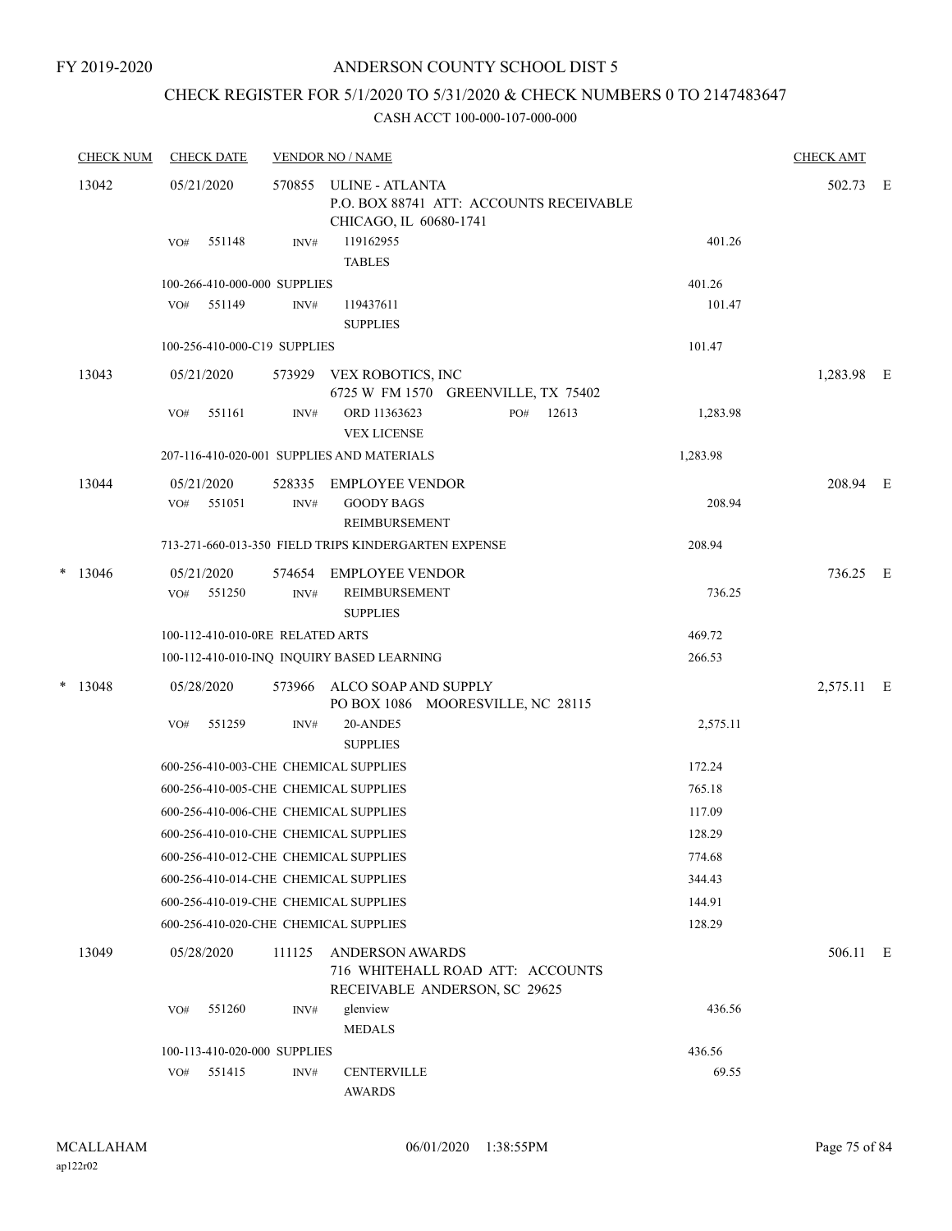FY 2019-2020

### ANDERSON COUNTY SCHOOL DIST 5

# CHECK REGISTER FOR 5/1/2020 TO 5/31/2020 & CHECK NUMBERS 0 TO 2147483647

| <b>CHECK NUM</b> | <b>CHECK DATE</b> |                                       | <b>VENDOR NO / NAME</b>                                                                     |          | <b>CHECK AMT</b> |  |
|------------------|-------------------|---------------------------------------|---------------------------------------------------------------------------------------------|----------|------------------|--|
| 13042            | 05/21/2020        | 570855                                | ULINE - ATLANTA<br>P.O. BOX 88741 ATT: ACCOUNTS RECEIVABLE<br>CHICAGO, IL 60680-1741        |          | 502.73 E         |  |
|                  | VO#               | 551148<br>INV#                        | 119162955<br><b>TABLES</b>                                                                  | 401.26   |                  |  |
|                  |                   | 100-266-410-000-000 SUPPLIES          |                                                                                             | 401.26   |                  |  |
|                  | 551149<br>VO#     | INV#                                  | 119437611<br><b>SUPPLIES</b>                                                                | 101.47   |                  |  |
|                  |                   | 100-256-410-000-C19 SUPPLIES          |                                                                                             | 101.47   |                  |  |
| 13043            | 05/21/2020        | 573929                                | VEX ROBOTICS, INC<br>6725 W FM 1570 GREENVILLE, TX 75402                                    |          | 1,283.98 E       |  |
|                  | VO#               | 551161<br>INV#                        | ORD 11363623<br>PO#<br>12613<br><b>VEX LICENSE</b>                                          | 1,283.98 |                  |  |
|                  |                   |                                       | 207-116-410-020-001 SUPPLIES AND MATERIALS                                                  | 1,283.98 |                  |  |
| 13044            | 05/21/2020<br>VO# | 528335<br>551051<br>INV#              | <b>EMPLOYEE VENDOR</b><br><b>GOODY BAGS</b><br><b>REIMBURSEMENT</b>                         | 208.94   | 208.94 E         |  |
|                  |                   |                                       | 713-271-660-013-350 FIELD TRIPS KINDERGARTEN EXPENSE                                        | 208.94   |                  |  |
| $*$ 13046        | 05/21/2020        | 574654                                | <b>EMPLOYEE VENDOR</b>                                                                      |          | 736.25 E         |  |
|                  | VO#               | 551250<br>INV#                        | <b>REIMBURSEMENT</b><br><b>SUPPLIES</b>                                                     | 736.25   |                  |  |
|                  |                   | 100-112-410-010-0RE RELATED ARTS      |                                                                                             | 469.72   |                  |  |
|                  |                   |                                       | 100-112-410-010-INQ INQUIRY BASED LEARNING                                                  | 266.53   |                  |  |
| $*$ 13048        | 05/28/2020        | 573966                                | ALCO SOAP AND SUPPLY<br>PO BOX 1086 MOORESVILLE, NC 28115                                   |          | 2,575.11 E       |  |
|                  | VO#               | 551259<br>INV#                        | 20-ANDE5<br><b>SUPPLIES</b>                                                                 | 2,575.11 |                  |  |
|                  |                   | 600-256-410-003-CHE CHEMICAL SUPPLIES |                                                                                             | 172.24   |                  |  |
|                  |                   | 600-256-410-005-CHE CHEMICAL SUPPLIES |                                                                                             | 765.18   |                  |  |
|                  |                   | 600-256-410-006-CHE CHEMICAL SUPPLIES |                                                                                             | 117.09   |                  |  |
|                  |                   | 600-256-410-010-CHE CHEMICAL SUPPLIES |                                                                                             | 128.29   |                  |  |
|                  |                   | 600-256-410-012-CHE CHEMICAL SUPPLIES |                                                                                             | 774.68   |                  |  |
|                  |                   | 600-256-410-014-CHE CHEMICAL SUPPLIES |                                                                                             | 344.43   |                  |  |
|                  |                   | 600-256-410-019-CHE CHEMICAL SUPPLIES |                                                                                             | 144.91   |                  |  |
|                  |                   | 600-256-410-020-CHE CHEMICAL SUPPLIES |                                                                                             | 128.29   |                  |  |
| 13049            | 05/28/2020        | 111125                                | <b>ANDERSON AWARDS</b><br>716 WHITEHALL ROAD ATT: ACCOUNTS<br>RECEIVABLE ANDERSON, SC 29625 |          | 506.11 E         |  |
|                  | VO#               | 551260<br>INV#                        | glenview<br><b>MEDALS</b>                                                                   | 436.56   |                  |  |
|                  |                   | 100-113-410-020-000 SUPPLIES          |                                                                                             | 436.56   |                  |  |
|                  | VO#               | 551415<br>INV#                        | <b>CENTERVILLE</b><br><b>AWARDS</b>                                                         | 69.55    |                  |  |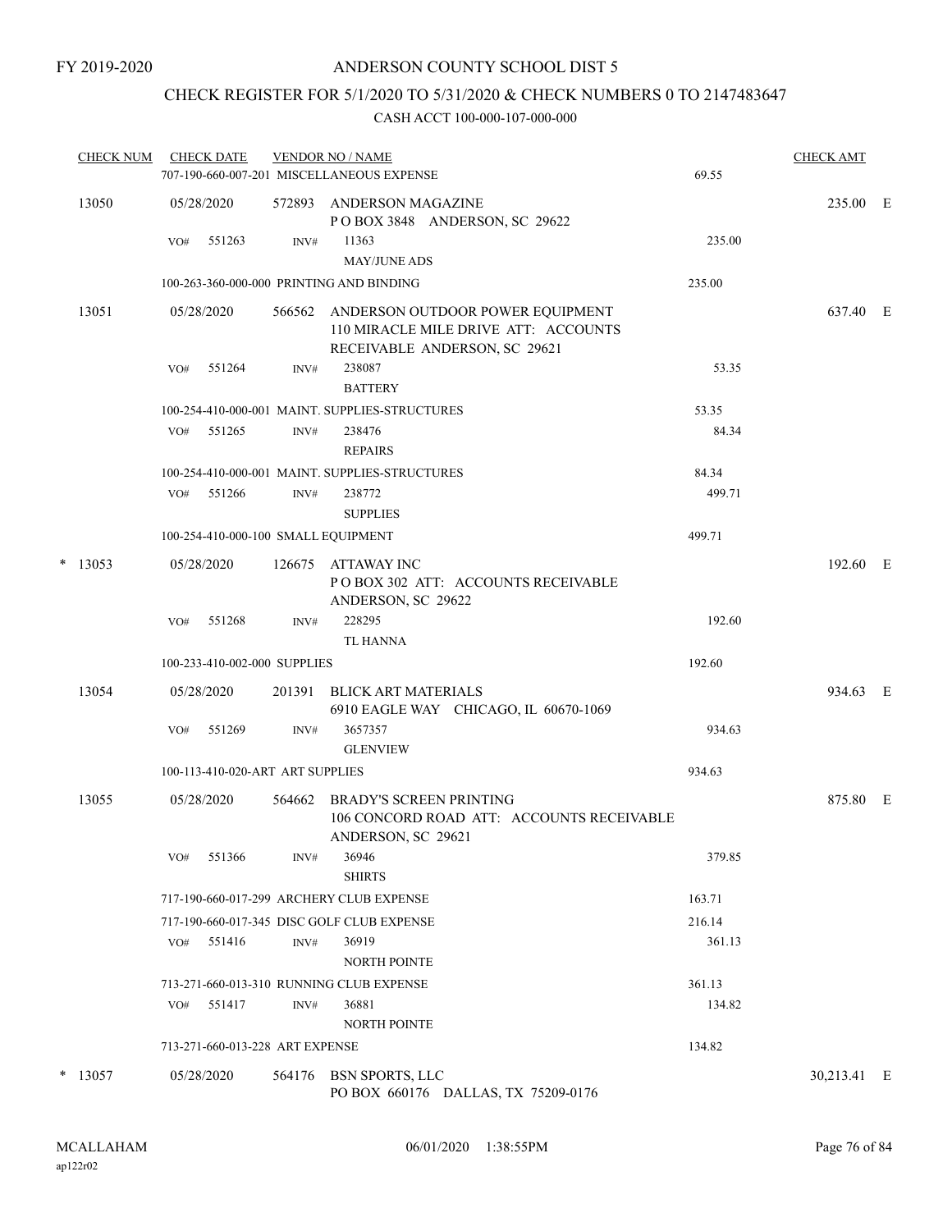# CHECK REGISTER FOR 5/1/2020 TO 5/31/2020 & CHECK NUMBERS 0 TO 2147483647

|   | <b>CHECK NUM</b> |     | <b>CHECK DATE</b>                |        | <b>VENDOR NO / NAME</b><br>707-190-660-007-201 MISCELLANEOUS EXPENSE                                             | 69.55  | <b>CHECK AMT</b> |  |
|---|------------------|-----|----------------------------------|--------|------------------------------------------------------------------------------------------------------------------|--------|------------------|--|
|   | 13050            |     | 05/28/2020                       | 572893 | ANDERSON MAGAZINE<br>POBOX 3848 ANDERSON, SC 29622                                                               |        | 235.00 E         |  |
|   |                  | VO# | 551263                           | INV#   | 11363<br><b>MAY/JUNE ADS</b>                                                                                     | 235.00 |                  |  |
|   |                  |     |                                  |        | 100-263-360-000-000 PRINTING AND BINDING                                                                         | 235.00 |                  |  |
|   | 13051            |     | 05/28/2020                       |        | 566562 ANDERSON OUTDOOR POWER EQUIPMENT<br>110 MIRACLE MILE DRIVE ATT: ACCOUNTS<br>RECEIVABLE ANDERSON, SC 29621 |        | 637.40 E         |  |
|   |                  | VO# | 551264                           | INV#   | 238087<br><b>BATTERY</b>                                                                                         | 53.35  |                  |  |
|   |                  |     |                                  |        | 100-254-410-000-001 MAINT. SUPPLIES-STRUCTURES                                                                   | 53.35  |                  |  |
|   |                  | VO# | 551265                           | INV#   | 238476<br><b>REPAIRS</b>                                                                                         | 84.34  |                  |  |
|   |                  |     |                                  |        | 100-254-410-000-001 MAINT. SUPPLIES-STRUCTURES                                                                   | 84.34  |                  |  |
|   |                  | VO# | 551266                           | INV#   | 238772<br><b>SUPPLIES</b>                                                                                        | 499.71 |                  |  |
|   |                  |     |                                  |        | 100-254-410-000-100 SMALL EQUIPMENT                                                                              | 499.71 |                  |  |
| * | 13053            |     | 05/28/2020                       | 126675 | ATTAWAY INC<br>POBOX 302 ATT: ACCOUNTS RECEIVABLE<br>ANDERSON, SC 29622                                          |        | 192.60 E         |  |
|   |                  | VO# | 551268                           | INV#   | 228295<br>TL HANNA                                                                                               | 192.60 |                  |  |
|   |                  |     | 100-233-410-002-000 SUPPLIES     |        |                                                                                                                  | 192.60 |                  |  |
|   | 13054            |     | 05/28/2020                       |        | 201391 BLICK ART MATERIALS<br>6910 EAGLE WAY CHICAGO, IL 60670-1069                                              |        | 934.63 E         |  |
|   |                  | VO# | 551269                           | INV#   | 3657357<br><b>GLENVIEW</b>                                                                                       | 934.63 |                  |  |
|   |                  |     | 100-113-410-020-ART ART SUPPLIES |        |                                                                                                                  | 934.63 |                  |  |
|   | 13055            |     | 05/28/2020                       | 564662 | BRADY'S SCREEN PRINTING<br>106 CONCORD ROAD ATT: ACCOUNTS RECEIVABLE<br>ANDERSON, SC 29621                       |        | 875.80 E         |  |
|   |                  | VO# | 551366                           | INV#   | 36946<br><b>SHIRTS</b>                                                                                           | 379.85 |                  |  |
|   |                  |     |                                  |        | 717-190-660-017-299 ARCHERY CLUB EXPENSE                                                                         | 163.71 |                  |  |
|   |                  |     |                                  |        | 717-190-660-017-345 DISC GOLF CLUB EXPENSE                                                                       | 216.14 |                  |  |
|   |                  | VO# | 551416                           | INV#   | 36919<br><b>NORTH POINTE</b>                                                                                     | 361.13 |                  |  |
|   |                  |     |                                  |        | 713-271-660-013-310 RUNNING CLUB EXPENSE                                                                         | 361.13 |                  |  |
|   |                  | VO# | 551417                           | INV#   | 36881<br><b>NORTH POINTE</b>                                                                                     | 134.82 |                  |  |
|   |                  |     | 713-271-660-013-228 ART EXPENSE  |        |                                                                                                                  | 134.82 |                  |  |
|   | $*$ 13057        |     | 05/28/2020                       |        | 564176 BSN SPORTS, LLC<br>PO BOX 660176 DALLAS, TX 75209-0176                                                    |        | 30,213.41 E      |  |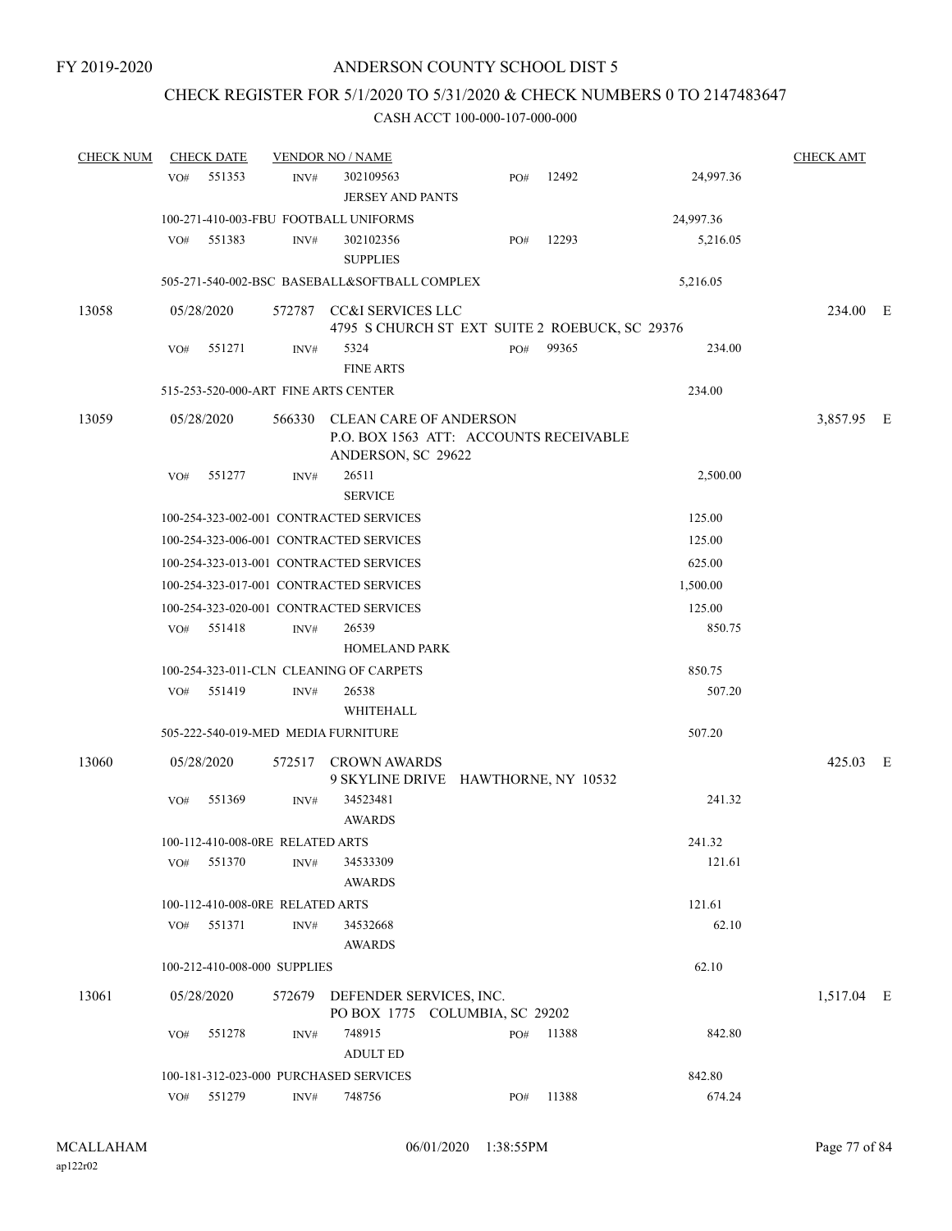### CHECK REGISTER FOR 5/1/2020 TO 5/31/2020 & CHECK NUMBERS 0 TO 2147483647

| <b>CHECK NUM</b> | <b>CHECK DATE</b>                      |                  | <b>VENDOR NO / NAME</b>                                                                       |     |       |           | <b>CHECK AMT</b> |  |
|------------------|----------------------------------------|------------------|-----------------------------------------------------------------------------------------------|-----|-------|-----------|------------------|--|
|                  | 551353<br>VO#                          | INV#             | 302109563<br><b>JERSEY AND PANTS</b>                                                          | PO# | 12492 | 24,997.36 |                  |  |
|                  | 100-271-410-003-FBU FOOTBALL UNIFORMS  |                  |                                                                                               |     |       | 24,997.36 |                  |  |
|                  | 551383<br>VO#                          | INV#             | 302102356<br><b>SUPPLIES</b>                                                                  | PO# | 12293 | 5,216.05  |                  |  |
|                  |                                        |                  | 505-271-540-002-BSC BASEBALL&SOFTBALL COMPLEX                                                 |     |       | 5,216.05  |                  |  |
| 13058            | 05/28/2020                             |                  | 572787 CC&I SERVICES LLC<br>4795 S CHURCH ST EXT SUITE 2 ROEBUCK, SC 29376                    |     |       |           | 234.00 E         |  |
|                  | 551271<br>VO#                          | INV#             | 5324<br><b>FINE ARTS</b>                                                                      | PO# | 99365 | 234.00    |                  |  |
|                  | 515-253-520-000-ART FINE ARTS CENTER   |                  |                                                                                               |     |       | 234.00    |                  |  |
| 13059            | 05/28/2020                             |                  | 566330 CLEAN CARE OF ANDERSON<br>P.O. BOX 1563 ATT: ACCOUNTS RECEIVABLE<br>ANDERSON, SC 29622 |     |       |           | 3,857.95 E       |  |
|                  | 551277<br>VO#                          | INV#             | 26511<br><b>SERVICE</b>                                                                       |     |       | 2,500.00  |                  |  |
|                  |                                        |                  | 100-254-323-002-001 CONTRACTED SERVICES                                                       |     |       | 125.00    |                  |  |
|                  |                                        |                  | 100-254-323-006-001 CONTRACTED SERVICES                                                       |     |       | 125.00    |                  |  |
|                  |                                        |                  | 100-254-323-013-001 CONTRACTED SERVICES                                                       |     |       | 625.00    |                  |  |
|                  |                                        |                  | 100-254-323-017-001 CONTRACTED SERVICES                                                       |     |       | 1,500.00  |                  |  |
|                  |                                        |                  | 100-254-323-020-001 CONTRACTED SERVICES                                                       |     |       | 125.00    |                  |  |
|                  | 551418<br>VO#                          | INV#             | 26539<br><b>HOMELAND PARK</b>                                                                 |     |       | 850.75    |                  |  |
|                  |                                        |                  | 100-254-323-011-CLN CLEANING OF CARPETS                                                       |     |       | 850.75    |                  |  |
|                  | 551419<br>VO#                          | INV#             | 26538<br>WHITEHALL                                                                            |     |       | 507.20    |                  |  |
|                  | 505-222-540-019-MED MEDIA FURNITURE    |                  |                                                                                               |     |       | 507.20    |                  |  |
| 13060            | 05/28/2020                             | 572517           | <b>CROWN AWARDS</b><br>9 SKYLINE DRIVE HAWTHORNE, NY 10532                                    |     |       |           | 425.03 E         |  |
|                  | 551369<br>VO#                          | INV#             | 34523481<br><b>AWARDS</b>                                                                     |     |       | 241.32    |                  |  |
|                  | 100-112-410-008-0RE RELATED ARTS       |                  |                                                                                               |     |       | 241.32    |                  |  |
|                  | 551370<br>VO#                          | INV#             | 34533309<br><b>AWARDS</b>                                                                     |     |       | 121.61    |                  |  |
|                  | 100-112-410-008-0RE RELATED ARTS       |                  |                                                                                               |     |       | 121.61    |                  |  |
|                  | 551371<br>VO#                          | INV#             | 34532668<br><b>AWARDS</b>                                                                     |     |       | 62.10     |                  |  |
|                  | 100-212-410-008-000 SUPPLIES           |                  |                                                                                               |     |       | 62.10     |                  |  |
| 13061            | 05/28/2020                             |                  | 572679 DEFENDER SERVICES, INC.<br>PO BOX 1775 COLUMBIA, SC 29202                              |     |       |           | 1,517.04 E       |  |
|                  | 551278<br>VO#                          | INV#             | 748915<br><b>ADULT ED</b>                                                                     | PO# | 11388 | 842.80    |                  |  |
|                  | 100-181-312-023-000 PURCHASED SERVICES |                  |                                                                                               |     |       | 842.80    |                  |  |
|                  | 551279<br>VO#                          | $\mathrm{INV}\#$ | 748756                                                                                        | PO# | 11388 | 674.24    |                  |  |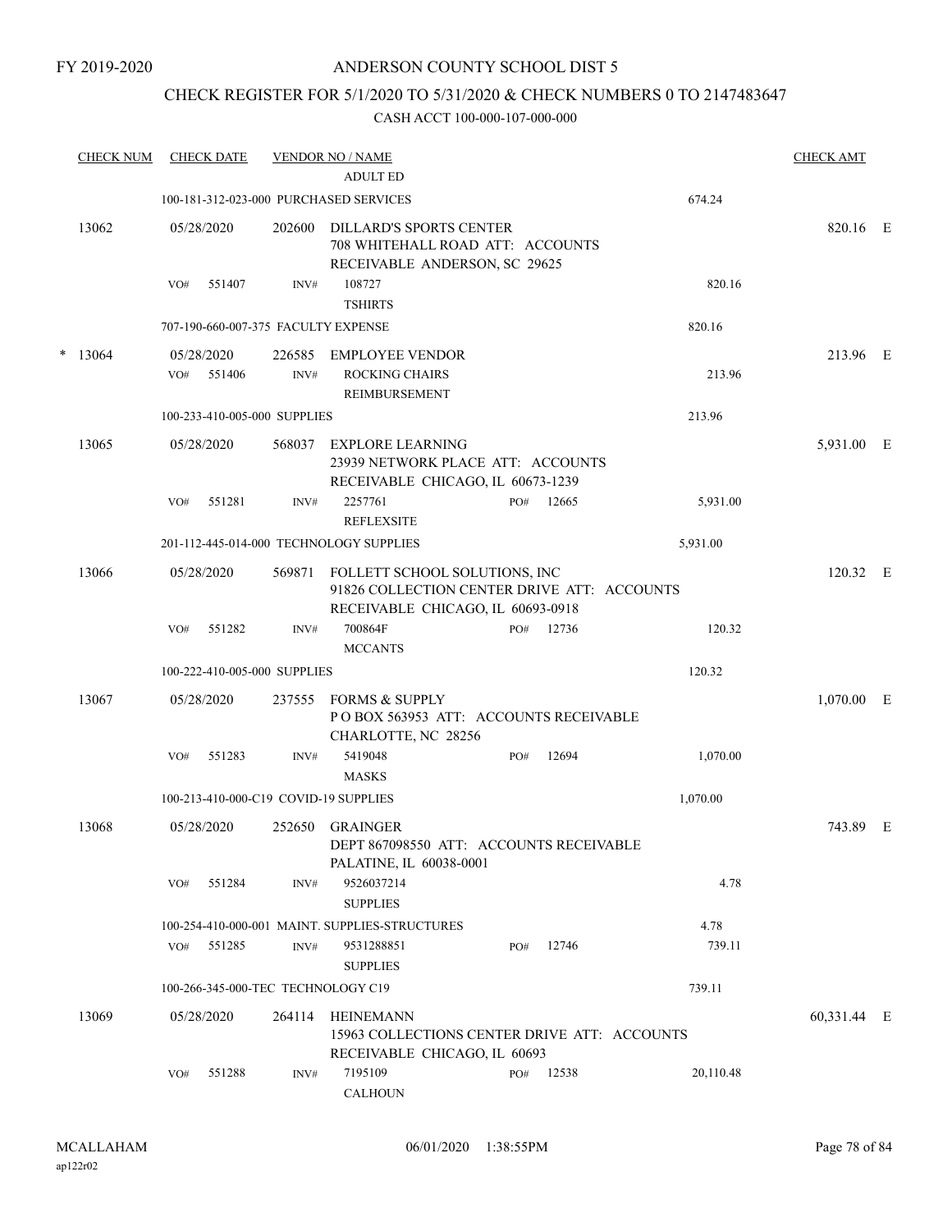#### FY 2019-2020

### ANDERSON COUNTY SCHOOL DIST 5

# CHECK REGISTER FOR 5/1/2020 TO 5/31/2020 & CHECK NUMBERS 0 TO 2147483647

|        | <b>CHECK NUM</b> |     | <b>CHECK DATE</b> |                                     | <b>VENDOR NO / NAME</b>                                                                                           |     |       |           | <b>CHECK AMT</b> |  |
|--------|------------------|-----|-------------------|-------------------------------------|-------------------------------------------------------------------------------------------------------------------|-----|-------|-----------|------------------|--|
|        |                  |     |                   |                                     | <b>ADULT ED</b>                                                                                                   |     |       |           |                  |  |
|        |                  |     |                   |                                     | 100-181-312-023-000 PURCHASED SERVICES                                                                            |     |       | 674.24    |                  |  |
|        | 13062            |     | 05/28/2020        | 202600                              | <b>DILLARD'S SPORTS CENTER</b><br>708 WHITEHALL ROAD ATT: ACCOUNTS<br>RECEIVABLE ANDERSON, SC 29625               |     |       |           | 820.16 E         |  |
|        |                  | VO# | 551407            | INV#                                | 108727<br><b>TSHIRTS</b>                                                                                          |     |       | 820.16    |                  |  |
|        |                  |     |                   | 707-190-660-007-375 FACULTY EXPENSE |                                                                                                                   |     |       | 820.16    |                  |  |
| $\ast$ | 13064            |     | 05/28/2020        | 226585                              | <b>EMPLOYEE VENDOR</b>                                                                                            |     |       |           | 213.96 E         |  |
|        |                  | VO# | 551406            | INV#                                | <b>ROCKING CHAIRS</b><br><b>REIMBURSEMENT</b>                                                                     |     |       | 213.96    |                  |  |
|        |                  |     |                   | 100-233-410-005-000 SUPPLIES        |                                                                                                                   |     |       | 213.96    |                  |  |
|        | 13065            |     | 05/28/2020        | 568037                              | <b>EXPLORE LEARNING</b><br>23939 NETWORK PLACE ATT: ACCOUNTS<br>RECEIVABLE CHICAGO, IL 60673-1239                 |     |       |           | 5,931.00 E       |  |
|        |                  | VO# | 551281            | INV#                                | 2257761<br><b>REFLEXSITE</b>                                                                                      | PO# | 12665 | 5,931.00  |                  |  |
|        |                  |     |                   |                                     | 201-112-445-014-000 TECHNOLOGY SUPPLIES                                                                           |     |       | 5,931.00  |                  |  |
|        | 13066            |     | 05/28/2020        | 569871                              | FOLLETT SCHOOL SOLUTIONS, INC<br>91826 COLLECTION CENTER DRIVE ATT: ACCOUNTS<br>RECEIVABLE CHICAGO, IL 60693-0918 |     |       |           | 120.32 E         |  |
|        |                  | VO# | 551282            | INV#                                | 700864F<br><b>MCCANTS</b>                                                                                         | PO# | 12736 | 120.32    |                  |  |
|        |                  |     |                   | 100-222-410-005-000 SUPPLIES        |                                                                                                                   |     |       | 120.32    |                  |  |
|        | 13067            |     | 05/28/2020        | 237555                              | FORMS & SUPPLY<br>POBOX 563953 ATT: ACCOUNTS RECEIVABLE<br>CHARLOTTE, NC 28256                                    |     |       |           | $1,070.00$ E     |  |
|        |                  | VO# | 551283            | INV#                                | 5419048<br><b>MASKS</b>                                                                                           | PO# | 12694 | 1,070.00  |                  |  |
|        |                  |     |                   |                                     | 100-213-410-000-C19 COVID-19 SUPPLIES                                                                             |     |       | 1,070.00  |                  |  |
|        | 13068            |     | 05/28/2020        | 252650                              | GRAINGER<br>DEPT 867098550 ATT: ACCOUNTS RECEIVABLE<br>PALATINE, IL 60038-0001                                    |     |       |           | 743.89 E         |  |
|        |                  | VO# | 551284            | INV#                                | 9526037214<br><b>SUPPLIES</b>                                                                                     |     |       | 4.78      |                  |  |
|        |                  |     |                   |                                     | 100-254-410-000-001 MAINT. SUPPLIES-STRUCTURES                                                                    |     |       | 4.78      |                  |  |
|        |                  | VO# | 551285            | $\text{INV}\#$                      | 9531288851<br><b>SUPPLIES</b>                                                                                     | PO# | 12746 | 739.11    |                  |  |
|        |                  |     |                   | 100-266-345-000-TEC TECHNOLOGY C19  |                                                                                                                   |     |       | 739.11    |                  |  |
|        | 13069            |     | 05/28/2020        | 264114                              | <b>HEINEMANN</b><br>15963 COLLECTIONS CENTER DRIVE ATT: ACCOUNTS<br>RECEIVABLE CHICAGO, IL 60693                  |     |       |           | 60,331.44 E      |  |
|        |                  | VO# | 551288            | INV#                                | 7195109<br><b>CALHOUN</b>                                                                                         | PO# | 12538 | 20,110.48 |                  |  |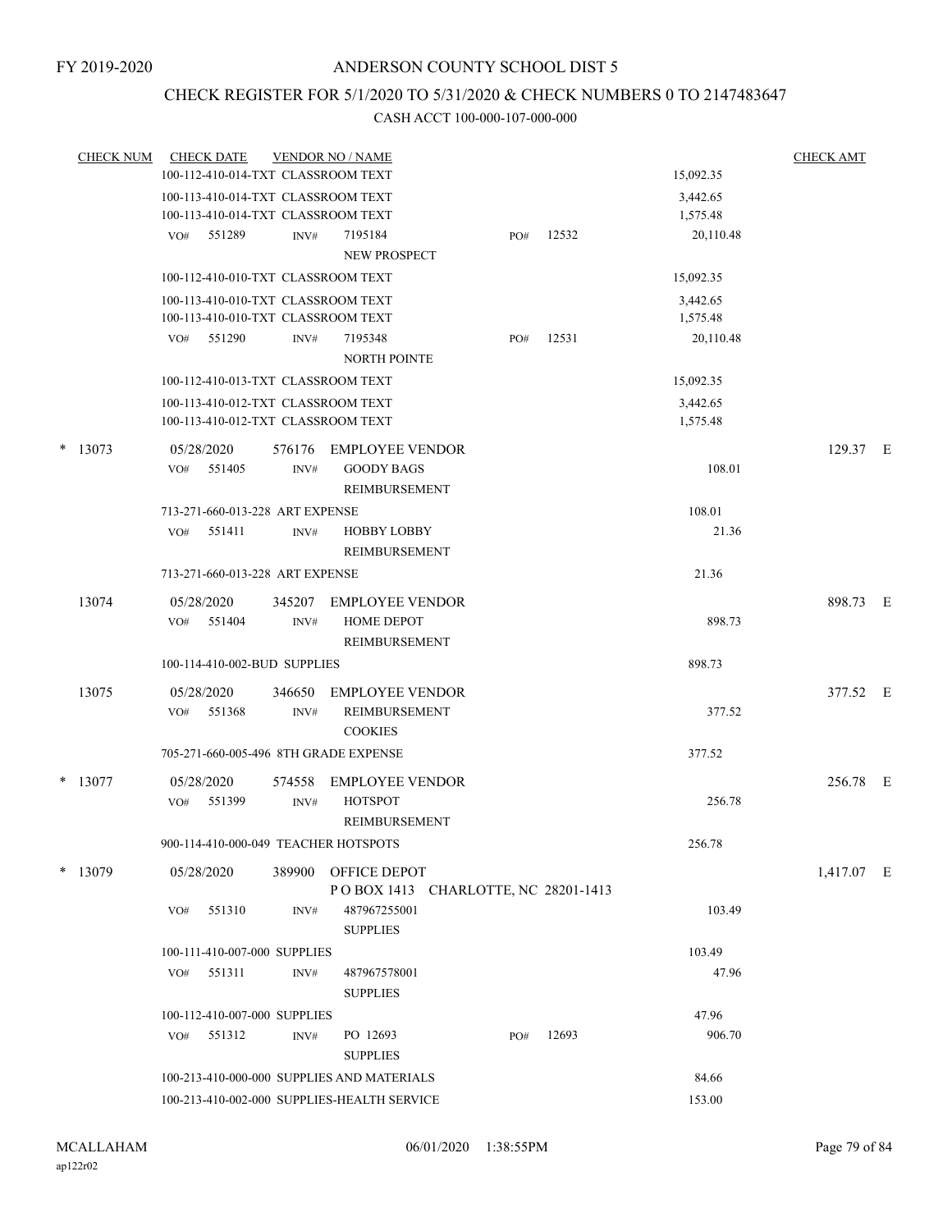# CHECK REGISTER FOR 5/1/2020 TO 5/31/2020 & CHECK NUMBERS 0 TO 2147483647

|   | <b>CHECK NUM</b>                           |     | <b>CHECK DATE</b>                           |                                 | <b>VENDOR NO / NAME</b>                                                  |  |       |        |                      | <b>CHECK AMT</b> |  |
|---|--------------------------------------------|-----|---------------------------------------------|---------------------------------|--------------------------------------------------------------------------|--|-------|--------|----------------------|------------------|--|
|   |                                            |     |                                             |                                 | 100-112-410-014-TXT CLASSROOM TEXT                                       |  |       |        | 15,092.35            |                  |  |
|   |                                            |     |                                             |                                 | 100-113-410-014-TXT CLASSROOM TEXT<br>100-113-410-014-TXT CLASSROOM TEXT |  |       |        | 3,442.65<br>1,575.48 |                  |  |
|   |                                            |     | $VO#$ 551289                                | INV#                            | 7195184<br><b>NEW PROSPECT</b>                                           |  | PO#   | 12532  | 20,110.48            |                  |  |
|   |                                            |     |                                             |                                 | 100-112-410-010-TXT CLASSROOM TEXT                                       |  |       |        | 15,092.35            |                  |  |
|   |                                            |     |                                             |                                 | 100-113-410-010-TXT CLASSROOM TEXT<br>100-113-410-010-TXT CLASSROOM TEXT |  |       |        | 3,442.65<br>1,575.48 |                  |  |
|   |                                            |     | VO# 551290                                  | INV#                            | 7195348<br><b>NORTH POINTE</b>                                           |  | PO#   | 12531  | 20,110.48            |                  |  |
|   |                                            |     |                                             |                                 | 100-112-410-013-TXT CLASSROOM TEXT                                       |  |       |        | 15,092.35            |                  |  |
|   |                                            |     |                                             |                                 | 100-113-410-012-TXT CLASSROOM TEXT<br>100-113-410-012-TXT CLASSROOM TEXT |  |       |        | 3,442.65<br>1,575.48 |                  |  |
| * | 13073                                      |     | 05/28/2020                                  |                                 | 576176 EMPLOYEE VENDOR                                                   |  |       |        |                      | 129.37 E         |  |
|   |                                            |     | VO# 551405                                  | INV#                            | <b>GOODY BAGS</b><br>REIMBURSEMENT                                       |  |       |        | 108.01               |                  |  |
|   |                                            |     |                                             | 713-271-660-013-228 ART EXPENSE |                                                                          |  |       |        | 108.01               |                  |  |
|   |                                            | VO# | 551411                                      | INV#                            | <b>HOBBY LOBBY</b><br>REIMBURSEMENT                                      |  |       |        | 21.36                |                  |  |
|   |                                            |     |                                             | 713-271-660-013-228 ART EXPENSE |                                                                          |  |       |        | 21.36                |                  |  |
|   | 13074                                      |     | 05/28/2020<br>VO# 551404                    | 345207<br>INV#                  | EMPLOYEE VENDOR<br>HOME DEPOT                                            |  |       |        | 898.73               | 898.73 E         |  |
|   |                                            |     |                                             |                                 | REIMBURSEMENT                                                            |  |       |        |                      |                  |  |
|   |                                            |     |                                             | 100-114-410-002-BUD SUPPLIES    |                                                                          |  |       |        | 898.73               |                  |  |
|   | 13075                                      |     | 05/28/2020<br>VO# 551368                    | 346650<br>INV#                  | <b>EMPLOYEE VENDOR</b><br>REIMBURSEMENT<br><b>COOKIES</b>                |  |       |        | 377.52               | 377.52 E         |  |
|   |                                            |     |                                             |                                 | 705-271-660-005-496 8TH GRADE EXPENSE                                    |  |       |        | 377.52               |                  |  |
|   | $*$ 13077                                  |     | 05/28/2020                                  | 574558                          | <b>EMPLOYEE VENDOR</b>                                                   |  |       |        |                      | 256.78 E         |  |
|   |                                            | VO# | 551399                                      | INV#                            | <b>HOTSPOT</b><br><b>REIMBURSEMENT</b>                                   |  |       |        | 256.78               |                  |  |
|   |                                            |     |                                             |                                 | 900-114-410-000-049 TEACHER HOTSPOTS                                     |  |       |        | 256.78               |                  |  |
|   | $*$ 13079                                  |     | 05/28/2020                                  | 389900                          | OFFICE DEPOT<br>POBOX 1413 CHARLOTTE, NC 28201-1413                      |  |       |        |                      | 1,417.07 E       |  |
|   |                                            | VO# | 551310                                      | INV#                            | 487967255001<br><b>SUPPLIES</b>                                          |  |       |        | 103.49               |                  |  |
|   |                                            |     |                                             | 100-111-410-007-000 SUPPLIES    |                                                                          |  |       |        | 103.49               |                  |  |
|   |                                            | VO# | 551311                                      | INV#                            | 487967578001<br><b>SUPPLIES</b>                                          |  |       |        | 47.96                |                  |  |
|   |                                            |     |                                             | 100-112-410-007-000 SUPPLIES    |                                                                          |  |       |        | 47.96                |                  |  |
|   |                                            | VO# | 551312                                      | INV#                            | PO 12693<br><b>SUPPLIES</b>                                              |  | PO#   | 12693  | 906.70               |                  |  |
|   | 100-213-410-000-000 SUPPLIES AND MATERIALS |     |                                             |                                 |                                                                          |  | 84.66 |        |                      |                  |  |
|   |                                            |     | 100-213-410-002-000 SUPPLIES-HEALTH SERVICE |                                 |                                                                          |  |       | 153.00 |                      |                  |  |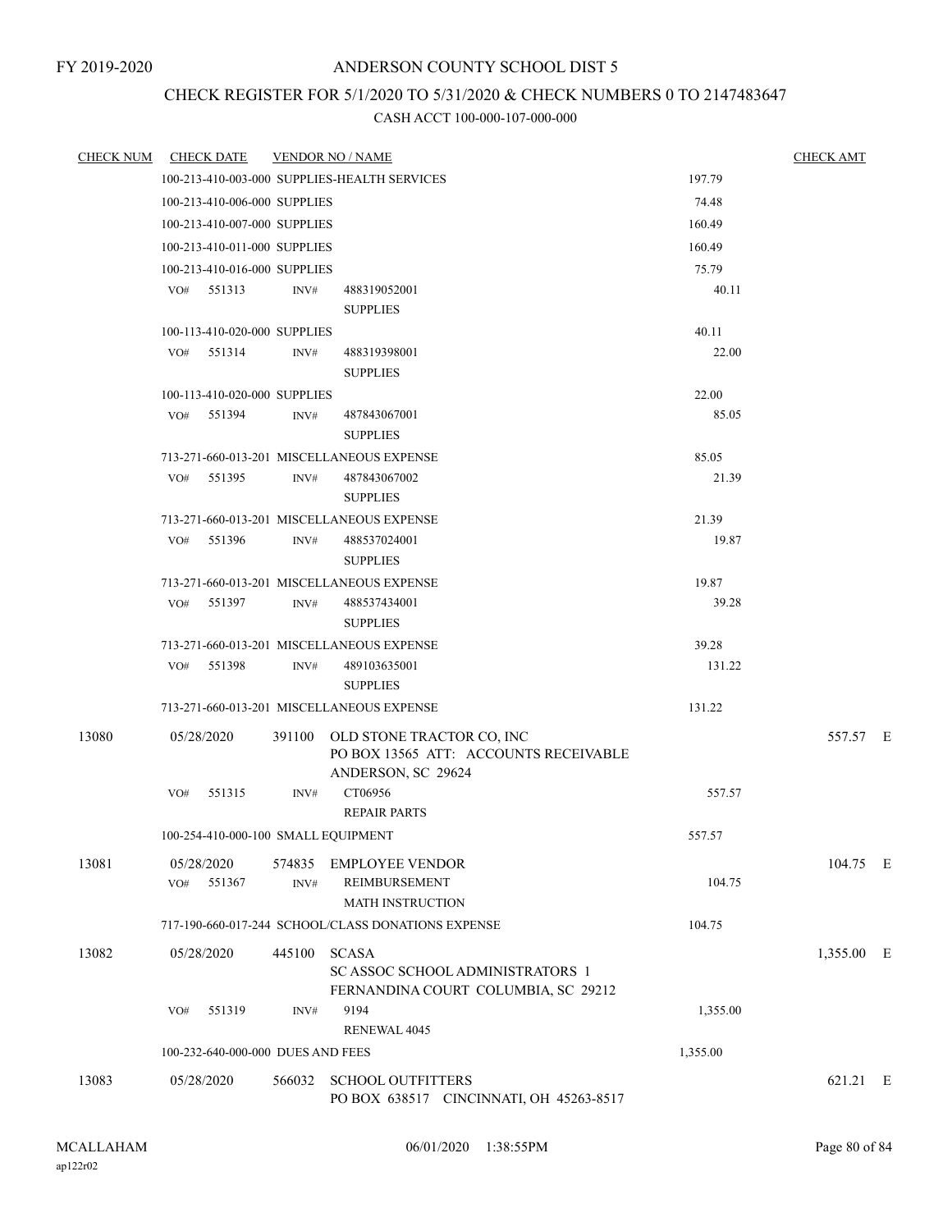# CHECK REGISTER FOR 5/1/2020 TO 5/31/2020 & CHECK NUMBERS 0 TO 2147483647

| <b>CHECK NUM</b> | <b>CHECK DATE</b>                   |        | <b>VENDOR NO / NAME</b>                            |          | <b>CHECK AMT</b> |  |
|------------------|-------------------------------------|--------|----------------------------------------------------|----------|------------------|--|
|                  |                                     |        | 100-213-410-003-000 SUPPLIES-HEALTH SERVICES       | 197.79   |                  |  |
|                  | 100-213-410-006-000 SUPPLIES        |        |                                                    | 74.48    |                  |  |
|                  | 100-213-410-007-000 SUPPLIES        |        |                                                    | 160.49   |                  |  |
|                  | 100-213-410-011-000 SUPPLIES        |        |                                                    | 160.49   |                  |  |
|                  | 100-213-410-016-000 SUPPLIES        |        |                                                    | 75.79    |                  |  |
|                  | 551313<br>VO#                       | INV#   | 488319052001                                       | 40.11    |                  |  |
|                  |                                     |        | <b>SUPPLIES</b>                                    |          |                  |  |
|                  | 100-113-410-020-000 SUPPLIES        |        |                                                    | 40.11    |                  |  |
|                  | VO#<br>551314                       | INV#   | 488319398001                                       | 22.00    |                  |  |
|                  |                                     |        | <b>SUPPLIES</b>                                    |          |                  |  |
|                  | 100-113-410-020-000 SUPPLIES        |        |                                                    | 22.00    |                  |  |
|                  | $VO#$ 551394                        | INV#   | 487843067001<br><b>SUPPLIES</b>                    | 85.05    |                  |  |
|                  |                                     |        | 713-271-660-013-201 MISCELLANEOUS EXPENSE          | 85.05    |                  |  |
|                  | 551395<br>VO#                       | INV#   | 487843067002                                       | 21.39    |                  |  |
|                  |                                     |        | <b>SUPPLIES</b>                                    |          |                  |  |
|                  |                                     |        | 713-271-660-013-201 MISCELLANEOUS EXPENSE          | 21.39    |                  |  |
|                  | 551396<br>VO#                       | INV#   | 488537024001                                       | 19.87    |                  |  |
|                  |                                     |        | <b>SUPPLIES</b>                                    |          |                  |  |
|                  |                                     |        | 713-271-660-013-201 MISCELLANEOUS EXPENSE          | 19.87    |                  |  |
|                  | VO# 551397                          | INV#   | 488537434001<br><b>SUPPLIES</b>                    | 39.28    |                  |  |
|                  |                                     |        | 713-271-660-013-201 MISCELLANEOUS EXPENSE          | 39.28    |                  |  |
|                  | VO# 551398                          | INV#   | 489103635001                                       | 131.22   |                  |  |
|                  |                                     |        | <b>SUPPLIES</b>                                    |          |                  |  |
|                  |                                     |        | 713-271-660-013-201 MISCELLANEOUS EXPENSE          | 131.22   |                  |  |
| 13080            | 05/28/2020                          |        | 391100 OLD STONE TRACTOR CO, INC                   |          | 557.57 E         |  |
|                  |                                     |        | PO BOX 13565 ATT: ACCOUNTS RECEIVABLE              |          |                  |  |
|                  | VO#<br>551315                       | INV#   | ANDERSON, SC 29624<br>CT06956                      | 557.57   |                  |  |
|                  |                                     |        | <b>REPAIR PARTS</b>                                |          |                  |  |
|                  | 100-254-410-000-100 SMALL EQUIPMENT |        |                                                    | 557.57   |                  |  |
|                  |                                     |        |                                                    |          |                  |  |
| 13081            | 05/28/2020                          |        | 574835 EMPLOYEE VENDOR                             |          | 104.75 E         |  |
|                  | 551367<br>VO#                       | INV#   | REIMBURSEMENT<br><b>MATH INSTRUCTION</b>           | 104.75   |                  |  |
|                  |                                     |        | 717-190-660-017-244 SCHOOL/CLASS DONATIONS EXPENSE | 104.75   |                  |  |
|                  |                                     |        |                                                    |          |                  |  |
| 13082            | 05/28/2020                          | 445100 | <b>SCASA</b><br>SC ASSOC SCHOOL ADMINISTRATORS 1   |          | 1,355.00 E       |  |
|                  |                                     |        | FERNANDINA COURT COLUMBIA, SC 29212                |          |                  |  |
|                  | 551319<br>VO#                       | INV#   | 9194                                               | 1,355.00 |                  |  |
|                  |                                     |        | <b>RENEWAL 4045</b>                                |          |                  |  |
|                  | 100-232-640-000-000 DUES AND FEES   |        |                                                    | 1,355.00 |                  |  |
| 13083            | 05/28/2020                          | 566032 | <b>SCHOOL OUTFITTERS</b>                           |          | 621.21 E         |  |
|                  |                                     |        | PO BOX 638517 CINCINNATI, OH 45263-8517            |          |                  |  |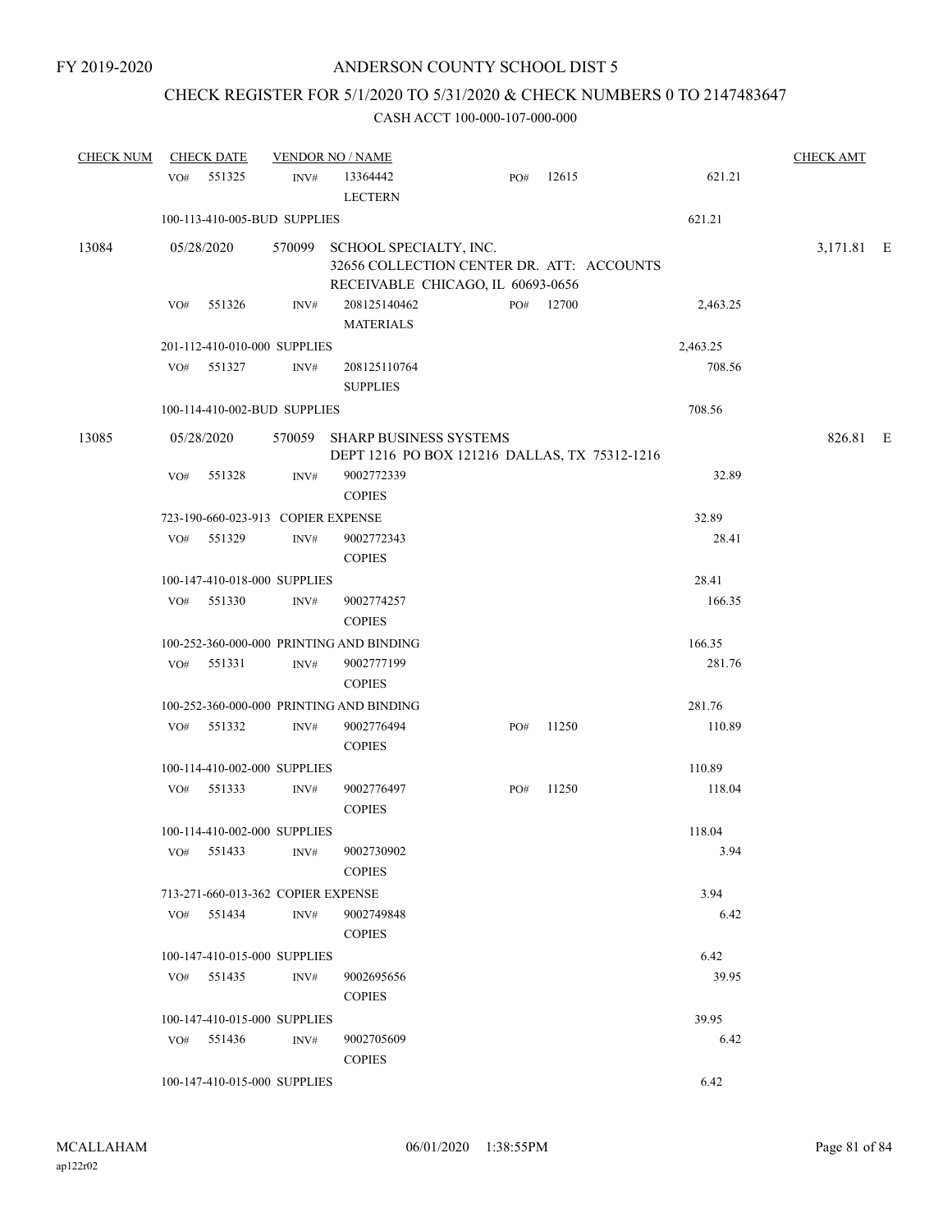# CHECK REGISTER FOR 5/1/2020 TO 5/31/2020 & CHECK NUMBERS 0 TO 2147483647

#### CASH ACCT 100-000-107-000-000

| <b>CHECK NUM</b> |            | <b>CHECK DATE</b>                  |                  | <b>VENDOR NO / NAME</b>                                                                                         |     |       |  |          |            |  |
|------------------|------------|------------------------------------|------------------|-----------------------------------------------------------------------------------------------------------------|-----|-------|--|----------|------------|--|
|                  | VO#        | 551325                             | INV#             | 13364442<br><b>LECTERN</b>                                                                                      | PO# | 12615 |  | 621.21   |            |  |
|                  |            | 100-113-410-005-BUD SUPPLIES       |                  |                                                                                                                 |     |       |  | 621.21   |            |  |
| 13084            | 05/28/2020 |                                    |                  | 570099 SCHOOL SPECIALTY, INC.<br>32656 COLLECTION CENTER DR. ATT: ACCOUNTS<br>RECEIVABLE CHICAGO, IL 60693-0656 |     |       |  |          | 3,171.81 E |  |
|                  | VO#        | 551326                             | INV#             | 208125140462<br><b>MATERIALS</b>                                                                                | PO# | 12700 |  | 2,463.25 |            |  |
|                  |            | 201-112-410-010-000 SUPPLIES       |                  |                                                                                                                 |     |       |  | 2,463.25 |            |  |
|                  | VO#        | 551327                             | INV#             | 208125110764<br><b>SUPPLIES</b>                                                                                 |     |       |  | 708.56   |            |  |
|                  |            | 100-114-410-002-BUD SUPPLIES       |                  |                                                                                                                 |     |       |  | 708.56   |            |  |
| 13085            | 05/28/2020 |                                    |                  | 570059 SHARP BUSINESS SYSTEMS<br>DEPT 1216 PO BOX 121216 DALLAS, TX 75312-1216                                  |     |       |  |          | 826.81 E   |  |
|                  | VO#        | 551328                             | INV#             | 9002772339<br><b>COPIES</b>                                                                                     |     |       |  | 32.89    |            |  |
|                  |            | 723-190-660-023-913 COPIER EXPENSE |                  |                                                                                                                 |     |       |  | 32.89    |            |  |
|                  | VO#        | 551329                             | $\mathrm{INV}\#$ | 9002772343<br><b>COPIES</b>                                                                                     |     |       |  | 28.41    |            |  |
|                  |            | 100-147-410-018-000 SUPPLIES       |                  |                                                                                                                 |     |       |  | 28.41    |            |  |
|                  | VO#        | 551330                             | INV#             | 9002774257<br><b>COPIES</b>                                                                                     |     |       |  | 166.35   |            |  |
|                  |            |                                    |                  | 100-252-360-000-000 PRINTING AND BINDING                                                                        |     |       |  | 166.35   |            |  |
|                  | VO#        | 551331                             | INV#             | 9002777199<br><b>COPIES</b>                                                                                     |     |       |  | 281.76   |            |  |
|                  |            |                                    |                  | 100-252-360-000-000 PRINTING AND BINDING                                                                        |     |       |  | 281.76   |            |  |
|                  | VO#        | 551332                             | INV#             | 9002776494<br><b>COPIES</b>                                                                                     | PO# | 11250 |  | 110.89   |            |  |
|                  |            | 100-114-410-002-000 SUPPLIES       |                  |                                                                                                                 |     |       |  | 110.89   |            |  |
|                  | VO#        | 551333                             | INV#             | 9002776497<br><b>COPIES</b>                                                                                     | PO# | 11250 |  | 118.04   |            |  |
|                  |            | 100-114-410-002-000 SUPPLIES       |                  |                                                                                                                 |     |       |  | 118.04   |            |  |
|                  |            | VO# 551433                         | INV#             | 9002730902<br><b>COPIES</b>                                                                                     |     |       |  | 3.94     |            |  |
|                  |            | 713-271-660-013-362 COPIER EXPENSE |                  |                                                                                                                 |     |       |  | 3.94     |            |  |
|                  |            | VO# 551434                         | INV#             | 9002749848<br><b>COPIES</b>                                                                                     |     |       |  | 6.42     |            |  |
|                  |            | 100-147-410-015-000 SUPPLIES       |                  |                                                                                                                 |     |       |  | 6.42     |            |  |
|                  |            | VO# 551435                         | INV#             | 9002695656<br><b>COPIES</b>                                                                                     |     |       |  | 39.95    |            |  |
|                  |            | 100-147-410-015-000 SUPPLIES       |                  |                                                                                                                 |     |       |  | 39.95    |            |  |
|                  |            | VO# 551436                         | INV#             | 9002705609<br><b>COPIES</b>                                                                                     |     |       |  | 6.42     |            |  |
|                  |            | 100-147-410-015-000 SUPPLIES       |                  |                                                                                                                 |     |       |  | 6.42     |            |  |

ap122r02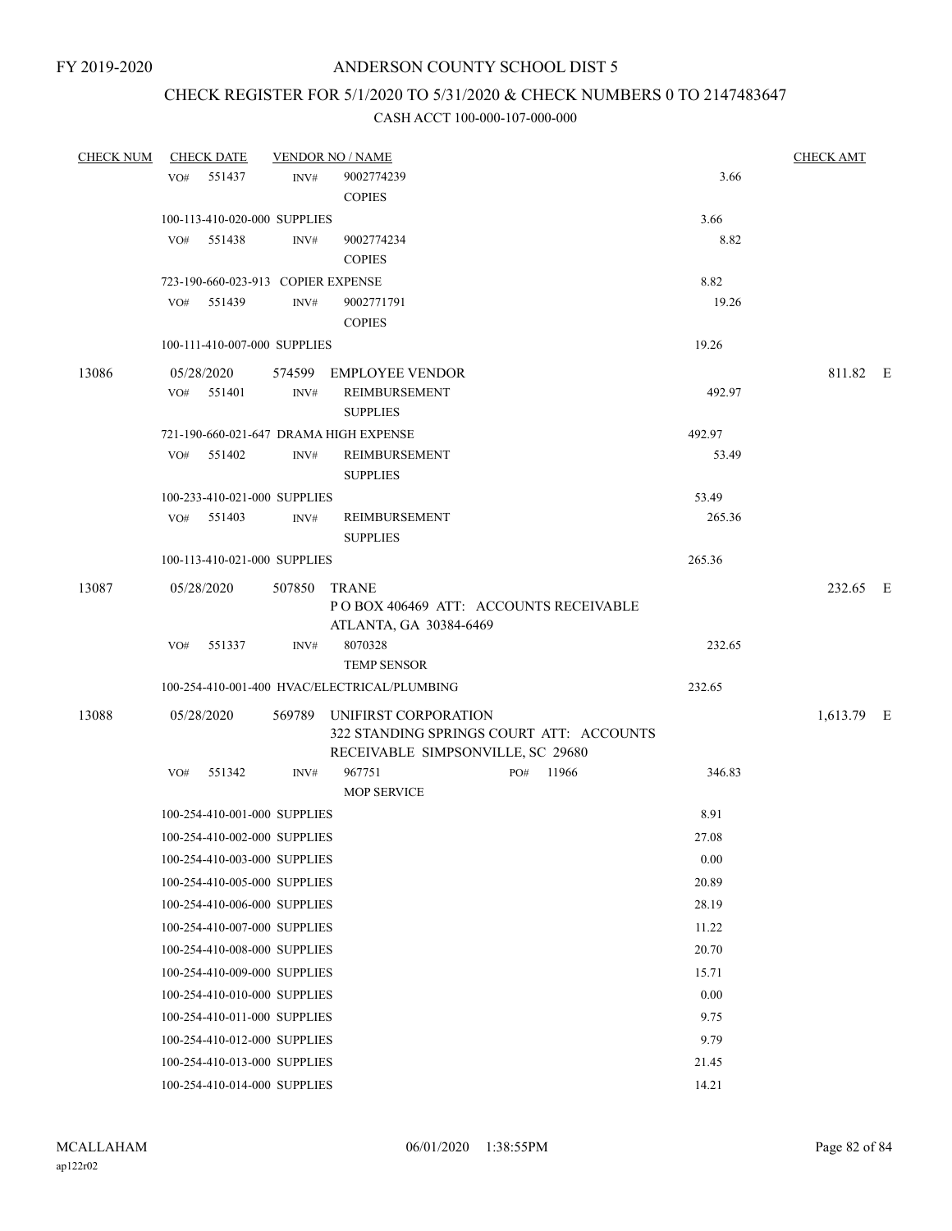# CHECK REGISTER FOR 5/1/2020 TO 5/31/2020 & CHECK NUMBERS 0 TO 2147483647

|       | CHECK NUM CHECK DATE                   |      | <b>VENDOR NO / NAME</b>                                                       |        | <b>CHECK AMT</b> |  |
|-------|----------------------------------------|------|-------------------------------------------------------------------------------|--------|------------------|--|
|       | VO# 551437                             | INV# | 9002774239                                                                    | 3.66   |                  |  |
|       |                                        |      | <b>COPIES</b>                                                                 |        |                  |  |
|       | 100-113-410-020-000 SUPPLIES           |      |                                                                               | 3.66   |                  |  |
|       | VO# 551438                             | INV# | 9002774234                                                                    | 8.82   |                  |  |
|       |                                        |      | <b>COPIES</b>                                                                 |        |                  |  |
|       | 723-190-660-023-913 COPIER EXPENSE     |      |                                                                               | 8.82   |                  |  |
|       | VO# 551439                             | INV# | 9002771791                                                                    | 19.26  |                  |  |
|       |                                        |      | <b>COPIES</b>                                                                 |        |                  |  |
|       | 100-111-410-007-000 SUPPLIES           |      |                                                                               | 19.26  |                  |  |
| 13086 | 05/28/2020                             |      | 574599 EMPLOYEE VENDOR                                                        |        | 811.82 E         |  |
|       | $VO#$ 551401                           | INV# | REIMBURSEMENT<br><b>SUPPLIES</b>                                              | 492.97 |                  |  |
|       | 721-190-660-021-647 DRAMA HIGH EXPENSE |      |                                                                               | 492.97 |                  |  |
|       | VO# 551402                             | INV# | REIMBURSEMENT<br><b>SUPPLIES</b>                                              | 53.49  |                  |  |
|       | 100-233-410-021-000 SUPPLIES           |      |                                                                               | 53.49  |                  |  |
|       | $VO#$ 551403                           | INV# | REIMBURSEMENT                                                                 | 265.36 |                  |  |
|       |                                        |      | <b>SUPPLIES</b>                                                               |        |                  |  |
|       | 100-113-410-021-000 SUPPLIES           |      |                                                                               | 265.36 |                  |  |
| 13087 | 05/28/2020                             |      | 507850 TRANE                                                                  |        | 232.65 E         |  |
|       |                                        |      | POBOX 406469 ATT: ACCOUNTS RECEIVABLE<br>ATLANTA, GA 30384-6469               |        |                  |  |
|       | VO# 551337                             | INV# | 8070328<br><b>TEMP SENSOR</b>                                                 | 232.65 |                  |  |
|       |                                        |      | 100-254-410-001-400 HVAC/ELECTRICAL/PLUMBING                                  | 232.65 |                  |  |
| 13088 | 05/28/2020                             |      | 569789 UNIFIRST CORPORATION                                                   |        | 1,613.79 E       |  |
|       |                                        |      | 322 STANDING SPRINGS COURT ATT: ACCOUNTS<br>RECEIVABLE SIMPSONVILLE, SC 29680 |        |                  |  |
|       | VO# 551342                             | INV# | 967751<br>PO# 11966                                                           | 346.83 |                  |  |
|       |                                        |      | <b>MOP SERVICE</b>                                                            |        |                  |  |
|       | 100-254-410-001-000 SUPPLIES           |      |                                                                               | 8.91   |                  |  |
|       | 100-254-410-002-000 SUPPLIES           |      |                                                                               | 27.08  |                  |  |
|       | 100-254-410-003-000 SUPPLIES           |      |                                                                               | 0.00   |                  |  |
|       | 100-254-410-005-000 SUPPLIES           |      |                                                                               | 20.89  |                  |  |
|       | 100-254-410-006-000 SUPPLIES           |      |                                                                               | 28.19  |                  |  |
|       | 100-254-410-007-000 SUPPLIES           |      |                                                                               | 11.22  |                  |  |
|       | 100-254-410-008-000 SUPPLIES           |      |                                                                               | 20.70  |                  |  |
|       | 100-254-410-009-000 SUPPLIES           |      |                                                                               | 15.71  |                  |  |
|       | 100-254-410-010-000 SUPPLIES           |      |                                                                               | 0.00   |                  |  |
|       | 100-254-410-011-000 SUPPLIES           |      |                                                                               | 9.75   |                  |  |
|       | 100-254-410-012-000 SUPPLIES           |      |                                                                               | 9.79   |                  |  |
|       | 100-254-410-013-000 SUPPLIES           |      |                                                                               | 21.45  |                  |  |
|       | 100-254-410-014-000 SUPPLIES           |      |                                                                               | 14.21  |                  |  |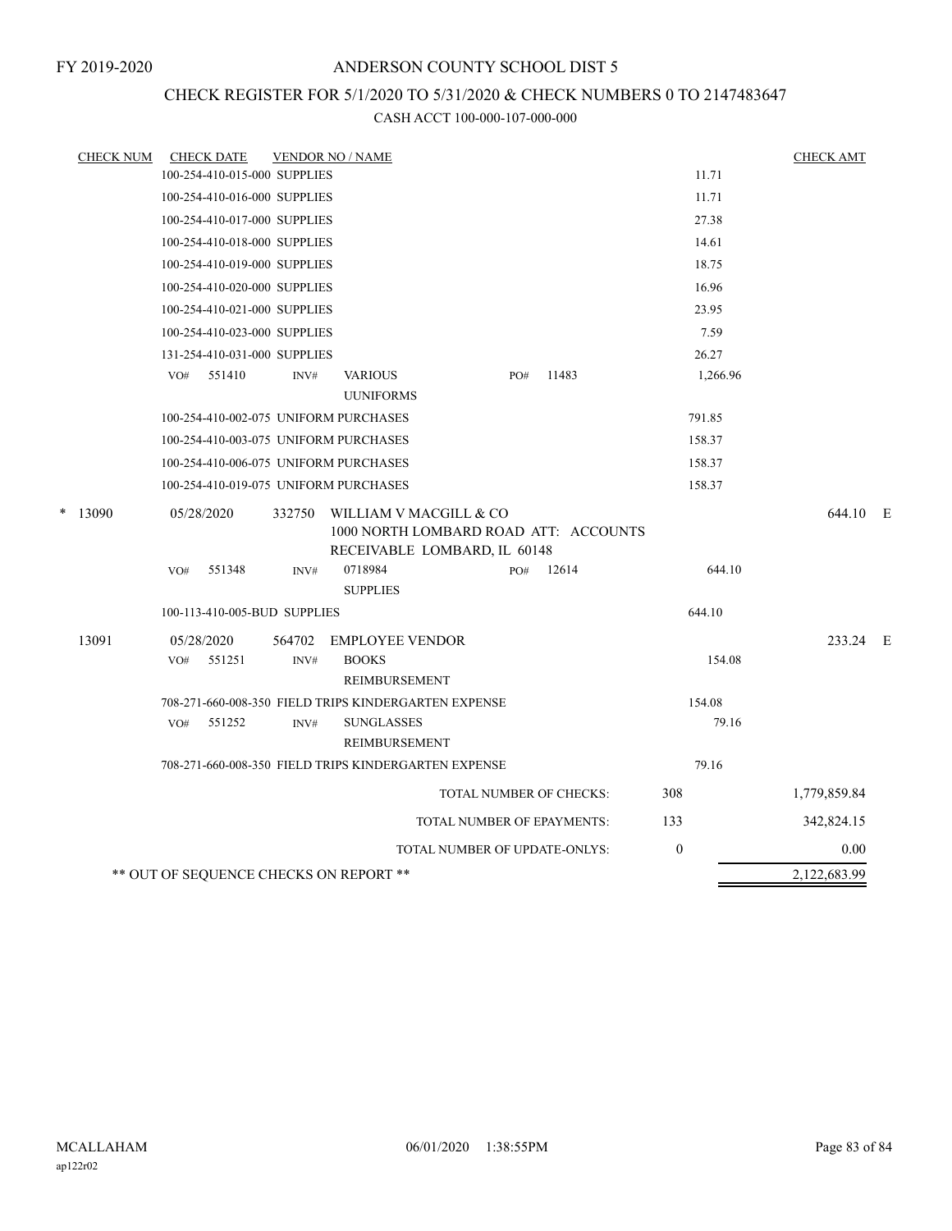# CHECK REGISTER FOR 5/1/2020 TO 5/31/2020 & CHECK NUMBERS 0 TO 2147483647

| <b>CHECK NUM</b> | <b>CHECK DATE</b>                      |        | <b>VENDOR NO / NAME</b>                                                                         |                                   |       |          | <b>CHECK AMT</b> |  |
|------------------|----------------------------------------|--------|-------------------------------------------------------------------------------------------------|-----------------------------------|-------|----------|------------------|--|
|                  | 100-254-410-015-000 SUPPLIES           |        |                                                                                                 |                                   |       | 11.71    |                  |  |
|                  | 100-254-410-016-000 SUPPLIES           |        |                                                                                                 |                                   |       | 11.71    |                  |  |
|                  | 100-254-410-017-000 SUPPLIES           |        |                                                                                                 |                                   |       | 27.38    |                  |  |
|                  | 100-254-410-018-000 SUPPLIES           |        |                                                                                                 |                                   |       | 14.61    |                  |  |
|                  | 100-254-410-019-000 SUPPLIES           |        |                                                                                                 |                                   |       | 18.75    |                  |  |
|                  | 100-254-410-020-000 SUPPLIES           |        |                                                                                                 |                                   |       | 16.96    |                  |  |
|                  | 100-254-410-021-000 SUPPLIES           |        |                                                                                                 |                                   |       | 23.95    |                  |  |
|                  | 100-254-410-023-000 SUPPLIES           |        |                                                                                                 |                                   |       | 7.59     |                  |  |
|                  | 131-254-410-031-000 SUPPLIES           |        |                                                                                                 |                                   |       | 26.27    |                  |  |
|                  | 551410<br>VO#                          | INV#   | <b>VARIOUS</b><br><b>UUNIFORMS</b>                                                              | PO#                               | 11483 | 1,266.96 |                  |  |
|                  | 100-254-410-002-075 UNIFORM PURCHASES  |        |                                                                                                 |                                   |       | 791.85   |                  |  |
|                  | 100-254-410-003-075 UNIFORM PURCHASES  |        |                                                                                                 |                                   |       | 158.37   |                  |  |
|                  | 100-254-410-006-075 UNIFORM PURCHASES  |        |                                                                                                 |                                   |       | 158.37   |                  |  |
|                  | 100-254-410-019-075 UNIFORM PURCHASES  |        |                                                                                                 |                                   |       | 158.37   |                  |  |
| $*$ 13090        | 05/28/2020                             | 332750 | WILLIAM V MACGILL & CO<br>1000 NORTH LOMBARD ROAD ATT: ACCOUNTS<br>RECEIVABLE LOMBARD, IL 60148 |                                   |       |          | 644.10 E         |  |
|                  | 551348<br>VO#                          | INV#   | 0718984<br><b>SUPPLIES</b>                                                                      | PO#                               | 12614 | 644.10   |                  |  |
|                  | 100-113-410-005-BUD SUPPLIES           |        |                                                                                                 |                                   |       | 644.10   |                  |  |
| 13091            | 05/28/2020                             | 564702 | <b>EMPLOYEE VENDOR</b>                                                                          |                                   |       |          | 233.24 E         |  |
|                  | 551251<br>VO <sub>#</sub>              | INV#   | <b>BOOKS</b><br><b>REIMBURSEMENT</b>                                                            |                                   |       | 154.08   |                  |  |
|                  |                                        |        | 708-271-660-008-350 FIELD TRIPS KINDERGARTEN EXPENSE                                            |                                   |       | 154.08   |                  |  |
|                  | 551252<br>VO#                          | INV#   | <b>SUNGLASSES</b><br>REIMBURSEMENT                                                              |                                   |       | 79.16    |                  |  |
|                  |                                        |        | 708-271-660-008-350 FIELD TRIPS KINDERGARTEN EXPENSE                                            |                                   |       | 79.16    |                  |  |
|                  |                                        |        |                                                                                                 | TOTAL NUMBER OF CHECKS:           |       | 308      | 1,779,859.84     |  |
|                  |                                        |        |                                                                                                 | <b>TOTAL NUMBER OF EPAYMENTS:</b> |       | 133      | 342,824.15       |  |
|                  |                                        |        |                                                                                                 | TOTAL NUMBER OF UPDATE-ONLYS:     |       | $\theta$ | 0.00             |  |
|                  | ** OUT OF SEQUENCE CHECKS ON REPORT ** |        |                                                                                                 |                                   |       |          | 2,122,683.99     |  |